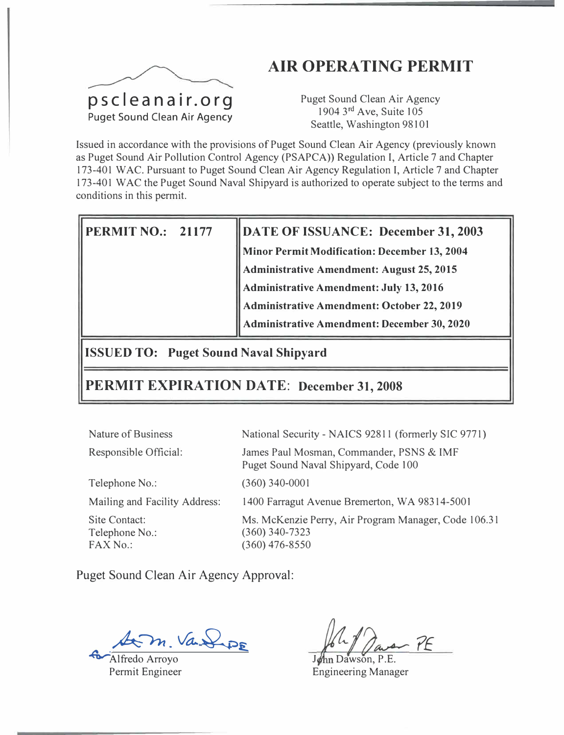

# **AIR OPERATING PERMIT**

Puget Sound Clean Air Agency 1904 3 rd Ave, Suite 105 Seattle, Washington 98101

Issued in accordance with the provisions of Puget Sound Clean Air Agency (previously known as Puget Sound Air Pollution Control Agency (PSAPCA)) Regulation I, Article 7 and Chapter 173-401 WAC. Pursuant to Puget Sound Clean Air Agency Regulation I, Article 7 and Chapter 173-401 WAC the Puget Sound Naval Shipyard is authorized to operate subject to the terms and conditions in this permit.

| $\parallel$ PERMIT NO.: 21177 | DATE OF ISSUANCE: December 31, 2003          |
|-------------------------------|----------------------------------------------|
|                               | Minor Permit Modification: December 13, 2004 |
|                               | Administrative Amendment: August 25, 2015    |
|                               | Administrative Amendment: July 13, 2016      |
|                               | Administrative Amendment: October 22, 2019   |
|                               | Administrative Amendment: December 30, 2020  |

**ISSUED TO: Puget Sound Naval Shipyard** 

# **PATION DATE:** December 31, 2008

| Nature of Business                          | National Security - NAICS 92811 (formerly SIC 9771)                                          |
|---------------------------------------------|----------------------------------------------------------------------------------------------|
| Responsible Official:                       | James Paul Mosman, Commander, PSNS & IMF<br>Puget Sound Naval Shipyard, Code 100             |
| Telephone No.:                              | $(360)$ 340-0001                                                                             |
| Mailing and Facility Address:               | 1400 Farragut Avenue Bremerton, WA 98314-5001                                                |
| Site Contact:<br>Telephone No.:<br>FAX No.: | Ms. McKenzie Perry, Air Program Manager, Code 106.31<br>$(360)$ 340-7323<br>$(360)$ 476-8550 |

Puget Sound Clean Air Agency Approval:

A�. **va�-:)£** �Alfredo Arroyo

Permit Engineer

*?£* 

John Dawson, P.E. Engineering Manager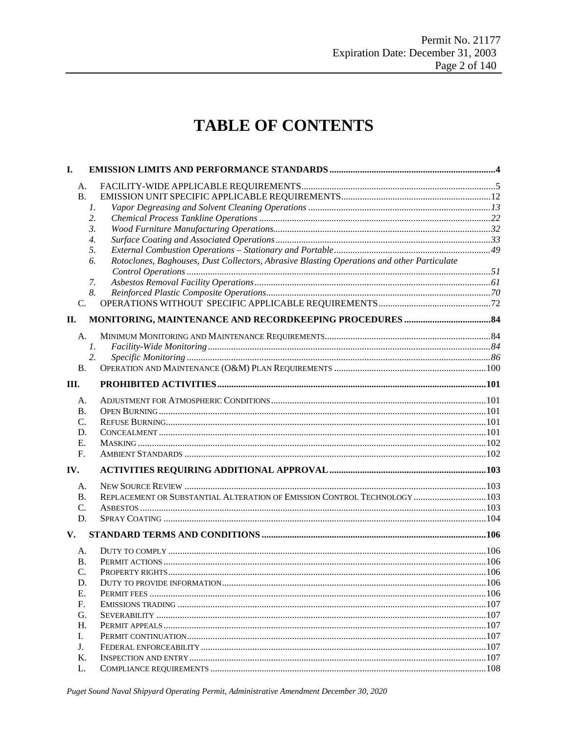# **TABLE OF CONTENTS**

| I.             |                                                                                                  |  |
|----------------|--------------------------------------------------------------------------------------------------|--|
| А.             |                                                                                                  |  |
| B <sub>r</sub> |                                                                                                  |  |
|                | 1.                                                                                               |  |
|                | 2.                                                                                               |  |
|                | 3.                                                                                               |  |
|                | 4.                                                                                               |  |
|                | 5.                                                                                               |  |
|                | Rotoclones, Baghouses, Dust Collectors, Abrasive Blasting Operations and other Particulate<br>6. |  |
|                |                                                                                                  |  |
|                | 7.                                                                                               |  |
|                | 8.                                                                                               |  |
| C.             |                                                                                                  |  |
| П.             |                                                                                                  |  |
| A.             |                                                                                                  |  |
|                | $\mathcal{I}$ .                                                                                  |  |
|                | 2.                                                                                               |  |
| <b>B.</b>      |                                                                                                  |  |
| Ш.             |                                                                                                  |  |
| A.             |                                                                                                  |  |
| В.             |                                                                                                  |  |
| C.             |                                                                                                  |  |
| D.             |                                                                                                  |  |
| Е.             |                                                                                                  |  |
| F.             |                                                                                                  |  |
| IV.            |                                                                                                  |  |
|                |                                                                                                  |  |
| А.             |                                                                                                  |  |
| В.             | REPLACEMENT OR SUBSTANTIAL ALTERATION OF EMISSION CONTROL TECHNOLOGY  103                        |  |
| C.             |                                                                                                  |  |
| D.             |                                                                                                  |  |
| V.             |                                                                                                  |  |
| А.             |                                                                                                  |  |
| В.             |                                                                                                  |  |
| C.             |                                                                                                  |  |
| D.             |                                                                                                  |  |
| Е.             |                                                                                                  |  |
| F.             |                                                                                                  |  |
| G.             |                                                                                                  |  |
| H.             |                                                                                                  |  |
| L.             |                                                                                                  |  |
| J.             |                                                                                                  |  |
| K.             |                                                                                                  |  |
| L.             |                                                                                                  |  |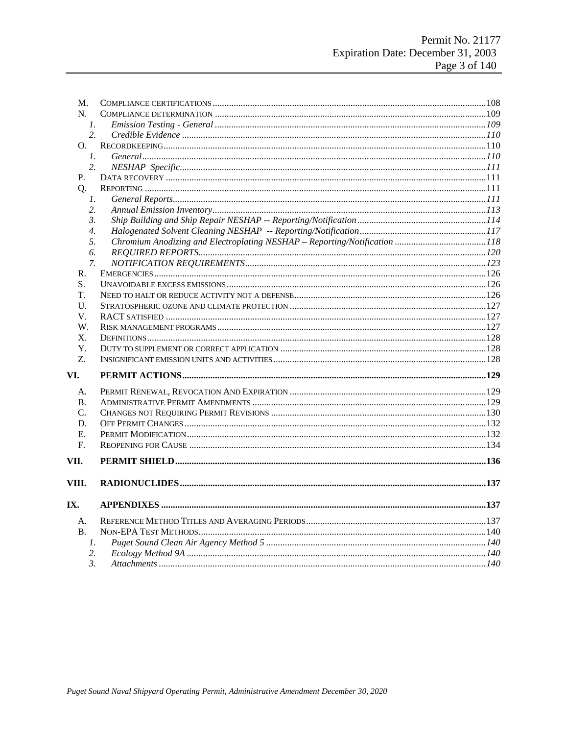| M.              |  |
|-----------------|--|
| N.              |  |
| $\mathcal{I}$ . |  |
| 2.              |  |
| O.              |  |
| 1.              |  |
| 2.              |  |
| P.              |  |
| О.              |  |
| 1.              |  |
| 2.              |  |
| 3.              |  |
| 4.              |  |
| 5.              |  |
| 6.              |  |
| 7.              |  |
| R.              |  |
| S.              |  |
| Т.              |  |
| U.              |  |
| V.              |  |
| W.              |  |
| Х.              |  |
| Y.              |  |
| Z.              |  |
| VI.             |  |
| А.              |  |
| Β.              |  |
| C.              |  |
| D.              |  |
| Е.              |  |
| F.              |  |
| VII.            |  |
|                 |  |
| VIII.           |  |
| IX.             |  |
| А.              |  |
| <b>B.</b>       |  |
| 1.              |  |
| 2.              |  |
| 3.              |  |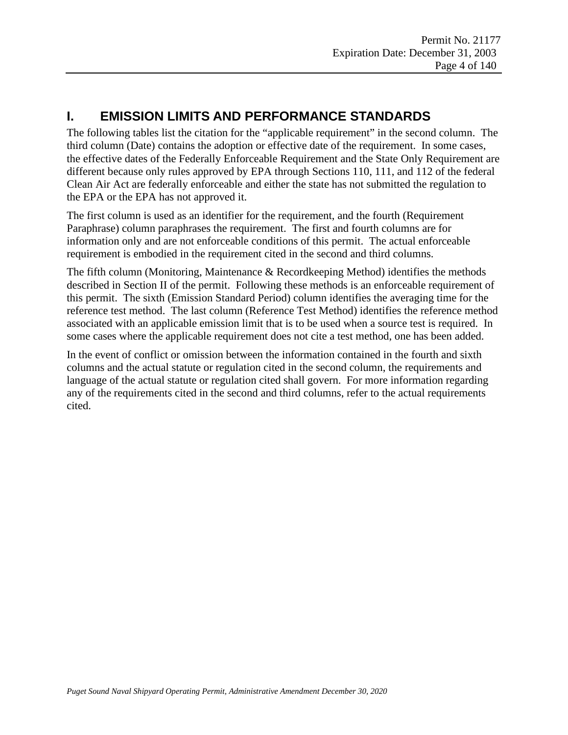## **I. EMISSION LIMITS AND PERFORMANCE STANDARDS**

The following tables list the citation for the "applicable requirement" in the second column. The third column (Date) contains the adoption or effective date of the requirement. In some cases, the effective dates of the Federally Enforceable Requirement and the State Only Requirement are different because only rules approved by EPA through Sections 110, 111, and 112 of the federal Clean Air Act are federally enforceable and either the state has not submitted the regulation to the EPA or the EPA has not approved it.

The first column is used as an identifier for the requirement, and the fourth (Requirement Paraphrase) column paraphrases the requirement. The first and fourth columns are for information only and are not enforceable conditions of this permit. The actual enforceable requirement is embodied in the requirement cited in the second and third columns.

The fifth column (Monitoring, Maintenance & Recordkeeping Method) identifies the methods described in Section II of the permit. Following these methods is an enforceable requirement of this permit. The sixth (Emission Standard Period) column identifies the averaging time for the reference test method. The last column (Reference Test Method) identifies the reference method associated with an applicable emission limit that is to be used when a source test is required. In some cases where the applicable requirement does not cite a test method, one has been added.

In the event of conflict or omission between the information contained in the fourth and sixth columns and the actual statute or regulation cited in the second column, the requirements and language of the actual statute or regulation cited shall govern. For more information regarding any of the requirements cited in the second and third columns, refer to the actual requirements cited.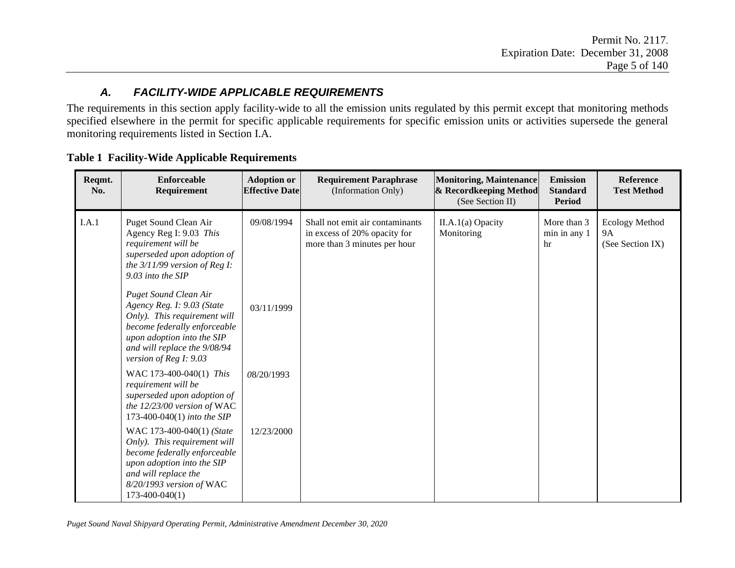### *A. FACILITY-WIDE APPLICABLE REQUIREMENTS*

The requirements in this section apply facility-wide to all the emission units regulated by this permit except that monitoring methods specified elsewhere in the permit for specific applicable requirements for specific emission units or activities supersede the general monitoring requirements listed in Section I.A.

| Reqmt.<br>No. | <b>Enforceable</b><br>Requirement                                                                                                                                                                                    | <b>Adoption or</b><br><b>Effective Date</b> | <b>Requirement Paraphrase</b><br>(Information Only)                                             | <b>Monitoring, Maintenance</b><br>& Recordkeeping Method<br>(See Section II) | <b>Emission</b><br><b>Standard</b><br><b>Period</b> | Reference<br><b>Test Method</b>                        |
|---------------|----------------------------------------------------------------------------------------------------------------------------------------------------------------------------------------------------------------------|---------------------------------------------|-------------------------------------------------------------------------------------------------|------------------------------------------------------------------------------|-----------------------------------------------------|--------------------------------------------------------|
| I.A.1         | Puget Sound Clean Air<br>Agency Reg I: 9.03 This<br>requirement will be<br>superseded upon adoption of<br>the $3/11/99$ version of Reg I:<br>9.03 into the SIP                                                       | 09/08/1994                                  | Shall not emit air contaminants<br>in excess of 20% opacity for<br>more than 3 minutes per hour | II.A.1(a) Opacity<br>Monitoring                                              | More than 3<br>min in any 1<br>hr                   | <b>Ecology Method</b><br><b>9A</b><br>(See Section IX) |
|               | <b>Puget Sound Clean Air</b><br>Agency Reg. I: 9.03 (State<br>Only). This requirement will<br>become federally enforceable<br>upon adoption into the SIP<br>and will replace the 9/08/94<br>version of Reg I: $9.03$ | 03/11/1999                                  |                                                                                                 |                                                                              |                                                     |                                                        |
|               | WAC 173-400-040(1) This<br>requirement will be<br>superseded upon adoption of<br>the 12/23/00 version of WAC<br>173-400-040(1) into the SIP                                                                          | 08/20/1993                                  |                                                                                                 |                                                                              |                                                     |                                                        |
|               | WAC 173-400-040(1) (State<br>Only). This requirement will<br>become federally enforceable<br>upon adoption into the SIP<br>and will replace the<br>8/20/1993 version of WAC<br>$173-400-040(1)$                      | 12/23/2000                                  |                                                                                                 |                                                                              |                                                     |                                                        |

### **Table 1 Facility-Wide Applicable Requirements**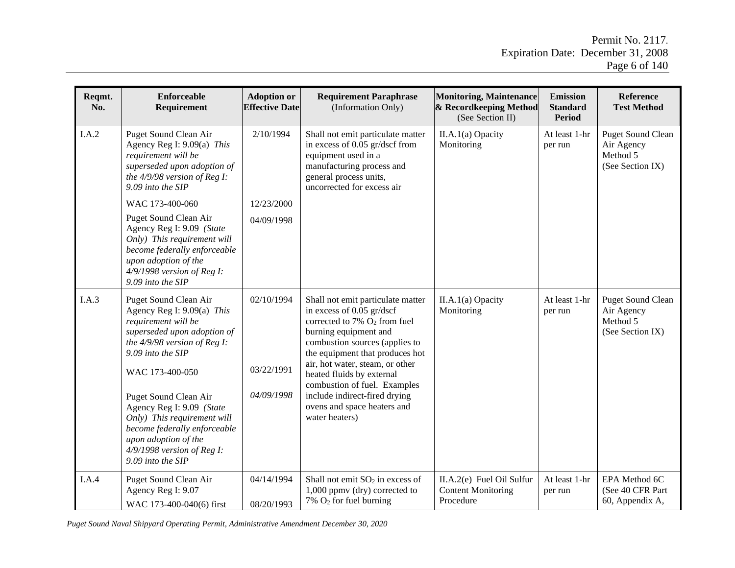| Reqmt.<br>No. | <b>Enforceable</b><br>Requirement                                                                                                                                                                                                                                                                                                                                                     | <b>Adoption or</b><br><b>Effective Date</b> | <b>Requirement Paraphrase</b><br>(Information Only)                                                                                                                                                                                                                                                                                                                               | <b>Monitoring, Maintenance</b><br>& Recordkeeping Method<br>(See Section II) | <b>Emission</b><br><b>Standard</b><br><b>Period</b> | <b>Reference</b><br><b>Test Method</b>                                 |
|---------------|---------------------------------------------------------------------------------------------------------------------------------------------------------------------------------------------------------------------------------------------------------------------------------------------------------------------------------------------------------------------------------------|---------------------------------------------|-----------------------------------------------------------------------------------------------------------------------------------------------------------------------------------------------------------------------------------------------------------------------------------------------------------------------------------------------------------------------------------|------------------------------------------------------------------------------|-----------------------------------------------------|------------------------------------------------------------------------|
| I.A.2         | Puget Sound Clean Air<br>Agency Reg I: 9.09(a) This<br>requirement will be<br>superseded upon adoption of<br>the $4/9/98$ version of Reg I:<br>9.09 into the SIP                                                                                                                                                                                                                      | 2/10/1994                                   | Shall not emit particulate matter<br>in excess of 0.05 gr/dscf from<br>equipment used in a<br>manufacturing process and<br>general process units,<br>uncorrected for excess air                                                                                                                                                                                                   | $II.A.1(a)$ Opacity<br>Monitoring                                            | At least 1-hr<br>per run                            | <b>Puget Sound Clean</b><br>Air Agency<br>Method 5<br>(See Section IX) |
|               | WAC 173-400-060                                                                                                                                                                                                                                                                                                                                                                       | 12/23/2000                                  |                                                                                                                                                                                                                                                                                                                                                                                   |                                                                              |                                                     |                                                                        |
|               | Puget Sound Clean Air<br>Agency Reg I: 9.09 (State<br>Only) This requirement will<br>become federally enforceable<br>upon adoption of the<br>$4/9/1998$ version of Reg I:<br>9.09 into the SIP                                                                                                                                                                                        | 04/09/1998                                  |                                                                                                                                                                                                                                                                                                                                                                                   |                                                                              |                                                     |                                                                        |
| I.A.3         | Puget Sound Clean Air<br>Agency Reg I: 9.09(a) This<br>requirement will be<br>superseded upon adoption of<br>the $4/9/98$ version of Reg I:<br>9.09 into the SIP<br>WAC 173-400-050<br>Puget Sound Clean Air<br>Agency Reg I: 9.09 (State<br>Only) This requirement will<br>become federally enforceable<br>upon adoption of the<br>$4/9/1998$ version of Reg I:<br>9.09 into the SIP | 02/10/1994<br>03/22/1991<br>04/09/1998      | Shall not emit particulate matter<br>in excess of 0.05 gr/dscf<br>corrected to 7% $O_2$ from fuel<br>burning equipment and<br>combustion sources (applies to<br>the equipment that produces hot<br>air, hot water, steam, or other<br>heated fluids by external<br>combustion of fuel. Examples<br>include indirect-fired drying<br>ovens and space heaters and<br>water heaters) | II.A.1(a) Opacity<br>Monitoring                                              | At least 1-hr<br>per run                            | <b>Puget Sound Clean</b><br>Air Agency<br>Method 5<br>(See Section IX) |
| I.A.4         | Puget Sound Clean Air                                                                                                                                                                                                                                                                                                                                                                 | 04/14/1994                                  | Shall not emit $SO2$ in excess of                                                                                                                                                                                                                                                                                                                                                 | II.A.2(e) Fuel Oil Sulfur                                                    | At least 1-hr                                       | EPA Method 6C                                                          |
|               | Agency Reg I: 9.07<br>WAC 173-400-040(6) first                                                                                                                                                                                                                                                                                                                                        | 08/20/1993                                  | 1,000 ppmv (dry) corrected to<br>$7\%$ O <sub>2</sub> for fuel burning                                                                                                                                                                                                                                                                                                            | <b>Content Monitoring</b><br>Procedure                                       | per run                                             | (See 40 CFR Part<br>60, Appendix A,                                    |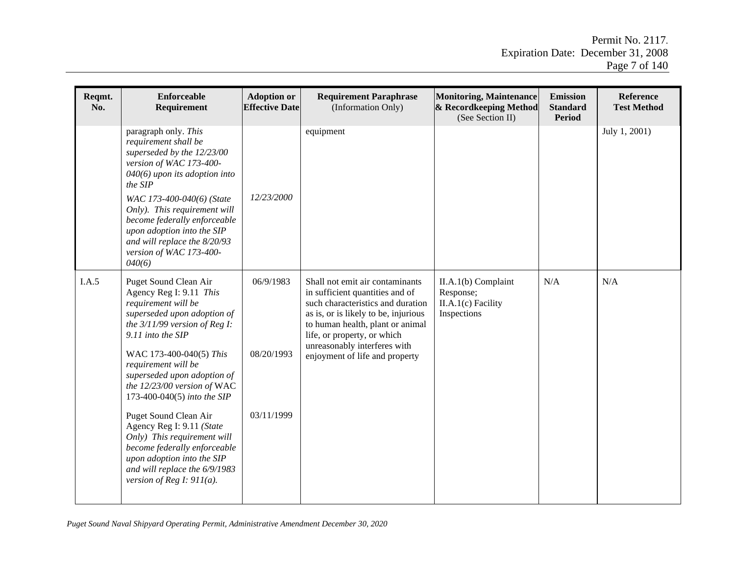| Reqmt.<br>No. | <b>Enforceable</b><br>Requirement                                                                                                                                                                                                                                                                                                                   | <b>Adoption or</b><br><b>Effective Date</b> | <b>Requirement Paraphrase</b><br>(Information Only)                                                                                                                                                                                                | <b>Monitoring, Maintenance</b><br>& Recordkeeping Method<br>(See Section II) | <b>Emission</b><br><b>Standard</b><br><b>Period</b> | Reference<br><b>Test Method</b> |
|---------------|-----------------------------------------------------------------------------------------------------------------------------------------------------------------------------------------------------------------------------------------------------------------------------------------------------------------------------------------------------|---------------------------------------------|----------------------------------------------------------------------------------------------------------------------------------------------------------------------------------------------------------------------------------------------------|------------------------------------------------------------------------------|-----------------------------------------------------|---------------------------------|
|               | paragraph only. This<br>requirement shall be<br>superseded by the 12/23/00<br>version of WAC 173-400-<br>$040(6)$ upon its adoption into<br>the SIP<br>WAC 173-400-040(6) (State<br>Only). This requirement will<br>become federally enforceable<br>upon adoption into the SIP<br>and will replace the 8/20/93<br>version of WAC 173-400-<br>040(6) | 12/23/2000                                  | equipment                                                                                                                                                                                                                                          |                                                                              |                                                     | July 1, 2001)                   |
| I.A.5         | Puget Sound Clean Air<br>Agency Reg I: 9.11 This<br>requirement will be<br>superseded upon adoption of<br>the $3/11/99$ version of Reg I:<br>9.11 into the SIP                                                                                                                                                                                      | 06/9/1983                                   | Shall not emit air contaminants<br>in sufficient quantities and of<br>such characteristics and duration<br>as is, or is likely to be, injurious<br>to human health, plant or animal<br>life, or property, or which<br>unreasonably interferes with | II.A.1(b) Complaint<br>Response;<br>$II.A.1(c)$ Facility<br>Inspections      | N/A                                                 | N/A                             |
|               | WAC 173-400-040(5) This<br>requirement will be<br>superseded upon adoption of<br>the 12/23/00 version of WAC<br>173-400-040(5) into the SIP                                                                                                                                                                                                         | 08/20/1993                                  | enjoyment of life and property                                                                                                                                                                                                                     |                                                                              |                                                     |                                 |
|               | Puget Sound Clean Air<br>Agency Reg I: 9.11 (State<br>Only) This requirement will<br>become federally enforceable<br>upon adoption into the SIP<br>and will replace the 6/9/1983<br>version of Reg I: $911(a)$ .                                                                                                                                    | 03/11/1999                                  |                                                                                                                                                                                                                                                    |                                                                              |                                                     |                                 |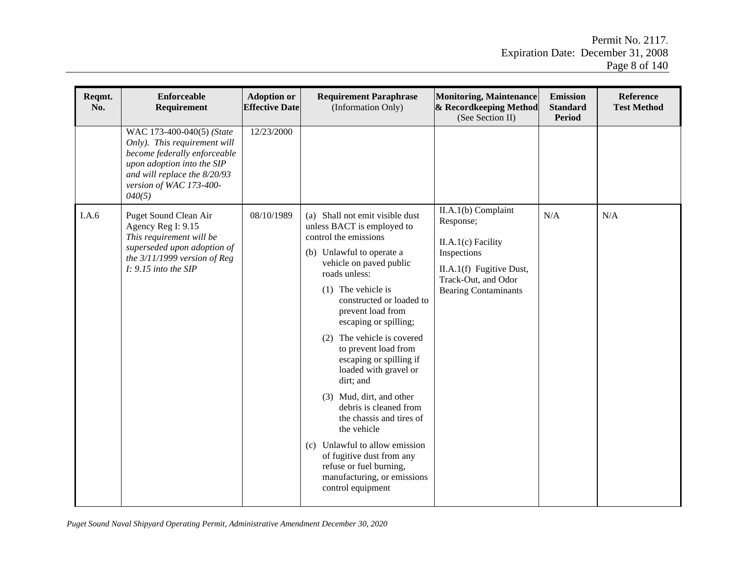| Reqmt.<br>No. | <b>Enforceable</b><br>Requirement                                                                                                                                                            | <b>Adoption or</b><br><b>Effective Date</b> | <b>Requirement Paraphrase</b><br>(Information Only)                                                                                                                                                                                                                                                                                                                                                                                                                                                                                                                                                                                           | <b>Monitoring, Maintenance</b><br>& Recordkeeping Method<br>(See Section II)                                                                              | <b>Emission</b><br><b>Standard</b><br><b>Period</b> | <b>Reference</b><br><b>Test Method</b> |
|---------------|----------------------------------------------------------------------------------------------------------------------------------------------------------------------------------------------|---------------------------------------------|-----------------------------------------------------------------------------------------------------------------------------------------------------------------------------------------------------------------------------------------------------------------------------------------------------------------------------------------------------------------------------------------------------------------------------------------------------------------------------------------------------------------------------------------------------------------------------------------------------------------------------------------------|-----------------------------------------------------------------------------------------------------------------------------------------------------------|-----------------------------------------------------|----------------------------------------|
|               | WAC 173-400-040(5) (State<br>Only). This requirement will<br>become federally enforceable<br>upon adoption into the SIP<br>and will replace the 8/20/93<br>version of WAC 173-400-<br>040(5) | 12/23/2000                                  |                                                                                                                                                                                                                                                                                                                                                                                                                                                                                                                                                                                                                                               |                                                                                                                                                           |                                                     |                                        |
| I.A.6         | Puget Sound Clean Air<br>Agency Reg I: 9.15<br>This requirement will be<br>superseded upon adoption of<br>the $3/11/1999$ version of Reg<br>I: 9.15 into the SIP                             | 08/10/1989                                  | (a) Shall not emit visible dust<br>unless BACT is employed to<br>control the emissions<br>(b) Unlawful to operate a<br>vehicle on paved public<br>roads unless:<br>$(1)$ The vehicle is<br>constructed or loaded to<br>prevent load from<br>escaping or spilling;<br>The vehicle is covered<br>(2)<br>to prevent load from<br>escaping or spilling if<br>loaded with gravel or<br>dirt; and<br>Mud, dirt, and other<br>(3)<br>debris is cleaned from<br>the chassis and tires of<br>the vehicle<br>(c) Unlawful to allow emission<br>of fugitive dust from any<br>refuse or fuel burning,<br>manufacturing, or emissions<br>control equipment | II.A.1(b) Complaint<br>Response;<br>$II.A.1(c)$ Facility<br>Inspections<br>II.A.1(f) Fugitive Dust,<br>Track-Out, and Odor<br><b>Bearing Contaminants</b> | N/A                                                 | N/A                                    |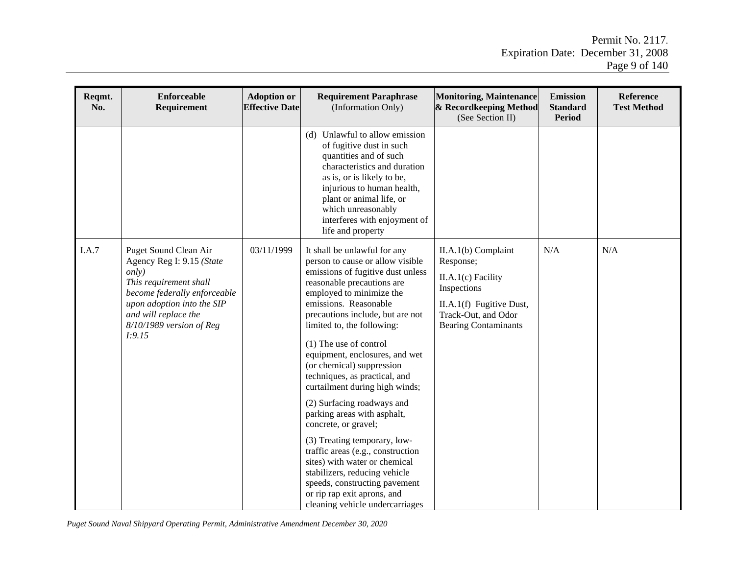| Reqmt.<br>No. | <b>Enforceable</b><br>Requirement                                                                                                                                                                                 | <b>Adoption or</b><br><b>Effective Date</b> | <b>Requirement Paraphrase</b><br>(Information Only)                                                                                                                                                                                                                                                                                                                                                                    | <b>Monitoring, Maintenance</b><br>& Recordkeeping Method<br>(See Section II)                                                                              | <b>Emission</b><br><b>Standard</b><br><b>Period</b> | Reference<br><b>Test Method</b> |
|---------------|-------------------------------------------------------------------------------------------------------------------------------------------------------------------------------------------------------------------|---------------------------------------------|------------------------------------------------------------------------------------------------------------------------------------------------------------------------------------------------------------------------------------------------------------------------------------------------------------------------------------------------------------------------------------------------------------------------|-----------------------------------------------------------------------------------------------------------------------------------------------------------|-----------------------------------------------------|---------------------------------|
|               |                                                                                                                                                                                                                   |                                             | (d) Unlawful to allow emission<br>of fugitive dust in such<br>quantities and of such<br>characteristics and duration<br>as is, or is likely to be,<br>injurious to human health,<br>plant or animal life, or<br>which unreasonably<br>interferes with enjoyment of<br>life and property                                                                                                                                |                                                                                                                                                           |                                                     |                                 |
| I.A.7         | Puget Sound Clean Air<br>Agency Reg I: 9.15 (State<br>only)<br>This requirement shall<br>become federally enforceable<br>upon adoption into the SIP<br>and will replace the<br>8/10/1989 version of Reg<br>I:9.15 | 03/11/1999                                  | It shall be unlawful for any<br>person to cause or allow visible<br>emissions of fugitive dust unless<br>reasonable precautions are<br>employed to minimize the<br>emissions. Reasonable<br>precautions include, but are not<br>limited to, the following:<br>(1) The use of control<br>equipment, enclosures, and wet<br>(or chemical) suppression<br>techniques, as practical, and<br>curtailment during high winds; | II.A.1(b) Complaint<br>Response;<br>$II.A.1(c)$ Facility<br>Inspections<br>II.A.1(f) Fugitive Dust,<br>Track-Out, and Odor<br><b>Bearing Contaminants</b> | N/A                                                 | N/A                             |
|               |                                                                                                                                                                                                                   |                                             | (2) Surfacing roadways and<br>parking areas with asphalt,<br>concrete, or gravel;                                                                                                                                                                                                                                                                                                                                      |                                                                                                                                                           |                                                     |                                 |
|               |                                                                                                                                                                                                                   |                                             | (3) Treating temporary, low-<br>traffic areas (e.g., construction<br>sites) with water or chemical<br>stabilizers, reducing vehicle<br>speeds, constructing pavement<br>or rip rap exit aprons, and<br>cleaning vehicle undercarriages                                                                                                                                                                                 |                                                                                                                                                           |                                                     |                                 |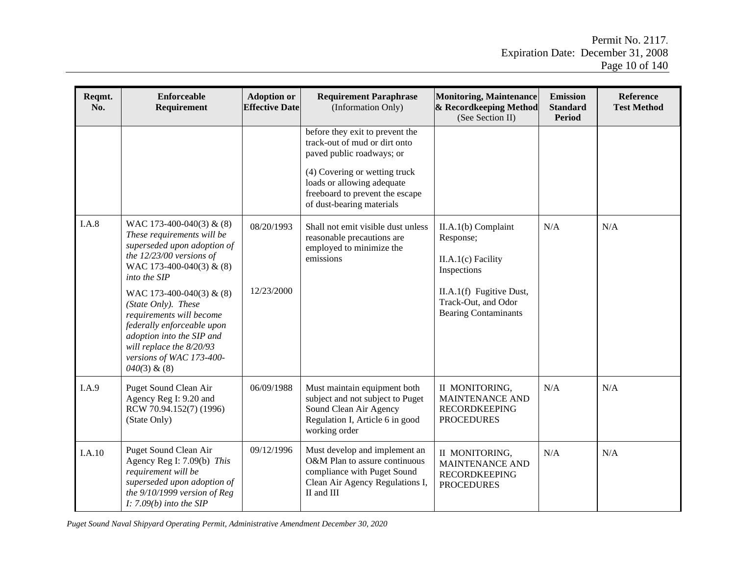| Reqmt.<br>No. | <b>Enforceable</b><br>Requirement                                                                                                                                                                                                                                                                                                                                                       | <b>Adoption or</b><br><b>Effective Date</b> | <b>Requirement Paraphrase</b><br>(Information Only)                                                                                                                                                                          | <b>Monitoring, Maintenance</b><br>& Recordkeeping Method<br>(See Section II)                                                                              | <b>Emission</b><br><b>Standard</b><br><b>Period</b> | <b>Reference</b><br><b>Test Method</b> |
|---------------|-----------------------------------------------------------------------------------------------------------------------------------------------------------------------------------------------------------------------------------------------------------------------------------------------------------------------------------------------------------------------------------------|---------------------------------------------|------------------------------------------------------------------------------------------------------------------------------------------------------------------------------------------------------------------------------|-----------------------------------------------------------------------------------------------------------------------------------------------------------|-----------------------------------------------------|----------------------------------------|
|               |                                                                                                                                                                                                                                                                                                                                                                                         |                                             | before they exit to prevent the<br>track-out of mud or dirt onto<br>paved public roadways; or<br>(4) Covering or wetting truck<br>loads or allowing adequate<br>freeboard to prevent the escape<br>of dust-bearing materials |                                                                                                                                                           |                                                     |                                        |
| I.A.8         | WAC 173-400-040(3) & $(8)$<br>These requirements will be<br>superseded upon adoption of<br>the $12/23/00$ versions of<br>WAC 173-400-040(3) & (8)<br>into the SIP<br>WAC 173-400-040(3) & $(8)$<br>(State Only). These<br>requirements will become<br>federally enforceable upon<br>adoption into the SIP and<br>will replace the 8/20/93<br>versions of WAC 173-400-<br>$040(3)$ & (8) | 08/20/1993<br>12/23/2000                    | Shall not emit visible dust unless<br>reasonable precautions are<br>employed to minimize the<br>emissions                                                                                                                    | II.A.1(b) Complaint<br>Response;<br>$II.A.1(c)$ Facility<br>Inspections<br>II.A.1(f) Fugitive Dust,<br>Track-Out, and Odor<br><b>Bearing Contaminants</b> | N/A                                                 | N/A                                    |
| I.A.9         | Puget Sound Clean Air<br>Agency Reg I: 9.20 and<br>RCW 70.94.152(7) (1996)<br>(State Only)                                                                                                                                                                                                                                                                                              | 06/09/1988                                  | Must maintain equipment both<br>subject and not subject to Puget<br>Sound Clean Air Agency<br>Regulation I, Article 6 in good<br>working order                                                                               | II MONITORING,<br>MAINTENANCE AND<br><b>RECORDKEEPING</b><br><b>PROCEDURES</b>                                                                            | N/A                                                 | N/A                                    |
| I.A.10        | Puget Sound Clean Air<br>Agency Reg I: 7.09(b) This<br>requirement will be<br>superseded upon adoption of<br>the 9/10/1999 version of Reg<br>I: $7.09(b)$ into the SIP                                                                                                                                                                                                                  | 09/12/1996                                  | Must develop and implement an<br>O&M Plan to assure continuous<br>compliance with Puget Sound<br>Clean Air Agency Regulations I,<br>II and III                                                                               | II MONITORING,<br><b>MAINTENANCE AND</b><br><b>RECORDKEEPING</b><br><b>PROCEDURES</b>                                                                     | N/A                                                 | N/A                                    |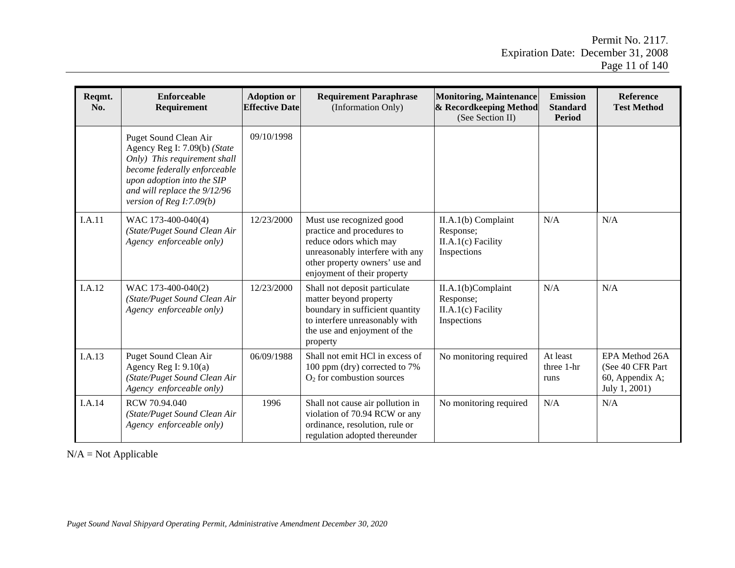| Reqmt.<br>No. | Enforceable<br>Requirement                                                                                                                                                                                        | <b>Adoption or</b><br><b>Effective Date</b> | <b>Requirement Paraphrase</b><br>(Information Only)                                                                                                                                  | <b>Monitoring, Maintenance</b><br>& Recordkeeping Method<br>(See Section II) | <b>Emission</b><br><b>Standard</b><br><b>Period</b> | Reference<br><b>Test Method</b>                                        |
|---------------|-------------------------------------------------------------------------------------------------------------------------------------------------------------------------------------------------------------------|---------------------------------------------|--------------------------------------------------------------------------------------------------------------------------------------------------------------------------------------|------------------------------------------------------------------------------|-----------------------------------------------------|------------------------------------------------------------------------|
|               | Puget Sound Clean Air<br>Agency Reg I: 7.09(b) (State<br>Only) This requirement shall<br>become federally enforceable<br>upon adoption into the SIP<br>and will replace the 9/12/96<br>version of Reg $I:7.09(b)$ | 09/10/1998                                  |                                                                                                                                                                                      |                                                                              |                                                     |                                                                        |
| I.A.11        | WAC 173-400-040(4)<br>(State/Puget Sound Clean Air<br>Agency enforceable only)                                                                                                                                    | 12/23/2000                                  | Must use recognized good<br>practice and procedures to<br>reduce odors which may<br>unreasonably interfere with any<br>other property owners' use and<br>enjoyment of their property | $II.A.1(b)$ Complaint<br>Response;<br>$II.A.1(c)$ Facility<br>Inspections    | N/A                                                 | N/A                                                                    |
| I.A.12        | WAC 173-400-040(2)<br>(State/Puget Sound Clean Air<br>Agency enforceable only)                                                                                                                                    | 12/23/2000                                  | Shall not deposit particulate<br>matter beyond property<br>boundary in sufficient quantity<br>to interfere unreasonably with<br>the use and enjoyment of the<br>property             | II.A.1(b)Complaint<br>Response;<br>$II.A.1(c)$ Facility<br>Inspections       | N/A                                                 | N/A                                                                    |
| I.A.13        | Puget Sound Clean Air<br>Agency Reg I: $9.10(a)$<br>(State/Puget Sound Clean Air<br>Agency enforceable only)                                                                                                      | 06/09/1988                                  | Shall not emit HCl in excess of<br>100 ppm (dry) corrected to 7%<br>$O2$ for combustion sources                                                                                      | No monitoring required                                                       | At least<br>three 1-hr<br>runs                      | EPA Method 26A<br>(See 40 CFR Part<br>60, Appendix A;<br>July 1, 2001) |
| I.A.14        | RCW 70.94.040<br>(State/Puget Sound Clean Air<br>Agency enforceable only)                                                                                                                                         | 1996                                        | Shall not cause air pollution in<br>violation of 70.94 RCW or any<br>ordinance, resolution, rule or<br>regulation adopted thereunder                                                 | No monitoring required                                                       | N/A                                                 | N/A                                                                    |

 $N/A = Not Applicable$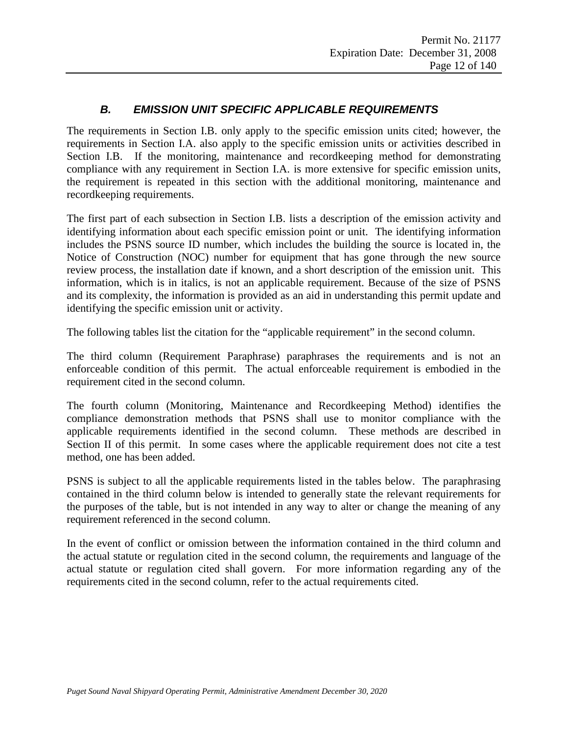### *B. EMISSION UNIT SPECIFIC APPLICABLE REQUIREMENTS*

The requirements in Section I.B. only apply to the specific emission units cited; however, the requirements in Section I.A. also apply to the specific emission units or activities described in Section I.B. If the monitoring, maintenance and recordkeeping method for demonstrating compliance with any requirement in Section I.A. is more extensive for specific emission units, the requirement is repeated in this section with the additional monitoring, maintenance and recordkeeping requirements.

The first part of each subsection in Section I.B. lists a description of the emission activity and identifying information about each specific emission point or unit. The identifying information includes the PSNS source ID number, which includes the building the source is located in, the Notice of Construction (NOC) number for equipment that has gone through the new source review process, the installation date if known, and a short description of the emission unit. This information, which is in italics, is not an applicable requirement. Because of the size of PSNS and its complexity, the information is provided as an aid in understanding this permit update and identifying the specific emission unit or activity.

The following tables list the citation for the "applicable requirement" in the second column.

The third column (Requirement Paraphrase) paraphrases the requirements and is not an enforceable condition of this permit. The actual enforceable requirement is embodied in the requirement cited in the second column.

The fourth column (Monitoring, Maintenance and Recordkeeping Method) identifies the compliance demonstration methods that PSNS shall use to monitor compliance with the applicable requirements identified in the second column. These methods are described in Section II of this permit. In some cases where the applicable requirement does not cite a test method, one has been added.

PSNS is subject to all the applicable requirements listed in the tables below. The paraphrasing contained in the third column below is intended to generally state the relevant requirements for the purposes of the table, but is not intended in any way to alter or change the meaning of any requirement referenced in the second column.

In the event of conflict or omission between the information contained in the third column and the actual statute or regulation cited in the second column, the requirements and language of the actual statute or regulation cited shall govern. For more information regarding any of the requirements cited in the second column, refer to the actual requirements cited.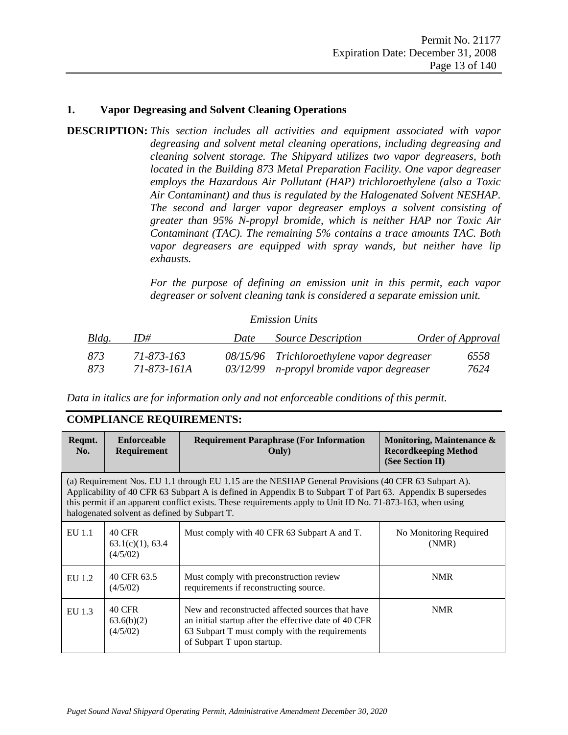### **1. Vapor Degreasing and Solvent Cleaning Operations**

**DESCRIPTION:** *This section includes all activities and equipment associated with vapor degreasing and solvent metal cleaning operations, including degreasing and cleaning solvent storage. The Shipyard utilizes two vapor degreasers, both located in the Building 873 Metal Preparation Facility. One vapor degreaser employs the Hazardous Air Pollutant (HAP) trichloroethylene (also a Toxic Air Contaminant) and thus is regulated by the Halogenated Solvent NESHAP. The second and larger vapor degreaser employs a solvent consisting of greater than 95% N-propyl bromide, which is neither HAP nor Toxic Air Contaminant (TAC). The remaining 5% contains a trace amounts TAC. Both vapor degreasers are equipped with spray wands, but neither have lip exhausts.* 

> *For the purpose of defining an emission unit in this permit, each vapor degreaser or solvent cleaning tank is considered a separate emission unit.*

#### *Emission Units*

| Bldg. | ID#         | Date | <i>Source Description</i>                   | Order of Approval |
|-------|-------------|------|---------------------------------------------|-------------------|
| 873   | 71-873-163  |      | 08/15/96 Trichloroethylene vapor degreaser  | 6558              |
| 873   | 71-873-161A |      | $03/12/99$ n-propyl bromide vapor degreaser | 7624              |

*Data in italics are for information only and not enforceable conditions of this permit.*

#### **COMPLIANCE REQUIREMENTS:**

| Regmt.<br>No.                                                                                                                                                                                                                                                                                                                                                                      | <b>Enforceable</b><br><b>Requirement</b>         | <b>Requirement Paraphrase (For Information</b><br><b>Only</b>                                                                                                                             | Monitoring, Maintenance &<br><b>Recordkeeping Method</b><br>(See Section II) |  |  |
|------------------------------------------------------------------------------------------------------------------------------------------------------------------------------------------------------------------------------------------------------------------------------------------------------------------------------------------------------------------------------------|--------------------------------------------------|-------------------------------------------------------------------------------------------------------------------------------------------------------------------------------------------|------------------------------------------------------------------------------|--|--|
| (a) Requirement Nos. EU 1.1 through EU 1.15 are the NESHAP General Provisions (40 CFR 63 Subpart A).<br>Applicability of 40 CFR 63 Subpart A is defined in Appendix B to Subpart T of Part 63. Appendix B supersedes<br>this permit if an apparent conflict exists. These requirements apply to Unit ID No. 71-873-163, when using<br>halogenated solvent as defined by Subpart T. |                                                  |                                                                                                                                                                                           |                                                                              |  |  |
| EU 1.1                                                                                                                                                                                                                                                                                                                                                                             | <b>40 CFR</b><br>$63.1(c)(1)$ , 63.4<br>(4/5/02) | Must comply with 40 CFR 63 Subpart A and T.                                                                                                                                               | No Monitoring Required<br>(NMR)                                              |  |  |
| EU 1.2                                                                                                                                                                                                                                                                                                                                                                             | 40 CFR 63.5<br>(4/5/02)                          | Must comply with preconstruction review<br>requirements if reconstructing source.                                                                                                         | <b>NMR</b>                                                                   |  |  |
| $EU$ 1.3                                                                                                                                                                                                                                                                                                                                                                           | <b>40 CFR</b><br>63.6(b)(2)<br>(4/5/02)          | New and reconstructed affected sources that have<br>an initial startup after the effective date of 40 CFR<br>63 Subpart T must comply with the requirements<br>of Subpart T upon startup. | <b>NMR</b>                                                                   |  |  |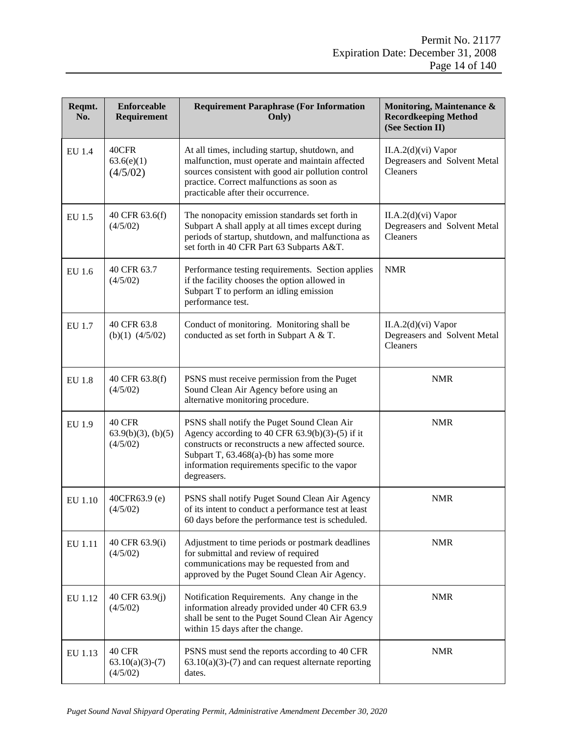| Reqmt.<br>No. | <b>Enforceable</b><br>Requirement             | <b>Requirement Paraphrase (For Information</b><br>Only)                                                                                                                                                                                                             | Monitoring, Maintenance &<br><b>Recordkeeping Method</b><br>(See Section II) |  |
|---------------|-----------------------------------------------|---------------------------------------------------------------------------------------------------------------------------------------------------------------------------------------------------------------------------------------------------------------------|------------------------------------------------------------------------------|--|
| EU 1.4        | 40CFR<br>63.6(e)(1)<br>(4/5/02)               | At all times, including startup, shutdown, and<br>malfunction, must operate and maintain affected<br>sources consistent with good air pollution control<br>practice. Correct malfunctions as soon as<br>practicable after their occurrence.                         | $II.A.2(d)(vi)$ Vapor<br>Degreasers and Solvent Metal<br>Cleaners            |  |
| EU 1.5        | 40 CFR 63.6(f)<br>(4/5/02)                    | The nonopacity emission standards set forth in<br>Subpart A shall apply at all times except during<br>periods of startup, shutdown, and malfunctiona as<br>set forth in 40 CFR Part 63 Subparts A&T.                                                                | II.A.2(d)(vi) Vapor<br>Degreasers and Solvent Metal<br>Cleaners              |  |
| EU 1.6        | 40 CFR 63.7<br>(4/5/02)                       | Performance testing requirements. Section applies<br>if the facility chooses the option allowed in<br>Subpart T to perform an idling emission<br>performance test.                                                                                                  | <b>NMR</b>                                                                   |  |
| EU 1.7        | 40 CFR 63.8<br>$(b)(1)$ $(4/5/02)$            | Conduct of monitoring. Monitoring shall be<br>conducted as set forth in Subpart A & T.                                                                                                                                                                              | $II.A.2(d)(vi)$ Vapor<br>Degreasers and Solvent Metal<br>Cleaners            |  |
| EU 1.8        | 40 CFR 63.8(f)<br>(4/5/02)                    | PSNS must receive permission from the Puget<br>Sound Clean Air Agency before using an<br>alternative monitoring procedure.                                                                                                                                          | <b>NMR</b>                                                                   |  |
| EU 1.9        | 40 CFR<br>$63.9(b)(3)$ , $(b)(5)$<br>(4/5/02) | PSNS shall notify the Puget Sound Clean Air<br>Agency according to 40 CFR $63.9(b)(3)-(5)$ if it<br>constructs or reconstructs a new affected source.<br>Subpart T, $63.468(a)$ -(b) has some more<br>information requirements specific to the vapor<br>degreasers. | <b>NMR</b>                                                                   |  |
| EU 1.10       | 40CFR63.9 (e)<br>(4/5/02)                     | PSNS shall notify Puget Sound Clean Air Agency<br>of its intent to conduct a performance test at least<br>60 days before the performance test is scheduled.                                                                                                         | <b>NMR</b>                                                                   |  |
| EU 1.11       | 40 CFR 63.9(i)<br>(4/5/02)                    | Adjustment to time periods or postmark deadlines<br>for submittal and review of required<br>communications may be requested from and<br>approved by the Puget Sound Clean Air Agency.                                                                               | <b>NMR</b>                                                                   |  |
| EU 1.12       | 40 CFR 63.9(j)<br>(4/5/02)                    | Notification Requirements. Any change in the<br>information already provided under 40 CFR 63.9<br>shall be sent to the Puget Sound Clean Air Agency<br>within 15 days after the change.                                                                             | <b>NMR</b>                                                                   |  |
| EU 1.13       | 40 CFR<br>$63.10(a)(3)-(7)$<br>(4/5/02)       | PSNS must send the reports according to 40 CFR<br>$63.10(a)(3)-(7)$ and can request alternate reporting<br>dates.                                                                                                                                                   | <b>NMR</b>                                                                   |  |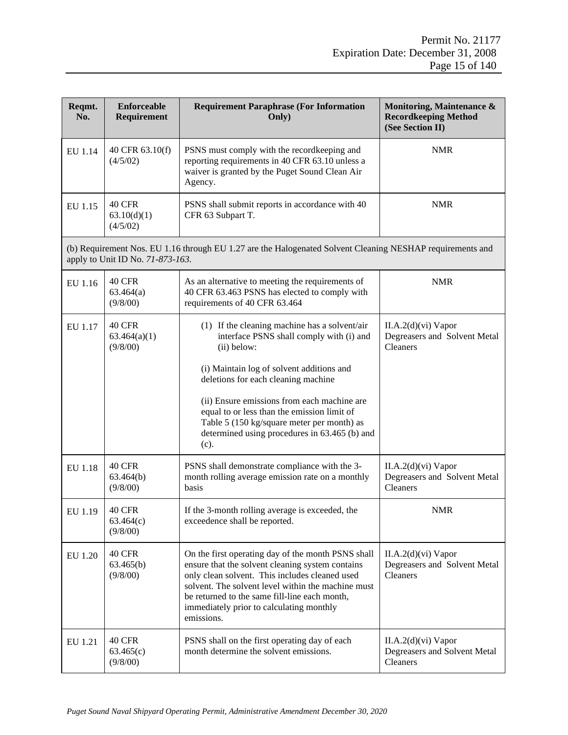| Reqmt.<br>No. | <b>Enforceable</b><br>Requirement      | <b>Requirement Paraphrase (For Information</b><br>Only)                                                                                                                                                                                                                                                                   | Monitoring, Maintenance &<br><b>Recordkeeping Method</b><br>(See Section II) |  |
|---------------|----------------------------------------|---------------------------------------------------------------------------------------------------------------------------------------------------------------------------------------------------------------------------------------------------------------------------------------------------------------------------|------------------------------------------------------------------------------|--|
| EU 1.14       | 40 CFR 63.10(f)<br>(4/5/02)            | PSNS must comply with the recordkeeping and<br>reporting requirements in 40 CFR 63.10 unless a<br>waiver is granted by the Puget Sound Clean Air<br>Agency.                                                                                                                                                               | <b>NMR</b>                                                                   |  |
| EU 1.15       | 40 CFR<br>63.10(d)(1)<br>(4/5/02)      | PSNS shall submit reports in accordance with 40<br>CFR 63 Subpart T.                                                                                                                                                                                                                                                      | <b>NMR</b>                                                                   |  |
|               | apply to Unit ID No. 71-873-163.       | (b) Requirement Nos. EU 1.16 through EU 1.27 are the Halogenated Solvent Cleaning NESHAP requirements and                                                                                                                                                                                                                 |                                                                              |  |
| EU 1.16       | 40 CFR<br>63.464(a)<br>(9/8/00)        | As an alternative to meeting the requirements of<br>40 CFR 63.463 PSNS has elected to comply with<br>requirements of 40 CFR 63.464                                                                                                                                                                                        | <b>NMR</b>                                                                   |  |
| EU 1.17       | 40 CFR<br>63.464(a)(1)<br>(9/8/00)     | (1) If the cleaning machine has a solvent/air<br>interface PSNS shall comply with (i) and<br>(ii) below:                                                                                                                                                                                                                  | $II.A.2(d)(vi)$ Vapor<br>Degreasers and Solvent Metal<br>Cleaners            |  |
|               |                                        | (i) Maintain log of solvent additions and<br>deletions for each cleaning machine                                                                                                                                                                                                                                          |                                                                              |  |
|               |                                        | (ii) Ensure emissions from each machine are<br>equal to or less than the emission limit of<br>Table 5 (150 kg/square meter per month) as<br>determined using procedures in 63.465 (b) and<br>(c).                                                                                                                         |                                                                              |  |
| EU 1.18       | 40 CFR<br>63.464(b)<br>(9/8/00)        | PSNS shall demonstrate compliance with the 3-<br>month rolling average emission rate on a monthly<br>basis                                                                                                                                                                                                                | II.A.2(d)(vi) Vapor<br>Degreasers and Solvent Metal<br>Cleaners              |  |
| EU 1.19       | <b>40 CFR</b><br>63.464(c)<br>(9/8/00) | If the 3-month rolling average is exceeded, the<br>exceedence shall be reported.                                                                                                                                                                                                                                          | <b>NMR</b>                                                                   |  |
| EU 1.20       | 40 CFR<br>63.465(b)<br>(9/8/00)        | On the first operating day of the month PSNS shall<br>ensure that the solvent cleaning system contains<br>only clean solvent. This includes cleaned used<br>solvent. The solvent level within the machine must<br>be returned to the same fill-line each month,<br>immediately prior to calculating monthly<br>emissions. | $II.A.2(d)(vi)$ Vapor<br>Degreasers and Solvent Metal<br>Cleaners            |  |
| EU 1.21       | <b>40 CFR</b><br>63.465(c)<br>(9/8/00) | PSNS shall on the first operating day of each<br>month determine the solvent emissions.                                                                                                                                                                                                                                   | $II.A.2(d)(vi)$ Vapor<br>Degreasers and Solvent Metal<br>Cleaners            |  |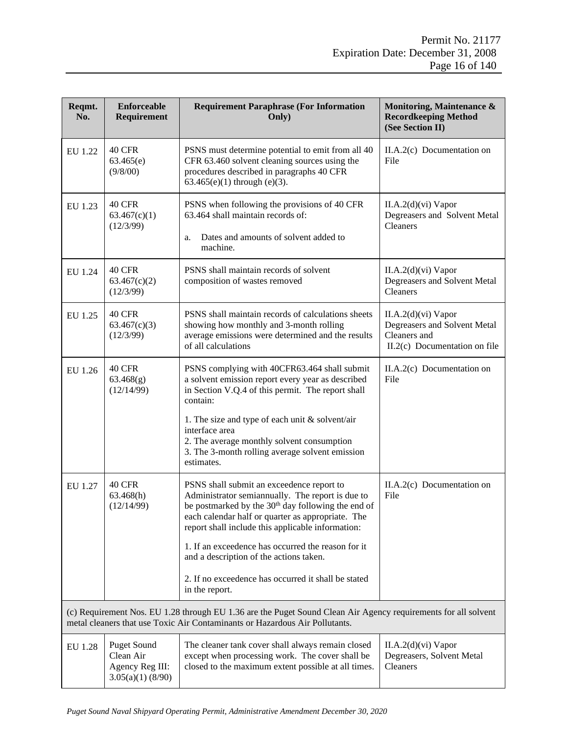| Reqmt.<br>No. | <b>Enforceable</b><br>Requirement                                      | <b>Requirement Paraphrase (For Information</b><br>Only)                                                                                                                                                                                                                   | Monitoring, Maintenance &<br><b>Recordkeeping Method</b><br>(See Section II)                           |  |
|---------------|------------------------------------------------------------------------|---------------------------------------------------------------------------------------------------------------------------------------------------------------------------------------------------------------------------------------------------------------------------|--------------------------------------------------------------------------------------------------------|--|
| EU 1.22       | 40 CFR<br>63.465(e)<br>(9/8/00)                                        | PSNS must determine potential to emit from all 40<br>CFR 63.460 solvent cleaning sources using the<br>procedures described in paragraphs 40 CFR<br>$63.465(e)(1)$ through (e)(3).                                                                                         | $II.A.2(c)$ Documentation on<br>File                                                                   |  |
| EU 1.23       | 40 CFR<br>63.467(c)(1)<br>(12/3/99)                                    | PSNS when following the provisions of 40 CFR<br>$II.A.2(d)(vi)$ Vapor<br>63.464 shall maintain records of:<br>Degreasers and Solvent Metal<br><b>Cleaners</b><br>Dates and amounts of solvent added to<br>a.<br>machine.                                                  |                                                                                                        |  |
| EU 1.24       | 40 CFR<br>63.467(c)(2)<br>(12/3/99)                                    | PSNS shall maintain records of solvent<br>composition of wastes removed                                                                                                                                                                                                   | $II.A.2(d)(vi)$ Vapor<br>Degreasers and Solvent Metal<br>Cleaners                                      |  |
| EU 1.25       | <b>40 CFR</b><br>63.467(c)(3)<br>(12/3/99)                             | PSNS shall maintain records of calculations sheets<br>showing how monthly and 3-month rolling<br>average emissions were determined and the results<br>of all calculations                                                                                                 | $II.A.2(d)(vi)$ Vapor<br>Degreasers and Solvent Metal<br>Cleaners and<br>II.2(c) Documentation on file |  |
| EU 1.26       | <b>40 CFR</b><br>63.468(g)<br>(12/14/99)                               | PSNS complying with 40CFR63.464 shall submit<br>a solvent emission report every year as described<br>in Section V.Q.4 of this permit. The report shall<br>contain:<br>1. The size and type of each unit & solvent/air<br>interface area                                   | II.A.2(c) Documentation on<br>File                                                                     |  |
|               |                                                                        | 2. The average monthly solvent consumption<br>3. The 3-month rolling average solvent emission<br>estimates.                                                                                                                                                               |                                                                                                        |  |
| EU 1.27       | 40 CFR<br>63.468(h)<br>(12/14/99)                                      | PSNS shall submit an exceedence report to<br>Administrator semiannually. The report is due to<br>be postmarked by the 30 <sup>th</sup> day following the end of<br>each calendar half or quarter as appropriate. The<br>report shall include this applicable information: | $II.A.2(c)$ Documentation on<br>File                                                                   |  |
|               |                                                                        | 1. If an exceedence has occurred the reason for it<br>and a description of the actions taken.                                                                                                                                                                             |                                                                                                        |  |
|               |                                                                        | 2. If no exceedence has occurred it shall be stated<br>in the report.                                                                                                                                                                                                     |                                                                                                        |  |
|               |                                                                        | (c) Requirement Nos. EU 1.28 through EU 1.36 are the Puget Sound Clean Air Agency requirements for all solvent<br>metal cleaners that use Toxic Air Contaminants or Hazardous Air Pollutants.                                                                             |                                                                                                        |  |
| EU 1.28       | <b>Puget Sound</b><br>Clean Air<br>Agency Reg III:<br>3.05(a)(1)(8/90) | The cleaner tank cover shall always remain closed<br>except when processing work. The cover shall be<br>closed to the maximum extent possible at all times.                                                                                                               | II.A.2(d)(vi) Vapor<br>Degreasers, Solvent Metal<br><b>Cleaners</b>                                    |  |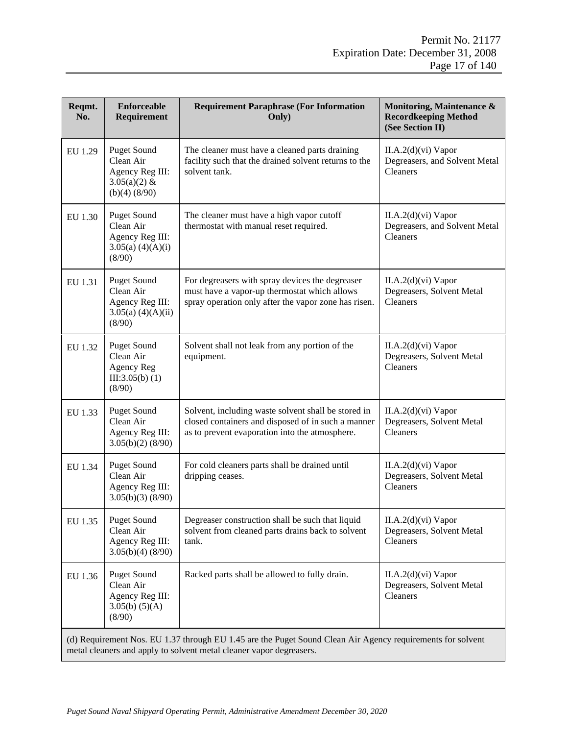| Reqmt.<br>No.                                                                                              | <b>Enforceable</b><br>Requirement                                                         | <b>Requirement Paraphrase (For Information</b><br>Only)                                                                                                     | Monitoring, Maintenance &<br><b>Recordkeeping Method</b><br>(See Section II) |  |  |
|------------------------------------------------------------------------------------------------------------|-------------------------------------------------------------------------------------------|-------------------------------------------------------------------------------------------------------------------------------------------------------------|------------------------------------------------------------------------------|--|--|
| EU 1.29                                                                                                    | <b>Puget Sound</b><br>Clean Air<br>Agency Reg III:<br>$3.05(a)(2)$ &<br>$(b)(4)$ $(8/90)$ | The cleaner must have a cleaned parts draining<br>facility such that the drained solvent returns to the<br>solvent tank.                                    | $II.A.2(d)(vi)$ Vapor<br>Degreasers, and Solvent Metal<br>Cleaners           |  |  |
| EU 1.30                                                                                                    | <b>Puget Sound</b><br>Clean Air<br>Agency Reg III:<br>3.05(a) (4)(A)(i)<br>(8/90)         | The cleaner must have a high vapor cutoff<br>thermostat with manual reset required.                                                                         | $II.A.2(d)(vi)$ Vapor<br>Degreasers, and Solvent Metal<br>Cleaners           |  |  |
| EU 1.31                                                                                                    | <b>Puget Sound</b><br>Clean Air<br>Agency Reg III:<br>3.05(a) (4)(A)(ii)<br>(8/90)        | For degreasers with spray devices the degreaser<br>must have a vapor-up thermostat which allows<br>spray operation only after the vapor zone has risen.     | $II.A.2(d)(vi)$ Vapor<br>Degreasers, Solvent Metal<br>Cleaners               |  |  |
| EU 1.32                                                                                                    | <b>Puget Sound</b><br>Clean Air<br>Agency Reg<br>III:3.05(b) (1)<br>(8/90)                | Solvent shall not leak from any portion of the<br>equipment.                                                                                                | II.A.2(d)(vi) Vapor<br>Degreasers, Solvent Metal<br>Cleaners                 |  |  |
| EU 1.33                                                                                                    | <b>Puget Sound</b><br>Clean Air<br>Agency Reg III:<br>$3.05(b)(2)$ (8/90)                 | Solvent, including waste solvent shall be stored in<br>closed containers and disposed of in such a manner<br>as to prevent evaporation into the atmosphere. | $II.A.2(d)(vi)$ Vapor<br>Degreasers, Solvent Metal<br>Cleaners               |  |  |
| EU 1.34                                                                                                    | <b>Puget Sound</b><br>Clean Air<br>Agency Reg III:<br>3.05(b)(3)(8/90)                    | For cold cleaners parts shall be drained until<br>dripping ceases.                                                                                          | $II.A.2(d)(vi)$ Vapor<br>Degreasers, Solvent Metal<br><b>Cleaners</b>        |  |  |
| EU 1.35                                                                                                    | <b>Puget Sound</b><br>Clean Air<br>Agency Reg III:<br>$3.05(b)(4)$ (8/90)                 | Degreaser construction shall be such that liquid<br>solvent from cleaned parts drains back to solvent<br>tank.                                              | $II.A.2(d)(vi)$ Vapor<br>Degreasers, Solvent Metal<br>Cleaners               |  |  |
| EU 1.36                                                                                                    | <b>Puget Sound</b><br>Clean Air<br>Agency Reg III:<br>3.05(b) (5)(A)<br>(8/90)            | Racked parts shall be allowed to fully drain.                                                                                                               | $II.A.2(d)(vi)$ Vapor<br>Degreasers, Solvent Metal<br>Cleaners               |  |  |
| (d) Requirement Nos. EU 1.37 through EU 1.45 are the Puget Sound Clean Air Agency requirements for solvent |                                                                                           |                                                                                                                                                             |                                                                              |  |  |

metal cleaners and apply to solvent metal cleaner vapor degreasers.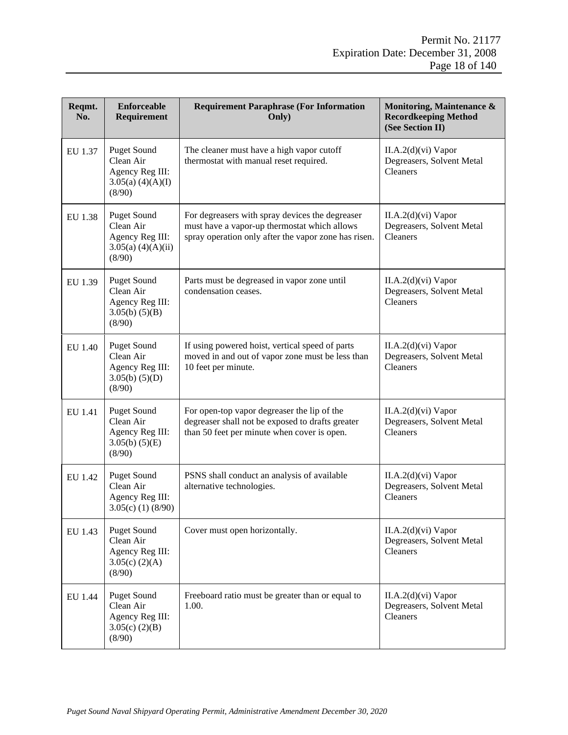| Reqmt.<br>No. | <b>Enforceable</b><br>Requirement                                                  | <b>Requirement Paraphrase (For Information</b><br>Only)                                                                                                 | Monitoring, Maintenance &<br><b>Recordkeeping Method</b><br>(See Section II) |
|---------------|------------------------------------------------------------------------------------|---------------------------------------------------------------------------------------------------------------------------------------------------------|------------------------------------------------------------------------------|
| EU 1.37       | <b>Puget Sound</b><br>Clean Air<br>Agency Reg III:<br>3.05(a) (4)(A)(I)<br>(8/90)  | The cleaner must have a high vapor cutoff<br>thermostat with manual reset required.                                                                     | II.A.2(d)(vi) Vapor<br>Degreasers, Solvent Metal<br>Cleaners                 |
| EU 1.38       | <b>Puget Sound</b><br>Clean Air<br>Agency Reg III:<br>3.05(a) (4)(A)(ii)<br>(8/90) | For degreasers with spray devices the degreaser<br>must have a vapor-up thermostat which allows<br>spray operation only after the vapor zone has risen. | $II.A.2(d)(vi)$ Vapor<br>Degreasers, Solvent Metal<br>Cleaners               |
| EU 1.39       | <b>Puget Sound</b><br>Clean Air<br>Agency Reg III:<br>3.05(b) (5)(B)<br>(8/90)     | Parts must be degreased in vapor zone until<br>condensation ceases.                                                                                     | $II.A.2(d)(vi)$ Vapor<br>Degreasers, Solvent Metal<br>Cleaners               |
| EU 1.40       | <b>Puget Sound</b><br>Clean Air<br>Agency Reg III:<br>3.05(b) (5)(D)<br>(8/90)     | If using powered hoist, vertical speed of parts<br>moved in and out of vapor zone must be less than<br>10 feet per minute.                              | $II.A.2(d)(vi)$ Vapor<br>Degreasers, Solvent Metal<br>Cleaners               |
| EU 1.41       | <b>Puget Sound</b><br>Clean Air<br>Agency Reg III:<br>3.05(b) (5)(E)<br>(8/90)     | For open-top vapor degreaser the lip of the<br>degreaser shall not be exposed to drafts greater<br>than 50 feet per minute when cover is open.          | $II.A.2(d)(vi)$ Vapor<br>Degreasers, Solvent Metal<br>Cleaners               |
| EU 1.42       | <b>Puget Sound</b><br>Clean Air<br>Agency Reg III:<br>$3.05(c)$ (1) (8/90)         | PSNS shall conduct an analysis of available<br>alternative technologies.                                                                                | $II.A.2(d)(vi)$ Vapor<br>Degreasers, Solvent Metal<br>Cleaners               |
| EU 1.43       | <b>Puget Sound</b><br>Clean Air<br>Agency Reg III:<br>$3.05(c)$ (2)(A)<br>(8/90)   | Cover must open horizontally.                                                                                                                           | $II.A.2(d)(vi)$ Vapor<br>Degreasers, Solvent Metal<br>Cleaners               |
| EU 1.44       | <b>Puget Sound</b><br>Clean Air<br>Agency Reg III:<br>$3.05(c)$ (2)(B)<br>(8/90)   | Freeboard ratio must be greater than or equal to<br>II.A.2(d)(vi) Vapor<br>1.00.<br>Degreasers, Solvent Metal<br>Cleaners                               |                                                                              |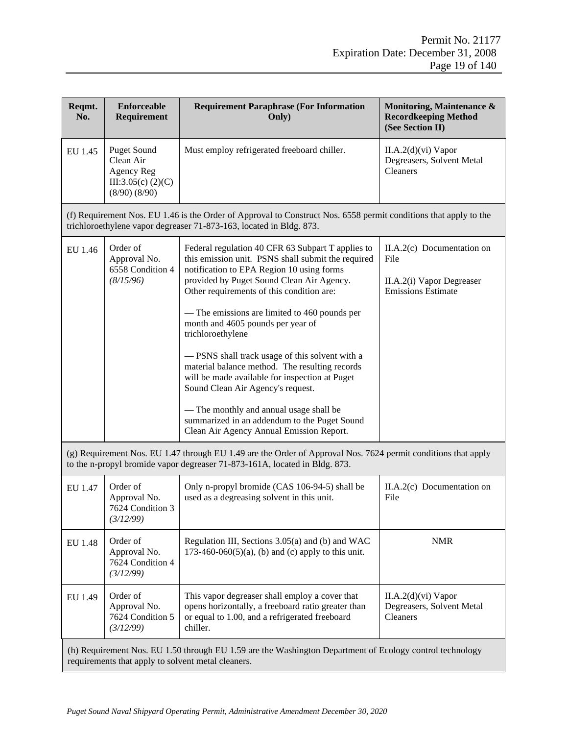| Reqmt.<br>No.                                                                                                                                                  | <b>Enforceable</b><br>Requirement                                                          | <b>Requirement Paraphrase (For Information</b><br>Only)                                                                                                                                                                                                                                                                                                                                                                                                                                                                                                                                                                                                                                      | Monitoring, Maintenance &<br><b>Recordkeeping Method</b><br>(See Section II)                   |  |
|----------------------------------------------------------------------------------------------------------------------------------------------------------------|--------------------------------------------------------------------------------------------|----------------------------------------------------------------------------------------------------------------------------------------------------------------------------------------------------------------------------------------------------------------------------------------------------------------------------------------------------------------------------------------------------------------------------------------------------------------------------------------------------------------------------------------------------------------------------------------------------------------------------------------------------------------------------------------------|------------------------------------------------------------------------------------------------|--|
| EU 1.45                                                                                                                                                        | <b>Puget Sound</b><br>Clean Air<br>Agency Reg<br>III:3.05(c) $(2)(C)$<br>$(8/90)$ $(8/90)$ | Must employ refrigerated freeboard chiller.<br>$II.A.2(d)(vi)$ Vapor<br>Degreasers, Solvent Metal<br>Cleaners                                                                                                                                                                                                                                                                                                                                                                                                                                                                                                                                                                                |                                                                                                |  |
|                                                                                                                                                                |                                                                                            | (f) Requirement Nos. EU 1.46 is the Order of Approval to Construct Nos. 6558 permit conditions that apply to the<br>trichloroethylene vapor degreaser 71-873-163, located in Bldg. 873.                                                                                                                                                                                                                                                                                                                                                                                                                                                                                                      |                                                                                                |  |
| EU 1.46                                                                                                                                                        | Order of<br>Approval No.<br>6558 Condition 4<br>(8/15/96)                                  | Federal regulation 40 CFR 63 Subpart T applies to<br>this emission unit. PSNS shall submit the required<br>notification to EPA Region 10 using forms<br>provided by Puget Sound Clean Air Agency.<br>Other requirements of this condition are:<br>— The emissions are limited to 460 pounds per<br>month and 4605 pounds per year of<br>trichloroethylene<br>- PSNS shall track usage of this solvent with a<br>material balance method. The resulting records<br>will be made available for inspection at Puget<br>Sound Clean Air Agency's request.<br>- The monthly and annual usage shall be<br>summarized in an addendum to the Puget Sound<br>Clean Air Agency Annual Emission Report. | $II.A.2(c)$ Documentation on<br>File<br>II.A.2(i) Vapor Degreaser<br><b>Emissions Estimate</b> |  |
|                                                                                                                                                                |                                                                                            | $(g)$ Requirement Nos. EU 1.47 through EU 1.49 are the Order of Approval Nos. 7624 permit conditions that apply<br>to the n-propyl bromide vapor degreaser 71-873-161A, located in Bldg. 873.                                                                                                                                                                                                                                                                                                                                                                                                                                                                                                |                                                                                                |  |
| EU 1.47                                                                                                                                                        | Order of<br>Approval No.<br>7624 Condition 3<br>(3/12/99)                                  | Only n-propyl bromide (CAS 106-94-5) shall be<br>used as a degreasing solvent in this unit.                                                                                                                                                                                                                                                                                                                                                                                                                                                                                                                                                                                                  | II.A.2(c) Documentation on<br>File                                                             |  |
| EU 1.48                                                                                                                                                        | Order of<br>Approval No.<br>7624 Condition 4<br>(3/12/99)                                  | Regulation III, Sections 3.05(a) and (b) and WAC<br>173-460-060(5)(a), (b) and (c) apply to this unit.                                                                                                                                                                                                                                                                                                                                                                                                                                                                                                                                                                                       | <b>NMR</b>                                                                                     |  |
| EU 1.49                                                                                                                                                        | Order of<br>Approval No.<br>7624 Condition 5<br>(3/12/99)                                  | This vapor degreaser shall employ a cover that<br>opens horizontally, a freeboard ratio greater than<br>or equal to 1.00, and a refrigerated freeboard<br>chiller.                                                                                                                                                                                                                                                                                                                                                                                                                                                                                                                           | II.A.2(d)(vi) Vapor<br>Degreasers, Solvent Metal<br>Cleaners                                   |  |
| (h) Requirement Nos. EU 1.50 through EU 1.59 are the Washington Department of Ecology control technology<br>requirements that apply to solvent metal cleaners. |                                                                                            |                                                                                                                                                                                                                                                                                                                                                                                                                                                                                                                                                                                                                                                                                              |                                                                                                |  |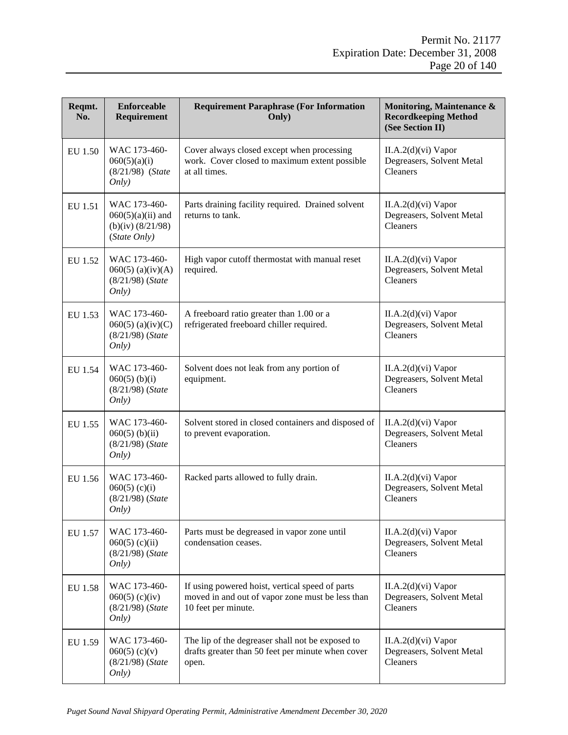| Reqmt.<br>No. | <b>Enforceable</b><br>Requirement                                          | <b>Requirement Paraphrase (For Information</b><br>Only)                                                                                                                        | Monitoring, Maintenance &<br><b>Recordkeeping Method</b><br>(See Section II) |  |
|---------------|----------------------------------------------------------------------------|--------------------------------------------------------------------------------------------------------------------------------------------------------------------------------|------------------------------------------------------------------------------|--|
| EU 1.50       | WAC 173-460-<br>060(5)(a)(i)<br>$(8/21/98)$ (State<br>Only)                | Cover always closed except when processing<br>$II.A.2(d)(vi)$ Vapor<br>work. Cover closed to maximum extent possible<br>Degreasers, Solvent Metal<br>at all times.<br>Cleaners |                                                                              |  |
| EU 1.51       | WAC 173-460-<br>$060(5)(a)(ii)$ and<br>(b)(iv) $(8/21/98)$<br>(State Only) | Parts draining facility required. Drained solvent<br>returns to tank.                                                                                                          | $II.A.2(d)(vi)$ Vapor<br>Degreasers, Solvent Metal<br>Cleaners               |  |
| EU 1.52       | WAC 173-460-<br>$060(5)$ (a)(iv)(A)<br>$(8/21/98)$ (State<br>Only)         | High vapor cutoff thermostat with manual reset<br>required.                                                                                                                    | $II.A.2(d)(vi)$ Vapor<br>Degreasers, Solvent Metal<br><b>Cleaners</b>        |  |
| EU 1.53       | WAC 173-460-<br>$060(5)$ (a)(iv)(C)<br>$(8/21/98)$ (State<br>Only)         | A freeboard ratio greater than 1.00 or a<br>refrigerated freeboard chiller required.                                                                                           | $II.A.2(d)(vi)$ Vapor<br>Degreasers, Solvent Metal<br>Cleaners               |  |
| EU 1.54       | WAC 173-460-<br>$060(5)$ (b)(i)<br>$(8/21/98)$ (State<br>Only)             | Solvent does not leak from any portion of<br>equipment.                                                                                                                        | $II.A.2(d)(vi)$ Vapor<br>Degreasers, Solvent Metal<br>Cleaners               |  |
| EU 1.55       | WAC 173-460-<br>$060(5)$ (b)(ii)<br>$(8/21/98)$ (State<br>Only)            | Solvent stored in closed containers and disposed of<br>to prevent evaporation.                                                                                                 | II.A.2(d)(vi) Vapor<br>Degreasers, Solvent Metal<br>Cleaners                 |  |
| EU 1.56       | WAC 173-460-<br>$060(5)$ (c)(i)<br>$(8/21/98)$ (State<br>Only)             | Racked parts allowed to fully drain.                                                                                                                                           | $II.A.2(d)(vi)$ Vapor<br>Degreasers, Solvent Metal<br>Cleaners               |  |
| EU 1.57       | WAC 173-460-<br>$060(5)$ (c)(ii)<br>$(8/21/98)$ (State<br>Only)            | Parts must be degreased in vapor zone until<br>condensation ceases.                                                                                                            | $II.A.2(d)(vi)$ Vapor<br>Degreasers, Solvent Metal<br>Cleaners               |  |
| EU 1.58       | WAC 173-460-<br>$060(5)$ (c)(iv)<br>$(8/21/98)$ (State<br>Only)            | If using powered hoist, vertical speed of parts<br>moved in and out of vapor zone must be less than<br>10 feet per minute.                                                     | $II.A.2(d)(vi)$ Vapor<br>Degreasers, Solvent Metal<br>Cleaners               |  |
| EU 1.59       | WAC 173-460-<br>$060(5)$ (c)(v)<br>$(8/21/98)$ (State<br>Only)             | The lip of the degreaser shall not be exposed to<br>drafts greater than 50 feet per minute when cover<br>open.                                                                 | $II.A.2(d)(vi)$ Vapor<br>Degreasers, Solvent Metal<br>Cleaners               |  |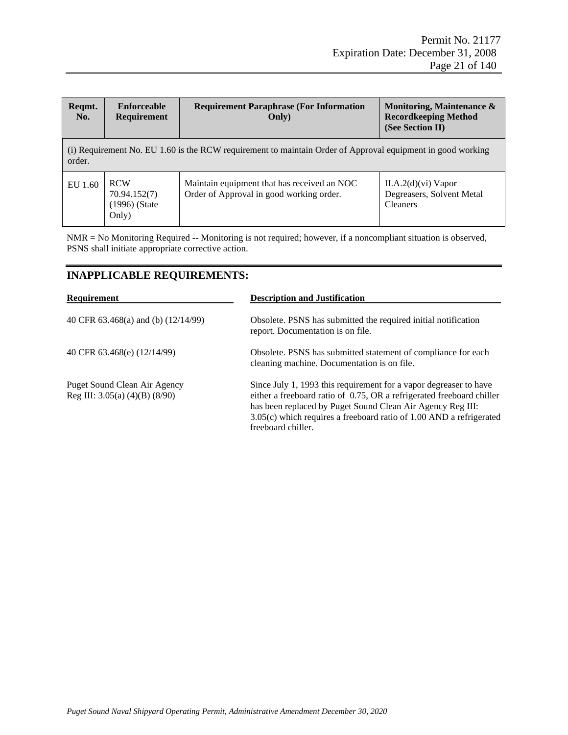| Regmt.<br>No.                                                                                                        | <b>Enforceable</b><br><b>Requirement</b>                                                                                                          | <b>Requirement Paraphrase (For Information</b><br>Only) | Monitoring, Maintenance &<br><b>Recordkeeping Method</b><br>(See Section II) |  |  |
|----------------------------------------------------------------------------------------------------------------------|---------------------------------------------------------------------------------------------------------------------------------------------------|---------------------------------------------------------|------------------------------------------------------------------------------|--|--|
| (i) Requirement No. EU 1.60 is the RCW requirement to maintain Order of Approval equipment in good working<br>order. |                                                                                                                                                   |                                                         |                                                                              |  |  |
| EU 1.60                                                                                                              | Maintain equipment that has received an NOC<br><b>RCW</b><br>Order of Approval in good working order.<br>70.94.152(7)<br>$(1996)$ (State<br>Only) |                                                         | $II.A.2(d)(vi)$ Vapor<br>Degreasers, Solvent Metal<br><b>Cleaners</b>        |  |  |

NMR = No Monitoring Required -- Monitoring is not required; however, if a noncompliant situation is observed, PSNS shall initiate appropriate corrective action.

### **INAPPLICABLE REQUIREMENTS:**

| <b>Requirement</b>                                               | <b>Description and Justification</b>                                                                                                                                                                                                                                                                    |
|------------------------------------------------------------------|---------------------------------------------------------------------------------------------------------------------------------------------------------------------------------------------------------------------------------------------------------------------------------------------------------|
| 40 CFR 63.468(a) and (b) (12/14/99)                              | Obsolete. PSNS has submitted the required initial notification<br>report. Documentation is on file.                                                                                                                                                                                                     |
| 40 CFR 63.468(e) (12/14/99)                                      | Obsolete. PSNS has submitted statement of compliance for each<br>cleaning machine. Documentation is on file.                                                                                                                                                                                            |
| Puget Sound Clean Air Agency<br>Reg III: $3.05(a) (4)(B) (8/90)$ | Since July 1, 1993 this requirement for a vapor degreaser to have<br>either a freeboard ratio of 0.75, OR a refrigerated freeboard chiller<br>has been replaced by Puget Sound Clean Air Agency Reg III:<br>$3.05(c)$ which requires a freeboard ratio of 1.00 AND a refrigerated<br>freeboard chiller. |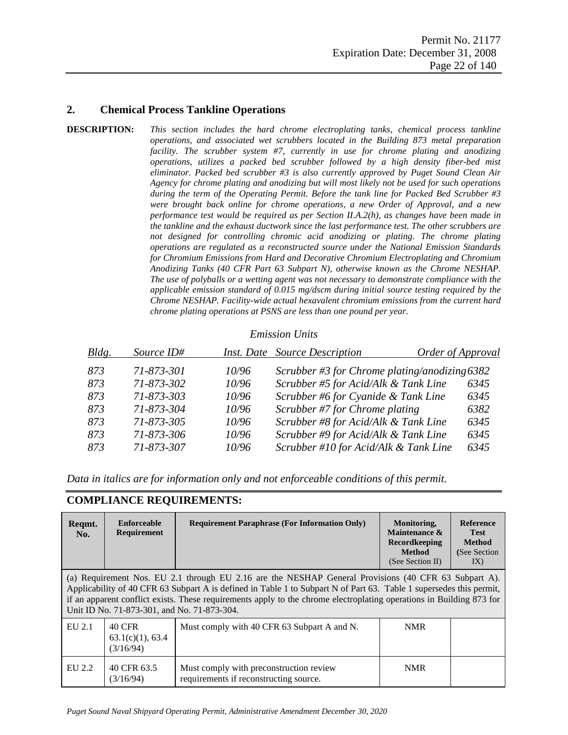#### **2. Chemical Process Tankline Operations**

**DESCRIPTION:** *This section includes the hard chrome electroplating tanks, chemical process tankline operations, and associated wet scrubbers located in the Building 873 metal preparation facility. The scrubber system #7, currently in use for chrome plating and anodizing operations, utilizes a packed bed scrubber followed by a high density fiber-bed mist eliminator. Packed bed scrubber #3 is also currently approved by Puget Sound Clean Air Agency for chrome plating and anodizing but will most likely not be used for such operations during the term of the Operating Permit. Before the tank line for Packed Bed Scrubber #3 were brought back online for chrome operations, a new Order of Approval, and a new performance test would be required as per Section II.A.2(h), as changes have been made in the tankline and the exhaust ductwork since the last performance test. The other scrubbers are not designed for controlling chromic acid anodizing or plating. The chrome plating operations are regulated as a reconstructed source under the National Emission Standards for Chromium Emissions from Hard and Decorative Chromium Electroplating and Chromium Anodizing Tanks (40 CFR Part 63 Subpart N), otherwise known as the Chrome NESHAP. The use of polyballs or a wetting agent was not necessary to demonstrate compliance with the applicable emission standard of 0.015 mg/dscm during initial source testing required by the Chrome NESHAP. Facility-wide actual hexavalent chromium emissions from the current hard chrome plating operations at PSNS are less than one pound per year.* 

#### *Emission Units*

| Bldg. | Source ID# |       | <b>Inst. Date</b> Source Description            | Order of Approval |
|-------|------------|-------|-------------------------------------------------|-------------------|
| 873   | 71-873-301 | 10/96 | Scrubber #3 for Chrome plating/anodizing $6382$ |                   |
| 873   | 71-873-302 | 10/96 | Scrubber #5 for Acid/Alk & Tank Line            | 6345              |
| 873   | 71-873-303 | 10/96 | Scrubber #6 for Cyanide & Tank Line             | 6345              |
| 873   | 71-873-304 | 10/96 | Scrubber #7 for Chrome plating                  | 6382              |
| 873   | 71-873-305 | 10/96 | Scrubber #8 for Acid/Alk & Tank Line            | 6345              |
| 873   | 71-873-306 | 10/96 | Scrubber #9 for Acid/Alk & Tank Line            | 6345              |
| 873   | 71-873-307 | 10/96 | Scrubber #10 for Acid/Alk & Tank Line           | 6345              |

*Data in italics are for information only and not enforceable conditions of this permit.*

**COMPLIANCE REQUIREMENTS: Reqmt. No. Enforceable Requirement Requirement Paraphrase (For Information Only) | Monitoring, Maintenance & Recordkeeping Method** (See Section II) **Reference Test Method (**See Section  $IX)$ (a) Requirement Nos. EU 2.1 through EU 2.16 are the NESHAP General Provisions (40 CFR 63 Subpart A). Applicability of 40 CFR 63 Subpart A is defined in Table 1 to Subpart N of Part 63. Table 1 supersedes this permit, if an apparent conflict exists. These requirements apply to the chrome electroplating operations in Building 873 for Unit ID No. 71-873-301, and No. 71-873-304. EU 2.1  $\vert$  40 CFR 63.1(c)(1), 63.4 (3/16/94) Must comply with 40 CFR 63 Subpart A and N. NMR EU 2.2 40 CFR 63.5 (3/16/94) Must comply with preconstruction review requirements if reconstructing source. NMR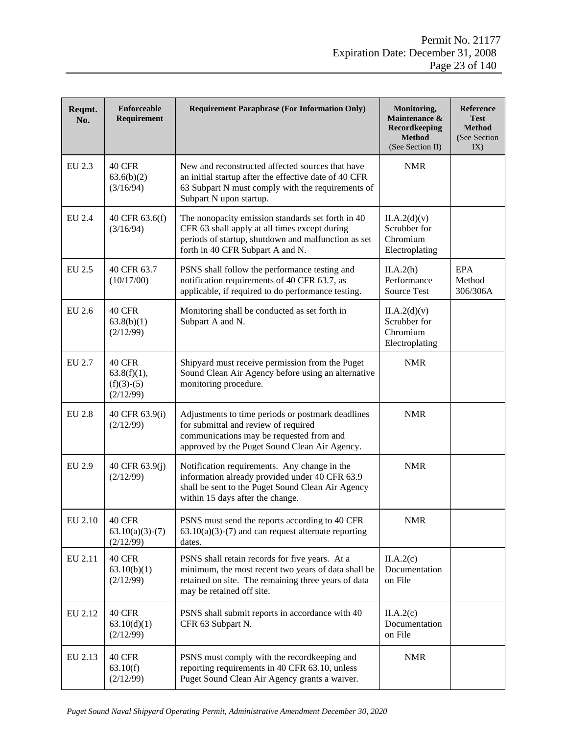| Reqmt.<br>No. | <b>Enforceable</b><br>Requirement                     | <b>Requirement Paraphrase (For Information Only)</b>                                                                                                                                          | Monitoring,<br>Maintenance &<br><b>Recordkeeping</b><br><b>Method</b><br>(See Section II) | Reference<br><b>Test</b><br><b>Method</b><br>(See Section)<br>IX) |
|---------------|-------------------------------------------------------|-----------------------------------------------------------------------------------------------------------------------------------------------------------------------------------------------|-------------------------------------------------------------------------------------------|-------------------------------------------------------------------|
| EU 2.3        | 40 CFR<br>63.6(b)(2)<br>(3/16/94)                     | New and reconstructed affected sources that have<br>an initial startup after the effective date of 40 CFR<br>63 Subpart N must comply with the requirements of<br>Subpart N upon startup.     | <b>NMR</b>                                                                                |                                                                   |
| EU 2.4        | 40 CFR 63.6(f)<br>(3/16/94)                           | The nonopacity emission standards set forth in 40<br>CFR 63 shall apply at all times except during<br>periods of startup, shutdown and malfunction as set<br>forth in 40 CFR Subpart A and N. | II.A.2(d)(v)<br>Scrubber for<br>Chromium<br>Electroplating                                |                                                                   |
| EU 2.5        | 40 CFR 63.7<br>(10/17/00)                             | PSNS shall follow the performance testing and<br>notification requirements of 40 CFR 63.7, as<br>applicable, if required to do performance testing.                                           | II.A.2(h)<br>Performance<br>Source Test                                                   | EPA<br>Method<br>306/306A                                         |
| EU 2.6        | 40 CFR<br>63.8(b)(1)<br>(2/12/99)                     | Monitoring shall be conducted as set forth in<br>Subpart A and N.                                                                                                                             | II.A.2(d)(v)<br>Scrubber for<br>Chromium<br>Electroplating                                |                                                                   |
| EU 2.7        | 40 CFR<br>$63.8(f)(1)$ ,<br>$(f)(3)-(5)$<br>(2/12/99) | Shipyard must receive permission from the Puget<br>Sound Clean Air Agency before using an alternative<br>monitoring procedure.                                                                | <b>NMR</b>                                                                                |                                                                   |
| <b>EU 2.8</b> | 40 CFR 63.9(i)<br>(2/12/99)                           | Adjustments to time periods or postmark deadlines<br>for submittal and review of required<br>communications may be requested from and<br>approved by the Puget Sound Clean Air Agency.        | <b>NMR</b>                                                                                |                                                                   |
| EU 2.9        | 40 CFR 63.9(j)<br>(2/12/99)                           | Notification requirements. Any change in the<br>information already provided under 40 CFR 63.9<br>shall be sent to the Puget Sound Clean Air Agency<br>within 15 days after the change.       | <b>NMR</b>                                                                                |                                                                   |
| EU 2.10       | 40 CFR<br>$63.10(a)(3)-(7)$<br>(2/12/99)              | PSNS must send the reports according to 40 CFR<br>$63.10(a)(3)-(7)$ and can request alternate reporting<br>dates.                                                                             | <b>NMR</b>                                                                                |                                                                   |
| EU 2.11       | <b>40 CFR</b><br>63.10(b)(1)<br>(2/12/99)             | PSNS shall retain records for five years. At a<br>minimum, the most recent two years of data shall be<br>retained on site. The remaining three years of data<br>may be retained off site.     | II.A.2(c)<br>Documentation<br>on File                                                     |                                                                   |
| EU 2.12       | 40 CFR<br>63.10(d)(1)<br>(2/12/99)                    | PSNS shall submit reports in accordance with 40<br>CFR 63 Subpart N.                                                                                                                          | II.A.2(c)<br>Documentation<br>on File                                                     |                                                                   |
| EU 2.13       | 40 CFR<br>63.10(f)<br>(2/12/99)                       | PSNS must comply with the recordkeeping and<br>reporting requirements in 40 CFR 63.10, unless<br>Puget Sound Clean Air Agency grants a waiver.                                                | <b>NMR</b>                                                                                |                                                                   |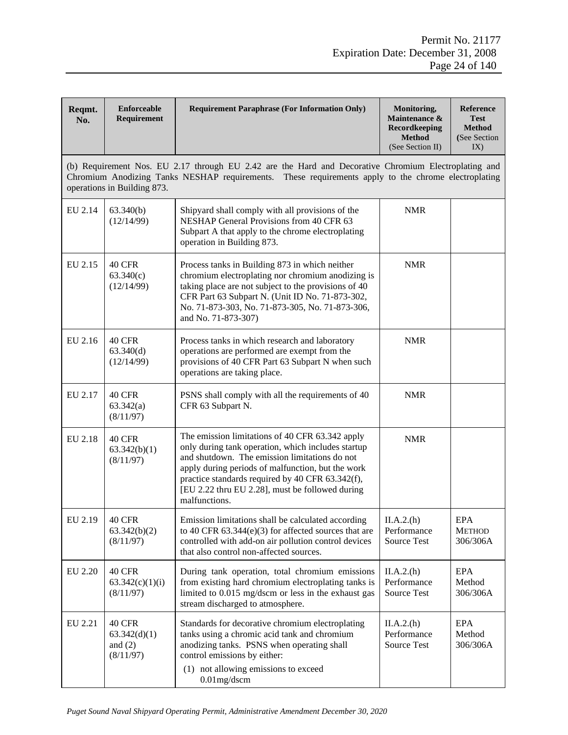| Reqmt.<br>No. | <b>Enforceable</b><br>Requirement                | <b>Requirement Paraphrase (For Information Only)</b>                                                                                                                                                                                                                                                                                | Monitoring,<br>Maintenance &<br>Recordkeeping<br><b>Method</b><br>(See Section II) | Reference<br><b>Test</b><br><b>Method</b><br>(See Section<br>IX) |
|---------------|--------------------------------------------------|-------------------------------------------------------------------------------------------------------------------------------------------------------------------------------------------------------------------------------------------------------------------------------------------------------------------------------------|------------------------------------------------------------------------------------|------------------------------------------------------------------|
|               | operations in Building 873.                      | (b) Requirement Nos. EU 2.17 through EU 2.42 are the Hard and Decorative Chromium Electroplating and<br>Chromium Anodizing Tanks NESHAP requirements. These requirements apply to the chrome electroplating                                                                                                                         |                                                                                    |                                                                  |
| EU 2.14       | 63.340(b)<br>(12/14/99)                          | Shipyard shall comply with all provisions of the<br>NESHAP General Provisions from 40 CFR 63<br>Subpart A that apply to the chrome electroplating<br>operation in Building 873.                                                                                                                                                     | <b>NMR</b>                                                                         |                                                                  |
| EU 2.15       | <b>40 CFR</b><br>63.340(c)<br>(12/14/99)         | Process tanks in Building 873 in which neither<br>chromium electroplating nor chromium anodizing is<br>taking place are not subject to the provisions of 40<br>CFR Part 63 Subpart N. (Unit ID No. 71-873-302,<br>No. 71-873-303, No. 71-873-305, No. 71-873-306,<br>and No. 71-873-307)                                            | <b>NMR</b>                                                                         |                                                                  |
| EU 2.16       | 40 CFR<br>63.340(d)<br>(12/14/99)                | Process tanks in which research and laboratory<br>operations are performed are exempt from the<br>provisions of 40 CFR Part 63 Subpart N when such<br>operations are taking place.                                                                                                                                                  | <b>NMR</b>                                                                         |                                                                  |
| EU 2.17       | 40 CFR<br>63.342(a)<br>(8/11/97)                 | PSNS shall comply with all the requirements of 40<br>CFR 63 Subpart N.                                                                                                                                                                                                                                                              | <b>NMR</b>                                                                         |                                                                  |
| EU 2.18       | 40 CFR<br>63.342(b)(1)<br>(8/11/97)              | The emission limitations of 40 CFR 63.342 apply<br>only during tank operation, which includes startup<br>and shutdown. The emission limitations do not<br>apply during periods of malfunction, but the work<br>practice standards required by 40 CFR 63.342(f),<br>[EU 2.22 thru EU 2.28], must be followed during<br>malfunctions. | <b>NMR</b>                                                                         |                                                                  |
| EU 2.19       | <b>40 CFR</b><br>63.342(b)(2)<br>(8/11/97)       | Emission limitations shall be calculated according<br>to 40 CFR $63.344(e)(3)$ for affected sources that are<br>controlled with add-on air pollution control devices<br>that also control non-affected sources.                                                                                                                     | II.A.2(h)<br>Performance<br>Source Test                                            | <b>EPA</b><br><b>METHOD</b><br>306/306A                          |
| EU 2.20       | <b>40 CFR</b><br>63.342(c)(1)(i)<br>(8/11/97)    | During tank operation, total chromium emissions<br>from existing hard chromium electroplating tanks is<br>limited to 0.015 mg/dscm or less in the exhaust gas<br>stream discharged to atmosphere.                                                                                                                                   | II.A.2(h)<br>Performance<br>Source Test                                            | <b>EPA</b><br>Method<br>306/306A                                 |
| EU 2.21       | 40 CFR<br>63.342(d)(1)<br>and $(2)$<br>(8/11/97) | Standards for decorative chromium electroplating<br>tanks using a chromic acid tank and chromium<br>anodizing tanks. PSNS when operating shall<br>control emissions by either:<br>(1) not allowing emissions to exceed<br>$0.01$ mg/dscm                                                                                            | II.A.2(h)<br>Performance<br>Source Test                                            | <b>EPA</b><br>Method<br>306/306A                                 |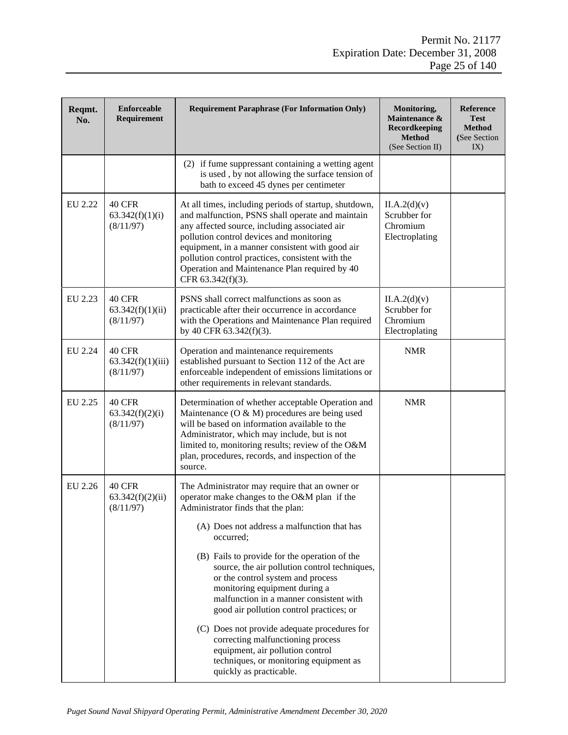| Reqmt.<br>No. | <b>Enforceable</b><br>Requirement              | <b>Requirement Paraphrase (For Information Only)</b>                                                                                                                                                                                                                                                                                                                                | Monitoring,<br>Maintenance &<br>Recordkeeping<br><b>Method</b><br>(See Section II) | <b>Reference</b><br><b>Test</b><br><b>Method</b><br>(See Section<br>IX) |
|---------------|------------------------------------------------|-------------------------------------------------------------------------------------------------------------------------------------------------------------------------------------------------------------------------------------------------------------------------------------------------------------------------------------------------------------------------------------|------------------------------------------------------------------------------------|-------------------------------------------------------------------------|
|               |                                                | (2) if fume suppressant containing a wetting agent<br>is used, by not allowing the surface tension of<br>bath to exceed 45 dynes per centimeter                                                                                                                                                                                                                                     |                                                                                    |                                                                         |
| EU 2.22       | 40 CFR<br>63.342(f)(1)(i)<br>(8/11/97)         | At all times, including periods of startup, shutdown,<br>and malfunction, PSNS shall operate and maintain<br>any affected source, including associated air<br>pollution control devices and monitoring<br>equipment, in a manner consistent with good air<br>pollution control practices, consistent with the<br>Operation and Maintenance Plan required by 40<br>CFR 63.342(f)(3). | II.A.2(d)(v)<br>Scrubber for<br>Chromium<br>Electroplating                         |                                                                         |
| EU 2.23       | 40 CFR<br>63.342(f)(1)(ii)<br>(8/11/97)        | PSNS shall correct malfunctions as soon as<br>practicable after their occurrence in accordance<br>with the Operations and Maintenance Plan required<br>by 40 CFR 63.342(f)(3).                                                                                                                                                                                                      | II.A.2(d)(v)<br>Scrubber for<br>Chromium<br>Electroplating                         |                                                                         |
| EU 2.24       | 40 CFR<br>63.342(f)(1)(iii)<br>(8/11/97)       | Operation and maintenance requirements<br>established pursuant to Section 112 of the Act are<br>enforceable independent of emissions limitations or<br>other requirements in relevant standards.                                                                                                                                                                                    | <b>NMR</b>                                                                         |                                                                         |
| EU 2.25       | <b>40 CFR</b><br>63.342(f)(2)(i)<br>(8/11/97)  | Determination of whether acceptable Operation and<br>Maintenance $(O & M)$ procedures are being used<br>will be based on information available to the<br>Administrator, which may include, but is not<br>limited to, monitoring results; review of the O&M<br>plan, procedures, records, and inspection of the<br>source.                                                           | <b>NMR</b>                                                                         |                                                                         |
| EU 2.26       | <b>40 CFR</b><br>63.342(f)(2)(ii)<br>(8/11/97) | The Administrator may require that an owner or<br>operator make changes to the O&M plan if the<br>Administrator finds that the plan:<br>(A) Does not address a malfunction that has<br>occurred:                                                                                                                                                                                    |                                                                                    |                                                                         |
|               |                                                | (B) Fails to provide for the operation of the<br>source, the air pollution control techniques,<br>or the control system and process<br>monitoring equipment during a<br>malfunction in a manner consistent with<br>good air pollution control practices; or                                                                                                                         |                                                                                    |                                                                         |
|               |                                                | (C) Does not provide adequate procedures for<br>correcting malfunctioning process<br>equipment, air pollution control<br>techniques, or monitoring equipment as<br>quickly as practicable.                                                                                                                                                                                          |                                                                                    |                                                                         |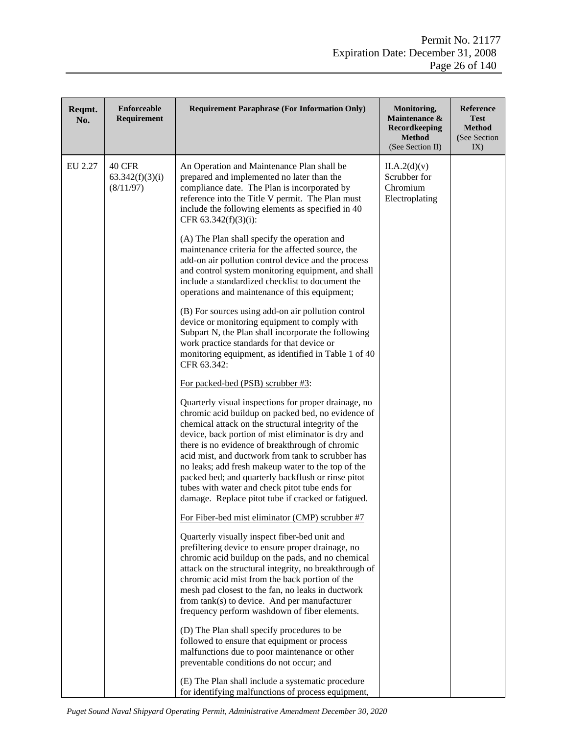| Reqmt.<br>No. | <b>Enforceable</b><br>Requirement      | <b>Requirement Paraphrase (For Information Only)</b>                                                                                                                                                                                                                                                                                                                                                                                                                                                                                                                                             | Monitoring,<br>Maintenance &<br>Recordkeeping<br><b>Method</b><br>(See Section II) | Reference<br><b>Test</b><br><b>Method</b><br>(See Section)<br>IX) |
|---------------|----------------------------------------|--------------------------------------------------------------------------------------------------------------------------------------------------------------------------------------------------------------------------------------------------------------------------------------------------------------------------------------------------------------------------------------------------------------------------------------------------------------------------------------------------------------------------------------------------------------------------------------------------|------------------------------------------------------------------------------------|-------------------------------------------------------------------|
| EU 2.27       | 40 CFR<br>63.342(f)(3)(i)<br>(8/11/97) | An Operation and Maintenance Plan shall be<br>prepared and implemented no later than the<br>compliance date. The Plan is incorporated by<br>reference into the Title V permit. The Plan must<br>include the following elements as specified in 40<br>CFR 63.342(f)(3)(i):<br>(A) The Plan shall specify the operation and<br>maintenance criteria for the affected source, the<br>add-on air pollution control device and the process<br>and control system monitoring equipment, and shall<br>include a standardized checklist to document the<br>operations and maintenance of this equipment; | II.A.2(d)(v)<br>Scrubber for<br>Chromium<br>Electroplating                         |                                                                   |
|               |                                        | (B) For sources using add-on air pollution control<br>device or monitoring equipment to comply with<br>Subpart N, the Plan shall incorporate the following<br>work practice standards for that device or<br>monitoring equipment, as identified in Table 1 of 40<br>CFR 63.342:                                                                                                                                                                                                                                                                                                                  |                                                                                    |                                                                   |
|               |                                        | For packed-bed (PSB) scrubber #3:                                                                                                                                                                                                                                                                                                                                                                                                                                                                                                                                                                |                                                                                    |                                                                   |
|               |                                        | Quarterly visual inspections for proper drainage, no<br>chromic acid buildup on packed bed, no evidence of<br>chemical attack on the structural integrity of the<br>device, back portion of mist eliminator is dry and<br>there is no evidence of breakthrough of chromic<br>acid mist, and ductwork from tank to scrubber has<br>no leaks; add fresh makeup water to the top of the<br>packed bed; and quarterly backflush or rinse pitot<br>tubes with water and check pitot tube ends for<br>damage. Replace pitot tube if cracked or fatigued.                                               |                                                                                    |                                                                   |
|               |                                        | For Fiber-bed mist eliminator (CMP) scrubber #7<br>Quarterly visually inspect fiber-bed unit and<br>prefiltering device to ensure proper drainage, no<br>chromic acid buildup on the pads, and no chemical<br>attack on the structural integrity, no breakthrough of<br>chromic acid mist from the back portion of the<br>mesh pad closest to the fan, no leaks in ductwork<br>from tank(s) to device. And per manufacturer<br>frequency perform washdown of fiber elements.                                                                                                                     |                                                                                    |                                                                   |
|               |                                        | (D) The Plan shall specify procedures to be<br>followed to ensure that equipment or process<br>malfunctions due to poor maintenance or other<br>preventable conditions do not occur; and<br>(E) The Plan shall include a systematic procedure<br>for identifying malfunctions of process equipment,                                                                                                                                                                                                                                                                                              |                                                                                    |                                                                   |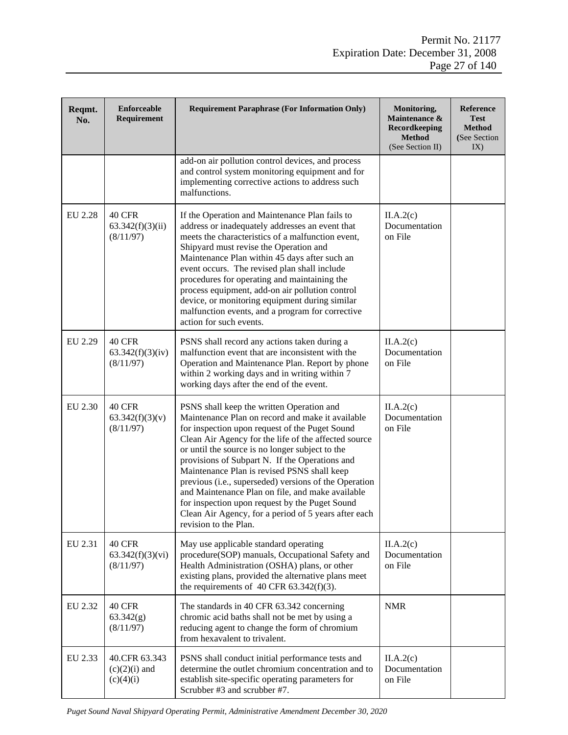| Reqmt.<br>No. | Enforceable<br>Requirement                     | <b>Requirement Paraphrase (For Information Only)</b>                                                                                                                                                                                                                                                                                                                                                                                                                                                                                                                                                        | Monitoring,<br>Maintenance &<br>Recordkeeping<br><b>Method</b><br>(See Section II) | Reference<br><b>Test</b><br><b>Method</b><br>(See Section<br>IX) |
|---------------|------------------------------------------------|-------------------------------------------------------------------------------------------------------------------------------------------------------------------------------------------------------------------------------------------------------------------------------------------------------------------------------------------------------------------------------------------------------------------------------------------------------------------------------------------------------------------------------------------------------------------------------------------------------------|------------------------------------------------------------------------------------|------------------------------------------------------------------|
|               |                                                | add-on air pollution control devices, and process<br>and control system monitoring equipment and for<br>implementing corrective actions to address such<br>malfunctions.                                                                                                                                                                                                                                                                                                                                                                                                                                    |                                                                                    |                                                                  |
| EU 2.28       | 40 CFR<br>63.342(f)(3)(ii)<br>(8/11/97)        | If the Operation and Maintenance Plan fails to<br>address or inadequately addresses an event that<br>meets the characteristics of a malfunction event,<br>Shipyard must revise the Operation and<br>Maintenance Plan within 45 days after such an<br>event occurs. The revised plan shall include<br>procedures for operating and maintaining the<br>process equipment, add-on air pollution control<br>device, or monitoring equipment during similar<br>malfunction events, and a program for corrective<br>action for such events.                                                                       | II.A.2(c)<br>Documentation<br>on File                                              |                                                                  |
| EU 2.29       | <b>40 CFR</b><br>63.342(f)(3)(iv)<br>(8/11/97) | PSNS shall record any actions taken during a<br>malfunction event that are inconsistent with the<br>Operation and Maintenance Plan. Report by phone<br>within 2 working days and in writing within 7<br>working days after the end of the event.                                                                                                                                                                                                                                                                                                                                                            | II.A.2(c)<br>Documentation<br>on File                                              |                                                                  |
| EU 2.30       | 40 CFR<br>63.342(f)(3)(v)<br>(8/11/97)         | PSNS shall keep the written Operation and<br>Maintenance Plan on record and make it available<br>for inspection upon request of the Puget Sound<br>Clean Air Agency for the life of the affected source<br>or until the source is no longer subject to the<br>provisions of Subpart N. If the Operations and<br>Maintenance Plan is revised PSNS shall keep<br>previous (i.e., superseded) versions of the Operation<br>and Maintenance Plan on file, and make available<br>for inspection upon request by the Puget Sound<br>Clean Air Agency, for a period of 5 years after each<br>revision to the Plan. | II.A.2(c)<br>Documentation<br>on File                                              |                                                                  |
| EU 2.31       | 40 CFR<br>63.342(f)(3)(vi)<br>(8/11/97)        | May use applicable standard operating<br>procedure(SOP) manuals, Occupational Safety and<br>Health Administration (OSHA) plans, or other<br>existing plans, provided the alternative plans meet<br>the requirements of 40 CFR $63.342(f)(3)$ .                                                                                                                                                                                                                                                                                                                                                              | II.A.2(c)<br>Documentation<br>on File                                              |                                                                  |
| EU 2.32       | 40 CFR<br>63.342(g)<br>(8/11/97)               | The standards in 40 CFR 63.342 concerning<br>chromic acid baths shall not be met by using a<br>reducing agent to change the form of chromium<br>from hexavalent to trivalent.                                                                                                                                                                                                                                                                                                                                                                                                                               | <b>NMR</b>                                                                         |                                                                  |
| EU 2.33       | 40.CFR 63.343<br>$(c)(2)(i)$ and<br>(c)(4)(i)  | PSNS shall conduct initial performance tests and<br>determine the outlet chromium concentration and to<br>establish site-specific operating parameters for<br>Scrubber #3 and scrubber #7.                                                                                                                                                                                                                                                                                                                                                                                                                  | II.A.2(c)<br>Documentation<br>on File                                              |                                                                  |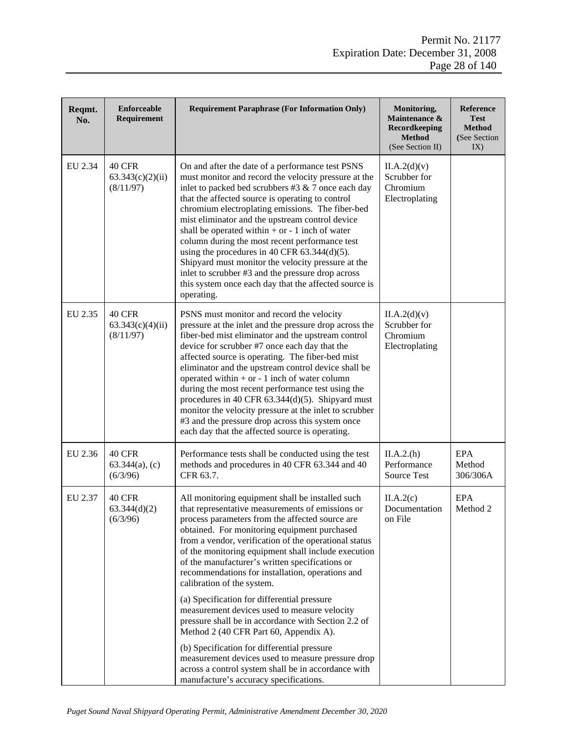| Reqmt.<br>No. | <b>Enforceable</b><br>Requirement              | <b>Requirement Paraphrase (For Information Only)</b>                                                                                                                                                                                                                                                                                                                                                                                                                                                                                                                                                                                                                                                                                                                                                                                                              | Monitoring,<br>Maintenance &<br>Recordkeeping<br><b>Method</b><br>(See Section II) | Reference<br>Test<br><b>Method</b><br>(See Section)<br>IX) |
|---------------|------------------------------------------------|-------------------------------------------------------------------------------------------------------------------------------------------------------------------------------------------------------------------------------------------------------------------------------------------------------------------------------------------------------------------------------------------------------------------------------------------------------------------------------------------------------------------------------------------------------------------------------------------------------------------------------------------------------------------------------------------------------------------------------------------------------------------------------------------------------------------------------------------------------------------|------------------------------------------------------------------------------------|------------------------------------------------------------|
| EU 2.34       | <b>40 CFR</b><br>63.343(c)(2)(ii)<br>(8/11/97) | On and after the date of a performance test PSNS<br>must monitor and record the velocity pressure at the<br>inlet to packed bed scrubbers #3 $& 7$ once each day<br>that the affected source is operating to control<br>chromium electroplating emissions. The fiber-bed<br>mist eliminator and the upstream control device<br>shall be operated within $+$ or $-1$ inch of water<br>column during the most recent performance test<br>using the procedures in 40 CFR $63.344(d)(5)$ .<br>Shipyard must monitor the velocity pressure at the<br>inlet to scrubber #3 and the pressure drop across<br>this system once each day that the affected source is<br>operating.                                                                                                                                                                                          | II.A.2(d)(v)<br>Scrubber for<br>Chromium<br>Electroplating                         |                                                            |
| EU 2.35       | <b>40 CFR</b><br>63.343(c)(4)(ii)<br>(8/11/97) | PSNS must monitor and record the velocity<br>pressure at the inlet and the pressure drop across the<br>fiber-bed mist eliminator and the upstream control<br>device for scrubber #7 once each day that the<br>affected source is operating. The fiber-bed mist<br>eliminator and the upstream control device shall be<br>operated within $+$ or $-1$ inch of water column<br>during the most recent performance test using the<br>procedures in 40 CFR $63.344(d)(5)$ . Shipyard must<br>monitor the velocity pressure at the inlet to scrubber<br>#3 and the pressure drop across this system once<br>each day that the affected source is operating.                                                                                                                                                                                                            | II.A.2(d)(v)<br>Scrubber for<br>Chromium<br>Electroplating                         |                                                            |
| EU 2.36       | 40 CFR<br>$63.344(a)$ , (c)<br>(6/3/96)        | Performance tests shall be conducted using the test<br>methods and procedures in 40 CFR 63.344 and 40<br>CFR 63.7.                                                                                                                                                                                                                                                                                                                                                                                                                                                                                                                                                                                                                                                                                                                                                | II.A.2(h)<br>Performance<br><b>Source Test</b>                                     | <b>EPA</b><br>Method<br>306/306A                           |
| EU 2.37       | 40 CFR<br>63.344(d)(2)<br>(6/3/96)             | All monitoring equipment shall be installed such<br>that representative measurements of emissions or<br>process parameters from the affected source are<br>obtained. For monitoring equipment purchased<br>from a vendor, verification of the operational status<br>of the monitoring equipment shall include execution<br>of the manufacturer's written specifications or<br>recommendations for installation, operations and<br>calibration of the system.<br>(a) Specification for differential pressure<br>measurement devices used to measure velocity<br>pressure shall be in accordance with Section 2.2 of<br>Method 2 (40 CFR Part 60, Appendix A).<br>(b) Specification for differential pressure<br>measurement devices used to measure pressure drop<br>across a control system shall be in accordance with<br>manufacture's accuracy specifications. | II.A.2(c)<br>Documentation<br>on File                                              | <b>EPA</b><br>Method 2                                     |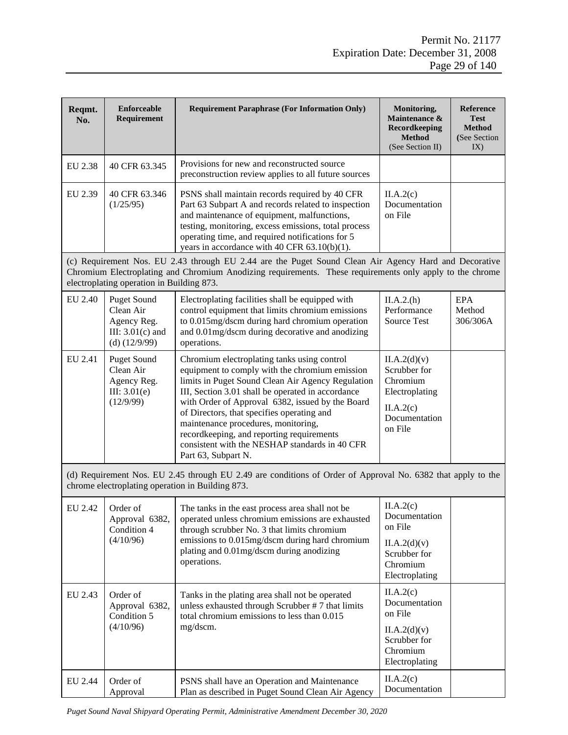| Reqmt.<br>No. | <b>Enforceable</b><br>Requirement                                                       | <b>Requirement Paraphrase (For Information Only)</b>                                                                                                                                                                                                                                                                                                                                                                                                                   | Monitoring,<br>Maintenance &<br>Recordkeeping<br><b>Method</b><br>(See Section II)                  | <b>Reference</b><br><b>Test</b><br><b>Method</b><br>(See Section<br>IX) |
|---------------|-----------------------------------------------------------------------------------------|------------------------------------------------------------------------------------------------------------------------------------------------------------------------------------------------------------------------------------------------------------------------------------------------------------------------------------------------------------------------------------------------------------------------------------------------------------------------|-----------------------------------------------------------------------------------------------------|-------------------------------------------------------------------------|
| EU 2.38       | 40 CFR 63.345                                                                           | Provisions for new and reconstructed source<br>preconstruction review applies to all future sources                                                                                                                                                                                                                                                                                                                                                                    |                                                                                                     |                                                                         |
| EU 2.39       | 40 CFR 63.346<br>(1/25/95)                                                              | PSNS shall maintain records required by 40 CFR<br>Part 63 Subpart A and records related to inspection<br>and maintenance of equipment, malfunctions,<br>testing, monitoring, excess emissions, total process<br>operating time, and required notifications for 5<br>years in accordance with 40 CFR $63.10(b)(1)$ .                                                                                                                                                    | II.A.2(c)<br>Documentation<br>on File                                                               |                                                                         |
|               | electroplating operation in Building 873.                                               | (c) Requirement Nos. EU 2.43 through EU 2.44 are the Puget Sound Clean Air Agency Hard and Decorative<br>Chromium Electroplating and Chromium Anodizing requirements. These requirements only apply to the chrome                                                                                                                                                                                                                                                      |                                                                                                     |                                                                         |
| EU 2.40       | <b>Puget Sound</b><br>Clean Air<br>Agency Reg.<br>III: $3.01(c)$ and<br>(d) $(12/9/99)$ | II.A.2(h)<br>Performance<br><b>Source Test</b>                                                                                                                                                                                                                                                                                                                                                                                                                         | <b>EPA</b><br>Method<br>306/306A                                                                    |                                                                         |
| EU 2.41       | <b>Puget Sound</b><br>Clean Air<br>Agency Reg.<br>III: 3.01(e)<br>(12/9/99)             | Chromium electroplating tanks using control<br>equipment to comply with the chromium emission<br>limits in Puget Sound Clean Air Agency Regulation<br>III, Section 3.01 shall be operated in accordance<br>with Order of Approval 6382, issued by the Board<br>of Directors, that specifies operating and<br>maintenance procedures, monitoring,<br>recordkeeping, and reporting requirements<br>consistent with the NESHAP standards in 40 CFR<br>Part 63, Subpart N. | II.A.2(d)(v)<br>Scrubber for<br>Chromium<br>Electroplating<br>II.A.2(c)<br>Documentation<br>on File |                                                                         |
|               |                                                                                         | (d) Requirement Nos. EU 2.45 through EU 2.49 are conditions of Order of Approval No. 6382 that apply to the<br>chrome electroplating operation in Building 873.                                                                                                                                                                                                                                                                                                        |                                                                                                     |                                                                         |
| EU 2.42       | Order of<br>Approval 6382,<br>Condition 4<br>(4/10/96)                                  | The tanks in the east process area shall not be<br>operated unless chromium emissions are exhausted<br>through scrubber No. 3 that limits chromium<br>emissions to 0.015mg/dscm during hard chromium<br>plating and 0.01mg/dscm during anodizing<br>operations.                                                                                                                                                                                                        | II.A.2(c)<br>Documentation<br>on File<br>II.A.2(d)(v)<br>Scrubber for<br>Chromium<br>Electroplating |                                                                         |
| EU 2.43       | Order of<br>Approval 6382,<br>Condition 5<br>(4/10/96)                                  | Tanks in the plating area shall not be operated<br>unless exhausted through Scrubber #7 that limits<br>total chromium emissions to less than 0.015<br>mg/dscm.                                                                                                                                                                                                                                                                                                         | II.A.2(c)<br>Documentation<br>on File<br>II.A.2(d)(v)<br>Scrubber for<br>Chromium<br>Electroplating |                                                                         |
| EU 2.44       | Order of<br>Approval                                                                    | PSNS shall have an Operation and Maintenance<br>Plan as described in Puget Sound Clean Air Agency                                                                                                                                                                                                                                                                                                                                                                      | II.A.2(c)<br>Documentation                                                                          |                                                                         |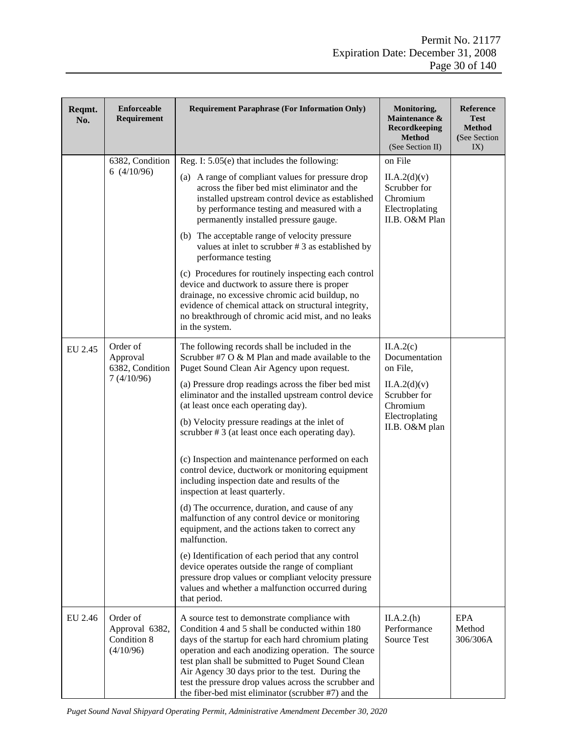| Reqmt.<br>No. | <b>Enforceable</b><br>Requirement                                                                                                                                                                                                                         | <b>Requirement Paraphrase (For Information Only)</b>                                                                                                                                                                                                                                                                                                                                                                                 | Monitoring,<br>Maintenance &<br>Recordkeeping<br>Method<br>(See Section II)  | <b>Reference</b><br><b>Test</b><br><b>Method</b><br>(See Section)<br>IX) |
|---------------|-----------------------------------------------------------------------------------------------------------------------------------------------------------------------------------------------------------------------------------------------------------|--------------------------------------------------------------------------------------------------------------------------------------------------------------------------------------------------------------------------------------------------------------------------------------------------------------------------------------------------------------------------------------------------------------------------------------|------------------------------------------------------------------------------|--------------------------------------------------------------------------|
|               | 6382, Condition                                                                                                                                                                                                                                           | Reg. I: $5.05(e)$ that includes the following:                                                                                                                                                                                                                                                                                                                                                                                       | on File                                                                      |                                                                          |
|               | 6(4/10/96)                                                                                                                                                                                                                                                | (a) A range of compliant values for pressure drop<br>across the fiber bed mist eliminator and the<br>installed upstream control device as established<br>by performance testing and measured with a<br>permanently installed pressure gauge.                                                                                                                                                                                         | II.A.2(d)(v)<br>Scrubber for<br>Chromium<br>Electroplating<br>II.B. O&M Plan |                                                                          |
|               |                                                                                                                                                                                                                                                           | (b) The acceptable range of velocity pressure<br>values at inlet to scrubber #3 as established by<br>performance testing                                                                                                                                                                                                                                                                                                             |                                                                              |                                                                          |
|               |                                                                                                                                                                                                                                                           | (c) Procedures for routinely inspecting each control<br>device and ductwork to assure there is proper<br>drainage, no excessive chromic acid buildup, no<br>evidence of chemical attack on structural integrity,<br>no breakthrough of chromic acid mist, and no leaks<br>in the system.                                                                                                                                             |                                                                              |                                                                          |
| EU 2.45       | Order of<br>Approval<br>6382, Condition                                                                                                                                                                                                                   | The following records shall be included in the<br>Scrubber #7 O & M Plan and made available to the<br>Puget Sound Clean Air Agency upon request.                                                                                                                                                                                                                                                                                     | II.A.2(c)<br>Documentation<br>on File,                                       |                                                                          |
| 7(4/10/96)    | (a) Pressure drop readings across the fiber bed mist<br>eliminator and the installed upstream control device<br>(at least once each operating day).<br>(b) Velocity pressure readings at the inlet of<br>scrubber # 3 (at least once each operating day). | II.A.2(d)(v)<br>Scrubber for<br>Chromium<br>Electroplating<br>II.B. O&M plan                                                                                                                                                                                                                                                                                                                                                         |                                                                              |                                                                          |
|               |                                                                                                                                                                                                                                                           | (c) Inspection and maintenance performed on each<br>control device, ductwork or monitoring equipment<br>including inspection date and results of the<br>inspection at least quarterly.                                                                                                                                                                                                                                               |                                                                              |                                                                          |
|               |                                                                                                                                                                                                                                                           | (d) The occurrence, duration, and cause of any<br>malfunction of any control device or monitoring<br>equipment, and the actions taken to correct any<br>malfunction.                                                                                                                                                                                                                                                                 |                                                                              |                                                                          |
|               |                                                                                                                                                                                                                                                           | (e) Identification of each period that any control<br>device operates outside the range of compliant<br>pressure drop values or compliant velocity pressure<br>values and whether a malfunction occurred during<br>that period.                                                                                                                                                                                                      |                                                                              |                                                                          |
| EU 2.46       | Order of<br>Approval 6382,<br>Condition 8<br>(4/10/96)                                                                                                                                                                                                    | A source test to demonstrate compliance with<br>Condition 4 and 5 shall be conducted within 180<br>days of the startup for each hard chromium plating<br>operation and each anodizing operation. The source<br>test plan shall be submitted to Puget Sound Clean<br>Air Agency 30 days prior to the test. During the<br>test the pressure drop values across the scrubber and<br>the fiber-bed mist eliminator (scrubber #7) and the | II.A.2(h)<br>Performance<br>Source Test                                      | <b>EPA</b><br>Method<br>306/306A                                         |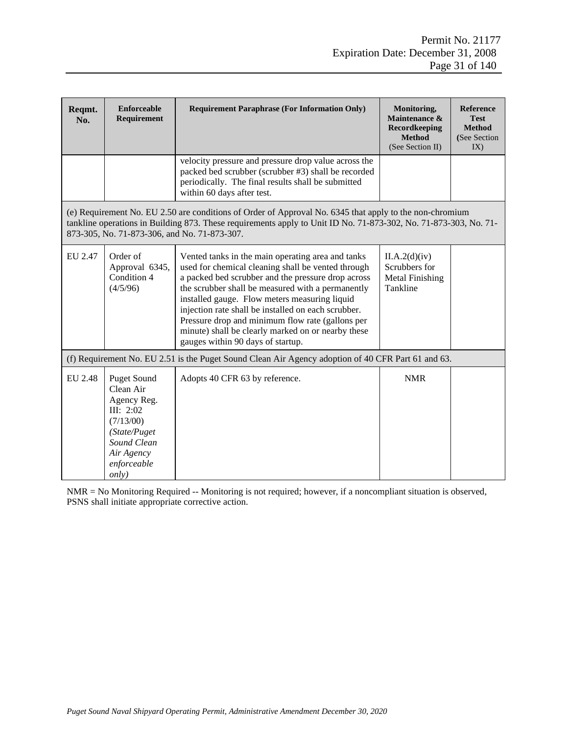| Reqmt.<br>No.                                | Enforceable<br>Requirement                                                                                                                                                                                                  | <b>Requirement Paraphrase (For Information Only)</b>                                                                                                                                                                                                                                                                                                                                                                                                                      | Monitoring,<br>Maintenance &<br>Recordkeeping<br><b>Method</b><br>(See Section II) | <b>Reference</b><br><b>Test</b><br><b>Method</b><br>(See Section)<br>IX) |
|----------------------------------------------|-----------------------------------------------------------------------------------------------------------------------------------------------------------------------------------------------------------------------------|---------------------------------------------------------------------------------------------------------------------------------------------------------------------------------------------------------------------------------------------------------------------------------------------------------------------------------------------------------------------------------------------------------------------------------------------------------------------------|------------------------------------------------------------------------------------|--------------------------------------------------------------------------|
|                                              |                                                                                                                                                                                                                             | velocity pressure and pressure drop value across the<br>packed bed scrubber (scrubber #3) shall be recorded<br>periodically. The final results shall be submitted<br>within 60 days after test.                                                                                                                                                                                                                                                                           |                                                                                    |                                                                          |
| 873-305, No. 71-873-306, and No. 71-873-307. | (e) Requirement No. EU 2.50 are conditions of Order of Approval No. 6345 that apply to the non-chromium<br>tankline operations in Building 873. These requirements apply to Unit ID No. 71-873-302, No. 71-873-303, No. 71- |                                                                                                                                                                                                                                                                                                                                                                                                                                                                           |                                                                                    |                                                                          |
| EU 2.47                                      | Order of<br>Approval 6345,<br>Condition 4<br>(4/5/96)                                                                                                                                                                       | Vented tanks in the main operating area and tanks<br>used for chemical cleaning shall be vented through<br>a packed bed scrubber and the pressure drop across<br>the scrubber shall be measured with a permanently<br>installed gauge. Flow meters measuring liquid<br>injection rate shall be installed on each scrubber.<br>Pressure drop and minimum flow rate (gallons per<br>minute) shall be clearly marked on or nearby these<br>gauges within 90 days of startup. | II.A.2(d)(iv)<br>Scrubbers for<br>Metal Finishing<br>Tankline                      |                                                                          |
|                                              |                                                                                                                                                                                                                             | (f) Requirement No. EU 2.51 is the Puget Sound Clean Air Agency adoption of 40 CFR Part 61 and 63.                                                                                                                                                                                                                                                                                                                                                                        |                                                                                    |                                                                          |
| EU 2.48                                      | <b>Puget Sound</b><br>Clean Air<br>Agency Reg.<br>III: 2:02<br>(7/13/00)<br>(State/Puget<br>Sound Clean<br>Air Agency<br>enforceable<br>only)                                                                               | Adopts 40 CFR 63 by reference.                                                                                                                                                                                                                                                                                                                                                                                                                                            | <b>NMR</b>                                                                         |                                                                          |

NMR = No Monitoring Required -- Monitoring is not required; however, if a noncompliant situation is observed, PSNS shall initiate appropriate corrective action.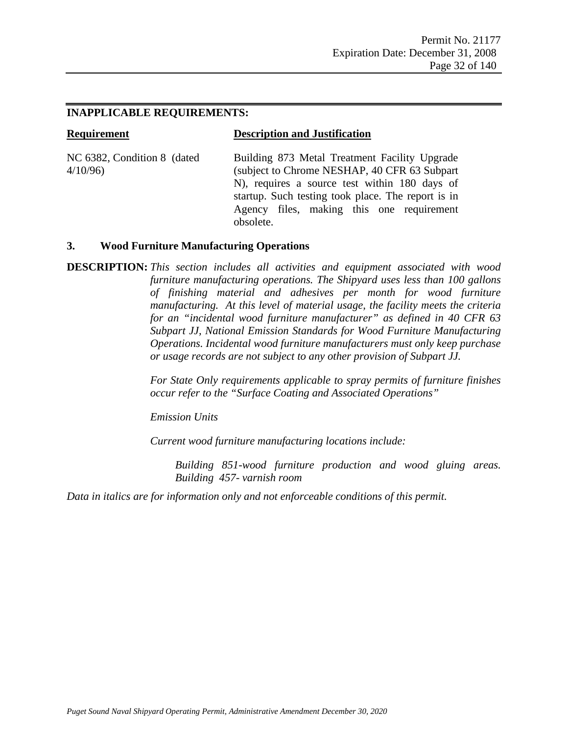#### **INAPPLICABLE REQUIREMENTS:**

#### **Requirement Description and Justification**

NC 6382, Condition 8 (dated 4/10/96)

Building 873 Metal Treatment Facility Upgrade (subject to Chrome NESHAP, 40 CFR 63 Subpart N), requires a source test within 180 days of startup. Such testing took place. The report is in Agency files, making this one requirement obsolete.

#### **3. Wood Furniture Manufacturing Operations**

**DESCRIPTION:** *This section includes all activities and equipment associated with wood furniture manufacturing operations. The Shipyard uses less than 100 gallons of finishing material and adhesives per month for wood furniture manufacturing. At this level of material usage, the facility meets the criteria for an "incidental wood furniture manufacturer" as defined in 40 CFR 63 Subpart JJ, National Emission Standards for Wood Furniture Manufacturing Operations. Incidental wood furniture manufacturers must only keep purchase or usage records are not subject to any other provision of Subpart JJ.* 

> *For State Only requirements applicable to spray permits of furniture finishes occur refer to the "Surface Coating and Associated Operations"*

*Emission Units*

*Current wood furniture manufacturing locations include:*

*Building 851-wood furniture production and wood gluing areas. Building 457- varnish room*

*Data in italics are for information only and not enforceable conditions of this permit.*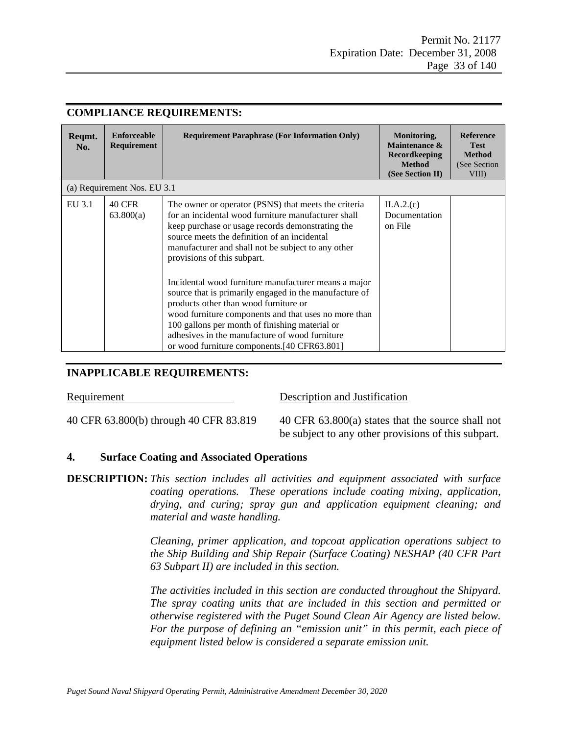#### **COMPLIANCE REQUIREMENTS:**

| Reqmt.<br>No. | Enforceable<br>Requirement  | <b>Requirement Paraphrase (For Information Only)</b>                                                                                                                                                                                                                                                                                                                                                                   | Monitoring,<br>Maintenance &<br><b>Recordkeeping</b><br><b>Method</b><br>(See Section II) | <b>Reference</b><br><b>Test</b><br><b>Method</b><br>(See Section)<br>VIII) |
|---------------|-----------------------------|------------------------------------------------------------------------------------------------------------------------------------------------------------------------------------------------------------------------------------------------------------------------------------------------------------------------------------------------------------------------------------------------------------------------|-------------------------------------------------------------------------------------------|----------------------------------------------------------------------------|
|               | (a) Requirement Nos. EU 3.1 |                                                                                                                                                                                                                                                                                                                                                                                                                        |                                                                                           |                                                                            |
| EU 3.1        | <b>40 CFR</b><br>63.800(a)  | The owner or operator (PSNS) that meets the criteria<br>for an incidental wood furniture manufacturer shall<br>keep purchase or usage records demonstrating the<br>source meets the definition of an incidental<br>manufacturer and shall not be subject to any other<br>provisions of this subpart.<br>Incidental wood furniture manufacturer means a major<br>source that is primarily engaged in the manufacture of | II.A.2(c)<br>Documentation<br>on File                                                     |                                                                            |
|               |                             | products other than wood furniture or<br>wood furniture components and that uses no more than<br>100 gallons per month of finishing material or<br>adhesives in the manufacture of wood furniture<br>or wood furniture components.[40 CFR63.801]                                                                                                                                                                       |                                                                                           |                                                                            |

#### **INAPPLICABLE REQUIREMENTS:**

Requirement Description and Justification

40 CFR 63.800(b) through 40 CFR 83.819 40 CFR 63.800(a) states that the source shall not be subject to any other provisions of this subpart.

#### **4. Surface Coating and Associated Operations**

**DESCRIPTION:** *This section includes all activities and equipment associated with surface coating operations. These operations include coating mixing, application, drying, and curing; spray gun and application equipment cleaning; and material and waste handling.*

> *Cleaning, primer application, and topcoat application operations subject to the Ship Building and Ship Repair (Surface Coating) NESHAP (40 CFR Part 63 Subpart II) are included in this section.*

> *The activities included in this section are conducted throughout the Shipyard. The spray coating units that are included in this section and permitted or otherwise registered with the Puget Sound Clean Air Agency are listed below. For the purpose of defining an "emission unit" in this permit, each piece of equipment listed below is considered a separate emission unit.*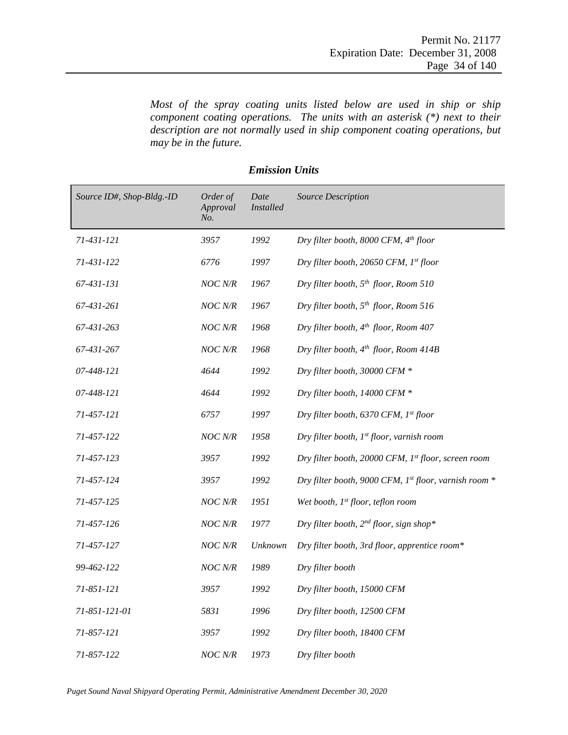*Most of the spray coating units listed below are used in ship or ship component coating operations. The units with an asterisk (\*) next to their description are not normally used in ship component coating operations, but may be in the future.*

| Source ID#, Shop-Bldg.-ID | Order of<br>Approval<br>No. | Date<br><i>Installed</i> | Source Description                                           |
|---------------------------|-----------------------------|--------------------------|--------------------------------------------------------------|
| 71-431-121                | 3957                        | 1992                     | Dry filter booth, 8000 CFM, 4 <sup>th</sup> floor            |
| 71-431-122                | 6776                        | 1997                     | Dry filter booth, 20650 CFM, 1st floor                       |
| 67-431-131                | NOC N/R                     | 1967                     | Dry filter booth, 5 <sup>th</sup> floor, Room 510            |
| 67-431-261                | NOC N/R                     | 1967                     | Dry filter booth, $5^{th}$ floor, Room 516                   |
| 67-431-263                | NOC N/R                     | 1968                     | Dry filter booth, 4th floor, Room 407                        |
| 67-431-267                | NOC N/R                     | 1968                     | Dry filter booth, 4th floor, Room 414B                       |
| 07-448-121                | 4644                        | 1992                     | Dry filter booth, 30000 CFM *                                |
| 07-448-121                | 4644                        | 1992                     | Dry filter booth, 14000 CFM *                                |
| 71-457-121                | 6757                        | 1997                     | Dry filter booth, 6370 CFM, 1st floor                        |
| 71-457-122                | NOC N/R                     | 1958                     | Dry filter booth, 1 <sup>st</sup> floor, varnish room        |
| 71-457-123                | 3957                        | 1992                     | Dry filter booth, 20000 CFM, 1st floor, screen room          |
| 71-457-124                | 3957                        | 1992                     | Dry filter booth, 9000 CFM, $1^{st}$ floor, varnish room $*$ |
| 71-457-125                | NOC N/R                     | 1951                     | Wet booth, 1 <sup>st</sup> floor, teflon room                |
| 71-457-126                | NOC N/R                     | 1977                     | Dry filter booth, $2^{nd}$ floor, sign shop*                 |
| 71-457-127                | NOC N/R                     | Unknown                  | Dry filter booth, 3rd floor, apprentice room*                |
| 99-462-122                | NOC N/R                     | 1989                     | Dry filter booth                                             |
| 71-851-121                | 3957                        | 1992                     | Dry filter booth, 15000 CFM                                  |
| 71-851-121-01             | 5831                        | 1996                     | Dry filter booth, 12500 CFM                                  |
| 71-857-121                | 3957                        | 1992                     | Dry filter booth, 18400 CFM                                  |
| 71-857-122                | NOC N/R                     | 1973                     | Dry filter booth                                             |

*Emission Units*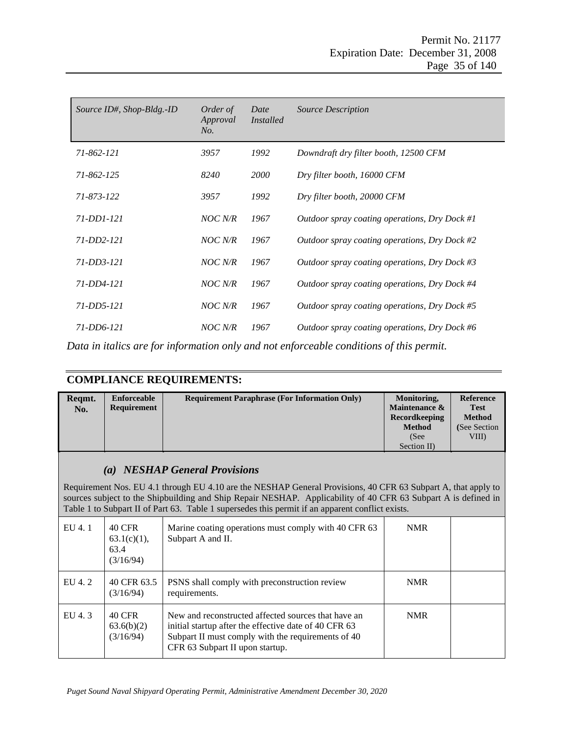| Order of<br>Approval<br>No. | Date<br>Installed | <i>Source Description</i>                       |
|-----------------------------|-------------------|-------------------------------------------------|
| 3957                        | 1992              | Downdraft dry filter booth, 12500 CFM           |
| 8240                        | 2000              | Dry filter booth, 16000 CFM                     |
| 3957                        | 1992              | Dry filter booth, 20000 CFM                     |
| NOC N/R                     | 1967              | Outdoor spray coating operations, Dry Dock #1   |
| NOC N/R                     | 1967              | Outdoor spray coating operations, Dry Dock #2   |
| NOC N/R                     | 1967              | Outdoor spray coating operations, Dry Dock $#3$ |
| NOC N/R                     | 1967              | Outdoor spray coating operations, Dry Dock #4   |
| NOC N/R                     | 1967              | Outdoor spray coating operations, Dry Dock #5   |
| NOC N/R                     | 1967              | Outdoor spray coating operations, Dry Dock #6   |
|                             |                   |                                                 |

*Data in italics are for information only and not enforceable conditions of this permit.*

### **COMPLIANCE REQUIREMENTS:**

| Regmt.<br>No. | Enforceable<br><b>Requirement</b> | <b>Requirement Paraphrase (For Information Only)</b> | Monitoring,<br><b>Maintenance &amp;</b><br>Recordkeeping | <b>Reference</b><br><b>Test</b><br><b>Method</b> |
|---------------|-----------------------------------|------------------------------------------------------|----------------------------------------------------------|--------------------------------------------------|
|               |                                   |                                                      | <b>Method</b>                                            | (See Section)                                    |
|               |                                   |                                                      | (See                                                     | VIII)                                            |
|               |                                   |                                                      | Section II)                                              |                                                  |

### *(a) NESHAP General Provisions*

Requirement Nos. EU 4.1 through EU 4.10 are the NESHAP General Provisions, 40 CFR 63 Subpart A, that apply to sources subject to the Shipbuilding and Ship Repair NESHAP. Applicability of 40 CFR 63 Subpart A is defined in Table 1 to Subpart II of Part 63. Table 1 supersedes this permit if an apparent conflict exists.

| EU 4.1 | 40 CFR<br>$63.1(c)(1)$ ,<br>63.4<br>(3/16/94) | Marine coating operations must comply with 40 CFR 63<br>Subpart A and II.                                                                                                                             | <b>NMR</b> |  |
|--------|-----------------------------------------------|-------------------------------------------------------------------------------------------------------------------------------------------------------------------------------------------------------|------------|--|
| EU 4.2 | 40 CFR 63.5<br>(3/16/94)                      | PSNS shall comply with preconstruction review<br>requirements.                                                                                                                                        | <b>NMR</b> |  |
| EU4.3  | 40 CFR<br>63.6(b)(2)<br>(3/16/94)             | New and reconstructed affected sources that have an<br>initial startup after the effective date of 40 CFR 63<br>Subpart II must comply with the requirements of 40<br>CFR 63 Subpart II upon startup. | <b>NMR</b> |  |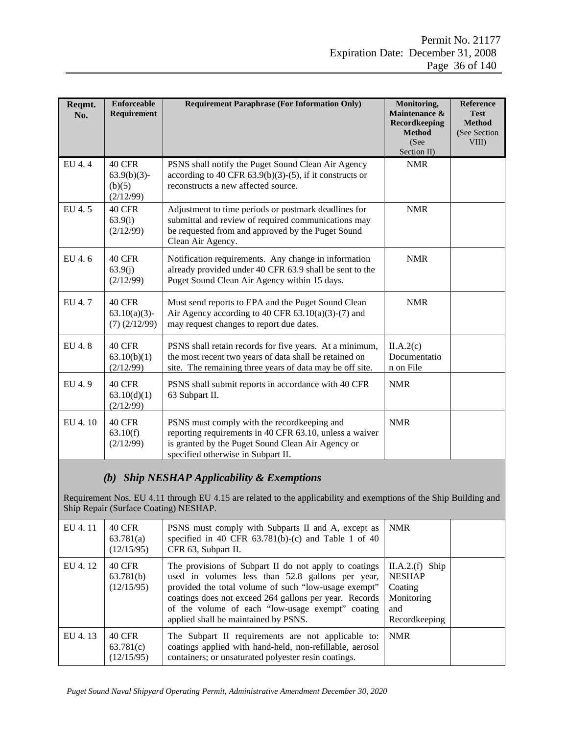| Reqmt.<br>No. | <b>Enforceable</b><br>Requirement                      | <b>Requirement Paraphrase (For Information Only)</b>                                                                                                                                              | Monitoring,<br>Maintenance &<br>Recordkeeping<br><b>Method</b><br>(See | <b>Reference</b><br><b>Test</b><br><b>Method</b><br>(See Section<br>VIII) |
|---------------|--------------------------------------------------------|---------------------------------------------------------------------------------------------------------------------------------------------------------------------------------------------------|------------------------------------------------------------------------|---------------------------------------------------------------------------|
|               |                                                        |                                                                                                                                                                                                   | Section II)                                                            |                                                                           |
| EU 4.4        | <b>40 CFR</b><br>$63.9(b)(3)$ -<br>(b)(5)<br>(2/12/99) | PSNS shall notify the Puget Sound Clean Air Agency<br>according to 40 CFR $63.9(b)(3)-(5)$ , if it constructs or<br>reconstructs a new affected source.                                           | <b>NMR</b>                                                             |                                                                           |
| EU 4.5        | 40 CFR<br>63.9(i)<br>(2/12/99)                         | Adjustment to time periods or postmark deadlines for<br>submittal and review of required communications may<br>be requested from and approved by the Puget Sound<br>Clean Air Agency.             | <b>NMR</b>                                                             |                                                                           |
| EU 4.6        | <b>40 CFR</b><br>63.9(j)<br>(2/12/99)                  | Notification requirements. Any change in information<br>already provided under 40 CFR 63.9 shall be sent to the<br>Puget Sound Clean Air Agency within 15 days.                                   | <b>NMR</b>                                                             |                                                                           |
| EU 4.7        | 40 CFR<br>$63.10(a)(3)$ -<br>$(7)$ $(2/12/99)$         | Must send reports to EPA and the Puget Sound Clean<br>Air Agency according to 40 CFR $63.10(a)(3)-(7)$ and<br>may request changes to report due dates.                                            | <b>NMR</b>                                                             |                                                                           |
| EU 4.8        | 40 CFR<br>63.10(b)(1)<br>(2/12/99)                     | PSNS shall retain records for five years. At a minimum,<br>the most recent two years of data shall be retained on<br>site. The remaining three years of data may be off site.                     | II.A.2(c)<br>Documentatio<br>n on File                                 |                                                                           |
| EU 4.9        | <b>40 CFR</b><br>63.10(d)(1)<br>(2/12/99)              | PSNS shall submit reports in accordance with 40 CFR<br>63 Subpart II.                                                                                                                             | <b>NMR</b>                                                             |                                                                           |
| EU 4.10       | <b>40 CFR</b><br>63.10(f)<br>(2/12/99)                 | PSNS must comply with the recordkeeping and<br>reporting requirements in 40 CFR 63.10, unless a waiver<br>is granted by the Puget Sound Clean Air Agency or<br>specified otherwise in Subpart II. | <b>NMR</b>                                                             |                                                                           |

### *(b) Ship NESHAP Applicability & Exemptions*

Requirement Nos. EU 4.11 through EU 4.15 are related to the applicability and exemptions of the Ship Building and Ship Repair (Surface Coating) NESHAP.

| EU 4.11 | 40 CFR<br>63.781(a)<br>(12/15/95) | PSNS must comply with Subparts II and A, except as<br>specified in 40 CFR $63.781(b)-(c)$ and Table 1 of 40<br>CFR 63, Subpart II.                                                                                                                                                                                      | <b>NMR</b>                                                                         |
|---------|-----------------------------------|-------------------------------------------------------------------------------------------------------------------------------------------------------------------------------------------------------------------------------------------------------------------------------------------------------------------------|------------------------------------------------------------------------------------|
| EU 4.12 | 40 CFR<br>63.781(b)<br>(12/15/95) | The provisions of Subpart II do not apply to coatings<br>used in volumes less than 52.8 gallons per year,<br>provided the total volume of such "low-usage exempt"<br>coatings does not exceed 264 gallons per year. Records<br>of the volume of each "low-usage exempt" coating<br>applied shall be maintained by PSNS. | $II.A.2(f)$ Ship<br><b>NESHAP</b><br>Coating<br>Monitoring<br>and<br>Recordkeeping |
| EU 4.13 | 40 CFR<br>63.781(c)<br>(12/15/95) | The Subpart II requirements are not applicable to:<br>coatings applied with hand-held, non-refillable, aerosol<br>containers; or unsaturated polyester resin coatings.                                                                                                                                                  | <b>NMR</b>                                                                         |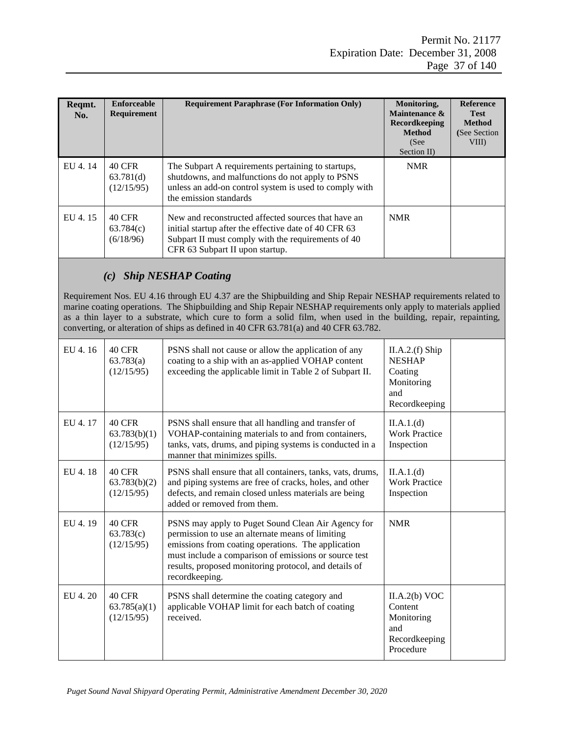| Regmt.<br>No. | Enforceable<br>Requirement               | <b>Requirement Paraphrase (For Information Only)</b>                                                                                                                                                  | Monitoring,<br>Maintenance &<br>Recordkeeping<br><b>Method</b><br>(See<br>Section II) | <b>Reference</b><br><b>Test</b><br><b>Method</b><br>(See Section)<br>VIII) |
|---------------|------------------------------------------|-------------------------------------------------------------------------------------------------------------------------------------------------------------------------------------------------------|---------------------------------------------------------------------------------------|----------------------------------------------------------------------------|
| EU 4.14       | <b>40 CFR</b><br>63.781(d)<br>(12/15/95) | The Subpart A requirements pertaining to startups,<br>shutdowns, and malfunctions do not apply to PSNS<br>unless an add-on control system is used to comply with<br>the emission standards            | <b>NMR</b>                                                                            |                                                                            |
| EU 4.15       | 40 CFR<br>63.784(c)<br>(6/18/96)         | New and reconstructed affected sources that have an<br>initial startup after the effective date of 40 CFR 63<br>Subpart II must comply with the requirements of 40<br>CFR 63 Subpart II upon startup. | <b>NMR</b>                                                                            |                                                                            |

# *(c) Ship NESHAP Coating*

Requirement Nos. EU 4.16 through EU 4.37 are the Shipbuilding and Ship Repair NESHAP requirements related to marine coating operations. The Shipbuilding and Ship Repair NESHAP requirements only apply to materials applied as a thin layer to a substrate, which cure to form a solid film, when used in the building, repair, repainting, converting, or alteration of ships as defined in 40 CFR 63.781(a) and 40 CFR 63.782.

| EU 4.16 | <b>40 CFR</b><br>63.783(a)<br>(12/15/95)    | PSNS shall not cause or allow the application of any<br>coating to a ship with an as-applied VOHAP content<br>exceeding the applicable limit in Table 2 of Subpart II.                                                                                                                           | II.A.2.(f) Ship<br><b>NESHAP</b><br>Coating<br>Monitoring<br>and<br>Recordkeeping |  |
|---------|---------------------------------------------|--------------------------------------------------------------------------------------------------------------------------------------------------------------------------------------------------------------------------------------------------------------------------------------------------|-----------------------------------------------------------------------------------|--|
| EU 4.17 | <b>40 CFR</b><br>63.783(b)(1)<br>(12/15/95) | PSNS shall ensure that all handling and transfer of<br>VOHAP-containing materials to and from containers,<br>tanks, vats, drums, and piping systems is conducted in a<br>manner that minimizes spills.                                                                                           | II.A.1.(d)<br><b>Work Practice</b><br>Inspection                                  |  |
| EU 4.18 | <b>40 CFR</b><br>63.783(b)(2)<br>(12/15/95) | PSNS shall ensure that all containers, tanks, vats, drums,<br>and piping systems are free of cracks, holes, and other<br>defects, and remain closed unless materials are being<br>added or removed from them.                                                                                    | II.A.1.(d)<br><b>Work Practice</b><br>Inspection                                  |  |
| EU 4.19 | <b>40 CFR</b><br>63.783(c)<br>(12/15/95)    | PSNS may apply to Puget Sound Clean Air Agency for<br>permission to use an alternate means of limiting<br>emissions from coating operations. The application<br>must include a comparison of emissions or source test<br>results, proposed monitoring protocol, and details of<br>recordkeeping. | <b>NMR</b>                                                                        |  |
| EU 4.20 | <b>40 CFR</b><br>63.785(a)(1)<br>(12/15/95) | PSNS shall determine the coating category and<br>applicable VOHAP limit for each batch of coating<br>received.                                                                                                                                                                                   | II.A.2(b) VOC<br>Content<br>Monitoring<br>and<br>Recordkeeping<br>Procedure       |  |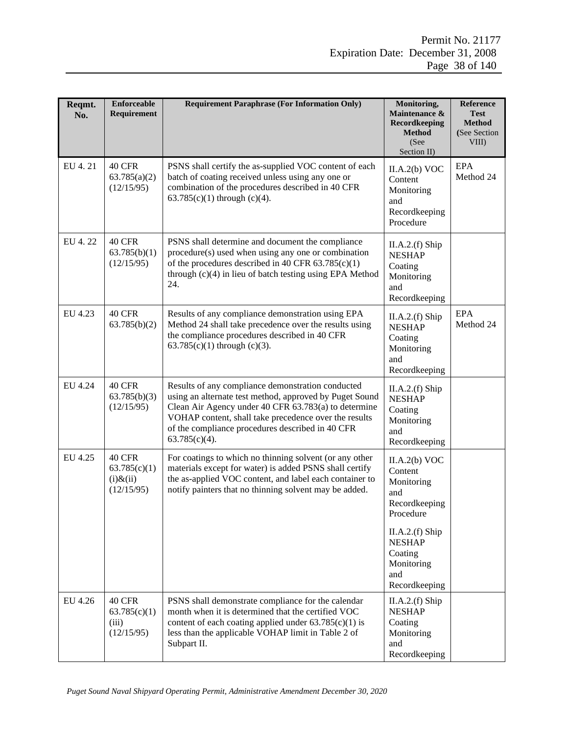| Reqmt.<br>No. | <b>Enforceable</b><br>Requirement                             | <b>Requirement Paraphrase (For Information Only)</b>                                                                                                                                                                                                                                                  | Monitoring,<br>Maintenance &<br>Recordkeeping<br><b>Method</b><br>(See<br>Section II) | Reference<br>Test<br><b>Method</b><br>(See Section)<br>VIII) |
|---------------|---------------------------------------------------------------|-------------------------------------------------------------------------------------------------------------------------------------------------------------------------------------------------------------------------------------------------------------------------------------------------------|---------------------------------------------------------------------------------------|--------------------------------------------------------------|
| EU 4.21       | 40 CFR<br>63.785(a)(2)<br>(12/15/95)                          | PSNS shall certify the as-supplied VOC content of each<br>batch of coating received unless using any one or<br>combination of the procedures described in 40 CFR<br>$63.785(c)(1)$ through (c)(4).                                                                                                    | II.A.2(b) VOC<br>Content<br>Monitoring<br>and<br>Recordkeeping<br>Procedure           | <b>EPA</b><br>Method 24                                      |
| EU 4.22       | 40 CFR<br>63.785(b)(1)<br>(12/15/95)                          | PSNS shall determine and document the compliance<br>procedure(s) used when using any one or combination<br>of the procedures described in 40 CFR $63.785(c)(1)$<br>through (c)(4) in lieu of batch testing using EPA Method<br>24.                                                                    | II.A.2.(f) Ship<br><b>NESHAP</b><br>Coating<br>Monitoring<br>and<br>Recordkeeping     |                                                              |
| EU 4.23       | 40 CFR<br>63.785(b)(2)                                        | Results of any compliance demonstration using EPA<br>Method 24 shall take precedence over the results using<br>the compliance procedures described in 40 CFR<br>$63.785(c)(1)$ through (c)(3).                                                                                                        | $II.A.2.(f)$ Ship<br><b>NESHAP</b><br>Coating<br>Monitoring<br>and<br>Recordkeeping   | <b>EPA</b><br>Method 24                                      |
| EU 4.24       | 40 CFR<br>63.785(b)(3)<br>(12/15/95)                          | Results of any compliance demonstration conducted<br>using an alternate test method, approved by Puget Sound<br>Clean Air Agency under 40 CFR 63.783(a) to determine<br>VOHAP content, shall take precedence over the results<br>of the compliance procedures described in 40 CFR<br>$63.785(c)(4)$ . | $II.A.2.(f)$ Ship<br><b>NESHAP</b><br>Coating<br>Monitoring<br>and<br>Recordkeeping   |                                                              |
| EU 4.25       | <b>40 CFR</b><br>63.785(c)(1)<br>$(i)$ & $(ii)$<br>(12/15/95) | For coatings to which no thinning solvent (or any other<br>materials except for water) is added PSNS shall certify<br>the as-applied VOC content, and label each container to<br>notify painters that no thinning solvent may be added.                                                               | II.A.2(b) VOC<br>Content<br>Monitoring<br>and<br>Recordkeeping<br>Procedure           |                                                              |
|               |                                                               |                                                                                                                                                                                                                                                                                                       | II.A.2.(f) Ship<br><b>NESHAP</b><br>Coating<br>Monitoring<br>and<br>Recordkeeping     |                                                              |
| EU 4.26       | <b>40 CFR</b><br>63.785(c)(1)<br>(iii)<br>(12/15/95)          | PSNS shall demonstrate compliance for the calendar<br>month when it is determined that the certified VOC<br>content of each coating applied under $63.785(c)(1)$ is<br>less than the applicable VOHAP limit in Table 2 of<br>Subpart II.                                                              | II.A.2.(f) Ship<br><b>NESHAP</b><br>Coating<br>Monitoring<br>and<br>Recordkeeping     |                                                              |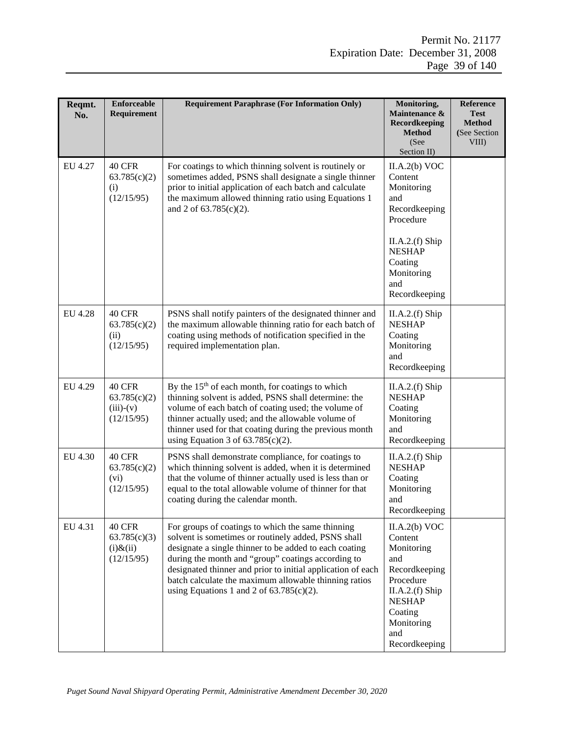| Reqmt.<br>No. | Enforceable<br>Requirement                             | <b>Requirement Paraphrase (For Information Only)</b>                                                                                                                                                                                                                                                                                                                                            | Monitoring,<br>Maintenance &<br><b>Recordkeeping</b><br><b>Method</b><br>(See<br>Section II)                                                                     | Reference<br>Test<br><b>Method</b><br>(See Section<br>VIII) |
|---------------|--------------------------------------------------------|-------------------------------------------------------------------------------------------------------------------------------------------------------------------------------------------------------------------------------------------------------------------------------------------------------------------------------------------------------------------------------------------------|------------------------------------------------------------------------------------------------------------------------------------------------------------------|-------------------------------------------------------------|
| EU 4.27       | 40 CFR<br>63.785(c)(2)<br>(i)<br>(12/15/95)            | For coatings to which thinning solvent is routinely or<br>sometimes added, PSNS shall designate a single thinner<br>prior to initial application of each batch and calculate<br>the maximum allowed thinning ratio using Equations 1<br>and 2 of 63.785(c)(2).                                                                                                                                  | II.A.2(b) VOC<br>Content<br>Monitoring<br>and<br>Recordkeeping<br>Procedure                                                                                      |                                                             |
|               |                                                        |                                                                                                                                                                                                                                                                                                                                                                                                 | $II.A.2(f)$ Ship<br><b>NESHAP</b><br>Coating<br>Monitoring<br>and<br>Recordkeeping                                                                               |                                                             |
| EU 4.28       | 40 CFR<br>63.785(c)(2)<br>(ii)<br>(12/15/95)           | PSNS shall notify painters of the designated thinner and<br>the maximum allowable thinning ratio for each batch of<br>coating using methods of notification specified in the<br>required implementation plan.                                                                                                                                                                                   | II.A.2.(f) Ship<br><b>NESHAP</b><br>Coating<br>Monitoring<br>and<br>Recordkeeping                                                                                |                                                             |
| EU 4.29       | 40 CFR<br>63.785(c)(2)<br>$(iii)-(v)$<br>(12/15/95)    | By the 15 <sup>th</sup> of each month, for coatings to which<br>thinning solvent is added, PSNS shall determine: the<br>volume of each batch of coating used; the volume of<br>thinner actually used; and the allowable volume of<br>thinner used for that coating during the previous month<br>using Equation 3 of $63.785(c)(2)$ .                                                            | II.A.2.(f) Ship<br><b>NESHAP</b><br>Coating<br>Monitoring<br>and<br>Recordkeeping                                                                                |                                                             |
| EU 4.30       | 40 CFR<br>63.785(c)(2)<br>(vi)<br>(12/15/95)           | PSNS shall demonstrate compliance, for coatings to<br>which thinning solvent is added, when it is determined<br>that the volume of thinner actually used is less than or<br>equal to the total allowable volume of thinner for that<br>coating during the calendar month.                                                                                                                       | II.A.2.(f) Ship<br><b>NESHAP</b><br>Coating<br>Monitoring<br>and<br>Recordkeeping                                                                                |                                                             |
| EU 4.31       | 40 CFR<br>63.785(c)(3)<br>$(i)$ & $(ii)$<br>(12/15/95) | For groups of coatings to which the same thinning<br>solvent is sometimes or routinely added, PSNS shall<br>designate a single thinner to be added to each coating<br>during the month and "group" coatings according to<br>designated thinner and prior to initial application of each<br>batch calculate the maximum allowable thinning ratios<br>using Equations 1 and 2 of $63.785(c)(2)$ . | II.A.2(b) VOC<br>Content<br>Monitoring<br>and<br>Recordkeeping<br>Procedure<br>II.A.2.(f) Ship<br><b>NESHAP</b><br>Coating<br>Monitoring<br>and<br>Recordkeeping |                                                             |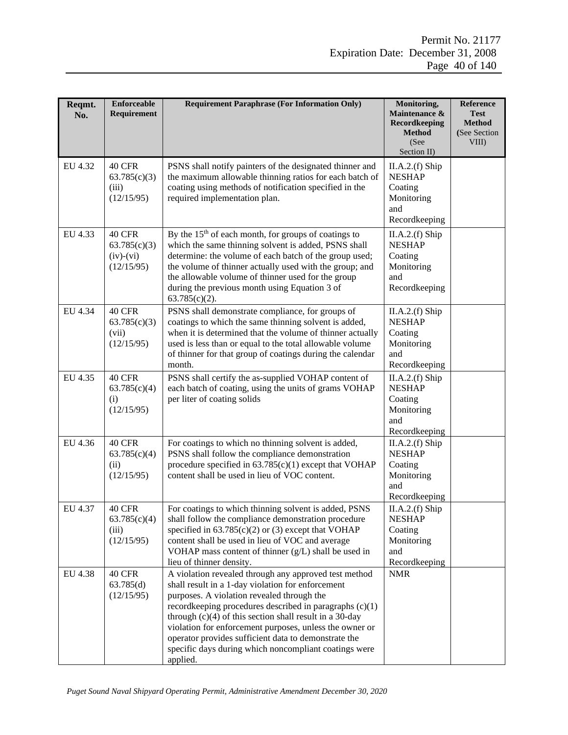| Reqmt.<br>No. | <b>Enforceable</b><br>Requirement                   | <b>Requirement Paraphrase (For Information Only)</b>                                                                                                                                                                                                                                                                                                                                                                                                                       | Monitoring,<br>Maintenance &<br>Recordkeeping<br><b>Method</b><br>(See<br>Section II) | Reference<br><b>Test</b><br><b>Method</b><br>(See Section<br>VIII) |
|---------------|-----------------------------------------------------|----------------------------------------------------------------------------------------------------------------------------------------------------------------------------------------------------------------------------------------------------------------------------------------------------------------------------------------------------------------------------------------------------------------------------------------------------------------------------|---------------------------------------------------------------------------------------|--------------------------------------------------------------------|
| EU 4.32       | 40 CFR<br>63.785(c)(3)<br>(iii)<br>(12/15/95)       | PSNS shall notify painters of the designated thinner and<br>the maximum allowable thinning ratios for each batch of<br>coating using methods of notification specified in the<br>required implementation plan.                                                                                                                                                                                                                                                             | II.A.2.(f) Ship<br><b>NESHAP</b><br>Coating<br>Monitoring<br>and<br>Recordkeeping     |                                                                    |
| EU 4.33       | 40 CFR<br>63.785(c)(3)<br>$(iv)-(vi)$<br>(12/15/95) | By the 15 <sup>th</sup> of each month, for groups of coatings to<br>which the same thinning solvent is added, PSNS shall<br>determine: the volume of each batch of the group used;<br>the volume of thinner actually used with the group; and<br>the allowable volume of thinner used for the group<br>during the previous month using Equation 3 of<br>$63.785(c)(2)$ .                                                                                                   | II.A.2.(f) Ship<br><b>NESHAP</b><br>Coating<br>Monitoring<br>and<br>Recordkeeping     |                                                                    |
| EU 4.34       | 40 CFR<br>63.785(c)(3)<br>(vii)<br>(12/15/95)       | PSNS shall demonstrate compliance, for groups of<br>coatings to which the same thinning solvent is added,<br>when it is determined that the volume of thinner actually<br>used is less than or equal to the total allowable volume<br>of thinner for that group of coatings during the calendar<br>month.                                                                                                                                                                  | $II.A.2.(f)$ Ship<br><b>NESHAP</b><br>Coating<br>Monitoring<br>and<br>Recordkeeping   |                                                                    |
| EU 4.35       | 40 CFR<br>63.785(c)(4)<br>(i)<br>(12/15/95)         | PSNS shall certify the as-supplied VOHAP content of<br>each batch of coating, using the units of grams VOHAP<br>per liter of coating solids                                                                                                                                                                                                                                                                                                                                | II.A.2.(f) Ship<br><b>NESHAP</b><br>Coating<br>Monitoring<br>and<br>Recordkeeping     |                                                                    |
| EU 4.36       | 40 CFR<br>63.785(c)(4)<br>(ii)<br>(12/15/95)        | For coatings to which no thinning solvent is added,<br>PSNS shall follow the compliance demonstration<br>procedure specified in $63.785(c)(1)$ except that VOHAP<br>content shall be used in lieu of VOC content.                                                                                                                                                                                                                                                          | II.A.2.(f) Ship<br><b>NESHAP</b><br>Coating<br>Monitoring<br>and<br>Recordkeeping     |                                                                    |
| EU 4.37       | 40 CFR<br>63.785(c)(4)<br>(iii)<br>(12/15/95)       | For coatings to which thinning solvent is added, PSNS<br>shall follow the compliance demonstration procedure<br>specified in $63.785(c)(2)$ or (3) except that VOHAP<br>content shall be used in lieu of VOC and average<br>VOHAP mass content of thinner $(g/L)$ shall be used in<br>lieu of thinner density.                                                                                                                                                             | $II.A.2.(f)$ Ship<br><b>NESHAP</b><br>Coating<br>Monitoring<br>and<br>Recordkeeping   |                                                                    |
| EU 4.38       | 40 CFR<br>63.785(d)<br>(12/15/95)                   | A violation revealed through any approved test method<br>shall result in a 1-day violation for enforcement<br>purposes. A violation revealed through the<br>recordkeeping procedures described in paragraphs $(c)(1)$<br>through $(c)(4)$ of this section shall result in a 30-day<br>violation for enforcement purposes, unless the owner or<br>operator provides sufficient data to demonstrate the<br>specific days during which noncompliant coatings were<br>applied. | <b>NMR</b>                                                                            |                                                                    |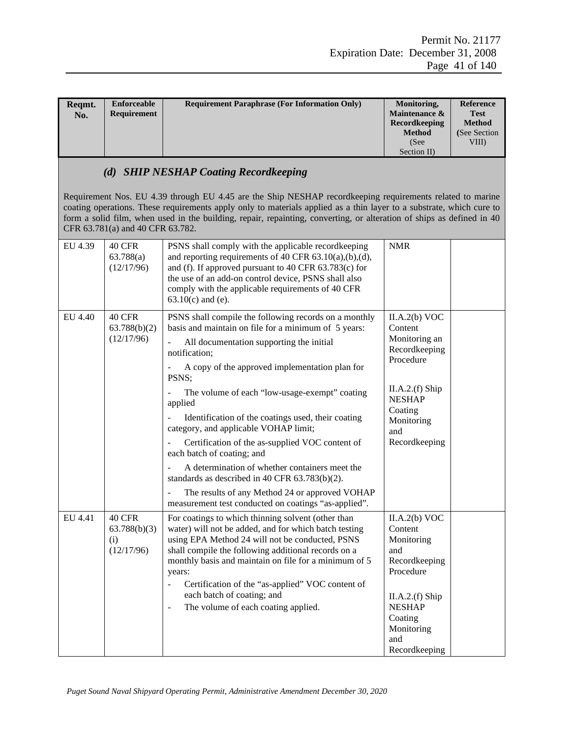| Regmt.<br>No. | Enforceable<br><b>Requirement</b> | <b>Requirement Paraphrase (For Information Only)</b> | Monitoring,<br>Maintenance & | Reference<br><b>Test</b> |
|---------------|-----------------------------------|------------------------------------------------------|------------------------------|--------------------------|
|               |                                   |                                                      | Recordkeeping                | <b>Method</b>            |
|               |                                   |                                                      | <b>Method</b>                | (See Section)            |
|               |                                   |                                                      | (See                         | <b>VIII</b> )            |
|               |                                   |                                                      | Section II)                  |                          |

## *(d) SHIP NESHAP Coating Recordkeeping*

Requirement Nos. EU 4.39 through EU 4.45 are the Ship NESHAP recordkeeping requirements related to marine coating operations. These requirements apply only to materials applied as a thin layer to a substrate, which cure to form a solid film, when used in the building, repair, repainting, converting, or alteration of ships as defined in 40 CFR 63.781(a) and 40 CFR 63.782.

| EU 4.39 | 40 CFR<br>63.788(a)<br>(12/17/96)                  | PSNS shall comply with the applicable recordkeeping<br>and reporting requirements of 40 CFR $63.10(a)$ , $(b)$ , $(d)$ ,<br>and (f). If approved pursuant to 40 CFR 63.783(c) for<br>the use of an add-on control device, PSNS shall also<br>comply with the applicable requirements of 40 CFR<br>$63.10(c)$ and (e).                                                                                                                                                                                                                                                                                                                                                                                             | <b>NMR</b>                                                                                                                                                       |
|---------|----------------------------------------------------|-------------------------------------------------------------------------------------------------------------------------------------------------------------------------------------------------------------------------------------------------------------------------------------------------------------------------------------------------------------------------------------------------------------------------------------------------------------------------------------------------------------------------------------------------------------------------------------------------------------------------------------------------------------------------------------------------------------------|------------------------------------------------------------------------------------------------------------------------------------------------------------------|
| EU 4.40 | 40 CFR<br>63.788(b)(2)<br>(12/17/96)               | PSNS shall compile the following records on a monthly<br>basis and maintain on file for a minimum of 5 years:<br>All documentation supporting the initial<br>notification;<br>A copy of the approved implementation plan for<br>PSNS;<br>The volume of each "low-usage-exempt" coating<br>applied<br>Identification of the coatings used, their coating<br>$\overline{a}$<br>category, and applicable VOHAP limit;<br>Certification of the as-supplied VOC content of<br>each batch of coating; and<br>A determination of whether containers meet the<br>standards as described in 40 CFR 63.783(b)(2).<br>The results of any Method 24 or approved VOHAP<br>measurement test conducted on coatings "as-applied". | II.A.2(b) VOC<br>Content<br>Monitoring an<br>Recordkeeping<br>Procedure<br>II.A.2.(f) Ship<br><b>NESHAP</b><br>Coating<br>Monitoring<br>and<br>Recordkeeping     |
| EU 4.41 | <b>40 CFR</b><br>63.788(b)(3)<br>(i)<br>(12/17/96) | For coatings to which thinning solvent (other than<br>water) will not be added, and for which batch testing<br>using EPA Method 24 will not be conducted, PSNS<br>shall compile the following additional records on a<br>monthly basis and maintain on file for a minimum of 5<br>years:<br>Certification of the "as-applied" VOC content of<br>$\overline{a}$<br>each batch of coating; and<br>The volume of each coating applied.<br>$\overline{a}$                                                                                                                                                                                                                                                             | II.A.2(b) VOC<br>Content<br>Monitoring<br>and<br>Recordkeeping<br>Procedure<br>II.A.2.(f) Ship<br><b>NESHAP</b><br>Coating<br>Monitoring<br>and<br>Recordkeeping |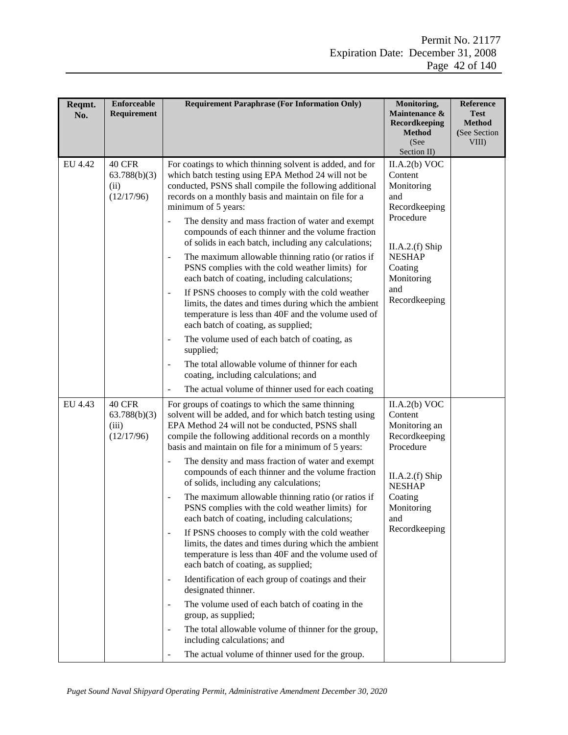| Reqmt.<br>No. | <b>Enforceable</b><br>Requirement                   | <b>Requirement Paraphrase (For Information Only)</b>                                                                                                                                                                                                                                                                                                                                                                                                                                                                                                                                                                                                                                                                                                                                                                                                                                                                                                                                                                                                                                                                                                                                                                                                                 | Monitoring,<br>Maintenance &<br>Recordkeeping<br><b>Method</b><br>(See<br>Section II)                                                                            | Reference<br><b>Test</b><br><b>Method</b><br>(See Section)<br>VIII) |
|---------------|-----------------------------------------------------|----------------------------------------------------------------------------------------------------------------------------------------------------------------------------------------------------------------------------------------------------------------------------------------------------------------------------------------------------------------------------------------------------------------------------------------------------------------------------------------------------------------------------------------------------------------------------------------------------------------------------------------------------------------------------------------------------------------------------------------------------------------------------------------------------------------------------------------------------------------------------------------------------------------------------------------------------------------------------------------------------------------------------------------------------------------------------------------------------------------------------------------------------------------------------------------------------------------------------------------------------------------------|------------------------------------------------------------------------------------------------------------------------------------------------------------------|---------------------------------------------------------------------|
| EU 4.42       | <b>40 CFR</b><br>63.788(b)(3)<br>(ii)<br>(12/17/96) | For coatings to which thinning solvent is added, and for<br>which batch testing using EPA Method 24 will not be<br>conducted, PSNS shall compile the following additional<br>records on a monthly basis and maintain on file for a<br>minimum of 5 years:<br>The density and mass fraction of water and exempt<br>$\blacksquare$<br>compounds of each thinner and the volume fraction<br>of solids in each batch, including any calculations;<br>The maximum allowable thinning ratio (or ratios if<br>$\overline{\phantom{a}}$<br>PSNS complies with the cold weather limits) for<br>each batch of coating, including calculations;<br>If PSNS chooses to comply with the cold weather<br>$\overline{\phantom{a}}$<br>limits, the dates and times during which the ambient<br>temperature is less than 40F and the volume used of<br>each batch of coating, as supplied;<br>The volume used of each batch of coating, as<br>$\overline{a}$<br>supplied;<br>The total allowable volume of thinner for each<br>$\overline{\phantom{a}}$<br>coating, including calculations; and<br>The actual volume of thinner used for each coating                                                                                                                                 | II.A.2(b) VOC<br>Content<br>Monitoring<br>and<br>Recordkeeping<br>Procedure<br>II.A.2.(f) Ship<br><b>NESHAP</b><br>Coating<br>Monitoring<br>and<br>Recordkeeping |                                                                     |
| EU 4.43       | 40 CFR<br>63.788(b)(3)<br>(iii)<br>(12/17/96)       | For groups of coatings to which the same thinning<br>solvent will be added, and for which batch testing using<br>EPA Method 24 will not be conducted, PSNS shall<br>compile the following additional records on a monthly<br>basis and maintain on file for a minimum of 5 years:<br>The density and mass fraction of water and exempt<br>$\overline{\phantom{a}}$<br>compounds of each thinner and the volume fraction<br>of solids, including any calculations;<br>The maximum allowable thinning ratio (or ratios if<br>$\overline{\phantom{a}}$<br>PSNS complies with the cold weather limits) for<br>each batch of coating, including calculations;<br>If PSNS chooses to comply with the cold weather<br>$\bar{\phantom{a}}$<br>limits, the dates and times during which the ambient<br>temperature is less than 40F and the volume used of<br>each batch of coating, as supplied;<br>Identification of each group of coatings and their<br>$\overline{\phantom{a}}$<br>designated thinner.<br>The volume used of each batch of coating in the<br>$\overline{\phantom{a}}$<br>group, as supplied;<br>The total allowable volume of thinner for the group,<br>$\overline{a}$<br>including calculations; and<br>The actual volume of thinner used for the group. | II.A.2(b) VOC<br>Content<br>Monitoring an<br>Recordkeeping<br>Procedure<br>II.A.2.(f) Ship<br><b>NESHAP</b><br>Coating<br>Monitoring<br>and<br>Recordkeeping     |                                                                     |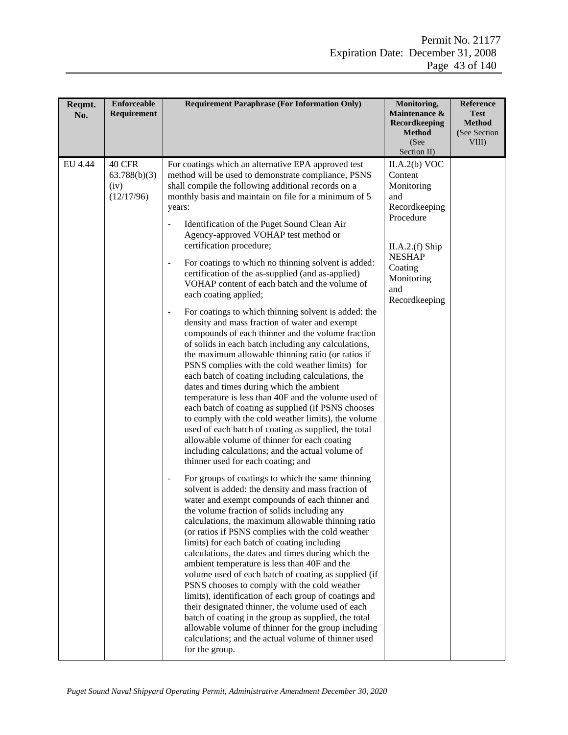| Reqmt.<br>No. | <b>Enforceable</b><br>Requirement            | <b>Requirement Paraphrase (For Information Only)</b>                                                                                                                                                                                                                                                                                                                                                                                                                                                                                                                                                                                                                                                                                                                                                                                                                                                                                                                                                                                                                                                                                                                                                                                                                                                                                                                                                                                                                                                                                                                                                                                                                                                                                                                                                                                                                       | Monitoring,<br>Maintenance &<br>Recordkeeping<br><b>Method</b><br>(See<br>Section II)                                                                            | Reference<br>Test<br><b>Method</b><br>(See Section)<br>VIII) |
|---------------|----------------------------------------------|----------------------------------------------------------------------------------------------------------------------------------------------------------------------------------------------------------------------------------------------------------------------------------------------------------------------------------------------------------------------------------------------------------------------------------------------------------------------------------------------------------------------------------------------------------------------------------------------------------------------------------------------------------------------------------------------------------------------------------------------------------------------------------------------------------------------------------------------------------------------------------------------------------------------------------------------------------------------------------------------------------------------------------------------------------------------------------------------------------------------------------------------------------------------------------------------------------------------------------------------------------------------------------------------------------------------------------------------------------------------------------------------------------------------------------------------------------------------------------------------------------------------------------------------------------------------------------------------------------------------------------------------------------------------------------------------------------------------------------------------------------------------------------------------------------------------------------------------------------------------------|------------------------------------------------------------------------------------------------------------------------------------------------------------------|--------------------------------------------------------------|
| EU 4.44       | 40 CFR<br>63.788(b)(3)<br>(iv)<br>(12/17/96) | For coatings which an alternative EPA approved test<br>method will be used to demonstrate compliance, PSNS<br>shall compile the following additional records on a<br>monthly basis and maintain on file for a minimum of 5<br>years:<br>Identification of the Puget Sound Clean Air<br>$\blacksquare$<br>Agency-approved VOHAP test method or<br>certification procedure;<br>For coatings to which no thinning solvent is added:<br>$\blacksquare$<br>certification of the as-supplied (and as-applied)<br>VOHAP content of each batch and the volume of<br>each coating applied;<br>For coatings to which thinning solvent is added: the<br>$\overline{\phantom{a}}$<br>density and mass fraction of water and exempt<br>compounds of each thinner and the volume fraction<br>of solids in each batch including any calculations,<br>the maximum allowable thinning ratio (or ratios if<br>PSNS complies with the cold weather limits) for<br>each batch of coating including calculations, the<br>dates and times during which the ambient<br>temperature is less than 40F and the volume used of<br>each batch of coating as supplied (if PSNS chooses<br>to comply with the cold weather limits), the volume<br>used of each batch of coating as supplied, the total<br>allowable volume of thinner for each coating<br>including calculations; and the actual volume of<br>thinner used for each coating; and<br>For groups of coatings to which the same thinning<br>$\overline{\phantom{a}}$<br>solvent is added: the density and mass fraction of<br>water and exempt compounds of each thinner and<br>the volume fraction of solids including any<br>calculations, the maximum allowable thinning ratio<br>(or ratios if PSNS complies with the cold weather<br>limits) for each batch of coating including<br>calculations, the dates and times during which the | II.A.2(b) VOC<br>Content<br>Monitoring<br>and<br>Recordkeeping<br>Procedure<br>II.A.2.(f) Ship<br><b>NESHAP</b><br>Coating<br>Monitoring<br>and<br>Recordkeeping |                                                              |
|               |                                              | ambient temperature is less than 40F and the<br>volume used of each batch of coating as supplied (if<br>PSNS chooses to comply with the cold weather<br>limits), identification of each group of coatings and<br>their designated thinner, the volume used of each<br>batch of coating in the group as supplied, the total<br>allowable volume of thinner for the group including<br>calculations; and the actual volume of thinner used<br>for the group.                                                                                                                                                                                                                                                                                                                                                                                                                                                                                                                                                                                                                                                                                                                                                                                                                                                                                                                                                                                                                                                                                                                                                                                                                                                                                                                                                                                                                 |                                                                                                                                                                  |                                                              |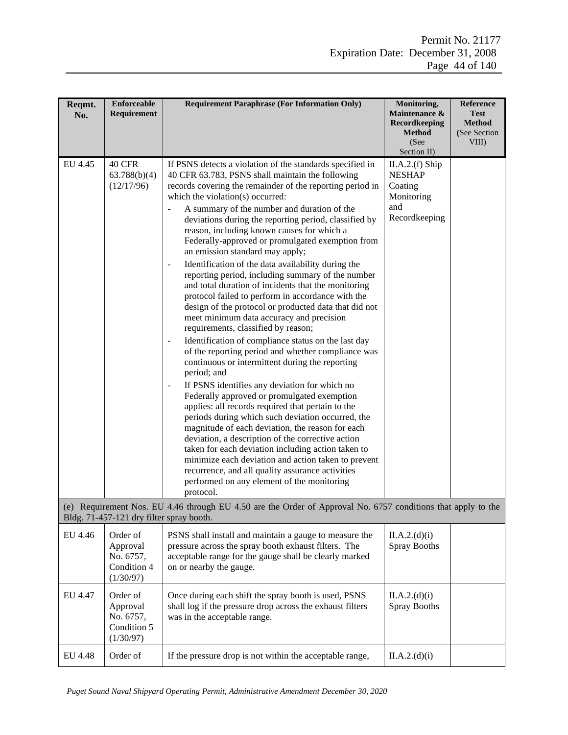| Reqmt.<br>No. | <b>Enforceable</b><br>Requirement                             | <b>Requirement Paraphrase (For Information Only)</b>                                                                                                                                                                                                                                                                                                                                                                                                                                                                                                                                                                                                                                                                                                                                                                                                                                                                                                                                                                                                                                                                                                                                                                                                                                                                                                                                                                                                                                                                                                                                                                                                                   | Monitoring,<br>Maintenance &<br>Recordkeeping<br><b>Method</b><br>(See<br>Section II) | Reference<br><b>Test</b><br><b>Method</b><br>(See Section)<br>VIII) |
|---------------|---------------------------------------------------------------|------------------------------------------------------------------------------------------------------------------------------------------------------------------------------------------------------------------------------------------------------------------------------------------------------------------------------------------------------------------------------------------------------------------------------------------------------------------------------------------------------------------------------------------------------------------------------------------------------------------------------------------------------------------------------------------------------------------------------------------------------------------------------------------------------------------------------------------------------------------------------------------------------------------------------------------------------------------------------------------------------------------------------------------------------------------------------------------------------------------------------------------------------------------------------------------------------------------------------------------------------------------------------------------------------------------------------------------------------------------------------------------------------------------------------------------------------------------------------------------------------------------------------------------------------------------------------------------------------------------------------------------------------------------------|---------------------------------------------------------------------------------------|---------------------------------------------------------------------|
| EU 4.45       | 40 CFR<br>63.788(b)(4)<br>(12/17/96)                          | If PSNS detects a violation of the standards specified in<br>40 CFR 63.783, PSNS shall maintain the following<br>records covering the remainder of the reporting period in<br>which the violation(s) occurred:<br>A summary of the number and duration of the<br>$\qquad \qquad \blacksquare$<br>deviations during the reporting period, classified by<br>reason, including known causes for which a<br>Federally-approved or promulgated exemption from<br>an emission standard may apply;<br>Identification of the data availability during the<br>$\blacksquare$<br>reporting period, including summary of the number<br>and total duration of incidents that the monitoring<br>protocol failed to perform in accordance with the<br>design of the protocol or producted data that did not<br>meet minimum data accuracy and precision<br>requirements, classified by reason;<br>Identification of compliance status on the last day<br>$\overline{\phantom{a}}$<br>of the reporting period and whether compliance was<br>continuous or intermittent during the reporting<br>period; and<br>If PSNS identifies any deviation for which no<br>$\overline{\phantom{a}}$<br>Federally approved or promulgated exemption<br>applies: all records required that pertain to the<br>periods during which such deviation occurred, the<br>magnitude of each deviation, the reason for each<br>deviation, a description of the corrective action<br>taken for each deviation including action taken to<br>minimize each deviation and action taken to prevent<br>recurrence, and all quality assurance activities<br>performed on any element of the monitoring<br>protocol. | II.A.2.(f) Ship<br><b>NESHAP</b><br>Coating<br>Monitoring<br>and<br>Recordkeeping     |                                                                     |
|               | Bldg. 71-457-121 dry filter spray booth.                      | (e) Requirement Nos. EU 4.46 through EU 4.50 are the Order of Approval No. 6757 conditions that apply to the                                                                                                                                                                                                                                                                                                                                                                                                                                                                                                                                                                                                                                                                                                                                                                                                                                                                                                                                                                                                                                                                                                                                                                                                                                                                                                                                                                                                                                                                                                                                                           |                                                                                       |                                                                     |
| EU 4.46       | Order of<br>Approval<br>No. 6757,<br>Condition 4<br>(1/30/97) | PSNS shall install and maintain a gauge to measure the<br>pressure across the spray booth exhaust filters. The<br>acceptable range for the gauge shall be clearly marked<br>on or nearby the gauge.                                                                                                                                                                                                                                                                                                                                                                                                                                                                                                                                                                                                                                                                                                                                                                                                                                                                                                                                                                                                                                                                                                                                                                                                                                                                                                                                                                                                                                                                    | II.A.2.(d)(i)<br><b>Spray Booths</b>                                                  |                                                                     |
| EU 4.47       | Order of<br>Approval<br>No. 6757,<br>Condition 5<br>(1/30/97) | Once during each shift the spray booth is used, PSNS<br>shall log if the pressure drop across the exhaust filters<br>was in the acceptable range.                                                                                                                                                                                                                                                                                                                                                                                                                                                                                                                                                                                                                                                                                                                                                                                                                                                                                                                                                                                                                                                                                                                                                                                                                                                                                                                                                                                                                                                                                                                      | II.A.2.(d)(i)<br><b>Spray Booths</b>                                                  |                                                                     |
| EU 4.48       | Order of                                                      | If the pressure drop is not within the acceptable range,                                                                                                                                                                                                                                                                                                                                                                                                                                                                                                                                                                                                                                                                                                                                                                                                                                                                                                                                                                                                                                                                                                                                                                                                                                                                                                                                                                                                                                                                                                                                                                                                               | II.A.2.(d)(i)                                                                         |                                                                     |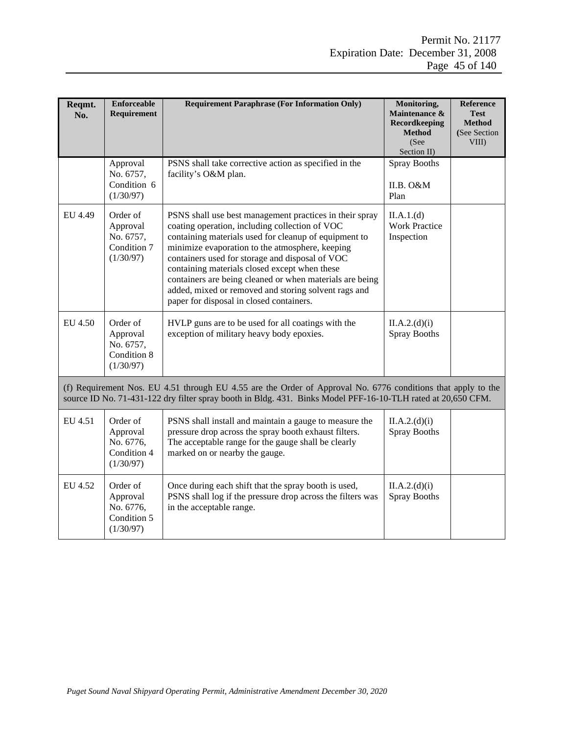| Reqmt.<br>No. | <b>Enforceable</b><br>Requirement                             | <b>Requirement Paraphrase (For Information Only)</b>                                                                                                                                                                                                                                                                                                                                                                                                                                      | Monitoring,<br>Maintenance &<br>Recordkeeping<br><b>Method</b><br>(See<br>Section II) | Reference<br><b>Test</b><br><b>Method</b><br>(See Section)<br>VIII) |
|---------------|---------------------------------------------------------------|-------------------------------------------------------------------------------------------------------------------------------------------------------------------------------------------------------------------------------------------------------------------------------------------------------------------------------------------------------------------------------------------------------------------------------------------------------------------------------------------|---------------------------------------------------------------------------------------|---------------------------------------------------------------------|
|               | Approval<br>No. 6757,<br>Condition 6<br>(1/30/97)             | PSNS shall take corrective action as specified in the<br>facility's O&M plan.                                                                                                                                                                                                                                                                                                                                                                                                             | <b>Spray Booths</b><br><b>II.B. O&amp;M</b><br>Plan                                   |                                                                     |
| EU 4.49       | Order of<br>Approval<br>No. 6757,<br>Condition 7<br>(1/30/97) | PSNS shall use best management practices in their spray<br>coating operation, including collection of VOC<br>containing materials used for cleanup of equipment to<br>minimize evaporation to the atmosphere, keeping<br>containers used for storage and disposal of VOC<br>containing materials closed except when these<br>containers are being cleaned or when materials are being<br>added, mixed or removed and storing solvent rags and<br>paper for disposal in closed containers. | II.A.1.(d)<br><b>Work Practice</b><br>Inspection                                      |                                                                     |
| EU 4.50       | Order of<br>Approval<br>No. 6757,<br>Condition 8<br>(1/30/97) | HVLP guns are to be used for all coatings with the<br>exception of military heavy body epoxies.                                                                                                                                                                                                                                                                                                                                                                                           | II.A.2.(d)(i)<br>Spray Booths                                                         |                                                                     |
|               |                                                               | (f) Requirement Nos. EU 4.51 through EU 4.55 are the Order of Approval No. 6776 conditions that apply to the<br>source ID No. 71-431-122 dry filter spray booth in Bldg. 431. Binks Model PFF-16-10-TLH rated at 20,650 CFM.                                                                                                                                                                                                                                                              |                                                                                       |                                                                     |
| EU 4.51       | Order of<br>Approval<br>No. 6776,<br>Condition 4<br>(1/30/97) | PSNS shall install and maintain a gauge to measure the<br>pressure drop across the spray booth exhaust filters.<br>The acceptable range for the gauge shall be clearly<br>marked on or nearby the gauge.                                                                                                                                                                                                                                                                                  | II.A.2.(d)(i)<br><b>Spray Booths</b>                                                  |                                                                     |
| EU 4.52       | Order of<br>Approval<br>No. 6776,<br>Condition 5<br>(1/30/97) | Once during each shift that the spray booth is used,<br>PSNS shall log if the pressure drop across the filters was<br>in the acceptable range.                                                                                                                                                                                                                                                                                                                                            | II.A.2.(d)(i)<br><b>Spray Booths</b>                                                  |                                                                     |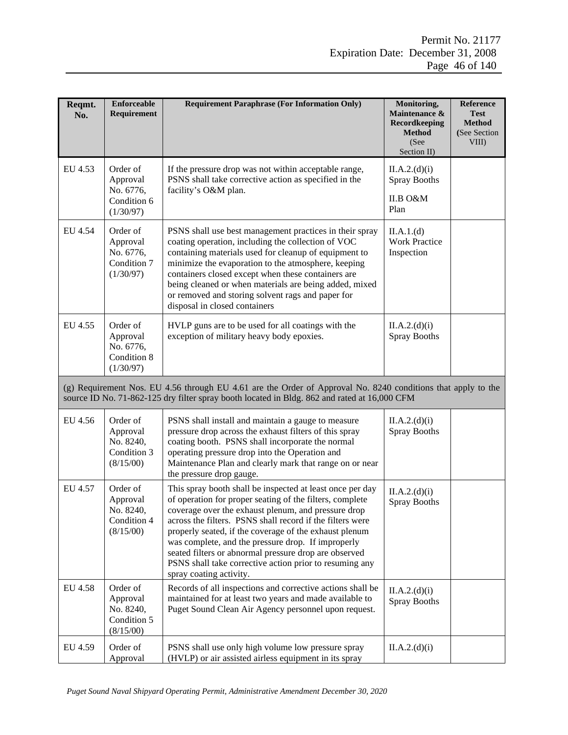| Reqmt.<br>No. | <b>Enforceable</b><br>Requirement                             | <b>Requirement Paraphrase (For Information Only)</b>                                                                                                                                                                                                                                                                                                                                                                                                                                                     | Monitoring,<br>Maintenance &<br><b>Recordkeeping</b><br><b>Method</b><br>(See<br>Section II) | Reference<br>Test<br><b>Method</b><br>(See Section<br>VIII) |
|---------------|---------------------------------------------------------------|----------------------------------------------------------------------------------------------------------------------------------------------------------------------------------------------------------------------------------------------------------------------------------------------------------------------------------------------------------------------------------------------------------------------------------------------------------------------------------------------------------|----------------------------------------------------------------------------------------------|-------------------------------------------------------------|
| EU 4.53       | Order of<br>Approval<br>No. 6776,<br>Condition 6<br>(1/30/97) | If the pressure drop was not within acceptable range,<br>PSNS shall take corrective action as specified in the<br>facility's O&M plan.                                                                                                                                                                                                                                                                                                                                                                   | II.A.2.(d)(i)<br><b>Spray Booths</b><br>II.B O&M<br>Plan                                     |                                                             |
| EU 4.54       | Order of<br>Approval<br>No. 6776,<br>Condition 7<br>(1/30/97) | PSNS shall use best management practices in their spray<br>coating operation, including the collection of VOC<br>containing materials used for cleanup of equipment to<br>minimize the evaporation to the atmosphere, keeping<br>containers closed except when these containers are<br>being cleaned or when materials are being added, mixed<br>or removed and storing solvent rags and paper for<br>disposal in closed containers                                                                      | II.A.1.(d)<br><b>Work Practice</b><br>Inspection                                             |                                                             |
| EU 4.55       | Order of<br>Approval<br>No. 6776,<br>Condition 8<br>(1/30/97) | HVLP guns are to be used for all coatings with the<br>exception of military heavy body epoxies.                                                                                                                                                                                                                                                                                                                                                                                                          | II.A.2.(d)(i)<br>Spray Booths                                                                |                                                             |
|               |                                                               | (g) Requirement Nos. EU 4.56 through EU 4.61 are the Order of Approval No. 8240 conditions that apply to the<br>source ID No. 71-862-125 dry filter spray booth located in Bldg. 862 and rated at 16,000 CFM                                                                                                                                                                                                                                                                                             |                                                                                              |                                                             |
| EU 4.56       | Order of<br>Approval<br>No. 8240,<br>Condition 3<br>(8/15/00) | PSNS shall install and maintain a gauge to measure<br>pressure drop across the exhaust filters of this spray<br>coating booth. PSNS shall incorporate the normal<br>operating pressure drop into the Operation and<br>Maintenance Plan and clearly mark that range on or near<br>the pressure drop gauge.                                                                                                                                                                                                | II.A.2.(d)(i)<br><b>Spray Booths</b>                                                         |                                                             |
| EU 4.57       | Order of<br>Approval<br>No. 8240,<br>Condition 4<br>(8/15/00) | This spray booth shall be inspected at least once per day<br>of operation for proper seating of the filters, complete<br>coverage over the exhaust plenum, and pressure drop<br>across the filters. PSNS shall record if the filters were<br>properly seated, if the coverage of the exhaust plenum<br>was complete, and the pressure drop. If improperly<br>seated filters or abnormal pressure drop are observed<br>PSNS shall take corrective action prior to resuming any<br>spray coating activity. | II.A.2.(d)(i)<br>Spray Booths                                                                |                                                             |
| EU 4.58       | Order of<br>Approval<br>No. 8240,<br>Condition 5<br>(8/15/00) | Records of all inspections and corrective actions shall be<br>maintained for at least two years and made available to<br>Puget Sound Clean Air Agency personnel upon request.                                                                                                                                                                                                                                                                                                                            | II.A.2.(d)(i)<br><b>Spray Booths</b>                                                         |                                                             |
| EU 4.59       | Order of<br>Approval                                          | PSNS shall use only high volume low pressure spray<br>(HVLP) or air assisted airless equipment in its spray                                                                                                                                                                                                                                                                                                                                                                                              | II.A.2.(d)(i)                                                                                |                                                             |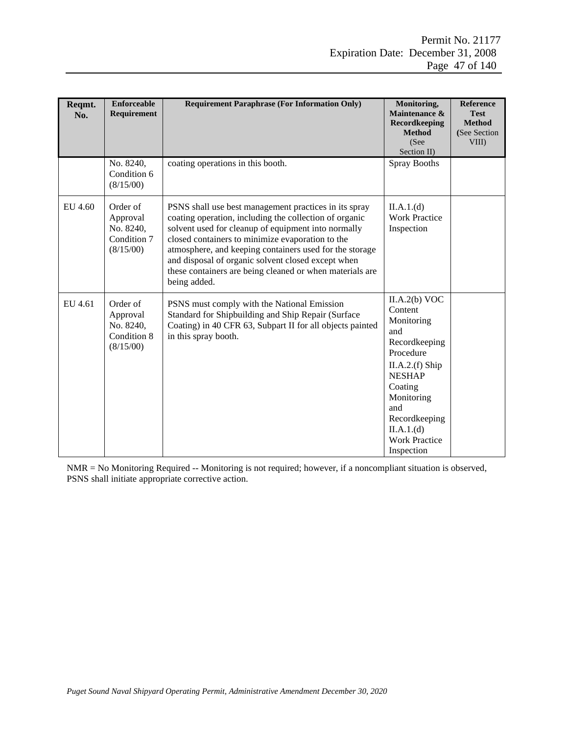| Reqmt.<br>No. | <b>Enforceable</b><br>Requirement                             | <b>Requirement Paraphrase (For Information Only)</b>                                                                                                                                                                                                                                                                                                                                                                    | Monitoring,<br>Maintenance &<br>Recordkeeping<br><b>Method</b><br>(See<br>Section II)                                                                                                                                | Reference<br><b>Test</b><br><b>Method</b><br>(See Section<br>VIII) |
|---------------|---------------------------------------------------------------|-------------------------------------------------------------------------------------------------------------------------------------------------------------------------------------------------------------------------------------------------------------------------------------------------------------------------------------------------------------------------------------------------------------------------|----------------------------------------------------------------------------------------------------------------------------------------------------------------------------------------------------------------------|--------------------------------------------------------------------|
|               | No. 8240,<br>Condition 6<br>(8/15/00)                         | coating operations in this booth.                                                                                                                                                                                                                                                                                                                                                                                       | <b>Spray Booths</b>                                                                                                                                                                                                  |                                                                    |
| EU 4.60       | Order of<br>Approval<br>No. 8240,<br>Condition 7<br>(8/15/00) | PSNS shall use best management practices in its spray<br>coating operation, including the collection of organic<br>solvent used for cleanup of equipment into normally<br>closed containers to minimize evaporation to the<br>atmosphere, and keeping containers used for the storage<br>and disposal of organic solvent closed except when<br>these containers are being cleaned or when materials are<br>being added. | II.A.1.(d)<br><b>Work Practice</b><br>Inspection                                                                                                                                                                     |                                                                    |
| EU 4.61       | Order of<br>Approval<br>No. 8240,<br>Condition 8<br>(8/15/00) | PSNS must comply with the National Emission<br>Standard for Shipbuilding and Ship Repair (Surface<br>Coating) in 40 CFR 63, Subpart II for all objects painted<br>in this spray booth.                                                                                                                                                                                                                                  | II.A.2(b) VOC<br>Content<br>Monitoring<br>and<br>Recordkeeping<br>Procedure<br>II.A.2.(f) Ship<br><b>NESHAP</b><br>Coating<br>Monitoring<br>and<br>Recordkeeping<br>II.A.1.(d)<br><b>Work Practice</b><br>Inspection |                                                                    |

NMR = No Monitoring Required -- Monitoring is not required; however, if a noncompliant situation is observed, PSNS shall initiate appropriate corrective action.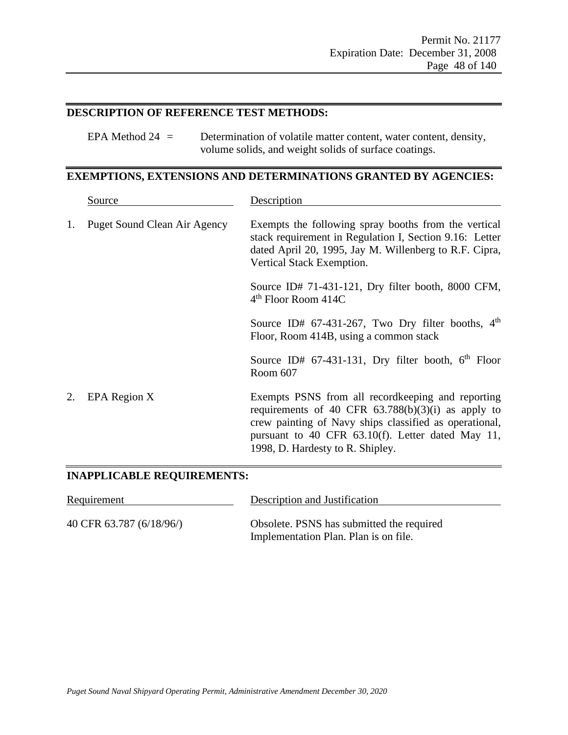## **DESCRIPTION OF REFERENCE TEST METHODS:**

EPA Method 24 = Determination of volatile matter content, water content, density, volume solids, and weight solids of surface coatings.

# **EXEMPTIONS, EXTENSIONS AND DETERMINATIONS GRANTED BY AGENCIES:**

|    | Source                       | Description                                                                                                                                                                                                                                                   |
|----|------------------------------|---------------------------------------------------------------------------------------------------------------------------------------------------------------------------------------------------------------------------------------------------------------|
| 1. | Puget Sound Clean Air Agency | Exempts the following spray booths from the vertical<br>stack requirement in Regulation I, Section 9.16: Letter<br>dated April 20, 1995, Jay M. Willenberg to R.F. Cipra,<br>Vertical Stack Exemption.                                                        |
|    |                              | Source ID# 71-431-121, Dry filter booth, 8000 CFM,<br>$4th$ Floor Room 414C                                                                                                                                                                                   |
|    |                              | Source ID# 67-431-267, Two Dry filter booths, $4th$<br>Floor, Room 414B, using a common stack                                                                                                                                                                 |
|    |                              | Source ID# 67-431-131, Dry filter booth, $6th$ Floor<br>Room 607                                                                                                                                                                                              |
| 2. | EPA Region X                 | Exempts PSNS from all record keeping and reporting<br>requirements of 40 CFR $63.788(b)(3)(i)$ as apply to<br>crew painting of Navy ships classified as operational,<br>pursuant to 40 CFR 63.10(f). Letter dated May 11,<br>1998, D. Hardesty to R. Shipley. |

# **INAPPLICABLE REQUIREMENTS:**

| Requirement              | Description and Justification                                                      |  |  |
|--------------------------|------------------------------------------------------------------------------------|--|--|
| 40 CFR 63.787 (6/18/96/) | Obsolete. PSNS has submitted the required<br>Implementation Plan. Plan is on file. |  |  |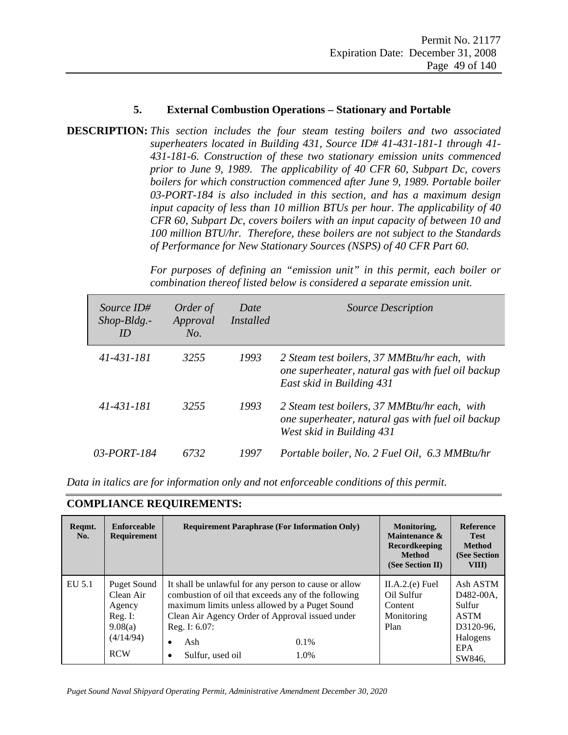## **5. External Combustion Operations – Stationary and Portable**

**DESCRIPTION:** *This section includes the four steam testing boilers and two associated superheaters located in Building 431, Source ID# 41-431-181-1 through 41- 431-181-6. Construction of these two stationary emission units commenced prior to June 9, 1989. The applicability of 40 CFR 60, Subpart Dc, covers boilers for which construction commenced after June 9, 1989. Portable boiler 03-PORT-184 is also included in this section, and has a maximum design input capacity of less than 10 million BTUs per hour. The applicability of 40 CFR 60, Subpart Dc, covers boilers with an input capacity of between 10 and 100 million BTU/hr. Therefore, these boilers are not subject to the Standards of Performance for New Stationary Sources (NSPS) of 40 CFR Part 60.* 

> *For purposes of defining an "emission unit" in this permit, each boiler or combination thereof listed below is considered a separate emission unit.*

| Source ID#<br>$Shop-Bldg. -$<br>ID | Order of<br>Approval<br>No. | Date<br><i>Installed</i> | <b>Source Description</b>                                                                                                      |
|------------------------------------|-----------------------------|--------------------------|--------------------------------------------------------------------------------------------------------------------------------|
| 41-431-181                         | 3255                        | 1993                     | 2 Steam test boilers, 37 MMBtu/hr each, with<br>one superheater, natural gas with fuel oil backup<br>East skid in Building 431 |
| 41-431-181                         | 3255                        | 1993                     | 2 Steam test boilers, 37 MMBtu/hr each, with<br>one superheater, natural gas with fuel oil backup<br>West skid in Building 431 |
| 03-PORT-184                        | 6732                        | 1997                     | Portable boiler, No. 2 Fuel Oil, 6.3 MMBtu/hr                                                                                  |

*Data in italics are for information only and not enforceable conditions of this permit.*

| Regmt.<br>No. | Enforceable<br>Requirement                                                          | <b>Requirement Paraphrase (For Information Only)</b>                                                                                                                                                                                                                                          | Monitoring,<br>Maintenance &<br><b>Recordkeeping</b><br><b>Method</b><br>(See Section II) | <b>Reference</b><br><b>Test</b><br><b>Method</b><br>(See Section<br><b>VIII</b> )                     |
|---------------|-------------------------------------------------------------------------------------|-----------------------------------------------------------------------------------------------------------------------------------------------------------------------------------------------------------------------------------------------------------------------------------------------|-------------------------------------------------------------------------------------------|-------------------------------------------------------------------------------------------------------|
| EU 5.1        | Puget Sound<br>Clean Air<br>Agency<br>Reg. I:<br>9.08(a)<br>(4/14/94)<br><b>RCW</b> | It shall be unlawful for any person to cause or allow<br>combustion of oil that exceeds any of the following<br>maximum limits unless allowed by a Puget Sound<br>Clean Air Agency Order of Approval issued under<br>Reg. I: 6.07:<br>$0.1\%$<br>Ash<br>Sulfur, used oil<br>1.0%<br>$\bullet$ | $II.A.2(e)$ Fuel<br>Oil Sulfur<br>Content<br>Monitoring<br>Plan                           | Ash ASTM<br>D <sub>482</sub> -00A.<br>Sulfur<br><b>ASTM</b><br>D3120-96.<br>Halogens<br>EPA<br>SW846. |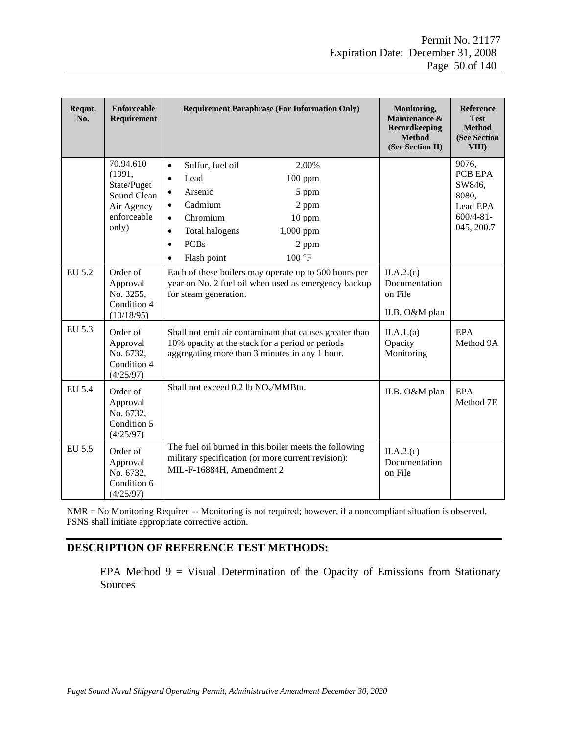| Reqmt.<br>No. | <b>Enforceable</b><br>Requirement                                                       | <b>Requirement Paraphrase (For Information Only)</b>                                                                                                                                                                                                                                    | Monitoring,<br>Maintenance &<br>Recordkeeping<br><b>Method</b><br>(See Section II) | Reference<br><b>Test</b><br><b>Method</b><br>(See Section<br>VIII)              |
|---------------|-----------------------------------------------------------------------------------------|-----------------------------------------------------------------------------------------------------------------------------------------------------------------------------------------------------------------------------------------------------------------------------------------|------------------------------------------------------------------------------------|---------------------------------------------------------------------------------|
|               | 70.94.610<br>(1991,<br>State/Puget<br>Sound Clean<br>Air Agency<br>enforceable<br>only) | Sulfur, fuel oil<br>2.00%<br>$\bullet$<br>Lead<br>$100$ ppm<br>$\bullet$<br>Arsenic<br>5 ppm<br>Cadmium<br>2 ppm<br>$\bullet$<br>Chromium<br>10 ppm<br>$\bullet$<br>Total halogens<br>1,000 ppm<br>$\bullet$<br><b>PCBs</b><br>2 ppm<br>$\bullet$<br>100 °F<br>Flash point<br>$\bullet$ |                                                                                    | 9076,<br>PCB EPA<br>SW846.<br>8080,<br>Lead EPA<br>$600/4 - 81 -$<br>045, 200.7 |
| EU 5.2        | Order of<br>Approval<br>No. 3255,<br>Condition 4<br>(10/18/95)                          | Each of these boilers may operate up to 500 hours per<br>year on No. 2 fuel oil when used as emergency backup<br>for steam generation.                                                                                                                                                  | II.A.2.(c)<br>Documentation<br>on File<br>II.B. O&M plan                           |                                                                                 |
| EU 5.3        | Order of<br>Approval<br>No. 6732,<br>Condition 4<br>(4/25/97)                           | Shall not emit air contaminant that causes greater than<br>10% opacity at the stack for a period or periods<br>aggregating more than 3 minutes in any 1 hour.                                                                                                                           | II.A.1.(a)<br>Opacity<br>Monitoring                                                | <b>EPA</b><br>Method 9A                                                         |
| EU 5.4        | Order of<br>Approval<br>No. 6732,<br>Condition 5<br>(4/25/97)                           | Shall not exceed 0.2 lb $NOx/MMBtu$ .                                                                                                                                                                                                                                                   | II.B. O&M plan                                                                     | EPA<br>Method 7E                                                                |
| EU 5.5        | Order of<br>Approval<br>No. 6732,<br>Condition 6<br>(4/25/97)                           | The fuel oil burned in this boiler meets the following<br>military specification (or more current revision):<br>MIL-F-16884H, Amendment 2                                                                                                                                               | II.A.2.(c)<br>Documentation<br>on File                                             |                                                                                 |

NMR = No Monitoring Required -- Monitoring is not required; however, if a noncompliant situation is observed, PSNS shall initiate appropriate corrective action.

## **DESCRIPTION OF REFERENCE TEST METHODS:**

EPA Method  $9 =$  Visual Determination of the Opacity of Emissions from Stationary Sources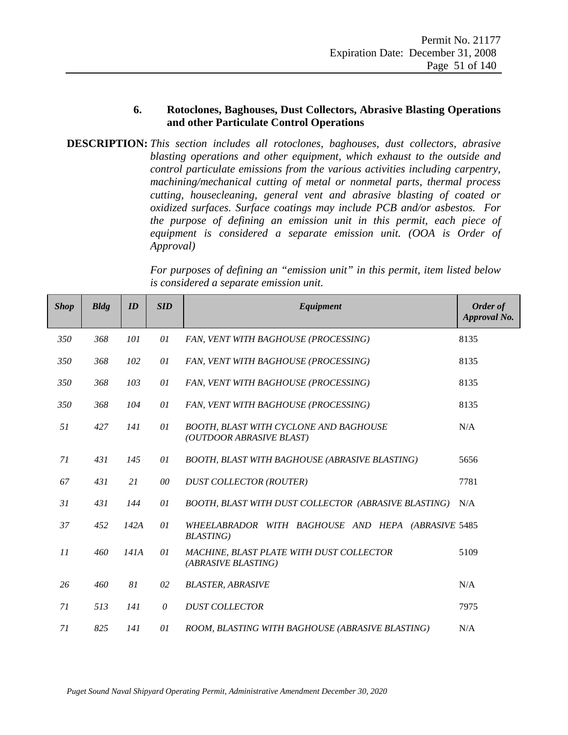## **6. Rotoclones, Baghouses, Dust Collectors, Abrasive Blasting Operations and other Particulate Control Operations**

**DESCRIPTION:** *This section includes all rotoclones, baghouses, dust collectors, abrasive blasting operations and other equipment, which exhaust to the outside and control particulate emissions from the various activities including carpentry, machining/mechanical cutting of metal or nonmetal parts, thermal process cutting, housecleaning, general vent and abrasive blasting of coated or oxidized surfaces. Surface coatings may include PCB and/or asbestos. For the purpose of defining an emission unit in this permit, each piece of equipment is considered a separate emission unit. (OOA is Order of Approval)*

> *For purposes of defining an "emission unit" in this permit, item listed below is considered a separate emission unit.*

| <b>Shop</b> | <b>Bldg</b> | ID   | <b>SID</b> | Equipment                                                                 | Order of<br>Approval No. |
|-------------|-------------|------|------------|---------------------------------------------------------------------------|--------------------------|
| 350         | 368         | 101  | 01         | FAN, VENT WITH BAGHOUSE (PROCESSING)                                      | 8135                     |
| 350         | 368         | 102  | 01         | FAN, VENT WITH BAGHOUSE (PROCESSING)                                      | 8135                     |
| 350         | 368         | 103  | 01         | FAN, VENT WITH BAGHOUSE (PROCESSING)                                      | 8135                     |
| 350         | 368         | 104  | 01         | FAN, VENT WITH BAGHOUSE (PROCESSING)                                      | 8135                     |
| 51          | 427         | 141  | 01         | <b>BOOTH, BLAST WITH CYCLONE AND BAGHOUSE</b><br>(OUTDOOR ABRASIVE BLAST) | N/A                      |
| 71          | 431         | 145  | 01         | BOOTH, BLAST WITH BAGHOUSE (ABRASIVE BLASTING)                            | 5656                     |
| 67          | 431         | 21   | 00         | <b>DUST COLLECTOR (ROUTER)</b>                                            | 7781                     |
| 31          | 431         | 144  | 01         | <b>BOOTH, BLAST WITH DUST COLLECTOR (ABRASIVE BLASTING)</b>               | N/A                      |
| 37          | 452         | 142A | 01         | WHEELABRADOR WITH BAGHOUSE AND HEPA (ABRASIVE 5485<br><b>BLASTING</b> )   |                          |
| 11          | 460         | 141A | 01         | MACHINE, BLAST PLATE WITH DUST COLLECTOR<br>(ABRASIVE BLASTING)           | 5109                     |
| 26          | 460         | 81   | 02         | <b>BLASTER, ABRASIVE</b>                                                  | N/A                      |
| 71          | 513         | 141  | $\theta$   | <b>DUST COLLECTOR</b>                                                     | 7975                     |
| 71          | 825         | 141  | 01         | ROOM, BLASTING WITH BAGHOUSE (ABRASIVE BLASTING)                          | N/A                      |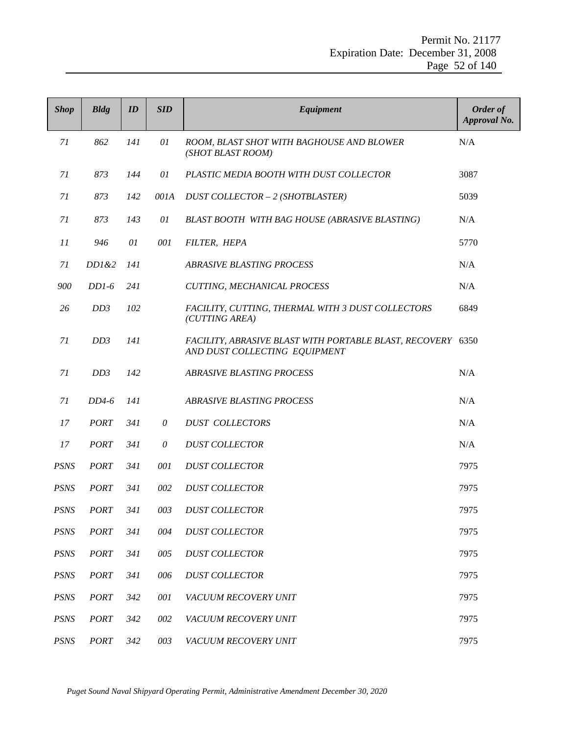| <b>Shop</b> | <b>Bldg</b>     | ID  | <b>SID</b> | Equipment                                                                                    | Order of<br>Approval No. |
|-------------|-----------------|-----|------------|----------------------------------------------------------------------------------------------|--------------------------|
| 71          | 862             | 141 | 01         | ROOM, BLAST SHOT WITH BAGHOUSE AND BLOWER<br>(SHOT BLAST ROOM)                               | N/A                      |
| 71          | 873             | 144 | 01         | PLASTIC MEDIA BOOTH WITH DUST COLLECTOR                                                      | 3087                     |
| 71          | 873             | 142 | 001A       | DUST COLLECTOR - 2 (SHOTBLASTER)                                                             | 5039                     |
| 71          | 873             | 143 | 01         | BLAST BOOTH WITH BAG HOUSE (ABRASIVE BLASTING)                                               | N/A                      |
| 11          | 946             | 01  | 001        | FILTER, HEPA                                                                                 | 5770                     |
| 71          | DD1&2           | 141 |            | <b>ABRASIVE BLASTING PROCESS</b>                                                             | N/A                      |
| 900         | $DD1-6$         | 241 |            | CUTTING, MECHANICAL PROCESS                                                                  | N/A                      |
| 26          | DD3             | 102 |            | FACILITY, CUTTING, THERMAL WITH 3 DUST COLLECTORS<br>(CUTTING AREA)                          | 6849                     |
| 71          | DD3             | 141 |            | FACILITY, ABRASIVE BLAST WITH PORTABLE BLAST, RECOVERY 6350<br>AND DUST COLLECTING EQUIPMENT |                          |
| 71          | DD <sub>3</sub> | 142 |            | <b>ABRASIVE BLASTING PROCESS</b>                                                             | N/A                      |
| 71          | $DD4-6$         | 141 |            | <b>ABRASIVE BLASTING PROCESS</b>                                                             | N/A                      |
| 17          | PORT            | 341 | 0          | <b>DUST COLLECTORS</b>                                                                       | N/A                      |
| 17          | PORT            | 341 | 0          | <b>DUST COLLECTOR</b>                                                                        | N/A                      |
| <b>PSNS</b> | PORT            | 341 | 001        | <b>DUST COLLECTOR</b>                                                                        | 7975                     |
| <b>PSNS</b> | PORT            | 341 | 002        | <b>DUST COLLECTOR</b>                                                                        | 7975                     |
| PSNS        | <b>PORT</b>     | 341 | 003        | <b>DUST COLLECTOR</b>                                                                        | 7975                     |
| <b>PSNS</b> | PORT            | 341 | 004        | <b>DUST COLLECTOR</b>                                                                        | 7975                     |
| <b>PSNS</b> | PORT            | 341 | 005        | <b>DUST COLLECTOR</b>                                                                        | 7975                     |
| <b>PSNS</b> | PORT            | 341 | 006        | <b>DUST COLLECTOR</b>                                                                        | 7975                     |
| <b>PSNS</b> | <b>PORT</b>     | 342 | 001        | VACUUM RECOVERY UNIT                                                                         | 7975                     |
| <b>PSNS</b> | PORT            | 342 | 002        | VACUUM RECOVERY UNIT                                                                         | 7975                     |
| <b>PSNS</b> | <b>PORT</b>     | 342 | 003        | VACUUM RECOVERY UNIT                                                                         | 7975                     |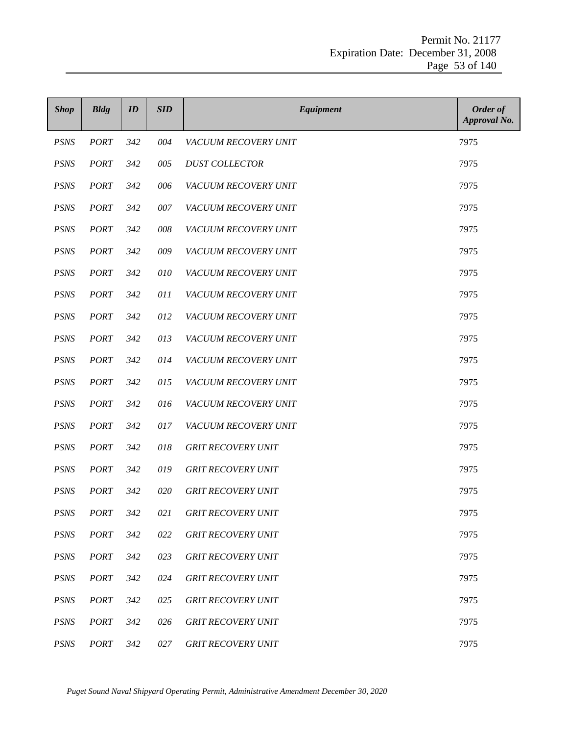| <b>Shop</b> | <b>Bldg</b> | ID  | <b>SID</b> | Equipment                 | Order of<br>Approval No. |
|-------------|-------------|-----|------------|---------------------------|--------------------------|
| <b>PSNS</b> | <b>PORT</b> | 342 | 004        | VACUUM RECOVERY UNIT      | 7975                     |
| <b>PSNS</b> | <b>PORT</b> | 342 | 005        | <b>DUST COLLECTOR</b>     | 7975                     |
| <b>PSNS</b> | <b>PORT</b> | 342 | 006        | VACUUM RECOVERY UNIT      | 7975                     |
| <b>PSNS</b> | <b>PORT</b> | 342 | 007        | VACUUM RECOVERY UNIT      | 7975                     |
| <b>PSNS</b> | <b>PORT</b> | 342 | 008        | VACUUM RECOVERY UNIT      | 7975                     |
| <b>PSNS</b> | <b>PORT</b> | 342 | 009        | VACUUM RECOVERY UNIT      | 7975                     |
| <b>PSNS</b> | <b>PORT</b> | 342 | 010        | VACUUM RECOVERY UNIT      | 7975                     |
| <b>PSNS</b> | <b>PORT</b> | 342 | 011        | VACUUM RECOVERY UNIT      | 7975                     |
| <b>PSNS</b> | <b>PORT</b> | 342 | 012        | VACUUM RECOVERY UNIT      | 7975                     |
| <b>PSNS</b> | <b>PORT</b> | 342 | 013        | VACUUM RECOVERY UNIT      | 7975                     |
| <b>PSNS</b> | <b>PORT</b> | 342 | 014        | VACUUM RECOVERY UNIT      | 7975                     |
| <b>PSNS</b> | <b>PORT</b> | 342 | 015        | VACUUM RECOVERY UNIT      | 7975                     |
| <b>PSNS</b> | <b>PORT</b> | 342 | 016        | VACUUM RECOVERY UNIT      | 7975                     |
| <b>PSNS</b> | <b>PORT</b> | 342 | 017        | VACUUM RECOVERY UNIT      | 7975                     |
| <b>PSNS</b> | <b>PORT</b> | 342 | 018        | <b>GRIT RECOVERY UNIT</b> | 7975                     |
| <b>PSNS</b> | <b>PORT</b> | 342 | 019        | <b>GRIT RECOVERY UNIT</b> | 7975                     |
| <b>PSNS</b> | <b>PORT</b> | 342 | 020        | <b>GRIT RECOVERY UNIT</b> | 7975                     |
| <b>PSNS</b> | <i>PORT</i> | 342 | 021        | <b>GRIT RECOVERY UNIT</b> | 7975                     |
| <b>PSNS</b> | <b>PORT</b> | 342 | 022        | <b>GRIT RECOVERY UNIT</b> | 7975                     |
| <b>PSNS</b> | <b>PORT</b> | 342 | 023        | <b>GRIT RECOVERY UNIT</b> | 7975                     |
| <b>PSNS</b> | <b>PORT</b> | 342 | 024        | <b>GRIT RECOVERY UNIT</b> | 7975                     |
| <b>PSNS</b> | <b>PORT</b> | 342 | 025        | <b>GRIT RECOVERY UNIT</b> | 7975                     |
| <b>PSNS</b> | <b>PORT</b> | 342 | 026        | <b>GRIT RECOVERY UNIT</b> | 7975                     |
| <b>PSNS</b> | PORT        | 342 | 027        | <b>GRIT RECOVERY UNIT</b> | 7975                     |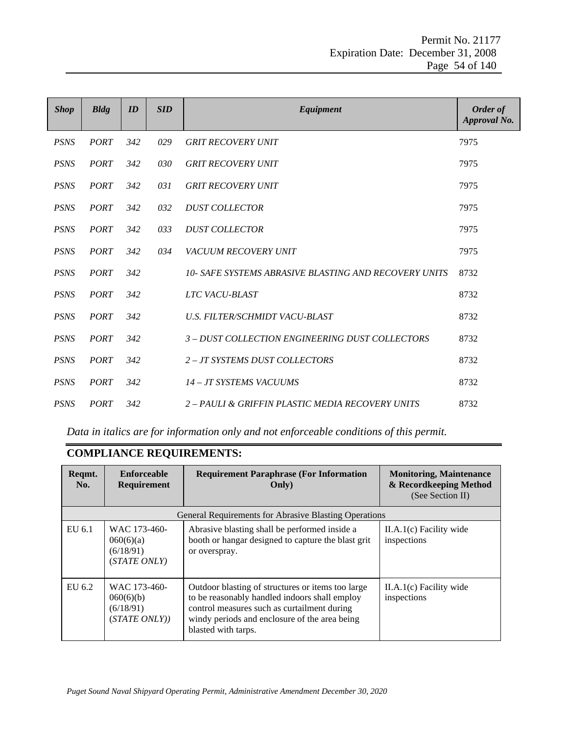| <b>Shop</b> | <b>Bldg</b> | ID  | <b>SID</b> | Equipment                                             | Order of<br>Approval No. |
|-------------|-------------|-----|------------|-------------------------------------------------------|--------------------------|
| <b>PSNS</b> | <b>PORT</b> | 342 | 029        | <b>GRIT RECOVERY UNIT</b>                             | 7975                     |
| <b>PSNS</b> | PORT        | 342 | 030        | <b>GRIT RECOVERY UNIT</b>                             | 7975                     |
| <b>PSNS</b> | <b>PORT</b> | 342 | 031        | <b>GRIT RECOVERY UNIT</b>                             | 7975                     |
| <b>PSNS</b> | <b>PORT</b> | 342 | 032        | <b>DUST COLLECTOR</b>                                 | 7975                     |
| <b>PSNS</b> | <b>PORT</b> | 342 | 033        | <b>DUST COLLECTOR</b>                                 | 7975                     |
| <b>PSNS</b> | PORT        | 342 | 034        | VACUUM RECOVERY UNIT                                  | 7975                     |
| <b>PSNS</b> | <b>PORT</b> | 342 |            | 10- SAFE SYSTEMS ABRASIVE BLASTING AND RECOVERY UNITS | 8732                     |
| <b>PSNS</b> | <b>PORT</b> | 342 |            | LTC VACU-BLAST                                        | 8732                     |
| <b>PSNS</b> | PORT        | 342 |            | <b>U.S. FILTER/SCHMIDT VACU-BLAST</b>                 | 8732                     |
| <b>PSNS</b> | PORT        | 342 |            | 3 - DUST COLLECTION ENGINEERING DUST COLLECTORS       | 8732                     |
| <b>PSNS</b> | <b>PORT</b> | 342 |            | 2 - JT SYSTEMS DUST COLLECTORS                        | 8732                     |
| <b>PSNS</b> | PORT        | 342 |            | 14 - JT SYSTEMS VACUUMS                               | 8732                     |
| <b>PSNS</b> | <b>PORT</b> | 342 |            | 2 - PAULI & GRIFFIN PLASTIC MEDIA RECOVERY UNITS      | 8732                     |

*Data in italics are for information only and not enforceable conditions of this permit.*

| Reqmt.<br>No. | <b>Enforceable</b><br>Requirement                       | <b>Requirement Paraphrase (For Information</b><br><b>Only</b> )                                                                                                                                                           | <b>Monitoring, Maintenance</b><br>& Recordkeeping Method<br>(See Section II) |
|---------------|---------------------------------------------------------|---------------------------------------------------------------------------------------------------------------------------------------------------------------------------------------------------------------------------|------------------------------------------------------------------------------|
|               |                                                         | <b>General Requirements for Abrasive Blasting Operations</b>                                                                                                                                                              |                                                                              |
| EU 6.1        | WAC 173-460-<br>060(6)(a)<br>(6/18/91)<br>(STATE ONLY)  | Abrasive blasting shall be performed inside a<br>booth or hangar designed to capture the blast grit<br>or overspray.                                                                                                      | $II.A.1(c)$ Facility wide<br>inspections                                     |
| EU 6.2        | WAC 173-460-<br>060(6)(b)<br>(6/18/91)<br>(STATE ONLY)) | Outdoor blasting of structures or items too large<br>to be reasonably handled indoors shall employ<br>control measures such as curtailment during<br>windy periods and enclosure of the area being<br>blasted with tarps. | $II.A.1(c)$ Facility wide<br>inspections                                     |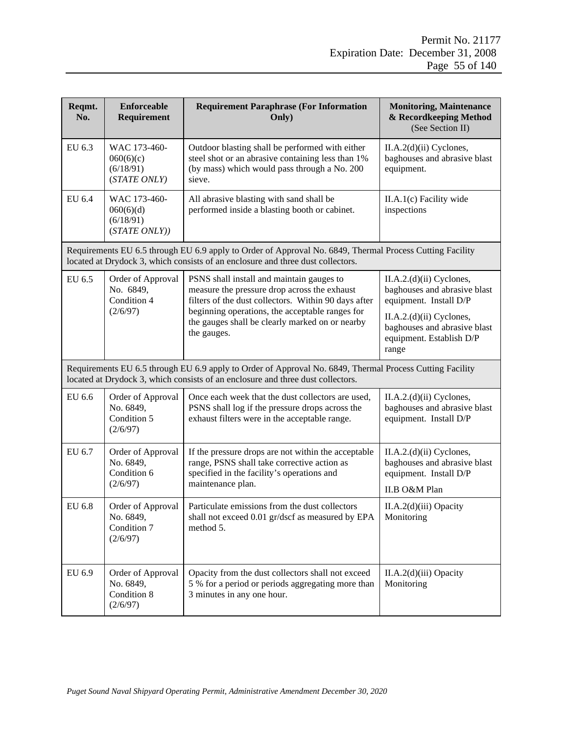| Reqmt.<br>No. | <b>Enforceable</b><br>Requirement                         | <b>Requirement Paraphrase (For Information</b><br>Only)                                                                                                                                     | <b>Monitoring, Maintenance</b><br>& Recordkeeping Method<br>(See Section II)                        |
|---------------|-----------------------------------------------------------|---------------------------------------------------------------------------------------------------------------------------------------------------------------------------------------------|-----------------------------------------------------------------------------------------------------|
| EU 6.3        | WAC 173-460-<br>060(6)(c)<br>(6/18/91)<br>(STATE ONLY)    | Outdoor blasting shall be performed with either<br>steel shot or an abrasive containing less than 1%<br>(by mass) which would pass through a No. 200<br>sieve.                              | II.A.2(d)(ii) Cyclones,<br>baghouses and abrasive blast<br>equipment.                               |
| EU 6.4        | WAC 173-460-<br>060(6)(d)<br>(6/18/91)<br>(STATE ONLY))   | All abrasive blasting with sand shall be<br>performed inside a blasting booth or cabinet.                                                                                                   | II.A.1(c) Facility wide<br>inspections                                                              |
|               |                                                           | Requirements EU 6.5 through EU 6.9 apply to Order of Approval No. 6849, Thermal Process Cutting Facility<br>located at Drydock 3, which consists of an enclosure and three dust collectors. |                                                                                                     |
| EU 6.5        | Order of Approval<br>No. 6849,<br>Condition 4             | PSNS shall install and maintain gauges to<br>measure the pressure drop across the exhaust<br>filters of the dust collectors. Within 90 days after                                           | II.A.2.(d)(ii) Cyclones,<br>baghouses and abrasive blast<br>equipment. Install D/P                  |
|               | (2/6/97)                                                  | beginning operations, the acceptable ranges for<br>the gauges shall be clearly marked on or nearby<br>the gauges.                                                                           | II.A.2.(d)(ii) Cyclones,<br>baghouses and abrasive blast<br>equipment. Establish D/P<br>range       |
|               |                                                           | Requirements EU 6.5 through EU 6.9 apply to Order of Approval No. 6849, Thermal Process Cutting Facility<br>located at Drydock 3, which consists of an enclosure and three dust collectors. |                                                                                                     |
| EU 6.6        | Order of Approval<br>No. 6849,<br>Condition 5<br>(2/6/97) | Once each week that the dust collectors are used,<br>PSNS shall log if the pressure drops across the<br>exhaust filters were in the acceptable range.                                       | II.A.2.(d)(ii) Cyclones,<br>baghouses and abrasive blast<br>equipment. Install D/P                  |
| EU 6.7        | Order of Approval<br>No. 6849,<br>Condition 6<br>(2/6/97) | If the pressure drops are not within the acceptable<br>range, PSNS shall take corrective action as<br>specified in the facility's operations and<br>maintenance plan.                       | II.A.2.(d)(ii) Cyclones,<br>baghouses and abrasive blast<br>equipment. Install D/P<br>II.B O&M Plan |
| EU 6.8        | Order of Approval<br>No. 6849,<br>Condition 7<br>(2/6/97) | Particulate emissions from the dust collectors<br>shall not exceed 0.01 gr/dscf as measured by EPA<br>method 5.                                                                             | II.A.2(d)(iii) Opacity<br>Monitoring                                                                |
| EU 6.9        | Order of Approval<br>No. 6849,<br>Condition 8<br>(2/6/97) | Opacity from the dust collectors shall not exceed<br>5 % for a period or periods aggregating more than<br>3 minutes in any one hour.                                                        | II.A.2(d)(iii) Opacity<br>Monitoring                                                                |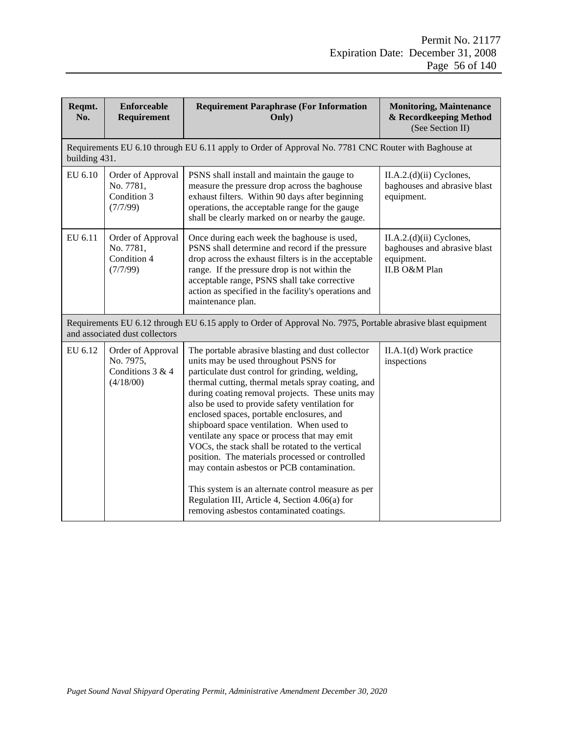| Reqmt.<br>No. | <b>Enforceable</b><br>Requirement                               | <b>Requirement Paraphrase (For Information</b><br>Only)                                                                                                                                                                                                                                                                                                                                                                                                                                                                                                                                                                                                                                                                                                      | <b>Monitoring, Maintenance</b><br>& Recordkeeping Method<br>(See Section II)              |
|---------------|-----------------------------------------------------------------|--------------------------------------------------------------------------------------------------------------------------------------------------------------------------------------------------------------------------------------------------------------------------------------------------------------------------------------------------------------------------------------------------------------------------------------------------------------------------------------------------------------------------------------------------------------------------------------------------------------------------------------------------------------------------------------------------------------------------------------------------------------|-------------------------------------------------------------------------------------------|
| building 431. |                                                                 | Requirements EU 6.10 through EU 6.11 apply to Order of Approval No. 7781 CNC Router with Baghouse at                                                                                                                                                                                                                                                                                                                                                                                                                                                                                                                                                                                                                                                         |                                                                                           |
| EU 6.10       | Order of Approval<br>No. 7781,<br>Condition 3<br>(7/7/99)       | PSNS shall install and maintain the gauge to<br>measure the pressure drop across the baghouse<br>exhaust filters. Within 90 days after beginning<br>operations, the acceptable range for the gauge<br>shall be clearly marked on or nearby the gauge.                                                                                                                                                                                                                                                                                                                                                                                                                                                                                                        | $II.A.2.(d)(ii)$ Cyclones,<br>baghouses and abrasive blast<br>equipment.                  |
| EU 6.11       | Order of Approval<br>No. 7781,<br>Condition 4<br>(7/7/99)       | Once during each week the baghouse is used,<br>PSNS shall determine and record if the pressure<br>drop across the exhaust filters is in the acceptable<br>range. If the pressure drop is not within the<br>acceptable range, PSNS shall take corrective<br>action as specified in the facility's operations and<br>maintenance plan.                                                                                                                                                                                                                                                                                                                                                                                                                         | $II.A.2.(d)(ii)$ Cyclones,<br>baghouses and abrasive blast<br>equipment.<br>II.B O&M Plan |
|               | and associated dust collectors                                  | Requirements EU 6.12 through EU 6.15 apply to Order of Approval No. 7975, Portable abrasive blast equipment                                                                                                                                                                                                                                                                                                                                                                                                                                                                                                                                                                                                                                                  |                                                                                           |
| EU 6.12       | Order of Approval<br>No. 7975,<br>Conditions 3 & 4<br>(4/18/00) | The portable abrasive blasting and dust collector<br>units may be used throughout PSNS for<br>particulate dust control for grinding, welding,<br>thermal cutting, thermal metals spray coating, and<br>during coating removal projects. These units may<br>also be used to provide safety ventilation for<br>enclosed spaces, portable enclosures, and<br>shipboard space ventilation. When used to<br>ventilate any space or process that may emit<br>VOCs, the stack shall be rotated to the vertical<br>position. The materials processed or controlled<br>may contain asbestos or PCB contamination.<br>This system is an alternate control measure as per<br>Regulation III, Article 4, Section 4.06(a) for<br>removing asbestos contaminated coatings. | II.A.1(d) Work practice<br>inspections                                                    |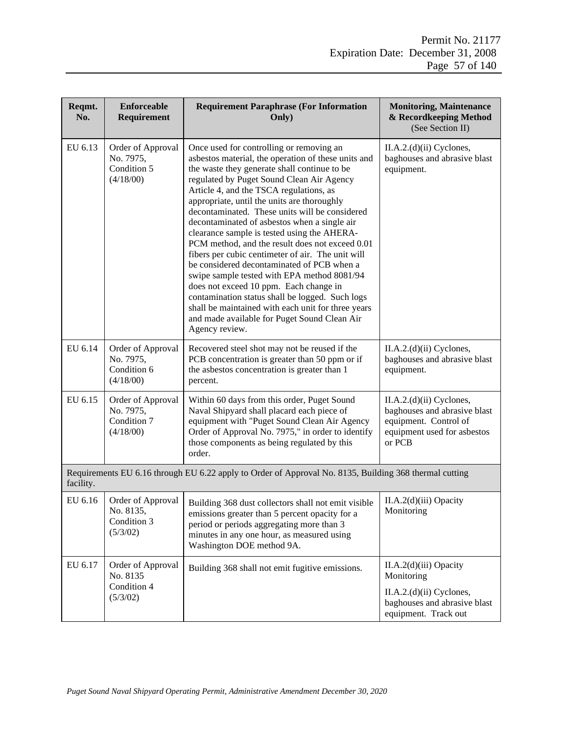| Reqmt.<br>No. | <b>Enforceable</b><br>Requirement                          | <b>Requirement Paraphrase (For Information</b><br>Only)                                                                                                                                                                                                                                                                                                                                                                                                                                                                                                                                                                                                                                                                                                                                                                                                           | <b>Monitoring, Maintenance</b><br>& Recordkeeping Method<br>(See Section II)                                               |
|---------------|------------------------------------------------------------|-------------------------------------------------------------------------------------------------------------------------------------------------------------------------------------------------------------------------------------------------------------------------------------------------------------------------------------------------------------------------------------------------------------------------------------------------------------------------------------------------------------------------------------------------------------------------------------------------------------------------------------------------------------------------------------------------------------------------------------------------------------------------------------------------------------------------------------------------------------------|----------------------------------------------------------------------------------------------------------------------------|
| EU 6.13       | Order of Approval<br>No. 7975,<br>Condition 5<br>(4/18/00) | Once used for controlling or removing an<br>asbestos material, the operation of these units and<br>the waste they generate shall continue to be<br>regulated by Puget Sound Clean Air Agency<br>Article 4, and the TSCA regulations, as<br>appropriate, until the units are thoroughly<br>decontaminated. These units will be considered<br>decontaminated of asbestos when a single air<br>clearance sample is tested using the AHERA-<br>PCM method, and the result does not exceed 0.01<br>fibers per cubic centimeter of air. The unit will<br>be considered decontaminated of PCB when a<br>swipe sample tested with EPA method 8081/94<br>does not exceed 10 ppm. Each change in<br>contamination status shall be logged. Such logs<br>shall be maintained with each unit for three years<br>and made available for Puget Sound Clean Air<br>Agency review. | II.A.2.(d)(ii) Cyclones,<br>baghouses and abrasive blast<br>equipment.                                                     |
| EU 6.14       | Order of Approval<br>No. 7975,<br>Condition 6<br>(4/18/00) | Recovered steel shot may not be reused if the<br>PCB concentration is greater than 50 ppm or if<br>the asbestos concentration is greater than 1<br>percent.                                                                                                                                                                                                                                                                                                                                                                                                                                                                                                                                                                                                                                                                                                       | $II.A.2.(d)(ii)$ Cyclones,<br>baghouses and abrasive blast<br>equipment.                                                   |
| EU 6.15       | Order of Approval<br>No. 7975,<br>Condition 7<br>(4/18/00) | Within 60 days from this order, Puget Sound<br>Naval Shipyard shall placard each piece of<br>equipment with "Puget Sound Clean Air Agency<br>Order of Approval No. 7975," in order to identify<br>those components as being regulated by this<br>order.                                                                                                                                                                                                                                                                                                                                                                                                                                                                                                                                                                                                           | II.A.2.(d)(ii) Cyclones,<br>baghouses and abrasive blast<br>equipment. Control of<br>equipment used for asbestos<br>or PCB |
| facility.     |                                                            | Requirements EU 6.16 through EU 6.22 apply to Order of Approval No. 8135, Building 368 thermal cutting                                                                                                                                                                                                                                                                                                                                                                                                                                                                                                                                                                                                                                                                                                                                                            |                                                                                                                            |
| EU 6.16       | Order of Approval<br>No. 8135,<br>Condition 3<br>(5/3/02)  | Building 368 dust collectors shall not emit visible<br>emissions greater than 5 percent opacity for a<br>period or periods aggregating more than 3<br>minutes in any one hour, as measured using<br>Washington DOE method 9A.                                                                                                                                                                                                                                                                                                                                                                                                                                                                                                                                                                                                                                     | II.A.2(d)(iii) Opacity<br>Monitoring                                                                                       |
| EU 6.17       | Order of Approval<br>No. 8135<br>Condition 4<br>(5/3/02)   | Building 368 shall not emit fugitive emissions.                                                                                                                                                                                                                                                                                                                                                                                                                                                                                                                                                                                                                                                                                                                                                                                                                   | $II.A.2(d)(iii)$ Opacity<br>Monitoring<br>$II.A.2.(d)(ii)$ Cyclones,                                                       |
|               |                                                            |                                                                                                                                                                                                                                                                                                                                                                                                                                                                                                                                                                                                                                                                                                                                                                                                                                                                   | baghouses and abrasive blast<br>equipment. Track out                                                                       |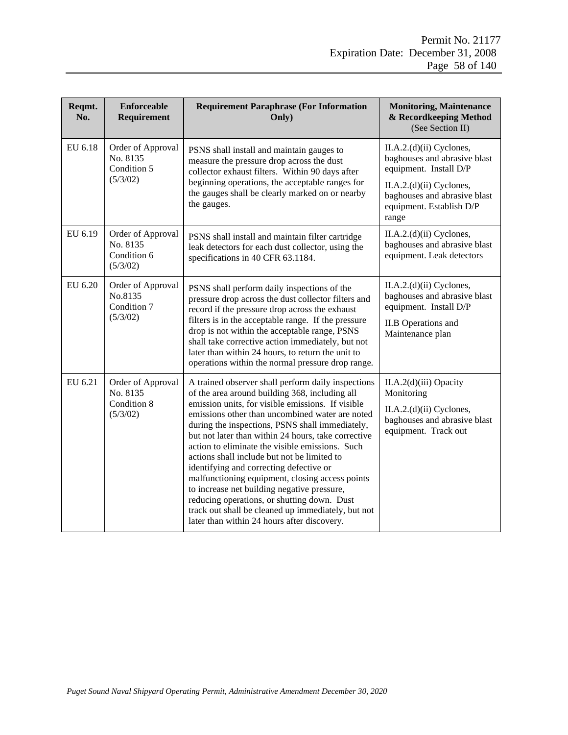| Reqmt.<br>No.                                 | <b>Enforceable</b><br>Requirement                        | <b>Requirement Paraphrase (For Information</b><br>Only)                                                                                                                                                                                                                                                                                                                                                                                                                                                                                                                                                           | <b>Monitoring, Maintenance</b><br>& Recordkeeping Method<br>(See Section II)                    |
|-----------------------------------------------|----------------------------------------------------------|-------------------------------------------------------------------------------------------------------------------------------------------------------------------------------------------------------------------------------------------------------------------------------------------------------------------------------------------------------------------------------------------------------------------------------------------------------------------------------------------------------------------------------------------------------------------------------------------------------------------|-------------------------------------------------------------------------------------------------|
| EU 6.18                                       | Order of Approval<br>No. 8135<br>Condition 5<br>(5/3/02) | PSNS shall install and maintain gauges to<br>measure the pressure drop across the dust<br>collector exhaust filters. Within 90 days after<br>beginning operations, the acceptable ranges for<br>the gauges shall be clearly marked on or nearby<br>the gauges.                                                                                                                                                                                                                                                                                                                                                    | $II.A.2.(d)(ii)$ Cyclones,<br>baghouses and abrasive blast<br>equipment. Install D/P            |
|                                               |                                                          |                                                                                                                                                                                                                                                                                                                                                                                                                                                                                                                                                                                                                   | $II.A.2.(d)(ii)$ Cyclones,<br>baghouses and abrasive blast<br>equipment. Establish D/P<br>range |
| EU 6.19                                       | Order of Approval<br>No. 8135<br>Condition 6<br>(5/3/02) | PSNS shall install and maintain filter cartridge<br>leak detectors for each dust collector, using the<br>specifications in 40 CFR 63.1184.                                                                                                                                                                                                                                                                                                                                                                                                                                                                        | $II.A.2.(d)(ii)$ Cyclones,<br>baghouses and abrasive blast<br>equipment. Leak detectors         |
| EU 6.20<br>No.8135<br>Condition 7<br>(5/3/02) | Order of Approval                                        | PSNS shall perform daily inspections of the<br>pressure drop across the dust collector filters and<br>record if the pressure drop across the exhaust<br>filters is in the acceptable range. If the pressure<br>drop is not within the acceptable range, PSNS<br>shall take corrective action immediately, but not<br>later than within 24 hours, to return the unit to<br>operations within the normal pressure drop range.                                                                                                                                                                                       | II.A.2.(d)(ii) Cyclones,<br>baghouses and abrasive blast<br>equipment. Install D/P              |
|                                               |                                                          |                                                                                                                                                                                                                                                                                                                                                                                                                                                                                                                                                                                                                   | II.B Operations and<br>Maintenance plan                                                         |
| EU 6.21                                       | Order of Approval<br>No. 8135                            | A trained observer shall perform daily inspections<br>of the area around building 368, including all                                                                                                                                                                                                                                                                                                                                                                                                                                                                                                              | II.A.2(d)(iii) Opacity<br>Monitoring                                                            |
|                                               | Condition 8<br>(5/3/02)                                  | emission units, for visible emissions. If visible<br>emissions other than uncombined water are noted<br>during the inspections, PSNS shall immediately,<br>but not later than within 24 hours, take corrective<br>action to eliminate the visible emissions. Such<br>actions shall include but not be limited to<br>identifying and correcting defective or<br>malfunctioning equipment, closing access points<br>to increase net building negative pressure,<br>reducing operations, or shutting down. Dust<br>track out shall be cleaned up immediately, but not<br>later than within 24 hours after discovery. | II.A.2.(d)(ii) Cyclones,<br>baghouses and abrasive blast<br>equipment. Track out                |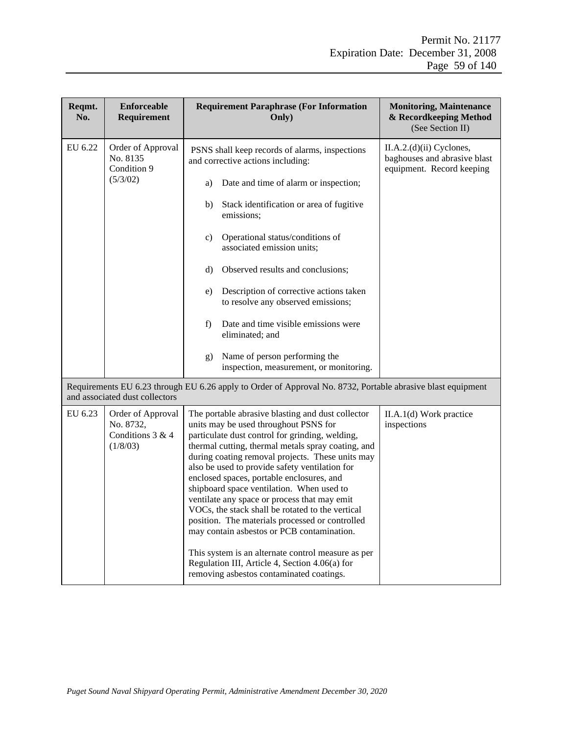| Reqmt.<br>No. | <b>Enforceable</b><br>Requirement                              | <b>Requirement Paraphrase (For Information</b><br>Only)                                                                                                                                                                                                                                                                                                                                                                                                                                                                                                                                                                                                                                                                                                      | <b>Monitoring, Maintenance</b><br>& Recordkeeping Method<br>(See Section II)            |
|---------------|----------------------------------------------------------------|--------------------------------------------------------------------------------------------------------------------------------------------------------------------------------------------------------------------------------------------------------------------------------------------------------------------------------------------------------------------------------------------------------------------------------------------------------------------------------------------------------------------------------------------------------------------------------------------------------------------------------------------------------------------------------------------------------------------------------------------------------------|-----------------------------------------------------------------------------------------|
| EU 6.22       | Order of Approval<br>No. 8135<br>Condition 9<br>(5/3/02)       | PSNS shall keep records of alarms, inspections<br>and corrective actions including:<br>Date and time of alarm or inspection;<br>a)                                                                                                                                                                                                                                                                                                                                                                                                                                                                                                                                                                                                                           | $II.A.2.(d)(ii)$ Cyclones,<br>baghouses and abrasive blast<br>equipment. Record keeping |
|               |                                                                | Stack identification or area of fugitive<br>b)<br>emissions;                                                                                                                                                                                                                                                                                                                                                                                                                                                                                                                                                                                                                                                                                                 |                                                                                         |
|               |                                                                | Operational status/conditions of<br>c)<br>associated emission units;                                                                                                                                                                                                                                                                                                                                                                                                                                                                                                                                                                                                                                                                                         |                                                                                         |
|               |                                                                | Observed results and conclusions;<br>d)                                                                                                                                                                                                                                                                                                                                                                                                                                                                                                                                                                                                                                                                                                                      |                                                                                         |
|               |                                                                | Description of corrective actions taken<br>e)<br>to resolve any observed emissions;                                                                                                                                                                                                                                                                                                                                                                                                                                                                                                                                                                                                                                                                          |                                                                                         |
|               |                                                                | Date and time visible emissions were<br>f)<br>eliminated; and                                                                                                                                                                                                                                                                                                                                                                                                                                                                                                                                                                                                                                                                                                |                                                                                         |
|               |                                                                | Name of person performing the<br>g)<br>inspection, measurement, or monitoring.                                                                                                                                                                                                                                                                                                                                                                                                                                                                                                                                                                                                                                                                               |                                                                                         |
|               | and associated dust collectors                                 | Requirements EU 6.23 through EU 6.26 apply to Order of Approval No. 8732, Portable abrasive blast equipment                                                                                                                                                                                                                                                                                                                                                                                                                                                                                                                                                                                                                                                  |                                                                                         |
| EU 6.23       | Order of Approval<br>No. 8732,<br>Conditions 3 & 4<br>(1/8/03) | The portable abrasive blasting and dust collector<br>units may be used throughout PSNS for<br>particulate dust control for grinding, welding,<br>thermal cutting, thermal metals spray coating, and<br>during coating removal projects. These units may<br>also be used to provide safety ventilation for<br>enclosed spaces, portable enclosures, and<br>shipboard space ventilation. When used to<br>ventilate any space or process that may emit<br>VOCs, the stack shall be rotated to the vertical<br>position. The materials processed or controlled<br>may contain asbestos or PCB contamination.<br>This system is an alternate control measure as per<br>Regulation III, Article 4, Section 4.06(a) for<br>removing asbestos contaminated coatings. | II.A.1(d) Work practice<br>inspections                                                  |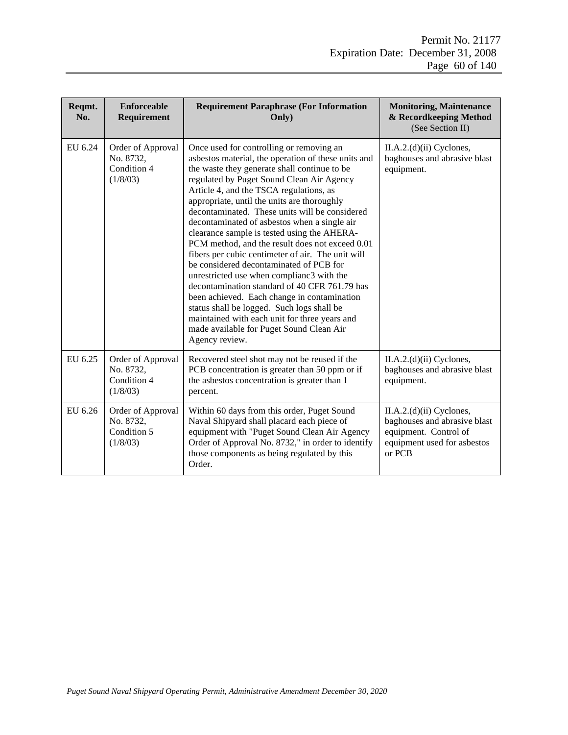| Reqmt.<br>No. | <b>Enforceable</b><br>Requirement                         | <b>Requirement Paraphrase (For Information</b><br>Only)                                                                                                                                                                                                                                                                                                                                                                                                                                                                                                                                                                                                                                                                                                                                                                                                                                              | <b>Monitoring, Maintenance</b><br>& Recordkeeping Method<br>(See Section II)                                                 |
|---------------|-----------------------------------------------------------|------------------------------------------------------------------------------------------------------------------------------------------------------------------------------------------------------------------------------------------------------------------------------------------------------------------------------------------------------------------------------------------------------------------------------------------------------------------------------------------------------------------------------------------------------------------------------------------------------------------------------------------------------------------------------------------------------------------------------------------------------------------------------------------------------------------------------------------------------------------------------------------------------|------------------------------------------------------------------------------------------------------------------------------|
| EU 6.24       | Order of Approval<br>No. 8732,<br>Condition 4<br>(1/8/03) | Once used for controlling or removing an<br>asbestos material, the operation of these units and<br>the waste they generate shall continue to be<br>regulated by Puget Sound Clean Air Agency<br>Article 4, and the TSCA regulations, as<br>appropriate, until the units are thoroughly<br>decontaminated. These units will be considered<br>decontaminated of asbestos when a single air<br>clearance sample is tested using the AHERA-<br>PCM method, and the result does not exceed 0.01<br>fibers per cubic centimeter of air. The unit will<br>be considered decontaminated of PCB for<br>unrestricted use when complianc3 with the<br>decontamination standard of 40 CFR 761.79 has<br>been achieved. Each change in contamination<br>status shall be logged. Such logs shall be<br>maintained with each unit for three years and<br>made available for Puget Sound Clean Air<br>Agency review. | $II.A.2.(d)(ii)$ Cyclones,<br>baghouses and abrasive blast<br>equipment.                                                     |
| EU 6.25       | Order of Approval<br>No. 8732,<br>Condition 4<br>(1/8/03) | Recovered steel shot may not be reused if the<br>PCB concentration is greater than 50 ppm or if<br>the asbestos concentration is greater than 1<br>percent.                                                                                                                                                                                                                                                                                                                                                                                                                                                                                                                                                                                                                                                                                                                                          | II.A.2.(d)(ii) Cyclones,<br>baghouses and abrasive blast<br>equipment.                                                       |
| EU 6.26       | Order of Approval<br>No. 8732,<br>Condition 5<br>(1/8/03) | Within 60 days from this order, Puget Sound<br>Naval Shipyard shall placard each piece of<br>equipment with "Puget Sound Clean Air Agency<br>Order of Approval No. 8732," in order to identify<br>those components as being regulated by this<br>Order.                                                                                                                                                                                                                                                                                                                                                                                                                                                                                                                                                                                                                                              | $II.A.2.(d)(ii)$ Cyclones,<br>baghouses and abrasive blast<br>equipment. Control of<br>equipment used for asbestos<br>or PCB |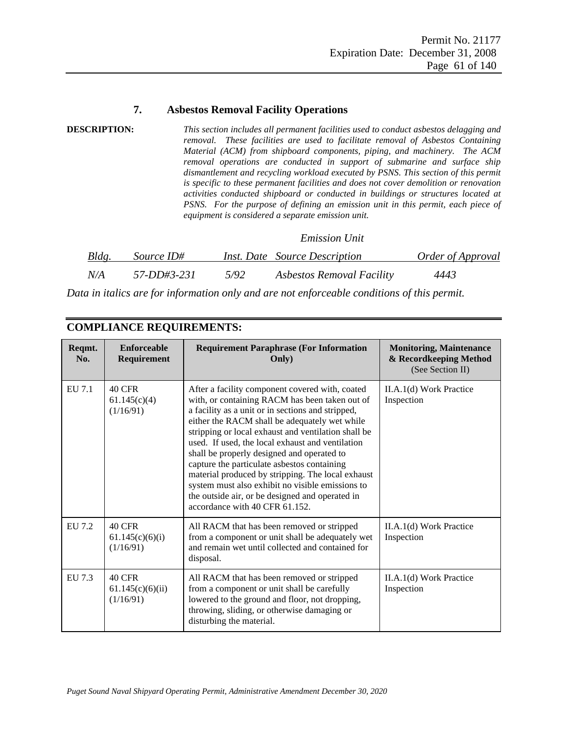### **7. Asbestos Removal Facility Operations**

**DESCRIPTION:** *This section includes all permanent facilities used to conduct asbestos delagging and removal. These facilities are used to facilitate removal of Asbestos Containing Material (ACM) from shipboard components, piping, and machinery. The ACM removal operations are conducted in support of submarine and surface ship dismantlement and recycling workload executed by PSNS. This section of this permit is specific to these permanent facilities and does not cover demolition or renovation activities conducted shipboard or conducted in buildings or structures located at*  PSNS. For the purpose of defining an emission unit in this permit, each piece of *equipment is considered a separate emission unit.*

#### *Emission Unit*

| Bldg. | <i>Source ID#</i> |      | <i>Inst. Date Source Description</i> | Order of Approval |
|-------|-------------------|------|--------------------------------------|-------------------|
| N/A   | 57-DD#3-231       | 5/92 | Asbestos Removal Facility            | 4443              |

*Data in italics are for information only and are not enforceable conditions of this permit.*

| Reqmt.<br>No. | <b>Enforceable</b><br>Requirement              | <b>Requirement Paraphrase (For Information</b><br>Only)                                                                                                                                                                                                                                                                                                                                                                                                                                                                                                                                                       | <b>Monitoring, Maintenance</b><br>& Recordkeeping Method<br>(See Section II) |
|---------------|------------------------------------------------|---------------------------------------------------------------------------------------------------------------------------------------------------------------------------------------------------------------------------------------------------------------------------------------------------------------------------------------------------------------------------------------------------------------------------------------------------------------------------------------------------------------------------------------------------------------------------------------------------------------|------------------------------------------------------------------------------|
| EU 7.1        | 40 CFR<br>61.145(c)(4)<br>(1/16/91)            | After a facility component covered with, coated<br>with, or containing RACM has been taken out of<br>a facility as a unit or in sections and stripped,<br>either the RACM shall be adequately wet while<br>stripping or local exhaust and ventilation shall be<br>used. If used, the local exhaust and ventilation<br>shall be properly designed and operated to<br>capture the particulate asbestos containing<br>material produced by stripping. The local exhaust<br>system must also exhibit no visible emissions to<br>the outside air, or be designed and operated in<br>accordance with 40 CFR 61.152. | II.A.1(d) Work Practice<br>Inspection                                        |
| EU 7.2        | <b>40 CFR</b><br>61.145(c)(6)(i)<br>(1/16/91)  | All RACM that has been removed or stripped<br>from a component or unit shall be adequately wet<br>and remain wet until collected and contained for<br>disposal.                                                                                                                                                                                                                                                                                                                                                                                                                                               | II.A.1(d) Work Practice<br>Inspection                                        |
| EU 7.3        | <b>40 CFR</b><br>61.145(c)(6)(ii)<br>(1/16/91) | All RACM that has been removed or stripped<br>from a component or unit shall be carefully<br>lowered to the ground and floor, not dropping,<br>throwing, sliding, or otherwise damaging or<br>disturbing the material.                                                                                                                                                                                                                                                                                                                                                                                        | II.A.1(d) Work Practice<br>Inspection                                        |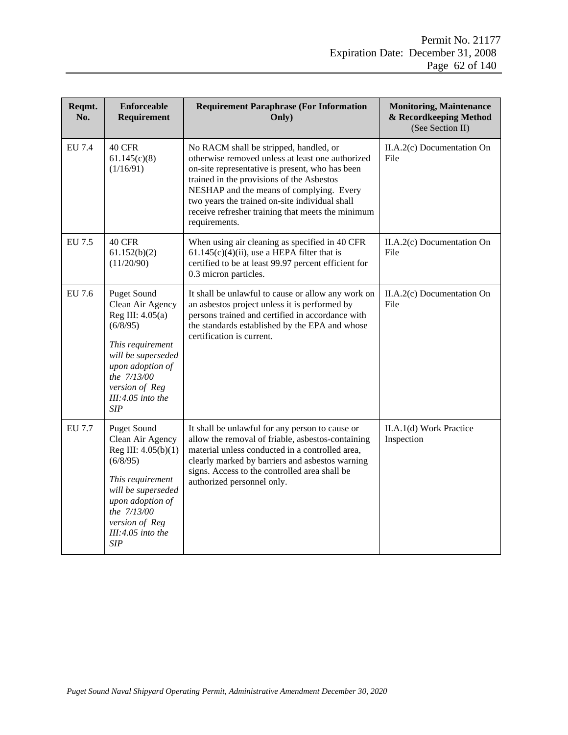| Reqmt.<br>No. | <b>Enforceable</b><br>Requirement                                                                                                                                                                      | <b>Requirement Paraphrase (For Information</b><br>Only)                                                                                                                                                                                                                                                                                                        | <b>Monitoring, Maintenance</b><br>& Recordkeeping Method<br>(See Section II) |
|---------------|--------------------------------------------------------------------------------------------------------------------------------------------------------------------------------------------------------|----------------------------------------------------------------------------------------------------------------------------------------------------------------------------------------------------------------------------------------------------------------------------------------------------------------------------------------------------------------|------------------------------------------------------------------------------|
| EU 7.4        | 40 CFR<br>61.145(c)(8)<br>(1/16/91)                                                                                                                                                                    | No RACM shall be stripped, handled, or<br>otherwise removed unless at least one authorized<br>on-site representative is present, who has been<br>trained in the provisions of the Asbestos<br>NESHAP and the means of complying. Every<br>two years the trained on-site individual shall<br>receive refresher training that meets the minimum<br>requirements. | II.A.2(c) Documentation On<br>File                                           |
| EU 7.5        | 40 CFR<br>61.152(b)(2)<br>(11/20/90)                                                                                                                                                                   | When using air cleaning as specified in 40 CFR<br>$61.145(c)(4)(ii)$ , use a HEPA filter that is<br>certified to be at least 99.97 percent efficient for<br>0.3 micron particles.                                                                                                                                                                              | II.A.2(c) Documentation On<br>File                                           |
| EU 7.6        | <b>Puget Sound</b><br>Clean Air Agency<br>Reg III: $4.05(a)$<br>(6/8/95)<br>This requirement<br>will be superseded<br>upon adoption of<br>the 7/13/00<br>version of Reg<br>$III:4.05$ into the<br>SIP  | It shall be unlawful to cause or allow any work on<br>an asbestos project unless it is performed by<br>persons trained and certified in accordance with<br>the standards established by the EPA and whose<br>certification is current.                                                                                                                         | II.A.2(c) Documentation On<br>File                                           |
| <b>EU 7.7</b> | Puget Sound<br>Clean Air Agency<br>Reg III: 4.05(b)(1)<br>(6/8/95)<br>This requirement<br>will be superseded<br>upon adoption of<br>the 7/13/00<br>version of Reg<br>$III:4.05$ into the<br><b>SIP</b> | It shall be unlawful for any person to cause or<br>allow the removal of friable, asbestos-containing<br>material unless conducted in a controlled area,<br>clearly marked by barriers and asbestos warning<br>signs. Access to the controlled area shall be<br>authorized personnel only.                                                                      | II.A.1(d) Work Practice<br>Inspection                                        |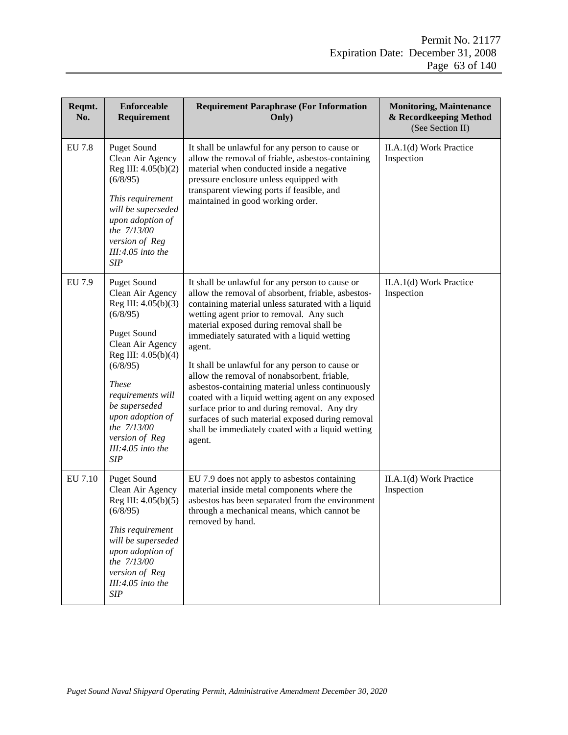| Reqmt.<br>No. | <b>Enforceable</b><br>Requirement                                                                                                                                                                                                                                                                    | <b>Requirement Paraphrase (For Information</b><br>Only)                                                                                                                                                                                                                                                                                                                                                                                                                                                                                                                                                                                                                                    | <b>Monitoring, Maintenance</b><br>& Recordkeeping Method<br>(See Section II) |
|---------------|------------------------------------------------------------------------------------------------------------------------------------------------------------------------------------------------------------------------------------------------------------------------------------------------------|--------------------------------------------------------------------------------------------------------------------------------------------------------------------------------------------------------------------------------------------------------------------------------------------------------------------------------------------------------------------------------------------------------------------------------------------------------------------------------------------------------------------------------------------------------------------------------------------------------------------------------------------------------------------------------------------|------------------------------------------------------------------------------|
| <b>EU 7.8</b> | <b>Puget Sound</b><br>Clean Air Agency<br>Reg III: 4.05(b)(2)<br>(6/8/95)<br>This requirement<br>will be superseded<br>upon adoption of<br>the 7/13/00<br>version of Reg<br>$III:4.05$ into the<br><b>SIP</b>                                                                                        | It shall be unlawful for any person to cause or<br>allow the removal of friable, asbestos-containing<br>material when conducted inside a negative<br>pressure enclosure unless equipped with<br>transparent viewing ports if feasible, and<br>maintained in good working order.                                                                                                                                                                                                                                                                                                                                                                                                            | II.A.1(d) Work Practice<br>Inspection                                        |
| EU 7.9        | <b>Puget Sound</b><br>Clean Air Agency<br>Reg III: 4.05(b)(3)<br>(6/8/95)<br><b>Puget Sound</b><br>Clean Air Agency<br>Reg III: 4.05(b)(4)<br>(6/8/95)<br><b>These</b><br>requirements will<br>be superseded<br>upon adoption of<br>the 7/13/00<br>version of Reg<br>III:4.05 into the<br><b>SIP</b> | It shall be unlawful for any person to cause or<br>allow the removal of absorbent, friable, asbestos-<br>containing material unless saturated with a liquid<br>wetting agent prior to removal. Any such<br>material exposed during removal shall be<br>immediately saturated with a liquid wetting<br>agent.<br>It shall be unlawful for any person to cause or<br>allow the removal of nonabsorbent, friable,<br>asbestos-containing material unless continuously<br>coated with a liquid wetting agent on any exposed<br>surface prior to and during removal. Any dry<br>surfaces of such material exposed during removal<br>shall be immediately coated with a liquid wetting<br>agent. | II.A.1(d) Work Practice<br>Inspection                                        |
| EU 7.10       | <b>Puget Sound</b><br>Clean Air Agency<br>Reg III: $4.05(b)(5)$<br>(6/8/95)<br>This requirement<br>will be superseded<br>upon adoption of<br>the 7/13/00<br>version of Reg<br>$III:4.05$ into the<br>SIP                                                                                             | EU 7.9 does not apply to asbestos containing<br>material inside metal components where the<br>asbestos has been separated from the environment<br>through a mechanical means, which cannot be<br>removed by hand.                                                                                                                                                                                                                                                                                                                                                                                                                                                                          | II.A.1(d) Work Practice<br>Inspection                                        |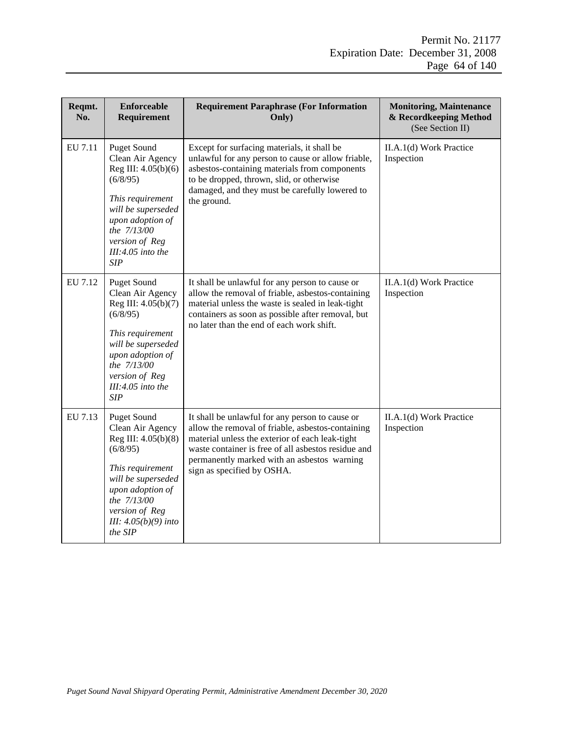| Reqmt.<br>No. | <b>Enforceable</b><br>Requirement                                                                                                                                                                             | <b>Requirement Paraphrase (For Information</b><br>Only)                                                                                                                                                                                                                                     | <b>Monitoring, Maintenance</b><br>& Recordkeeping Method<br>(See Section II) |
|---------------|---------------------------------------------------------------------------------------------------------------------------------------------------------------------------------------------------------------|---------------------------------------------------------------------------------------------------------------------------------------------------------------------------------------------------------------------------------------------------------------------------------------------|------------------------------------------------------------------------------|
| EU 7.11       | <b>Puget Sound</b><br>Clean Air Agency<br>Reg III: 4.05(b)(6)<br>(6/8/95)<br>This requirement<br>will be superseded<br>upon adoption of<br>the 7/13/00<br>version of Reg<br>$III:4.05$ into the<br><b>SIP</b> | Except for surfacing materials, it shall be<br>unlawful for any person to cause or allow friable,<br>asbestos-containing materials from components<br>to be dropped, thrown, slid, or otherwise<br>damaged, and they must be carefully lowered to<br>the ground.                            | II.A.1(d) Work Practice<br>Inspection                                        |
| EU 7.12       | <b>Puget Sound</b><br>Clean Air Agency<br>Reg III: 4.05(b)(7)<br>(6/8/95)<br>This requirement<br>will be superseded<br>upon adoption of<br>the 7/13/00<br>version of Reg<br>$III:4.05$ into the<br><b>SIP</b> | It shall be unlawful for any person to cause or<br>allow the removal of friable, asbestos-containing<br>material unless the waste is sealed in leak-tight<br>containers as soon as possible after removal, but<br>no later than the end of each work shift.                                 | II.A.1(d) Work Practice<br>Inspection                                        |
| EU 7.13       | <b>Puget Sound</b><br>Clean Air Agency<br>Reg III: 4.05(b)(8)<br>(6/8/95)<br>This requirement<br>will be superseded<br>upon adoption of<br>the 7/13/00<br>version of Reg<br>III: $4.05(b)(9)$ into<br>the SIP | It shall be unlawful for any person to cause or<br>allow the removal of friable, asbestos-containing<br>material unless the exterior of each leak-tight<br>waste container is free of all asbestos residue and<br>permanently marked with an asbestos warning<br>sign as specified by OSHA. | II.A.1(d) Work Practice<br>Inspection                                        |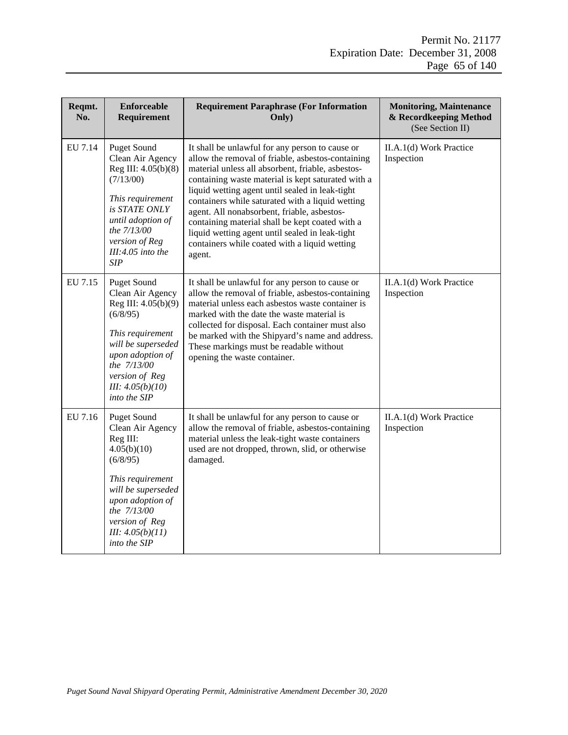| Reqmt.<br>No. | <b>Enforceable</b><br>Requirement                                                                                                                                                                            | <b>Requirement Paraphrase (For Information</b><br>Only)                                                                                                                                                                                                                                                                                                                                                                                                                                                                                | <b>Monitoring, Maintenance</b><br>& Recordkeeping Method<br>(See Section II) |
|---------------|--------------------------------------------------------------------------------------------------------------------------------------------------------------------------------------------------------------|----------------------------------------------------------------------------------------------------------------------------------------------------------------------------------------------------------------------------------------------------------------------------------------------------------------------------------------------------------------------------------------------------------------------------------------------------------------------------------------------------------------------------------------|------------------------------------------------------------------------------|
| EU 7.14       | <b>Puget Sound</b><br>Clean Air Agency<br>Reg III: 4.05(b)(8)<br>(7/13/00)<br>This requirement<br>is STATE ONLY<br>until adoption of<br>the 7/13/00<br>version of Reg<br>$III:4.05$ into the<br><b>SIP</b>   | It shall be unlawful for any person to cause or<br>allow the removal of friable, asbestos-containing<br>material unless all absorbent, friable, asbestos-<br>containing waste material is kept saturated with a<br>liquid wetting agent until sealed in leak-tight<br>containers while saturated with a liquid wetting<br>agent. All nonabsorbent, friable, asbestos-<br>containing material shall be kept coated with a<br>liquid wetting agent until sealed in leak-tight<br>containers while coated with a liquid wetting<br>agent. | II.A.1(d) Work Practice<br>Inspection                                        |
| EU 7.15       | <b>Puget Sound</b><br>Clean Air Agency<br>Reg III: 4.05(b)(9)<br>(6/8/95)<br>This requirement<br>will be superseded<br>upon adoption of<br>the 7/13/00<br>version of Reg<br>III: 4.05(b)(10)<br>into the SIP | It shall be unlawful for any person to cause or<br>allow the removal of friable, asbestos-containing<br>material unless each asbestos waste container is<br>marked with the date the waste material is<br>collected for disposal. Each container must also<br>be marked with the Shipyard's name and address.<br>These markings must be readable without<br>opening the waste container.                                                                                                                                               | II.A.1(d) Work Practice<br>Inspection                                        |
| EU 7.16       | Puget Sound<br>Clean Air Agency<br>Reg III:<br>4.05(b)(10)<br>(6/8/95)<br>This requirement<br>will be superseded<br>upon adoption of<br>the 7/13/00<br>version of Reg<br>III: 4.05(b)(11)<br>into the SIP    | It shall be unlawful for any person to cause or<br>allow the removal of friable, asbestos-containing<br>material unless the leak-tight waste containers<br>used are not dropped, thrown, slid, or otherwise<br>damaged.                                                                                                                                                                                                                                                                                                                | II.A.1(d) Work Practice<br>Inspection                                        |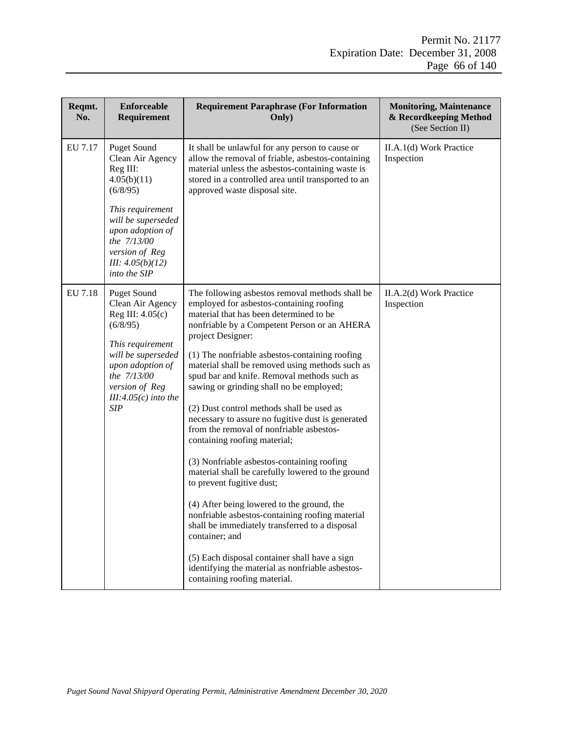| Reqmt.<br>No. | <b>Enforceable</b><br>Requirement                                                                                                                                                                             | <b>Requirement Paraphrase (For Information</b><br>Only)                                                                                                                                                                                                                                                                                                                                                                                                                                                                                                                                                                                                                                                                                                                                                                                                                                                                                                                                                                             | <b>Monitoring, Maintenance</b><br>& Recordkeeping Method<br>(See Section II) |
|---------------|---------------------------------------------------------------------------------------------------------------------------------------------------------------------------------------------------------------|-------------------------------------------------------------------------------------------------------------------------------------------------------------------------------------------------------------------------------------------------------------------------------------------------------------------------------------------------------------------------------------------------------------------------------------------------------------------------------------------------------------------------------------------------------------------------------------------------------------------------------------------------------------------------------------------------------------------------------------------------------------------------------------------------------------------------------------------------------------------------------------------------------------------------------------------------------------------------------------------------------------------------------------|------------------------------------------------------------------------------|
| EU 7.17       | <b>Puget Sound</b><br>Clean Air Agency<br>Reg III:<br>4.05(b)(11)<br>(6/8/95)<br>This requirement<br>will be superseded<br>upon adoption of                                                                   | It shall be unlawful for any person to cause or<br>allow the removal of friable, asbestos-containing<br>material unless the asbestos-containing waste is<br>stored in a controlled area until transported to an<br>approved waste disposal site.                                                                                                                                                                                                                                                                                                                                                                                                                                                                                                                                                                                                                                                                                                                                                                                    | II.A.1(d) Work Practice<br>Inspection                                        |
|               | the 7/13/00<br>version of Reg<br><i>III:</i> $4.05(b)(12)$<br>into the SIP                                                                                                                                    |                                                                                                                                                                                                                                                                                                                                                                                                                                                                                                                                                                                                                                                                                                                                                                                                                                                                                                                                                                                                                                     |                                                                              |
| EU 7.18       | <b>Puget Sound</b><br>Clean Air Agency<br>Reg III: 4.05(c)<br>(6/8/95)<br>This requirement<br>will be superseded<br>upon adoption of<br>the 7/13/00<br>version of Reg<br>$III:4.05(c)$ into the<br><b>SIP</b> | The following asbestos removal methods shall be<br>employed for asbestos-containing roofing<br>material that has been determined to be<br>nonfriable by a Competent Person or an AHERA<br>project Designer:<br>(1) The nonfriable asbestos-containing roofing<br>material shall be removed using methods such as<br>spud bar and knife. Removal methods such as<br>sawing or grinding shall no be employed;<br>(2) Dust control methods shall be used as<br>necessary to assure no fugitive dust is generated<br>from the removal of nonfriable asbestos-<br>containing roofing material;<br>(3) Nonfriable asbestos-containing roofing<br>material shall be carefully lowered to the ground<br>to prevent fugitive dust;<br>(4) After being lowered to the ground, the<br>nonfriable asbestos-containing roofing material<br>shall be immediately transferred to a disposal<br>container; and<br>(5) Each disposal container shall have a sign<br>identifying the material as nonfriable asbestos-<br>containing roofing material. | II.A.2(d) Work Practice<br>Inspection                                        |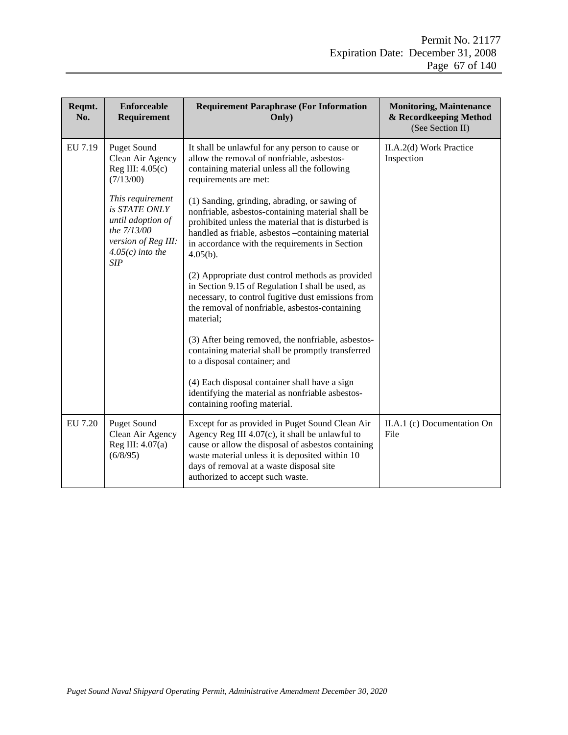| Reqmt.<br>No. | <b>Enforceable</b><br>Requirement                                                                                                | <b>Requirement Paraphrase (For Information</b><br>Only)                                                                                                                                                                                                                                     | <b>Monitoring, Maintenance</b><br>& Recordkeeping Method<br>(See Section II) |
|---------------|----------------------------------------------------------------------------------------------------------------------------------|---------------------------------------------------------------------------------------------------------------------------------------------------------------------------------------------------------------------------------------------------------------------------------------------|------------------------------------------------------------------------------|
| EU 7.19       | <b>Puget Sound</b><br>Clean Air Agency<br>Reg III: 4.05(c)<br>(7/13/00)                                                          | It shall be unlawful for any person to cause or<br>allow the removal of nonfriable, asbestos-<br>containing material unless all the following<br>requirements are met:                                                                                                                      | II.A.2(d) Work Practice<br>Inspection                                        |
|               | This requirement<br>is STATE ONLY<br>until adoption of<br>the 7/13/00<br>version of Reg III:<br>$4.05(c)$ into the<br><b>SIP</b> | (1) Sanding, grinding, abrading, or sawing of<br>nonfriable, asbestos-containing material shall be<br>prohibited unless the material that is disturbed is<br>handled as friable, asbestos -containing material<br>in accordance with the requirements in Section<br>$4.05(b)$ .             |                                                                              |
|               |                                                                                                                                  | (2) Appropriate dust control methods as provided<br>in Section 9.15 of Regulation I shall be used, as<br>necessary, to control fugitive dust emissions from<br>the removal of nonfriable, asbestos-containing<br>material;                                                                  |                                                                              |
|               |                                                                                                                                  | (3) After being removed, the nonfriable, asbestos-<br>containing material shall be promptly transferred<br>to a disposal container; and                                                                                                                                                     |                                                                              |
|               |                                                                                                                                  | (4) Each disposal container shall have a sign<br>identifying the material as nonfriable asbestos-<br>containing roofing material.                                                                                                                                                           |                                                                              |
| EU 7.20       | <b>Puget Sound</b><br>Clean Air Agency<br>Reg III: $4.07(a)$<br>(6/8/95)                                                         | Except for as provided in Puget Sound Clean Air<br>Agency Reg III 4.07(c), it shall be unlawful to<br>cause or allow the disposal of asbestos containing<br>waste material unless it is deposited within 10<br>days of removal at a waste disposal site<br>authorized to accept such waste. | II.A.1 (c) Documentation On<br>File                                          |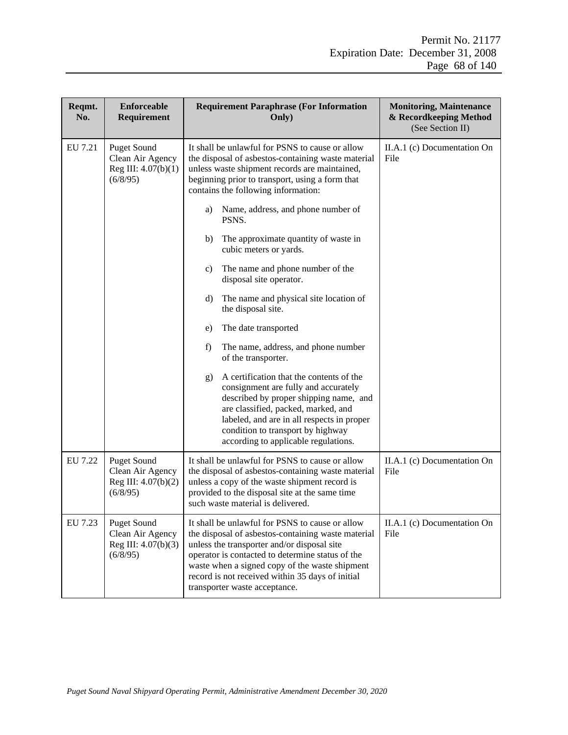| Reqmt.<br>No. | <b>Enforceable</b><br>Requirement                                           | <b>Requirement Paraphrase (For Information</b><br>Only)                                                                                                                                                                                                                                                                                         | <b>Monitoring, Maintenance</b><br>& Recordkeeping Method<br>(See Section II) |
|---------------|-----------------------------------------------------------------------------|-------------------------------------------------------------------------------------------------------------------------------------------------------------------------------------------------------------------------------------------------------------------------------------------------------------------------------------------------|------------------------------------------------------------------------------|
| EU 7.21       | <b>Puget Sound</b><br>Clean Air Agency<br>Reg III: $4.07(b)(1)$<br>(6/8/95) | It shall be unlawful for PSNS to cause or allow<br>the disposal of asbestos-containing waste material<br>unless waste shipment records are maintained,<br>beginning prior to transport, using a form that<br>contains the following information:                                                                                                | II.A.1 (c) Documentation On<br>File                                          |
|               |                                                                             | Name, address, and phone number of<br>a)<br>PSNS.                                                                                                                                                                                                                                                                                               |                                                                              |
|               |                                                                             | The approximate quantity of waste in<br>b)<br>cubic meters or yards.                                                                                                                                                                                                                                                                            |                                                                              |
|               |                                                                             | The name and phone number of the<br>c)<br>disposal site operator.                                                                                                                                                                                                                                                                               |                                                                              |
|               |                                                                             | $\rm d$<br>The name and physical site location of<br>the disposal site.                                                                                                                                                                                                                                                                         |                                                                              |
|               |                                                                             | The date transported<br>e)                                                                                                                                                                                                                                                                                                                      |                                                                              |
|               |                                                                             | The name, address, and phone number<br>f)<br>of the transporter.                                                                                                                                                                                                                                                                                |                                                                              |
|               |                                                                             | A certification that the contents of the<br>g)<br>consignment are fully and accurately<br>described by proper shipping name, and<br>are classified, packed, marked, and<br>labeled, and are in all respects in proper<br>condition to transport by highway<br>according to applicable regulations.                                              |                                                                              |
| EU 7.22       | <b>Puget Sound</b><br>Clean Air Agency<br>Reg III: 4.07(b)(2)<br>(6/8/95)   | It shall be unlawful for PSNS to cause or allow<br>the disposal of asbestos-containing waste material<br>unless a copy of the waste shipment record is<br>provided to the disposal site at the same time<br>such waste material is delivered.                                                                                                   | II.A.1 (c) Documentation On<br>File                                          |
| EU 7.23       | <b>Puget Sound</b><br>Clean Air Agency<br>Reg III: 4.07(b)(3)<br>(6/8/95)   | It shall be unlawful for PSNS to cause or allow<br>the disposal of asbestos-containing waste material<br>unless the transporter and/or disposal site<br>operator is contacted to determine status of the<br>waste when a signed copy of the waste shipment<br>record is not received within 35 days of initial<br>transporter waste acceptance. | II.A.1 (c) Documentation On<br>File                                          |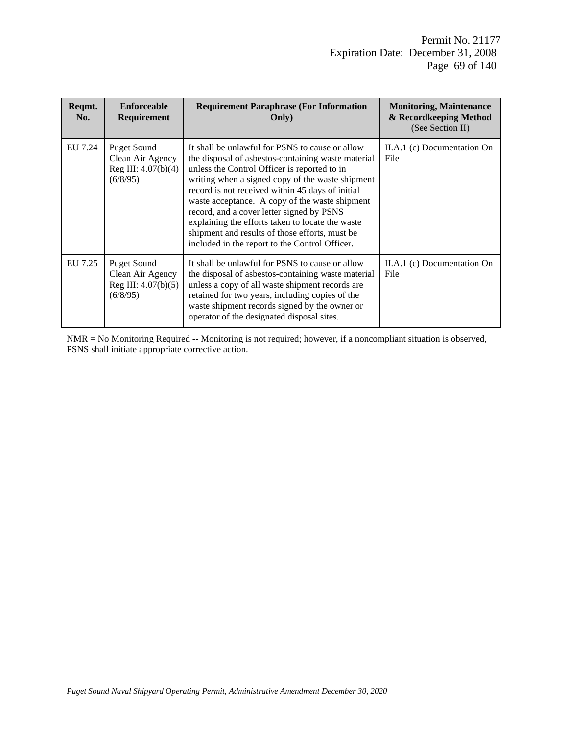| Reqmt.<br>No. | Enforceable<br><b>Requirement</b>                                           | <b>Requirement Paraphrase (For Information</b><br>Only)                                                                                                                                                                                                                                                                                                                                                                                                                                                              | <b>Monitoring, Maintenance</b><br>& Recordkeeping Method<br>(See Section II) |
|---------------|-----------------------------------------------------------------------------|----------------------------------------------------------------------------------------------------------------------------------------------------------------------------------------------------------------------------------------------------------------------------------------------------------------------------------------------------------------------------------------------------------------------------------------------------------------------------------------------------------------------|------------------------------------------------------------------------------|
| EU 7.24       | <b>Puget Sound</b><br>Clean Air Agency<br>Reg III: $4.07(b)(4)$<br>(6/8/95) | It shall be unlawful for PSNS to cause or allow<br>the disposal of asbestos-containing waste material<br>unless the Control Officer is reported to in<br>writing when a signed copy of the waste shipment<br>record is not received within 45 days of initial<br>waste acceptance. A copy of the waste shipment<br>record, and a cover letter signed by PSNS<br>explaining the efforts taken to locate the waste<br>shipment and results of those efforts, must be<br>included in the report to the Control Officer. | II.A.1 (c) Documentation On<br>File                                          |
| EU 7.25       | <b>Puget Sound</b><br>Clean Air Agency<br>Reg III: $4.07(b)(5)$<br>(6/8/95) | It shall be unlawful for PSNS to cause or allow<br>the disposal of asbestos-containing waste material<br>unless a copy of all waste shipment records are<br>retained for two years, including copies of the<br>waste shipment records signed by the owner or<br>operator of the designated disposal sites.                                                                                                                                                                                                           | II.A.1 (c) Documentation On<br>File                                          |

NMR = No Monitoring Required -- Monitoring is not required; however, if a noncompliant situation is observed, PSNS shall initiate appropriate corrective action.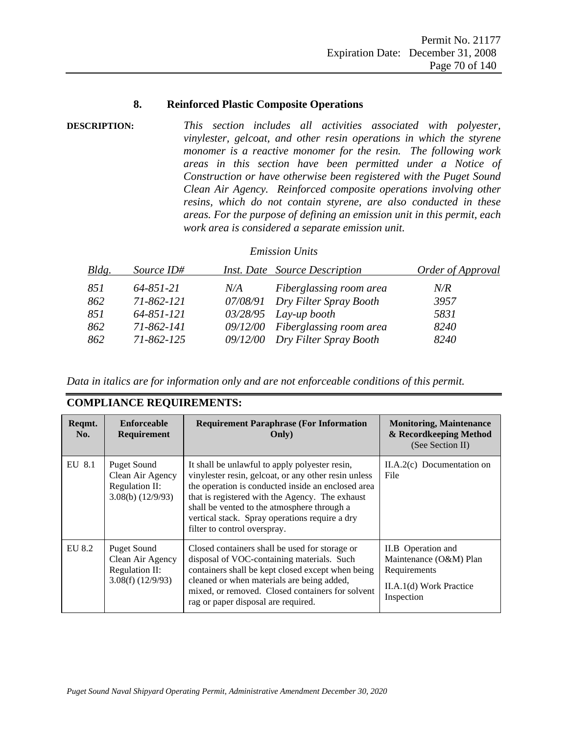### **8. Reinforced Plastic Composite Operations**

**DESCRIPTION:** *This section includes all activities associated with polyester, vinylester, gelcoat, and other resin operations in which the styrene monomer is a reactive monomer for the resin. The following work areas in this section have been permitted under a Notice of Construction or have otherwise been registered with the Puget Sound Clean Air Agency. Reinforced composite operations involving other resins, which do not contain styrene, are also conducted in these areas. For the purpose of defining an emission unit in this permit, each work area is considered a separate emission unit.*

### *Emission Units*

| Bldg. | Source ID#       |     | <i>Inst. Date Source Description</i> | Order of Approval |
|-------|------------------|-----|--------------------------------------|-------------------|
| 851   | $64 - 851 - 21$  | N/A | Fiberglassing room area              | $N\!R$            |
| 862   | 71-862-121       |     | 07/08/91 Dry Filter Spray Booth      | 3957              |
| 851   | 64-851-121       |     | $03/28/95$ Lay-up booth              | 5831              |
| 862   | 71-862-141       |     | 09/12/00 Fiberglassing room area     | 8240              |
| 862   | $71 - 862 - 125$ |     | 09/12/00 Dry Filter Spray Booth      | 8240              |

*Data in italics are for information only and are not enforceable conditions of this permit.*

| COMPLIANCE REQUIREMENTS: |                                                                                   |                                                                                                                                                                                                                                                                                                                                                  |                                                                                                       |
|--------------------------|-----------------------------------------------------------------------------------|--------------------------------------------------------------------------------------------------------------------------------------------------------------------------------------------------------------------------------------------------------------------------------------------------------------------------------------------------|-------------------------------------------------------------------------------------------------------|
| Reqmt.<br>No.            | <b>Enforceable</b><br>Requirement                                                 | <b>Requirement Paraphrase (For Information</b><br>Only)                                                                                                                                                                                                                                                                                          | <b>Monitoring, Maintenance</b><br>& Recordkeeping Method<br>(See Section II)                          |
| EU 8.1                   | <b>Puget Sound</b><br>Clean Air Agency<br>Regulation II:<br>$3.08(b)$ $(12/9/93)$ | It shall be unlawful to apply polyester resin,<br>vinylester resin, gelcoat, or any other resin unless<br>the operation is conducted inside an enclosed area<br>that is registered with the Agency. The exhaust<br>shall be vented to the atmosphere through a<br>vertical stack. Spray operations require a dry<br>filter to control overspray. | $II.A.2(c)$ Documentation on<br>File                                                                  |
| EU 8.2                   | <b>Puget Sound</b><br>Clean Air Agency<br>Regulation II:<br>3.08(f) (12/9/93)     | Closed containers shall be used for storage or<br>disposal of VOC-containing materials. Such<br>containers shall be kept closed except when being<br>cleaned or when materials are being added,<br>mixed, or removed. Closed containers for solvent<br>rag or paper disposal are required.                                                       | II.B Operation and<br>Maintenance (O&M) Plan<br>Requirements<br>II.A.1(d) Work Practice<br>Inspection |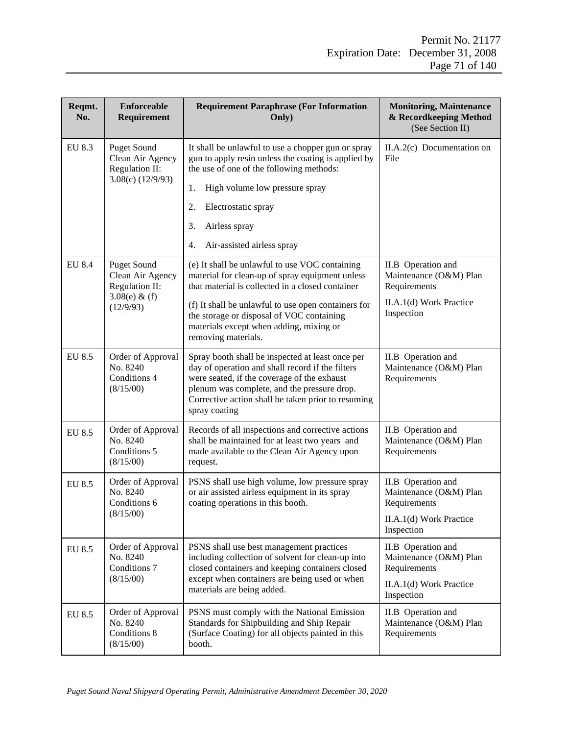| Reqmt.<br>No. | <b>Enforceable</b><br>Requirement                                                         | <b>Requirement Paraphrase (For Information</b><br>Only)                                                                                                                                                                                                                                                                     | <b>Monitoring, Maintenance</b><br>& Recordkeeping Method<br>(See Section II)                          |
|---------------|-------------------------------------------------------------------------------------------|-----------------------------------------------------------------------------------------------------------------------------------------------------------------------------------------------------------------------------------------------------------------------------------------------------------------------------|-------------------------------------------------------------------------------------------------------|
| EU 8.3        | <b>Puget Sound</b><br>Clean Air Agency<br>Regulation II:<br>$3.08(c)$ (12/9/93)           | It shall be unlawful to use a chopper gun or spray<br>gun to apply resin unless the coating is applied by<br>the use of one of the following methods:<br>1.<br>High volume low pressure spray<br>2.<br>Electrostatic spray<br>3.<br>Airless spray<br>Air-assisted airless spray<br>4.                                       | II.A.2(c) Documentation on<br>File                                                                    |
| EU 8.4        | <b>Puget Sound</b><br>Clean Air Agency<br>Regulation II:<br>$3.08(e) \& (f)$<br>(12/9/93) | (e) It shall be unlawful to use VOC containing<br>material for clean-up of spray equipment unless<br>that material is collected in a closed container<br>(f) It shall be unlawful to use open containers for<br>the storage or disposal of VOC containing<br>materials except when adding, mixing or<br>removing materials. | II.B Operation and<br>Maintenance (O&M) Plan<br>Requirements<br>II.A.1(d) Work Practice<br>Inspection |
| EU 8.5        | Order of Approval<br>No. 8240<br>Conditions 4<br>(8/15/00)                                | Spray booth shall be inspected at least once per<br>day of operation and shall record if the filters<br>were seated, if the coverage of the exhaust<br>plenum was complete, and the pressure drop.<br>Corrective action shall be taken prior to resuming<br>spray coating                                                   | II.B Operation and<br>Maintenance (O&M) Plan<br>Requirements                                          |
| EU 8.5        | Order of Approval<br>No. 8240<br>Conditions 5<br>(8/15/00)                                | Records of all inspections and corrective actions<br>shall be maintained for at least two years and<br>made available to the Clean Air Agency upon<br>request.                                                                                                                                                              | II.B Operation and<br>Maintenance (O&M) Plan<br>Requirements                                          |
| EU 8.5        | Order of Approval<br>No. 8240<br>Conditions 6<br>(8/15/00)                                | PSNS shall use high volume, low pressure spray<br>or air assisted airless equipment in its spray<br>coating operations in this booth.                                                                                                                                                                                       | II.B Operation and<br>Maintenance (O&M) Plan<br>Requirements<br>II.A.1(d) Work Practice<br>Inspection |
| EU 8.5        | Order of Approval<br>No. 8240<br>Conditions 7<br>(8/15/00)                                | PSNS shall use best management practices<br>including collection of solvent for clean-up into<br>closed containers and keeping containers closed<br>except when containers are being used or when<br>materials are being added.                                                                                             | II.B Operation and<br>Maintenance (O&M) Plan<br>Requirements<br>II.A.1(d) Work Practice<br>Inspection |
| EU 8.5        | Order of Approval<br>No. 8240<br>Conditions 8<br>(8/15/00)                                | PSNS must comply with the National Emission<br>Standards for Shipbuilding and Ship Repair<br>(Surface Coating) for all objects painted in this<br>booth.                                                                                                                                                                    | II.B Operation and<br>Maintenance (O&M) Plan<br>Requirements                                          |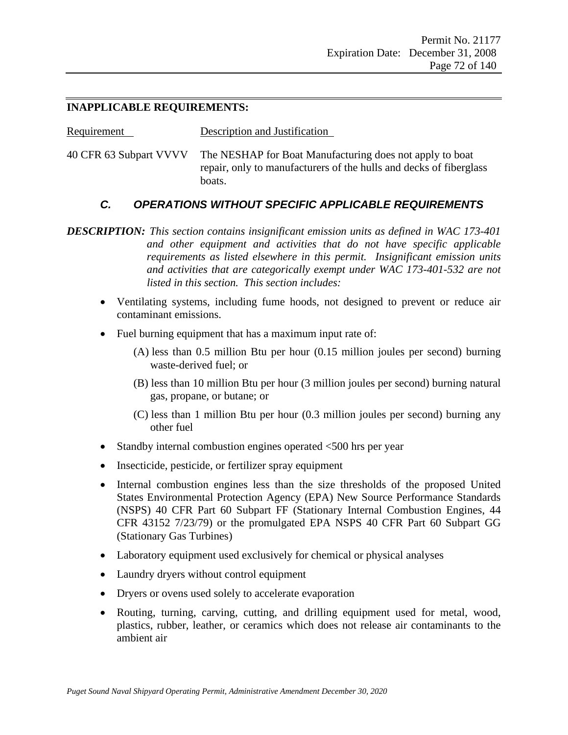## **INAPPLICABLE REQUIREMENTS:**

| Requirement | Description and Justification |
|-------------|-------------------------------|
|             |                               |

40 CFR 63 Subpart VVVV The NESHAP for Boat Manufacturing does not apply to boat repair, only to manufacturers of the hulls and decks of fiberglass boats.

# *C. OPERATIONS WITHOUT SPECIFIC APPLICABLE REQUIREMENTS*

- Ventilating systems, including fume hoods, not designed to prevent or reduce air contaminant emissions.
- Fuel burning equipment that has a maximum input rate of:
	- (A) less than 0.5 million Btu per hour (0.15 million joules per second) burning waste-derived fuel; or
	- (B) less than 10 million Btu per hour (3 million joules per second) burning natural gas, propane, or butane; or
	- (C) less than 1 million Btu per hour (0.3 million joules per second) burning any other fuel
- Standby internal combustion engines operated <500 hrs per year
- Insecticide, pesticide, or fertilizer spray equipment
- Internal combustion engines less than the size thresholds of the proposed United States Environmental Protection Agency (EPA) New Source Performance Standards (NSPS) 40 CFR Part 60 Subpart FF (Stationary Internal Combustion Engines, 44 CFR 43152 7/23/79) or the promulgated EPA NSPS 40 CFR Part 60 Subpart GG (Stationary Gas Turbines)
- Laboratory equipment used exclusively for chemical or physical analyses
- Laundry dryers without control equipment
- Dryers or ovens used solely to accelerate evaporation
- Routing, turning, carving, cutting, and drilling equipment used for metal, wood, plastics, rubber, leather, or ceramics which does not release air contaminants to the ambient air

*DESCRIPTION: This section contains insignificant emission units as defined in WAC 173-401 and other equipment and activities that do not have specific applicable requirements as listed elsewhere in this permit. Insignificant emission units and activities that are categorically exempt under WAC 173-401-532 are not listed in this section. This section includes:*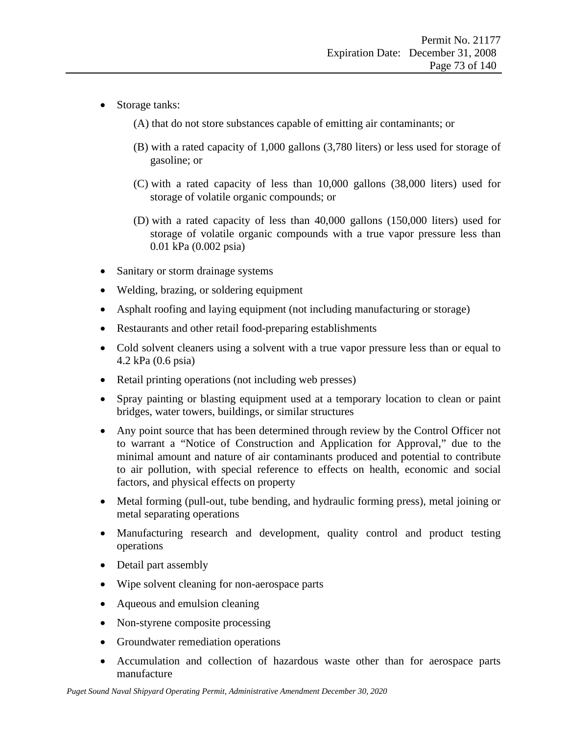- Storage tanks:
	- (A) that do not store substances capable of emitting air contaminants; or
	- (B) with a rated capacity of 1,000 gallons (3,780 liters) or less used for storage of gasoline; or
	- (C) with a rated capacity of less than 10,000 gallons (38,000 liters) used for storage of volatile organic compounds; or
	- (D) with a rated capacity of less than 40,000 gallons (150,000 liters) used for storage of volatile organic compounds with a true vapor pressure less than 0.01 kPa (0.002 psia)
- Sanitary or storm drainage systems
- Welding, brazing, or soldering equipment
- Asphalt roofing and laying equipment (not including manufacturing or storage)
- Restaurants and other retail food-preparing establishments
- Cold solvent cleaners using a solvent with a true vapor pressure less than or equal to 4.2 kPa (0.6 psia)
- Retail printing operations (not including web presses)
- Spray painting or blasting equipment used at a temporary location to clean or paint bridges, water towers, buildings, or similar structures
- Any point source that has been determined through review by the Control Officer not to warrant a "Notice of Construction and Application for Approval," due to the minimal amount and nature of air contaminants produced and potential to contribute to air pollution, with special reference to effects on health, economic and social factors, and physical effects on property
- Metal forming (pull-out, tube bending, and hydraulic forming press), metal joining or metal separating operations
- Manufacturing research and development, quality control and product testing operations
- Detail part assembly
- Wipe solvent cleaning for non-aerospace parts
- Aqueous and emulsion cleaning
- Non-styrene composite processing
- Groundwater remediation operations
- Accumulation and collection of hazardous waste other than for aerospace parts manufacture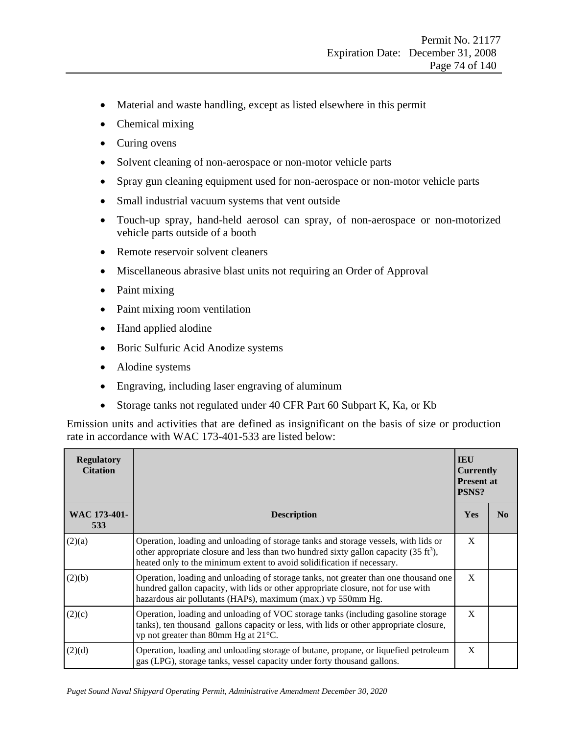- Material and waste handling, except as listed elsewhere in this permit
- Chemical mixing
- Curing ovens
- Solvent cleaning of non-aerospace or non-motor vehicle parts
- Spray gun cleaning equipment used for non-aerospace or non-motor vehicle parts
- Small industrial vacuum systems that vent outside
- Touch-up spray, hand-held aerosol can spray, of non-aerospace or non-motorized vehicle parts outside of a booth
- Remote reservoir solvent cleaners
- Miscellaneous abrasive blast units not requiring an Order of Approval
- Paint mixing
- Paint mixing room ventilation
- Hand applied alodine
- Boric Sulfuric Acid Anodize systems
- Alodine systems
- Engraving, including laser engraving of aluminum
- Storage tanks not regulated under 40 CFR Part 60 Subpart K, Ka, or Kb

Emission units and activities that are defined as insignificant on the basis of size or production rate in accordance with WAC 173-401-533 are listed below:

| <b>Regulatory</b><br><b>Citation</b> |                                                                                                                                                                                                                                                                    | <b>IEU</b><br><b>Currently</b><br><b>Present at</b><br>PSNS? |                |
|--------------------------------------|--------------------------------------------------------------------------------------------------------------------------------------------------------------------------------------------------------------------------------------------------------------------|--------------------------------------------------------------|----------------|
| WAC 173-401-<br>533                  | <b>Description</b>                                                                                                                                                                                                                                                 | <b>Yes</b>                                                   | N <sub>0</sub> |
| (2)(a)                               | Operation, loading and unloading of storage tanks and storage vessels, with lids or<br>other appropriate closure and less than two hundred sixty gallon capacity (35 ft <sup>3</sup> ),<br>heated only to the minimum extent to avoid solidification if necessary. | X                                                            |                |
| (2)(b)                               | Operation, loading and unloading of storage tanks, not greater than one thousand one<br>hundred gallon capacity, with lids or other appropriate closure, not for use with<br>hazardous air pollutants (HAPs), maximum (max.) vp 550mm Hg.                          | X                                                            |                |
| (2)(c)                               | Operation, loading and unloading of VOC storage tanks (including gasoline storage<br>tanks), ten thousand gallons capacity or less, with lids or other appropriate closure,<br>vp not greater than 80mm Hg at $21^{\circ}$ C.                                      | X                                                            |                |
| (2)(d)                               | Operation, loading and unloading storage of butane, propane, or liquefied petroleum<br>gas (LPG), storage tanks, vessel capacity under forty thousand gallons.                                                                                                     | X                                                            |                |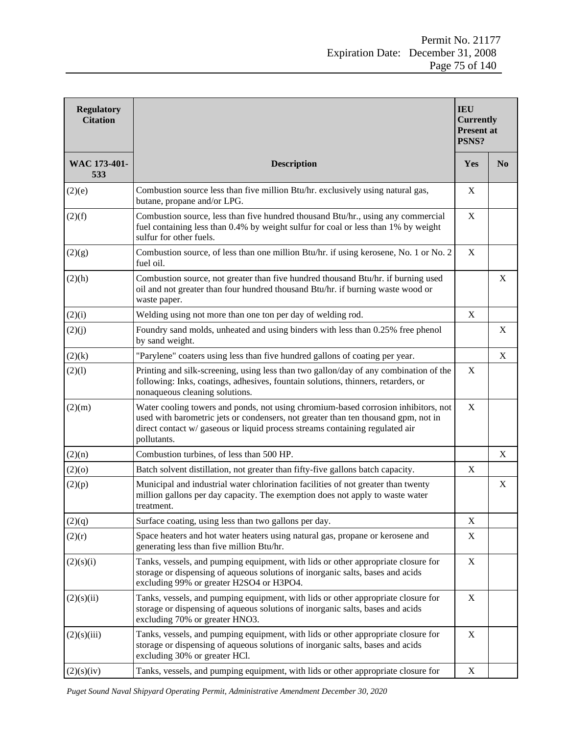| <b>Regulatory</b><br><b>Citation</b> | <b>IEU</b><br>PSNS?                                                                                                                                                                                                                                                     |             | <b>Currently</b><br><b>Present at</b> |
|--------------------------------------|-------------------------------------------------------------------------------------------------------------------------------------------------------------------------------------------------------------------------------------------------------------------------|-------------|---------------------------------------|
| WAC 173-401-<br>533                  | <b>Description</b>                                                                                                                                                                                                                                                      | Yes         | N <sub>0</sub>                        |
| (2)(e)                               | Combustion source less than five million Btu/hr. exclusively using natural gas,<br>butane, propane and/or LPG.                                                                                                                                                          | X           |                                       |
| (2)(f)                               | Combustion source, less than five hundred thousand Btu/hr., using any commercial<br>fuel containing less than 0.4% by weight sulfur for coal or less than 1% by weight<br>sulfur for other fuels.                                                                       | X           |                                       |
| (2)(g)                               | Combustion source, of less than one million Btu/hr. if using kerosene, No. 1 or No. 2<br>fuel oil.                                                                                                                                                                      | X           |                                       |
| (2)(h)                               | Combustion source, not greater than five hundred thousand Btu/hr. if burning used<br>oil and not greater than four hundred thousand Btu/hr. if burning waste wood or<br>waste paper.                                                                                    |             | X                                     |
| (2)(i)                               | Welding using not more than one ton per day of welding rod.                                                                                                                                                                                                             | X           |                                       |
| (2)(j)                               | Foundry sand molds, unheated and using binders with less than 0.25% free phenol<br>by sand weight.                                                                                                                                                                      |             | X                                     |
| (2)(k)                               | "Parylene" coaters using less than five hundred gallons of coating per year.                                                                                                                                                                                            |             | X                                     |
| (2)(1)                               | Printing and silk-screening, using less than two gallon/day of any combination of the<br>following: Inks, coatings, adhesives, fountain solutions, thinners, retarders, or<br>nonaqueous cleaning solutions.                                                            | $\mathbf X$ |                                       |
| (2)(m)                               | Water cooling towers and ponds, not using chromium-based corrosion inhibitors, not<br>used with barometric jets or condensers, not greater than ten thousand gpm, not in<br>direct contact w/ gaseous or liquid process streams containing regulated air<br>pollutants. | X           |                                       |
| (2)(n)                               | Combustion turbines, of less than 500 HP.                                                                                                                                                                                                                               |             | $\mathbf X$                           |
| (2)(0)                               | Batch solvent distillation, not greater than fifty-five gallons batch capacity.                                                                                                                                                                                         | X           |                                       |
| (2)(p)                               | Municipal and industrial water chlorination facilities of not greater than twenty<br>million gallons per day capacity. The exemption does not apply to waste water<br>treatment.                                                                                        |             | X                                     |
| (2)(q)                               | Surface coating, using less than two gallons per day.                                                                                                                                                                                                                   | X           |                                       |
| (2)(r)                               | Space heaters and hot water heaters using natural gas, propane or kerosene and<br>generating less than five million Btu/hr.                                                                                                                                             | $\mathbf X$ |                                       |
| (2)(s)(i)                            | Tanks, vessels, and pumping equipment, with lids or other appropriate closure for<br>storage or dispensing of aqueous solutions of inorganic salts, bases and acids<br>excluding 99% or greater H2SO4 or H3PO4.                                                         | X           |                                       |
| (2)(s)(ii)                           | Tanks, vessels, and pumping equipment, with lids or other appropriate closure for<br>storage or dispensing of aqueous solutions of inorganic salts, bases and acids<br>excluding 70% or greater HNO3.                                                                   | $\mathbf X$ |                                       |
| (2)(s)(iii)                          | Tanks, vessels, and pumping equipment, with lids or other appropriate closure for<br>storage or dispensing of aqueous solutions of inorganic salts, bases and acids<br>excluding 30% or greater HCl.                                                                    | X           |                                       |
| (2)(s)(iv)                           | Tanks, vessels, and pumping equipment, with lids or other appropriate closure for                                                                                                                                                                                       | $\mathbf X$ |                                       |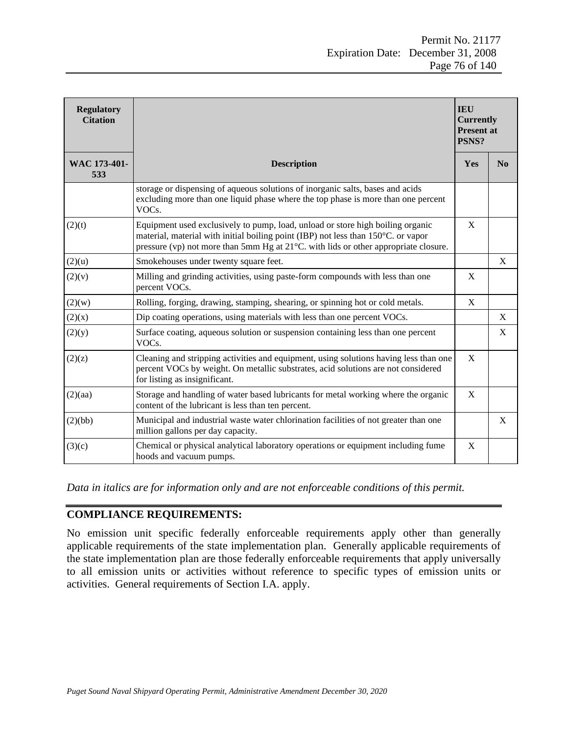| <b>Regulatory</b><br><b>Citation</b> |                                                                                                                                                                                                                                                            | <b>IEU</b><br><b>Currently</b><br><b>Present at</b><br>PSNS? |   |  |  |  |
|--------------------------------------|------------------------------------------------------------------------------------------------------------------------------------------------------------------------------------------------------------------------------------------------------------|--------------------------------------------------------------|---|--|--|--|
| WAC 173-401-<br>533                  | <b>Description</b>                                                                                                                                                                                                                                         |                                                              |   |  |  |  |
|                                      | storage or dispensing of aqueous solutions of inorganic salts, bases and acids<br>excluding more than one liquid phase where the top phase is more than one percent<br>VOCs.                                                                               |                                                              |   |  |  |  |
| (2)(t)                               | Equipment used exclusively to pump, load, unload or store high boiling organic<br>material, material with initial boiling point (IBP) not less than 150°C. or vapor<br>pressure (vp) not more than 5mm Hg at 21°C. with lids or other appropriate closure. | X                                                            |   |  |  |  |
| (2)(u)                               | Smokehouses under twenty square feet.                                                                                                                                                                                                                      |                                                              | X |  |  |  |
| (2)(v)                               | Milling and grinding activities, using paste-form compounds with less than one<br>percent VOCs.                                                                                                                                                            | $\mathbf X$                                                  |   |  |  |  |
| (2)(w)                               | Rolling, forging, drawing, stamping, shearing, or spinning hot or cold metals.                                                                                                                                                                             | $\mathbf X$                                                  |   |  |  |  |
| (2)(x)                               | Dip coating operations, using materials with less than one percent VOCs.                                                                                                                                                                                   |                                                              | X |  |  |  |
| (2)(y)                               | Surface coating, aqueous solution or suspension containing less than one percent<br>VOC <sub>s</sub> .                                                                                                                                                     |                                                              | X |  |  |  |
| (2)(z)                               | Cleaning and stripping activities and equipment, using solutions having less than one<br>percent VOCs by weight. On metallic substrates, acid solutions are not considered<br>for listing as insignificant.                                                | X                                                            |   |  |  |  |
| (2)(aa)                              | Storage and handling of water based lubricants for metal working where the organic<br>content of the lubricant is less than ten percent.                                                                                                                   | X                                                            |   |  |  |  |
| (2)(bb)                              | Municipal and industrial waste water chlorination facilities of not greater than one<br>million gallons per day capacity.                                                                                                                                  |                                                              | X |  |  |  |
| (3)(c)                               | Chemical or physical analytical laboratory operations or equipment including fume<br>hoods and vacuum pumps.                                                                                                                                               | X                                                            |   |  |  |  |

*Data in italics are for information only and are not enforceable conditions of this permit.*

#### **COMPLIANCE REQUIREMENTS:**

No emission unit specific federally enforceable requirements apply other than generally applicable requirements of the state implementation plan. Generally applicable requirements of the state implementation plan are those federally enforceable requirements that apply universally to all emission units or activities without reference to specific types of emission units or activities. General requirements of Section I.A. apply.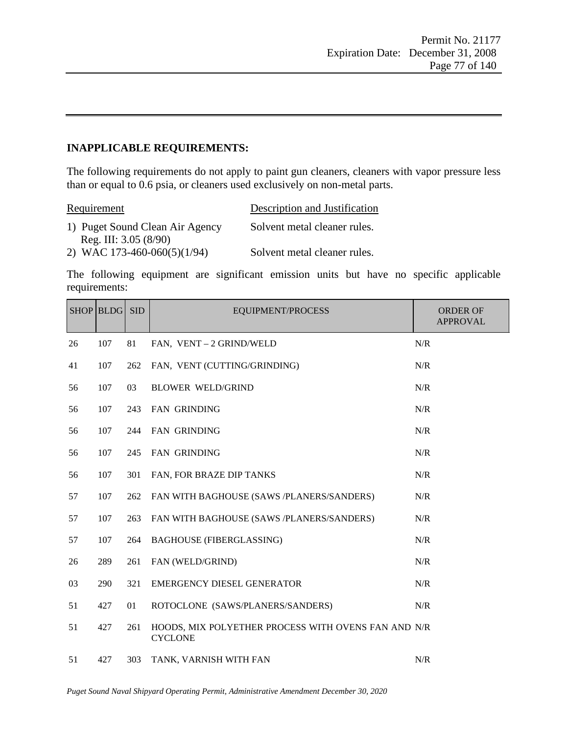#### **INAPPLICABLE REQUIREMENTS:**

The following requirements do not apply to paint gun cleaners, cleaners with vapor pressure less than or equal to 0.6 psia, or cleaners used exclusively on non-metal parts.

| Requirement                     | Description and Justification |
|---------------------------------|-------------------------------|
| 1) Puget Sound Clean Air Agency | Solvent metal cleaner rules.  |
| Reg. III: $3.05(8/90)$          |                               |
| 2) WAC 173-460-060(5)(1/94)     | Solvent metal cleaner rules.  |

The following equipment are significant emission units but have no specific applicable requirements:

|    | <b>SHOP BLDG</b> | <b>SID</b> | EQUIPMENT/PROCESS                                                     | <b>ORDER OF</b><br><b>APPROVAL</b> |
|----|------------------|------------|-----------------------------------------------------------------------|------------------------------------|
| 26 | 107              | 81         | FAN, VENT - 2 GRIND/WELD                                              | N/R                                |
| 41 | 107              | 262        | FAN, VENT (CUTTING/GRINDING)                                          | N/R                                |
| 56 | 107              | 03         | <b>BLOWER WELD/GRIND</b>                                              | N/R                                |
| 56 | 107              | 243        | FAN GRINDING                                                          | N/R                                |
| 56 | 107              | 244        | FAN GRINDING                                                          | N/R                                |
| 56 | 107              | 245        | FAN GRINDING                                                          | N/R                                |
| 56 | 107              | 301        | FAN, FOR BRAZE DIP TANKS                                              | N/R                                |
| 57 | 107              | 262        | FAN WITH BAGHOUSE (SAWS /PLANERS/SANDERS)                             | N/R                                |
| 57 | 107              | 263        | FAN WITH BAGHOUSE (SAWS /PLANERS/SANDERS)                             | N/R                                |
| 57 | 107              | 264        | <b>BAGHOUSE (FIBERGLASSING)</b>                                       | N/R                                |
| 26 | 289              | 261        | FAN (WELD/GRIND)                                                      | N/R                                |
| 03 | 290              | 321        | <b>EMERGENCY DIESEL GENERATOR</b>                                     | N/R                                |
| 51 | 427              | 01         | ROTOCLONE (SAWS/PLANERS/SANDERS)                                      | N/R                                |
| 51 | 427              | 261        | HOODS, MIX POLYETHER PROCESS WITH OVENS FAN AND N/R<br><b>CYCLONE</b> |                                    |
| 51 | 427              | 303        | TANK, VARNISH WITH FAN                                                | N/R                                |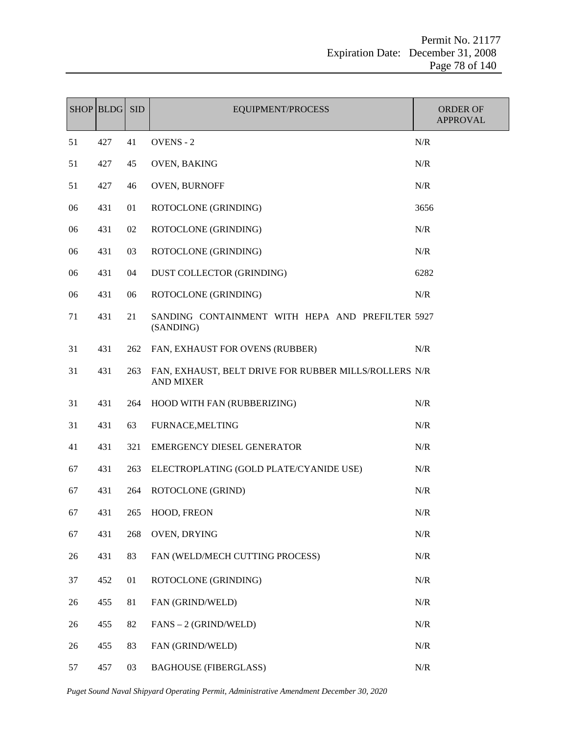| <b>SHOP</b> | <b>BLDG</b> | <b>SID</b> | EQUIPMENT/PROCESS                                                         | <b>ORDER OF</b><br><b>APPROVAL</b> |
|-------------|-------------|------------|---------------------------------------------------------------------------|------------------------------------|
| 51          | 427         | 41         | <b>OVENS - 2</b>                                                          | N/R                                |
| 51          | 427         | 45         | OVEN, BAKING                                                              | N/R                                |
| 51          | 427         | 46         | OVEN, BURNOFF                                                             | N/R                                |
| 06          | 431         | 01         | ROTOCLONE (GRINDING)                                                      | 3656                               |
| 06          | 431         | 02         | ROTOCLONE (GRINDING)                                                      | N/R                                |
| 06          | 431         | 03         | ROTOCLONE (GRINDING)                                                      | N/R                                |
| 06          | 431         | 04         | DUST COLLECTOR (GRINDING)                                                 | 6282                               |
| 06          | 431         | 06         | ROTOCLONE (GRINDING)                                                      | $N\!/\!R$                          |
| 71          | 431         | 21         | SANDING CONTAINMENT WITH HEPA AND PREFILTER 5927<br>(SANDING)             |                                    |
| 31          | 431         | 262        | FAN, EXHAUST FOR OVENS (RUBBER)                                           | N/R                                |
| 31          | 431         | 263        | FAN, EXHAUST, BELT DRIVE FOR RUBBER MILLS/ROLLERS N/R<br><b>AND MIXER</b> |                                    |
| 31          | 431         | 264        | HOOD WITH FAN (RUBBERIZING)                                               | N/R                                |
| 31          | 431         | 63         | FURNACE, MELTING                                                          | N/R                                |
| 41          | 431         | 321        | EMERGENCY DIESEL GENERATOR                                                | N/R                                |
| 67          | 431         | 263        | ELECTROPLATING (GOLD PLATE/CYANIDE USE)                                   | N/R                                |
| 67          | 431         | 264        | ROTOCLONE (GRIND)                                                         | N/R                                |
| 67          | 431         |            | 265 HOOD, FREON                                                           | N/R                                |
| 67          | 431         | 268        | OVEN, DRYING                                                              | $N\!/\!R$                          |
| 26          | 431         | 83         | FAN (WELD/MECH CUTTING PROCESS)                                           | N/R                                |
| 37          | 452         | 01         | ROTOCLONE (GRINDING)                                                      | N/R                                |
| 26          | 455         | 81         | FAN (GRIND/WELD)                                                          | $N\!/\!R$                          |
| 26          | 455         | 82         | $FANS - 2 (GRIND/WELD)$                                                   | N/R                                |
| 26          | 455         | 83         | FAN (GRIND/WELD)                                                          | N/R                                |
| 57          | 457         | 03         | <b>BAGHOUSE (FIBERGLASS)</b>                                              | $N\!/\!R$                          |

*Puget Sound Naval Shipyard Operating Permit, Administrative Amendment December 30, 2020*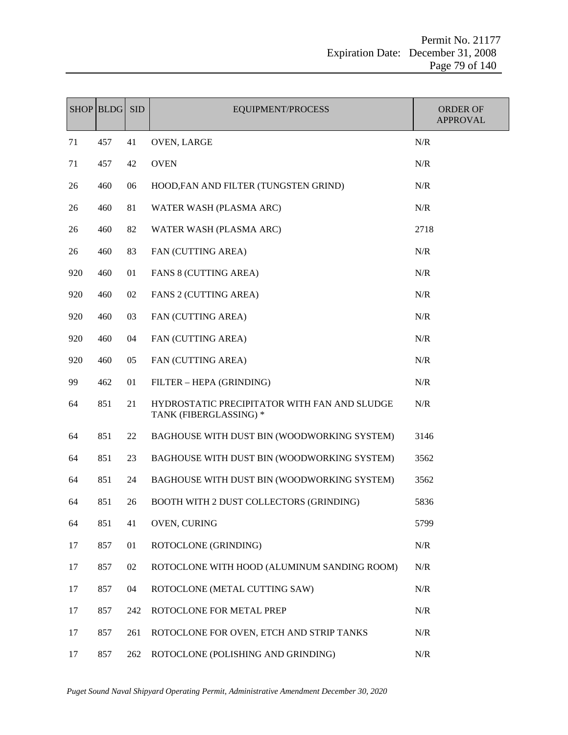|     | <b>SHOP BLDG</b> | <b>SID</b> | <b>EQUIPMENT/PROCESS</b>                                               | <b>ORDER OF</b><br><b>APPROVAL</b> |
|-----|------------------|------------|------------------------------------------------------------------------|------------------------------------|
| 71  | 457              | 41         | OVEN, LARGE                                                            | N/R                                |
| 71  | 457              | 42         | <b>OVEN</b>                                                            | N/R                                |
| 26  | 460              | 06         | HOOD, FAN AND FILTER (TUNGSTEN GRIND)                                  | N/R                                |
| 26  | 460              | 81         | WATER WASH (PLASMA ARC)                                                | N/R                                |
| 26  | 460              | 82         | WATER WASH (PLASMA ARC)                                                | 2718                               |
| 26  | 460              | 83         | FAN (CUTTING AREA)                                                     | N/R                                |
| 920 | 460              | 01         | <b>FANS 8 (CUTTING AREA)</b>                                           | N/R                                |
| 920 | 460              | 02         | FANS 2 (CUTTING AREA)                                                  | N/R                                |
| 920 | 460              | 03         | FAN (CUTTING AREA)                                                     | N/R                                |
| 920 | 460              | 04         | FAN (CUTTING AREA)                                                     | N/R                                |
| 920 | 460              | 05         | FAN (CUTTING AREA)                                                     | N/R                                |
| 99  | 462              | 01         | FILTER – HEPA (GRINDING)                                               | N/R                                |
| 64  | 851              | 21         | HYDROSTATIC PRECIPITATOR WITH FAN AND SLUDGE<br>TANK (FIBERGLASSING) * | N/R                                |
| 64  | 851              | 22         | BAGHOUSE WITH DUST BIN (WOODWORKING SYSTEM)                            | 3146                               |
| 64  | 851              | 23         | BAGHOUSE WITH DUST BIN (WOODWORKING SYSTEM)                            | 3562                               |
| 64  | 851              | 24         | BAGHOUSE WITH DUST BIN (WOODWORKING SYSTEM)                            | 3562                               |
| 64  | 851              | 26         | BOOTH WITH 2 DUST COLLECTORS (GRINDING)                                | 5836                               |
| 64  | 851              | 41         | OVEN, CURING                                                           | 5799                               |
| 17  | 857              | 01         | ROTOCLONE (GRINDING)                                                   | N/R                                |
| 17  | 857              | 02         | ROTOCLONE WITH HOOD (ALUMINUM SANDING ROOM)                            | N/R                                |
| 17  | 857              | 04         | ROTOCLONE (METAL CUTTING SAW)                                          | N/R                                |
| 17  | 857              | 242        | ROTOCLONE FOR METAL PREP                                               | N/R                                |
| 17  | 857              | 261        | ROTOCLONE FOR OVEN, ETCH AND STRIP TANKS                               | N/R                                |
| 17  | 857              | 262        | ROTOCLONE (POLISHING AND GRINDING)                                     | N/R                                |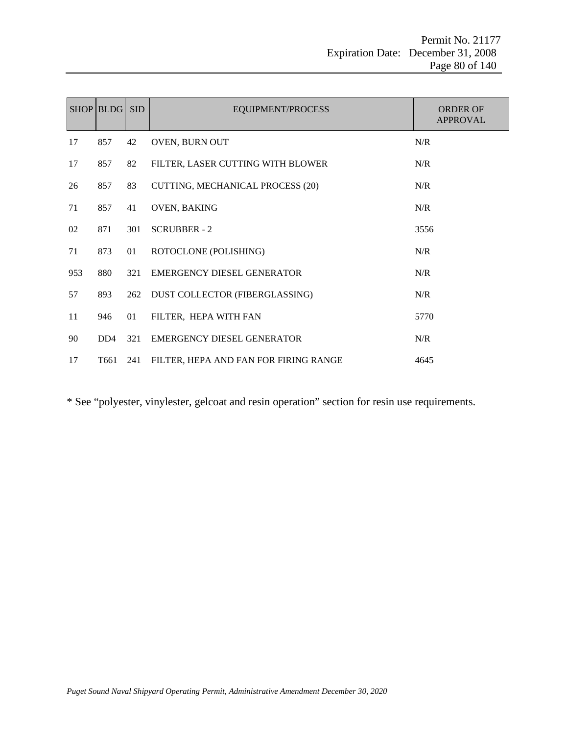|     | SHOP BLDG                   | <b>SID</b> | EQUIPMENT/PROCESS                     | <b>ORDER OF</b><br><b>APPROVAL</b> |
|-----|-----------------------------|------------|---------------------------------------|------------------------------------|
| 17  | 857                         | 42         | OVEN, BURN OUT                        | N/R                                |
| 17  | 857                         | 82         | FILTER, LASER CUTTING WITH BLOWER     | N/R                                |
| 26  | 857                         | 83         | CUTTING, MECHANICAL PROCESS (20)      | N/R                                |
| 71  | 857                         | 41         | OVEN, BAKING                          | N/R                                |
| 02  | 871                         | 301        | <b>SCRUBBER - 2</b>                   | 3556                               |
| 71  | 873                         | 01         | ROTOCLONE (POLISHING)                 | N/R                                |
| 953 | 880                         | 321        | <b>EMERGENCY DIESEL GENERATOR</b>     | N/R                                |
| 57  | 893                         | 262        | DUST COLLECTOR (FIBERGLASSING)        | N/R                                |
| 11  | 946                         | 01         | FILTER, HEPA WITH FAN                 | 5770                               |
| 90  | D <sub>D</sub> <sub>4</sub> | 321        | <b>EMERGENCY DIESEL GENERATOR</b>     | N/R                                |
| 17  | T <sub>661</sub>            | 241        | FILTER, HEPA AND FAN FOR FIRING RANGE | 4645                               |

\* See "polyester, vinylester, gelcoat and resin operation" section for resin use requirements.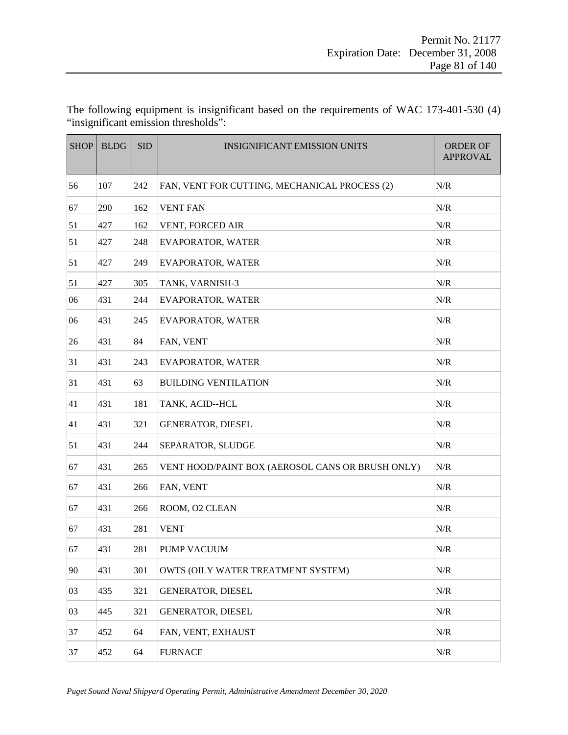The following equipment is insignificant based on the requirements of WAC 173-401-530 (4) "insignificant emission thresholds":

| <b>SHOP</b> | <b>BLDG</b> | <b>SID</b> | <b>INSIGNIFICANT EMISSION UNITS</b>              | <b>ORDER OF</b><br><b>APPROVAL</b> |
|-------------|-------------|------------|--------------------------------------------------|------------------------------------|
| 56          | 107         | 242        | FAN, VENT FOR CUTTING, MECHANICAL PROCESS (2)    | N/R                                |
| 67          | 290         | 162        | <b>VENT FAN</b>                                  | N/R                                |
| 51          | 427         | 162        | VENT, FORCED AIR                                 | N/R                                |
| 51          | 427         | 248        | EVAPORATOR, WATER                                | N/R                                |
| 51          | 427         | 249        | <b>EVAPORATOR, WATER</b>                         | N/R                                |
| 51          | 427         | 305        | TANK, VARNISH-3                                  | N/R                                |
| 06          | 431         | 244        | EVAPORATOR, WATER                                | N/R                                |
| 06          | 431         | 245        | EVAPORATOR, WATER                                | N/R                                |
| 26          | 431         | 84         | FAN, VENT                                        | N/R                                |
| 31          | 431         | 243        | EVAPORATOR, WATER                                | N/R                                |
| 31          | 431         | 63         | <b>BUILDING VENTILATION</b>                      | N/R                                |
| 41          | 431         | 181        | TANK, ACID--HCL                                  | N/R                                |
| 41          | 431         | 321        | GENERATOR, DIESEL                                | N/R                                |
| 51          | 431         | 244        | SEPARATOR, SLUDGE                                | N/R                                |
| 67          | 431         | 265        | VENT HOOD/PAINT BOX (AEROSOL CANS OR BRUSH ONLY) | N/R                                |
| 67          | 431         | 266        | FAN, VENT                                        | N/R                                |
| 67          | 431         | 266        | ROOM, O2 CLEAN                                   | N/R                                |
| 67          | 431         | 281        | <b>VENT</b>                                      | N/R                                |
| 67          | 431         | 281        | PUMP VACUUM                                      | $N/R$                              |
| 90          | 431         | 301        | OWTS (OILY WATER TREATMENT SYSTEM)               | N/R                                |
| 03          | 435         | 321        | GENERATOR, DIESEL                                | N/R                                |
| 03          | 445         | 321        | GENERATOR, DIESEL                                | N/R                                |
| 37          | 452         | 64         | FAN, VENT, EXHAUST                               | N/R                                |
| 37          | 452         | 64         | <b>FURNACE</b>                                   | N/R                                |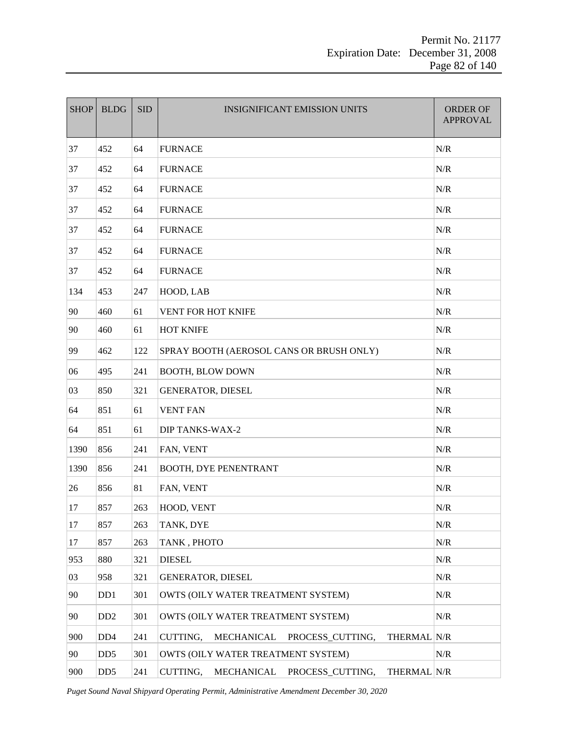| <b>SHOP</b> | <b>BLDG</b>                 | <b>SID</b> | <b>INSIGNIFICANT EMISSION UNITS</b>                       | <b>ORDER OF</b><br><b>APPROVAL</b> |
|-------------|-----------------------------|------------|-----------------------------------------------------------|------------------------------------|
| 37          | 452                         | 64         | <b>FURNACE</b>                                            | N/R                                |
| 37          | 452                         | 64         | <b>FURNACE</b>                                            | N/R                                |
| 37          | 452                         | 64         | <b>FURNACE</b>                                            | N/R                                |
| 37          | 452                         | 64         | <b>FURNACE</b>                                            | N/R                                |
| 37          | 452                         | 64         | <b>FURNACE</b>                                            | N/R                                |
| 37          | 452                         | 64         | <b>FURNACE</b>                                            | N/R                                |
| 37          | 452                         | 64         | <b>FURNACE</b>                                            | N/R                                |
| 134         | 453                         | 247        | HOOD, LAB                                                 | N/R                                |
| 90          | 460                         | 61         | VENT FOR HOT KNIFE                                        | N/R                                |
| 90          | 460                         | 61         | HOT KNIFE                                                 | N/R                                |
| 99          | 462                         | 122        | SPRAY BOOTH (AEROSOL CANS OR BRUSH ONLY)                  | N/R                                |
| 06          | 495                         | 241        | <b>BOOTH, BLOW DOWN</b>                                   | N/R                                |
| 03          | 850                         | 321        | <b>GENERATOR, DIESEL</b>                                  | N/R                                |
| 64          | 851                         | 61         | <b>VENT FAN</b>                                           | N/R                                |
| 64          | 851                         | 61         | <b>DIP TANKS-WAX-2</b>                                    | N/R                                |
| 1390        | 856                         | 241        | FAN, VENT                                                 | N/R                                |
| 1390        | 856                         | 241        | BOOTH, DYE PENENTRANT                                     | N/R                                |
| 26          | 856                         | 81         | FAN, VENT                                                 | N/R                                |
| 17          | 857                         | 263        | HOOD, VENT                                                | N/R                                |
| 17          | 857                         | 263        | TANK, DYE                                                 | N/R                                |
| 17          | 857                         | 263        | TANK, PHOTO                                               | $N\!/\!R$                          |
| 953         | 880                         | 321        | <b>DIESEL</b>                                             | N/R                                |
| 03          | 958                         | 321        | <b>GENERATOR, DIESEL</b>                                  | N/R                                |
| 90          | D <sub>D</sub> 1            | 301        | OWTS (OILY WATER TREATMENT SYSTEM)                        | N/R                                |
| 90          | D <sub>D</sub> <sub>2</sub> | 301        | OWTS (OILY WATER TREATMENT SYSTEM)                        | N/R                                |
| 900         | DD <sub>4</sub>             | 241        | CUTTING,<br>MECHANICAL<br>PROCESS_CUTTING,<br>THERMAL N/R |                                    |
| 90          | DD <sub>5</sub>             | 301        | OWTS (OILY WATER TREATMENT SYSTEM)                        | N/R                                |
| 900         | DD <sub>5</sub>             | 241        | PROCESS_CUTTING,<br>CUTTING,<br>MECHANICAL<br>THERMAL N/R |                                    |

*Puget Sound Naval Shipyard Operating Permit, Administrative Amendment December 30, 2020*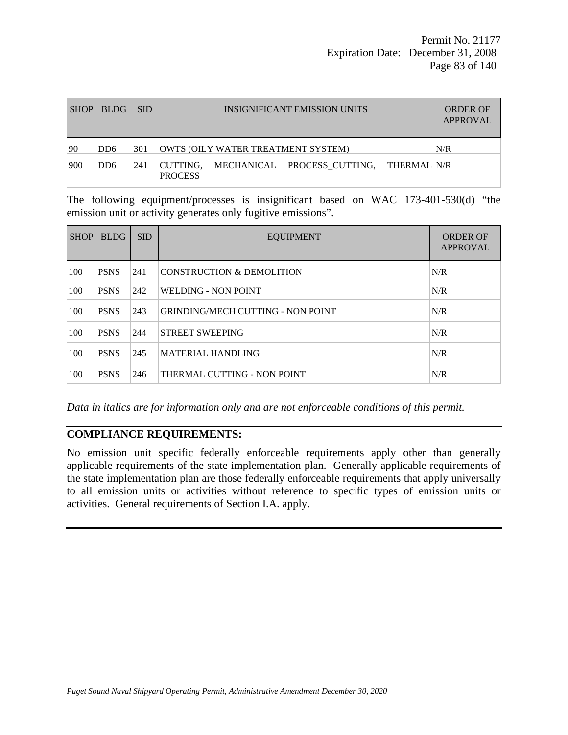| <b>SHOP</b> | <b>BLDG</b>     | <b>SID</b> | INSIGNIFICANT EMISSION UNITS                                       | <b>ORDER OF</b><br>APPROVAL |
|-------------|-----------------|------------|--------------------------------------------------------------------|-----------------------------|
| 90          | DD <sub>6</sub> | 301        | OWTS (OILY WATER TREATMENT SYSTEM)                                 | N/R                         |
| 900         | DD6             | 241        | CUTTING, MECHANICAL PROCESS CUTTING, THERMAL N/R<br><b>PROCESS</b> |                             |

The following equipment/processes is insignificant based on WAC 173-401-530(d) "the emission unit or activity generates only fugitive emissions".

| <b>SHOP</b> | <b>BLDG</b> | <b>SID</b> | <b>EQUIPMENT</b>                         | <b>ORDER OF</b><br><b>APPROVAL</b> |
|-------------|-------------|------------|------------------------------------------|------------------------------------|
| 100         | <b>PSNS</b> | 241        | CONSTRUCTION & DEMOLITION                | N/R                                |
| 100         | <b>PSNS</b> | 242        | <b>WELDING - NON POINT</b>               | N/R                                |
| 100         | <b>PSNS</b> | 243        | <b>GRINDING/MECH CUTTING - NON POINT</b> | N/R                                |
| 100         | <b>PSNS</b> | 244        | <b>STREET SWEEPING</b>                   | N/R                                |
| 100         | <b>PSNS</b> | 245        | MATERIAL HANDLING                        | N/R                                |
| 100         | <b>PSNS</b> | 246        | THERMAL CUTTING - NON POINT              | N/R                                |

*Data in italics are for information only and are not enforceable conditions of this permit.*

#### **COMPLIANCE REQUIREMENTS:**

No emission unit specific federally enforceable requirements apply other than generally applicable requirements of the state implementation plan. Generally applicable requirements of the state implementation plan are those federally enforceable requirements that apply universally to all emission units or activities without reference to specific types of emission units or activities. General requirements of Section I.A. apply.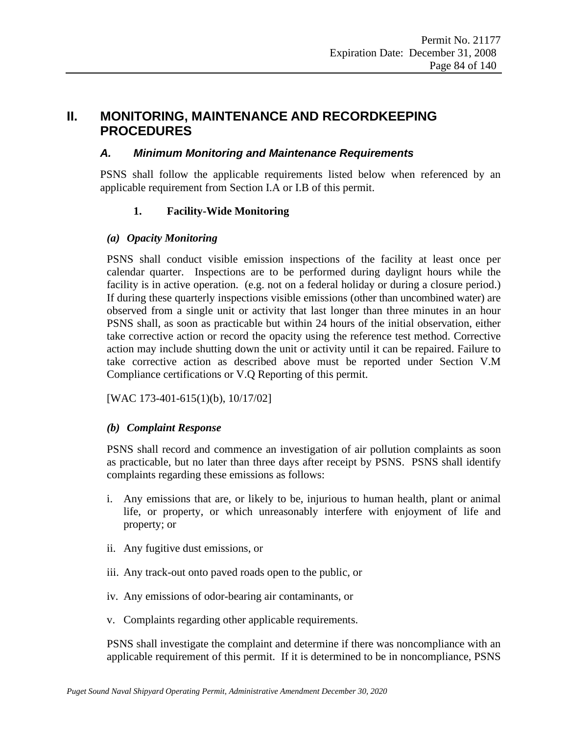# **II. MONITORING, MAINTENANCE AND RECORDKEEPING PROCEDURES**

#### *A. Minimum Monitoring and Maintenance Requirements*

PSNS shall follow the applicable requirements listed below when referenced by an applicable requirement from Section I.A or I.B of this permit.

### **1. Facility-Wide Monitoring**

#### *(a) Opacity Monitoring*

PSNS shall conduct visible emission inspections of the facility at least once per calendar quarter. Inspections are to be performed during daylignt hours while the facility is in active operation. (e.g. not on a federal holiday or during a closure period.) If during these quarterly inspections visible emissions (other than uncombined water) are observed from a single unit or activity that last longer than three minutes in an hour PSNS shall, as soon as practicable but within 24 hours of the initial observation, either take corrective action or record the opacity using the reference test method. Corrective action may include shutting down the unit or activity until it can be repaired. Failure to take corrective action as described above must be reported under Section [V.M](#page-107-0) [Compliance certifications](#page-107-0) or [V.Q](#page-110-0) [Reporting](#page-110-0) of this permit.

[WAC 173-401-615(1)(b), 10/17/02]

#### *(b) Complaint Response*

PSNS shall record and commence an investigation of air pollution complaints as soon as practicable, but no later than three days after receipt by PSNS. PSNS shall identify complaints regarding these emissions as follows:

- i. Any emissions that are, or likely to be, injurious to human health, plant or animal life, or property, or which unreasonably interfere with enjoyment of life and property; or
- ii. Any fugitive dust emissions, or
- iii. Any track-out onto paved roads open to the public, or
- iv. Any emissions of odor-bearing air contaminants, or
- v. Complaints regarding other applicable requirements.

PSNS shall investigate the complaint and determine if there was noncompliance with an applicable requirement of this permit. If it is determined to be in noncompliance, PSNS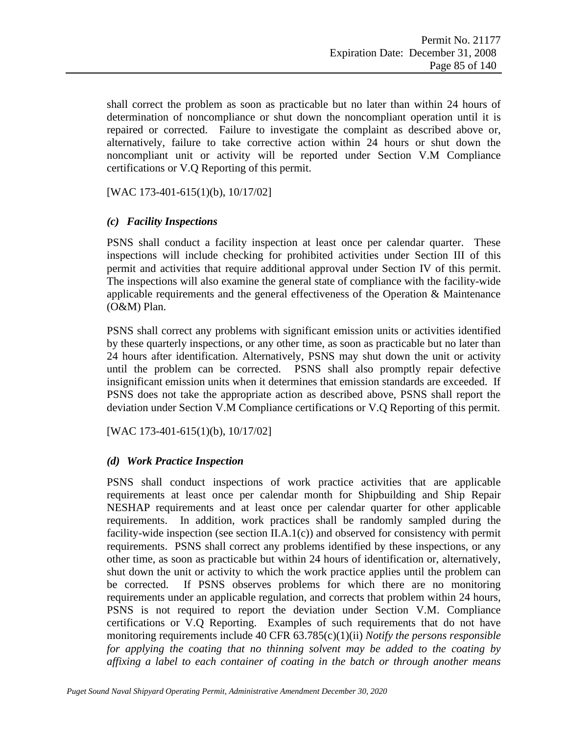shall correct the problem as soon as practicable but no later than within 24 hours of determination of noncompliance or shut down the noncompliant operation until it is repaired or corrected. Failure to investigate the complaint as described above or, alternatively, failure to take corrective action within 24 hours or shut down the noncompliant unit or activity will be reported under Section [V.M](#page-107-0) [Compliance](#page-107-0)  [certifications](#page-107-0) or [V.Q](#page-110-0) [Reporting](#page-110-0) of this permit.

[WAC 173-401-615(1)(b), 10/17/02]

#### <span id="page-84-0"></span>*(c) Facility Inspections*

PSNS shall conduct a facility inspection at least once per calendar quarter. These inspections will include checking for prohibited activities under Section III of this permit and activities that require additional approval under Section IV of this permit. The inspections will also examine the general state of compliance with the facility-wide applicable requirements and the general effectiveness of the Operation & Maintenance (O&M) Plan.

PSNS shall correct any problems with significant emission units or activities identified by these quarterly inspections, or any other time, as soon as practicable but no later than 24 hours after identification. Alternatively, PSNS may shut down the unit or activity until the problem can be corrected. PSNS shall also promptly repair defective insignificant emission units when it determines that emission standards are exceeded. If PSNS does not take the appropriate action as described above, PSNS shall report the deviation under Section [V.M](#page-107-0) [Compliance certifications](#page-107-0) or [V.Q](#page-110-0) [Reporting](#page-110-0) of this permit.

[WAC 173-401-615(1)(b), 10/17/02]

#### *(d) Work Practice Inspection*

PSNS shall conduct inspections of work practice activities that are applicable requirements at least once per calendar month for Shipbuilding and Ship Repair NESHAP requirements and at least once per calendar quarter for other applicable requirements. In addition, work practices shall be randomly sampled during the facility-wide inspection (see section II.A.1(c)) and observed for consistency with permit requirements. PSNS shall correct any problems identified by these inspections, or any other time, as soon as practicable but within 24 hours of identification or, alternatively, shut down the unit or activity to which the work practice applies until the problem can be corrected. If PSNS observes problems for which there are no monitoring requirements under an applicable regulation, and corrects that problem within 24 hours, PSNS is not required to report the deviation under Section V.M. Compliance certifications or V.Q Reporting. Examples of such requirements that do not have monitoring requirements include 40 CFR 63.785(c)(1)(ii) *Notify the persons responsible for applying the coating that no thinning solvent may be added to the coating by affixing a label to each container of coating in the batch or through another means*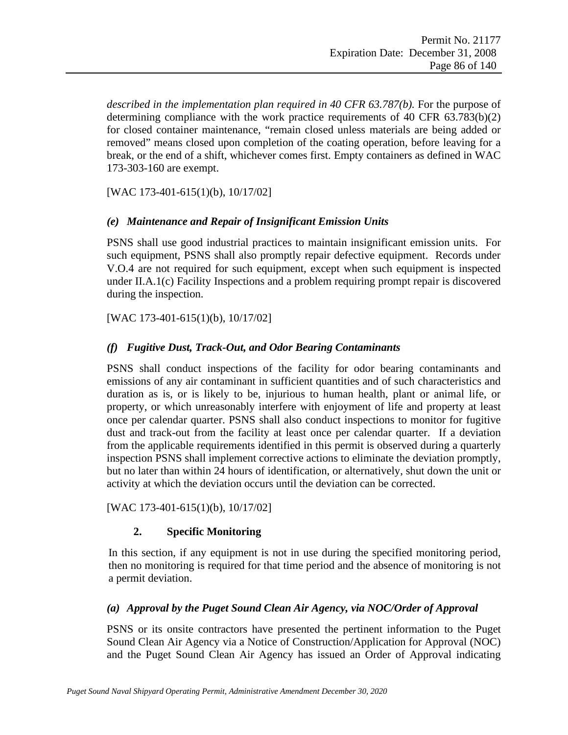*described in the implementation plan required in 40 CFR 63.787(b).* For the purpose of determining compliance with the work practice requirements of 40 CFR 63.783(b)(2) for closed container maintenance, "remain closed unless materials are being added or removed" means closed upon completion of the coating operation, before leaving for a break, or the end of a shift, whichever comes first. Empty containers as defined in WAC 173-303-160 are exempt.

[WAC 173-401-615(1)(b), 10/17/02]

#### *(e) Maintenance and Repair of Insignificant Emission Units*

PSNS shall use good industrial practices to maintain insignificant emission units. For such equipment, PSNS shall also promptly repair defective equipment. Records under V.O.4 are not required for such equipment, except when such equipment is inspected under [II.A.1\(c\)](#page-84-0) [Facility Inspections](#page-84-0) and a problem requiring prompt repair is discovered during the inspection.

[WAC 173-401-615(1)(b), 10/17/02]

#### *(f) Fugitive Dust, Track-Out, and Odor Bearing Contaminants*

PSNS shall conduct inspections of the facility for odor bearing contaminants and emissions of any air contaminant in sufficient quantities and of such characteristics and duration as is, or is likely to be, injurious to human health, plant or animal life, or property, or which unreasonably interfere with enjoyment of life and property at least once per calendar quarter. PSNS shall also conduct inspections to monitor for fugitive dust and track-out from the facility at least once per calendar quarter. If a deviation from the applicable requirements identified in this permit is observed during a quarterly inspection PSNS shall implement corrective actions to eliminate the deviation promptly, but no later than within 24 hours of identification, or alternatively, shut down the unit or activity at which the deviation occurs until the deviation can be corrected.

[WAC 173-401-615(1)(b), 10/17/02]

#### **2. Specific Monitoring**

In this section, if any equipment is not in use during the specified monitoring period, then no monitoring is required for that time period and the absence of monitoring is not a permit deviation.

#### *(a) Approval by the Puget Sound Clean Air Agency, via NOC/Order of Approval*

PSNS or its onsite contractors have presented the pertinent information to the Puget Sound Clean Air Agency via a Notice of Construction/Application for Approval (NOC) and the Puget Sound Clean Air Agency has issued an Order of Approval indicating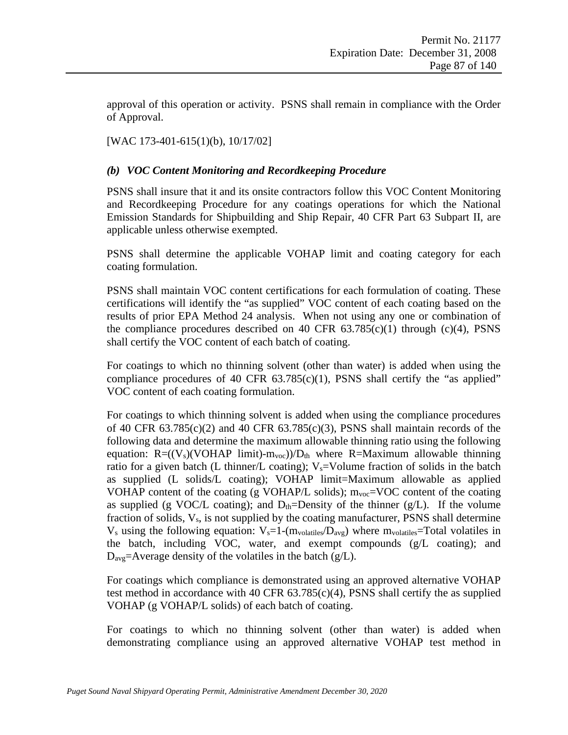approval of this operation or activity. PSNS shall remain in compliance with the Order of Approval.

[WAC 173-401-615(1)(b), 10/17/02]

#### *(b) VOC Content Monitoring and Recordkeeping Procedure*

PSNS shall insure that it and its onsite contractors follow this VOC Content Monitoring and Recordkeeping Procedure for any coatings operations for which the National Emission Standards for Shipbuilding and Ship Repair, 40 CFR Part 63 Subpart II, are applicable unless otherwise exempted.

PSNS shall determine the applicable VOHAP limit and coating category for each coating formulation.

PSNS shall maintain VOC content certifications for each formulation of coating. These certifications will identify the "as supplied" VOC content of each coating based on the results of prior EPA Method 24 analysis. When not using any one or combination of the compliance procedures described on 40 CFR  $63.785(c)(1)$  through  $(c)(4)$ , PSNS shall certify the VOC content of each batch of coating.

For coatings to which no thinning solvent (other than water) is added when using the compliance procedures of 40 CFR  $63.785(c)(1)$ , PSNS shall certify the "as applied" VOC content of each coating formulation.

For coatings to which thinning solvent is added when using the compliance procedures of 40 CFR  $63.785(c)(2)$  and 40 CFR  $63.785(c)(3)$ , PSNS shall maintain records of the following data and determine the maximum allowable thinning ratio using the following equation:  $R = ((V_s)(VOHAP \ limit)-m_{voc}))/D_{th}$  where R=Maximum allowable thinning ratio for a given batch (L thinner/L coating);  $V_s=$ Volume fraction of solids in the batch as supplied (L solids/L coating); VOHAP limit=Maximum allowable as applied VOHAP content of the coating (g VOHAP/L solids);  $m_{\text{voc}}$ =VOC content of the coating as supplied (g VOC/L coating); and  $D_{th}$ =Density of the thinner (g/L). If the volume fraction of solids,  $V_s$ , is not supplied by the coating manufacturer, PSNS shall determine  $V_s$  using the following equation:  $V_s=1-(m_{volatiles}/D_{avg})$  where  $m_{volatiles}=Total$  volatiles in the batch, including VOC, water, and exempt compounds (g/L coating); and  $D_{\text{avg}}=$  Average density of the volatiles in the batch (g/L).

For coatings which compliance is demonstrated using an approved alternative VOHAP test method in accordance with 40 CFR  $63.785(c)(4)$ , PSNS shall certify the as supplied VOHAP (g VOHAP/L solids) of each batch of coating.

For coatings to which no thinning solvent (other than water) is added when demonstrating compliance using an approved alternative VOHAP test method in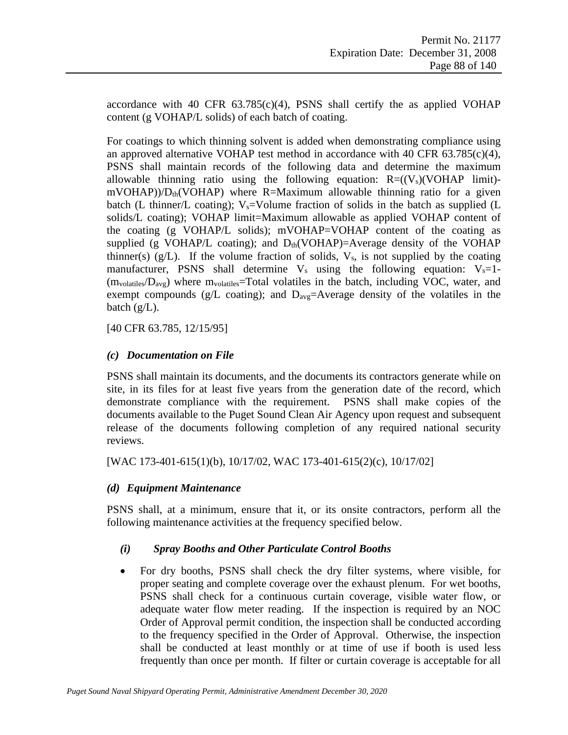accordance with 40 CFR  $63.785(c)(4)$ , PSNS shall certify the as applied VOHAP content (g VOHAP/L solids) of each batch of coating.

For coatings to which thinning solvent is added when demonstrating compliance using an approved alternative VOHAP test method in accordance with 40 CFR  $63.785(c)(4)$ , PSNS shall maintain records of the following data and determine the maximum allowable thinning ratio using the following equation:  $R=((V_s)(VOHAP \text{ limit})$  $mVOHAP)/D<sub>th</sub>(VOHAP)$  where R=Maximum allowable thinning ratio for a given batch (L thinner/L coating); V<sub>s</sub>=Volume fraction of solids in the batch as supplied (L solids/L coating); VOHAP limit=Maximum allowable as applied VOHAP content of the coating (g VOHAP/L solids); mVOHAP=VOHAP content of the coating as supplied (g VOHAP/L coating); and  $D_{th}(VOHAP)$ =Average density of the VOHAP thinner(s) (g/L). If the volume fraction of solids,  $V_s$ , is not supplied by the coating manufacturer, PSNS shall determine  $V_s$  using the following equation:  $V_s=1$ - $(m_{volatiles}/D_{avg})$  where m<sub>volatiles</sub>=Total volatiles in the batch, including VOC, water, and exempt compounds (g/L coating); and  $D_{avg}$ =Average density of the volatiles in the batch  $(g/L)$ .

[40 CFR 63.785, 12/15/95]

### *(c) Documentation on File*

PSNS shall maintain its documents, and the documents its contractors generate while on site, in its files for at least five years from the generation date of the record, which demonstrate compliance with the requirement. PSNS shall make copies of the documents available to the Puget Sound Clean Air Agency upon request and subsequent release of the documents following completion of any required national security reviews.

[WAC 173-401-615(1)(b), 10/17/02, WAC 173-401-615(2)(c), 10/17/02]

## *(d) Equipment Maintenance*

PSNS shall, at a minimum, ensure that it, or its onsite contractors, perform all the following maintenance activities at the frequency specified below.

#### *(i) Spray Booths and Other Particulate Control Booths*

• For dry booths, PSNS shall check the dry filter systems, where visible, for proper seating and complete coverage over the exhaust plenum. For wet booths, PSNS shall check for a continuous curtain coverage, visible water flow, or adequate water flow meter reading. If the inspection is required by an NOC Order of Approval permit condition, the inspection shall be conducted according to the frequency specified in the Order of Approval. Otherwise, the inspection shall be conducted at least monthly or at time of use if booth is used less frequently than once per month. If filter or curtain coverage is acceptable for all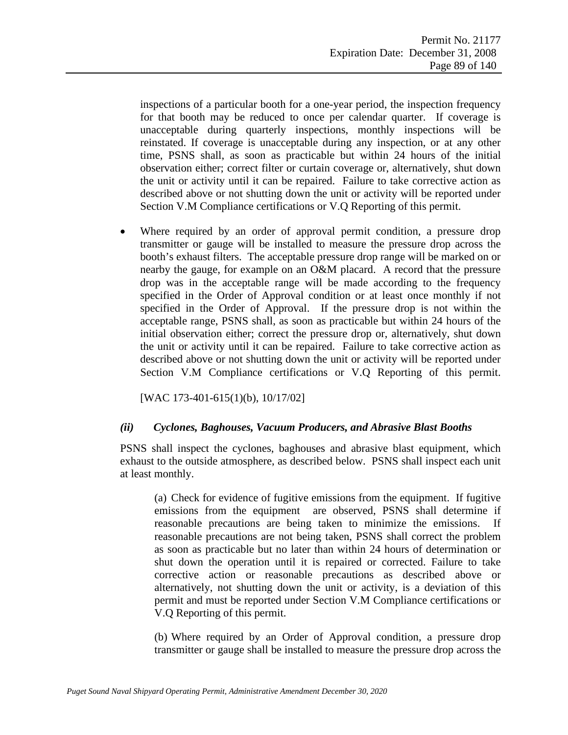inspections of a particular booth for a one-year period, the inspection frequency for that booth may be reduced to once per calendar quarter. If coverage is unacceptable during quarterly inspections, monthly inspections will be reinstated. If coverage is unacceptable during any inspection, or at any other time, PSNS shall, as soon as practicable but within 24 hours of the initial observation either; correct filter or curtain coverage or, alternatively, shut down the unit or activity until it can be repaired. Failure to take corrective action as described above or not shutting down the unit or activity will be reported under Section [V.M](#page-107-0) [Compliance certifications](#page-107-0) or [V.Q](#page-110-0) [Reporting](#page-110-0) of this permit.

• Where required by an order of approval permit condition, a pressure drop transmitter or gauge will be installed to measure the pressure drop across the booth's exhaust filters. The acceptable pressure drop range will be marked on or nearby the gauge, for example on an O&M placard. A record that the pressure drop was in the acceptable range will be made according to the frequency specified in the Order of Approval condition or at least once monthly if not specified in the Order of Approval. If the pressure drop is not within the acceptable range, PSNS shall, as soon as practicable but within 24 hours of the initial observation either; correct the pressure drop or, alternatively, shut down the unit or activity until it can be repaired. Failure to take corrective action as described above or not shutting down the unit or activity will be reported under Section [V.M](#page-107-0) [Compliance certifications](#page-107-0) or [V.Q](#page-110-0) [Reporting](#page-110-0) of this permit.

[WAC 173-401-615(1)(b), 10/17/02]

#### *(ii) Cyclones, Baghouses, Vacuum Producers, and Abrasive Blast Booths*

PSNS shall inspect the cyclones, baghouses and abrasive blast equipment, which exhaust to the outside atmosphere, as described below. PSNS shall inspect each unit at least monthly.

(a) Check for evidence of fugitive emissions from the equipment. If fugitive emissions from the equipment are observed, PSNS shall determine if reasonable precautions are being taken to minimize the emissions. If reasonable precautions are not being taken, PSNS shall correct the problem as soon as practicable but no later than within 24 hours of determination or shut down the operation until it is repaired or corrected. Failure to take corrective action or reasonable precautions as described above or alternatively, not shutting down the unit or activity, is a deviation of this permit and must be reported under Section [V.M](#page-107-0) [Compliance certifications](#page-107-0) or [V.Q](#page-110-0) [Reporting](#page-110-0) of this permit.

(b) Where required by an Order of Approval condition, a pressure drop transmitter or gauge shall be installed to measure the pressure drop across the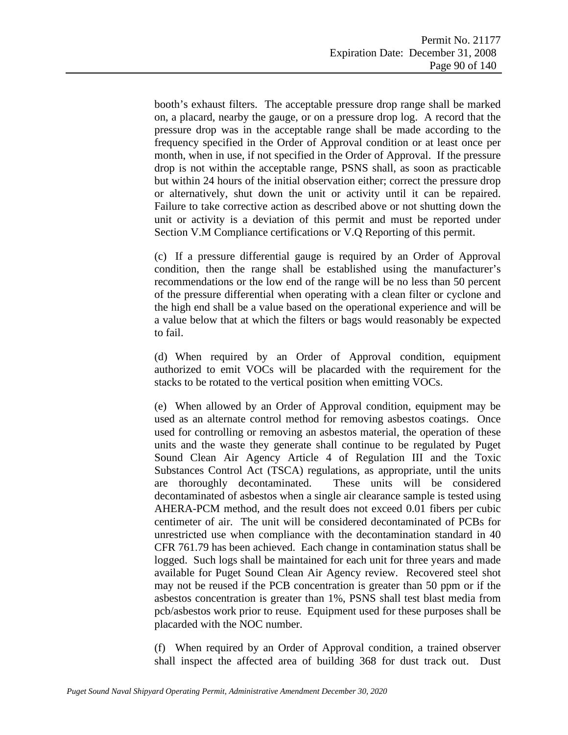booth's exhaust filters. The acceptable pressure drop range shall be marked on, a placard, nearby the gauge, or on a pressure drop log. A record that the pressure drop was in the acceptable range shall be made according to the frequency specified in the Order of Approval condition or at least once per month, when in use, if not specified in the Order of Approval. If the pressure drop is not within the acceptable range, PSNS shall, as soon as practicable but within 24 hours of the initial observation either; correct the pressure drop or alternatively, shut down the unit or activity until it can be repaired. Failure to take corrective action as described above or not shutting down the unit or activity is a deviation of this permit and must be reported under Section [V.M](#page-107-0) [Compliance certifications](#page-107-0) or [V.Q](#page-110-0) [Reporting](#page-110-0) of this permit.

(c) If a pressure differential gauge is required by an Order of Approval condition, then the range shall be established using the manufacturer's recommendations or the low end of the range will be no less than 50 percent of the pressure differential when operating with a clean filter or cyclone and the high end shall be a value based on the operational experience and will be a value below that at which the filters or bags would reasonably be expected to fail.

(d) When required by an Order of Approval condition, equipment authorized to emit VOCs will be placarded with the requirement for the stacks to be rotated to the vertical position when emitting VOCs.

(e) When allowed by an Order of Approval condition, equipment may be used as an alternate control method for removing asbestos coatings. Once used for controlling or removing an asbestos material, the operation of these units and the waste they generate shall continue to be regulated by Puget Sound Clean Air Agency Article 4 of Regulation III and the Toxic Substances Control Act (TSCA) regulations, as appropriate, until the units are thoroughly decontaminated. These units will be considered decontaminated of asbestos when a single air clearance sample is tested using AHERA-PCM method, and the result does not exceed 0.01 fibers per cubic centimeter of air. The unit will be considered decontaminated of PCBs for unrestricted use when compliance with the decontamination standard in 40 CFR 761.79 has been achieved. Each change in contamination status shall be logged. Such logs shall be maintained for each unit for three years and made available for Puget Sound Clean Air Agency review. Recovered steel shot may not be reused if the PCB concentration is greater than 50 ppm or if the asbestos concentration is greater than 1%, PSNS shall test blast media from pcb/asbestos work prior to reuse. Equipment used for these purposes shall be placarded with the NOC number.

(f) When required by an Order of Approval condition, a trained observer shall inspect the affected area of building 368 for dust track out. Dust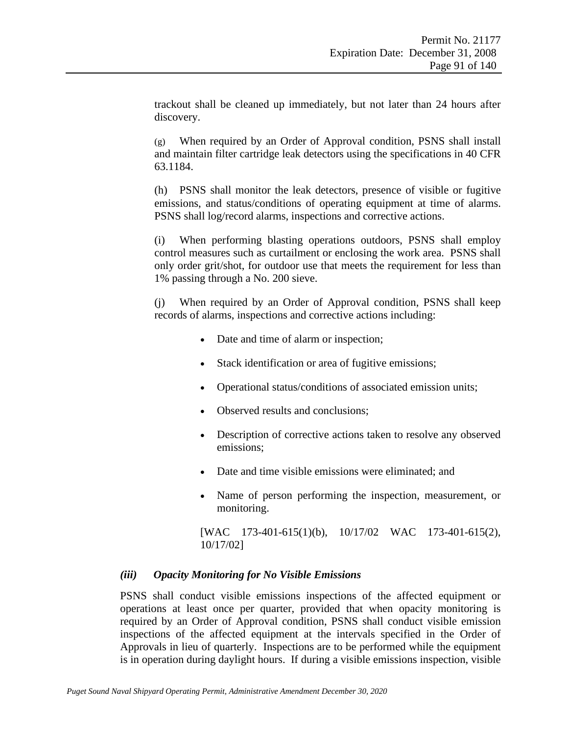trackout shall be cleaned up immediately, but not later than 24 hours after discovery.

(g) When required by an Order of Approval condition, PSNS shall install and maintain filter cartridge leak detectors using the specifications in 40 CFR 63.1184.

(h) PSNS shall monitor the leak detectors, presence of visible or fugitive emissions, and status/conditions of operating equipment at time of alarms. PSNS shall log/record alarms, inspections and corrective actions.

(i) When performing blasting operations outdoors, PSNS shall employ control measures such as curtailment or enclosing the work area. PSNS shall only order grit/shot, for outdoor use that meets the requirement for less than 1% passing through a No. 200 sieve.

(j) When required by an Order of Approval condition, PSNS shall keep records of alarms, inspections and corrective actions including:

- Date and time of alarm or inspection;
- Stack identification or area of fugitive emissions;
- Operational status/conditions of associated emission units;
- Observed results and conclusions;
- Description of corrective actions taken to resolve any observed emissions;
- Date and time visible emissions were eliminated; and
- Name of person performing the inspection, measurement, or monitoring.

[WAC 173-401-615(1)(b), 10/17/02 WAC 173-401-615(2), 10/17/02]

#### *(iii) Opacity Monitoring for No Visible Emissions*

PSNS shall conduct visible emissions inspections of the affected equipment or operations at least once per quarter, provided that when opacity monitoring is required by an Order of Approval condition, PSNS shall conduct visible emission inspections of the affected equipment at the intervals specified in the Order of Approvals in lieu of quarterly. Inspections are to be performed while the equipment is in operation during daylight hours. If during a visible emissions inspection, visible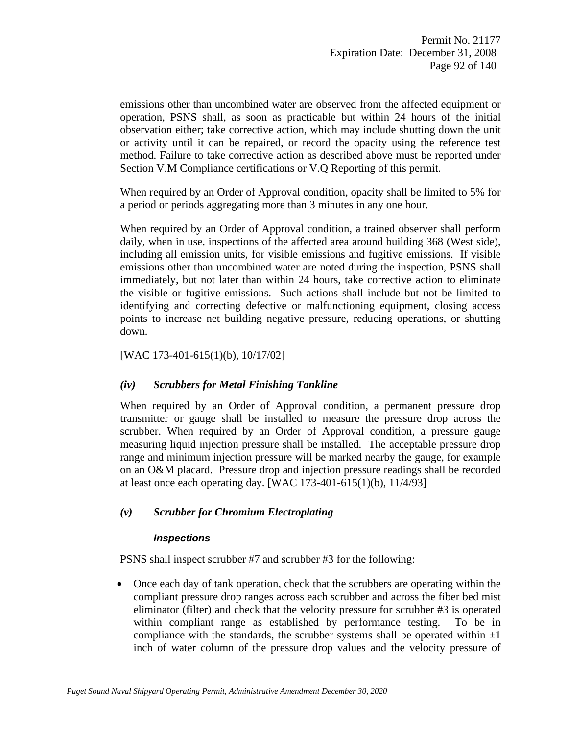emissions other than uncombined water are observed from the affected equipment or operation, PSNS shall, as soon as practicable but within 24 hours of the initial observation either; take corrective action, which may include shutting down the unit or activity until it can be repaired, or record the opacity using the reference test method. Failure to take corrective action as described above must be reported under Section [V.M](#page-107-0) [Compliance certifications](#page-107-0) or [V.Q](#page-110-0) [Reporting](#page-110-0) of this permit.

When required by an Order of Approval condition, opacity shall be limited to 5% for a period or periods aggregating more than 3 minutes in any one hour.

When required by an Order of Approval condition, a trained observer shall perform daily, when in use, inspections of the affected area around building 368 (West side), including all emission units, for visible emissions and fugitive emissions. If visible emissions other than uncombined water are noted during the inspection, PSNS shall immediately, but not later than within 24 hours, take corrective action to eliminate the visible or fugitive emissions. Such actions shall include but not be limited to identifying and correcting defective or malfunctioning equipment, closing access points to increase net building negative pressure, reducing operations, or shutting down.

[WAC 173-401-615(1)(b), 10/17/02]

#### *(iv) Scrubbers for Metal Finishing Tankline*

When required by an Order of Approval condition, a permanent pressure drop transmitter or gauge shall be installed to measure the pressure drop across the scrubber. When required by an Order of Approval condition, a pressure gauge measuring liquid injection pressure shall be installed. The acceptable pressure drop range and minimum injection pressure will be marked nearby the gauge, for example on an O&M placard. Pressure drop and injection pressure readings shall be recorded at least once each operating day. [WAC 173-401-615(1)(b), 11/4/93]

#### *(v) Scrubber for Chromium Electroplating*

#### *Inspections*

PSNS shall inspect scrubber #7 and scrubber #3 for the following:

• Once each day of tank operation, check that the scrubbers are operating within the compliant pressure drop ranges across each scrubber and across the fiber bed mist eliminator (filter) and check that the velocity pressure for scrubber #3 is operated within compliant range as established by performance testing. To be in compliance with the standards, the scrubber systems shall be operated within  $\pm 1$ inch of water column of the pressure drop values and the velocity pressure of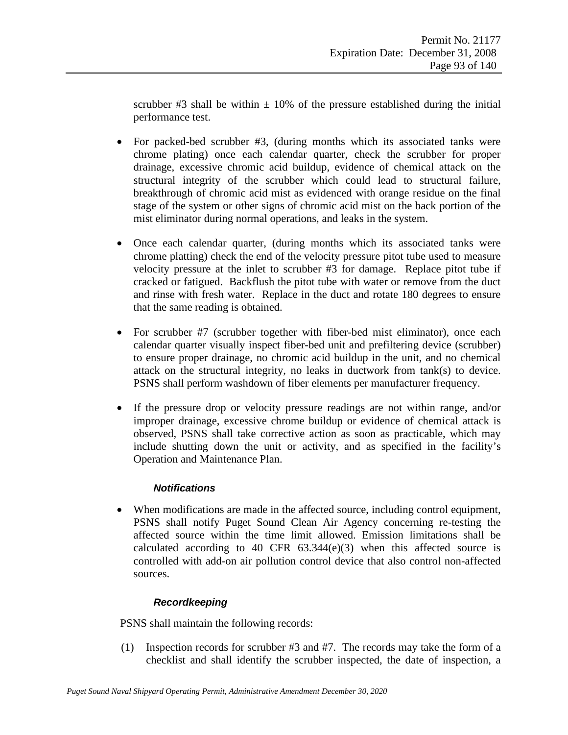scrubber #3 shall be within  $\pm$  10% of the pressure established during the initial performance test.

- For packed-bed scrubber #3, (during months which its associated tanks were chrome plating) once each calendar quarter, check the scrubber for proper drainage, excessive chromic acid buildup, evidence of chemical attack on the structural integrity of the scrubber which could lead to structural failure, breakthrough of chromic acid mist as evidenced with orange residue on the final stage of the system or other signs of chromic acid mist on the back portion of the mist eliminator during normal operations, and leaks in the system.
- Once each calendar quarter, (during months which its associated tanks were chrome platting) check the end of the velocity pressure pitot tube used to measure velocity pressure at the inlet to scrubber #3 for damage. Replace pitot tube if cracked or fatigued. Backflush the pitot tube with water or remove from the duct and rinse with fresh water. Replace in the duct and rotate 180 degrees to ensure that the same reading is obtained.
- For scrubber #7 (scrubber together with fiber-bed mist eliminator), once each calendar quarter visually inspect fiber-bed unit and prefiltering device (scrubber) to ensure proper drainage, no chromic acid buildup in the unit, and no chemical attack on the structural integrity, no leaks in ductwork from tank(s) to device. PSNS shall perform washdown of fiber elements per manufacturer frequency.
- If the pressure drop or velocity pressure readings are not within range, and/or improper drainage, excessive chrome buildup or evidence of chemical attack is observed, PSNS shall take corrective action as soon as practicable, which may include shutting down the unit or activity, and as specified in the facility's Operation and Maintenance Plan.

#### *Notifications*

• When modifications are made in the affected source, including control equipment, PSNS shall notify Puget Sound Clean Air Agency concerning re-testing the affected source within the time limit allowed. Emission limitations shall be calculated according to 40 CFR  $63.34(e)(3)$  when this affected source is controlled with add-on air pollution control device that also control non-affected sources.

#### *Recordkeeping*

PSNS shall maintain the following records:

(1) Inspection records for scrubber #3 and #7. The records may take the form of a checklist and shall identify the scrubber inspected, the date of inspection, a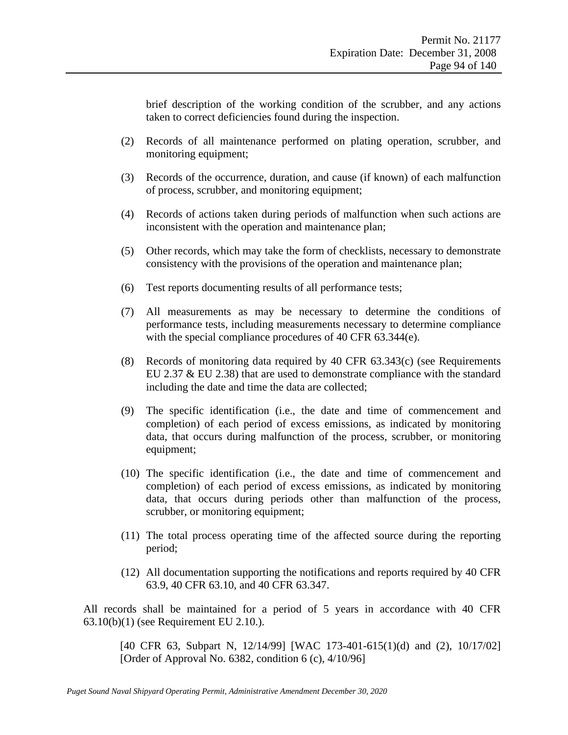brief description of the working condition of the scrubber, and any actions taken to correct deficiencies found during the inspection.

- (2) Records of all maintenance performed on plating operation, scrubber, and monitoring equipment;
- (3) Records of the occurrence, duration, and cause (if known) of each malfunction of process, scrubber, and monitoring equipment;
- (4) Records of actions taken during periods of malfunction when such actions are inconsistent with the operation and maintenance plan;
- (5) Other records, which may take the form of checklists, necessary to demonstrate consistency with the provisions of the operation and maintenance plan;
- (6) Test reports documenting results of all performance tests;
- (7) All measurements as may be necessary to determine the conditions of performance tests, including measurements necessary to determine compliance with the special compliance procedures of 40 CFR 63.344(e).
- (8) Records of monitoring data required by 40 CFR 63.343(c) (see Requirements EU 2.37 & EU 2.38) that are used to demonstrate compliance with the standard including the date and time the data are collected;
- (9) The specific identification (i.e., the date and time of commencement and completion) of each period of excess emissions, as indicated by monitoring data, that occurs during malfunction of the process, scrubber, or monitoring equipment;
- (10) The specific identification (i.e., the date and time of commencement and completion) of each period of excess emissions, as indicated by monitoring data, that occurs during periods other than malfunction of the process, scrubber, or monitoring equipment;
- (11) The total process operating time of the affected source during the reporting period;
- (12) All documentation supporting the notifications and reports required by 40 CFR 63.9, 40 CFR 63.10, and 40 CFR 63.347.

All records shall be maintained for a period of 5 years in accordance with 40 CFR 63.10(b)(1) (see Requirement EU 2.10.).

[40 CFR 63, Subpart N, 12/14/99] [WAC 173-401-615(1)(d) and (2), 10/17/02] [Order of Approval No. 6382, condition 6 (c),  $4/10/96$ ]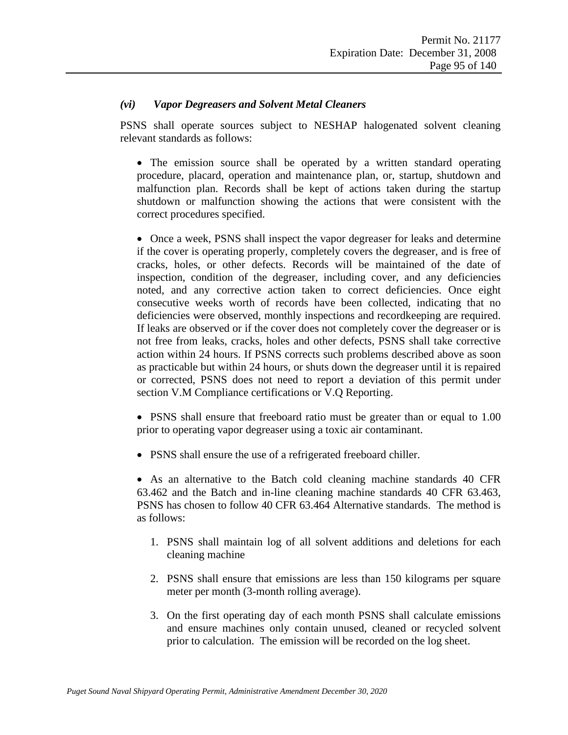#### *(vi) Vapor Degreasers and Solvent Metal Cleaners*

PSNS shall operate sources subject to NESHAP halogenated solvent cleaning relevant standards as follows:

• The emission source shall be operated by a written standard operating procedure, placard, operation and maintenance plan, or, startup, shutdown and malfunction plan. Records shall be kept of actions taken during the startup shutdown or malfunction showing the actions that were consistent with the correct procedures specified.

• Once a week, PSNS shall inspect the vapor degreaser for leaks and determine if the cover is operating properly, completely covers the degreaser, and is free of cracks, holes, or other defects. Records will be maintained of the date of inspection, condition of the degreaser, including cover, and any deficiencies noted, and any corrective action taken to correct deficiencies. Once eight consecutive weeks worth of records have been collected, indicating that no deficiencies were observed, monthly inspections and recordkeeping are required. If leaks are observed or if the cover does not completely cover the degreaser or is not free from leaks, cracks, holes and other defects, PSNS shall take corrective action within 24 hours. If PSNS corrects such problems described above as soon as practicable but within 24 hours, or shuts down the degreaser until it is repaired or corrected, PSNS does not need to report a deviation of this permit under section V.M Compliance certifications or V.Q Reporting.

• PSNS shall ensure that freeboard ratio must be greater than or equal to 1.00 prior to operating vapor degreaser using a toxic air contaminant.

• PSNS shall ensure the use of a refrigerated freeboard chiller.

• As an alternative to the Batch cold cleaning machine standards 40 CFR 63.462 and the Batch and in-line cleaning machine standards 40 CFR 63.463, PSNS has chosen to follow 40 CFR 63.464 Alternative standards. The method is as follows:

- 1. PSNS shall maintain log of all solvent additions and deletions for each cleaning machine
- 2. PSNS shall ensure that emissions are less than 150 kilograms per square meter per month (3-month rolling average).
- 3. On the first operating day of each month PSNS shall calculate emissions and ensure machines only contain unused, cleaned or recycled solvent prior to calculation. The emission will be recorded on the log sheet.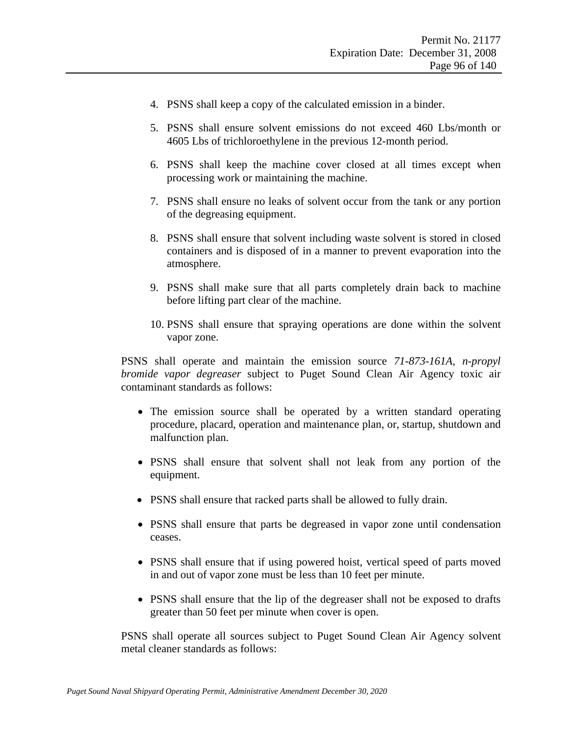- 4. PSNS shall keep a copy of the calculated emission in a binder.
- 5. PSNS shall ensure solvent emissions do not exceed 460 Lbs/month or 4605 Lbs of trichloroethylene in the previous 12-month period.
- 6. PSNS shall keep the machine cover closed at all times except when processing work or maintaining the machine.
- 7. PSNS shall ensure no leaks of solvent occur from the tank or any portion of the degreasing equipment.
- 8. PSNS shall ensure that solvent including waste solvent is stored in closed containers and is disposed of in a manner to prevent evaporation into the atmosphere.
- 9. PSNS shall make sure that all parts completely drain back to machine before lifting part clear of the machine.
- 10. PSNS shall ensure that spraying operations are done within the solvent vapor zone.

PSNS shall operate and maintain the emission source *71-873-161A, n-propyl bromide vapor degreaser* subject to Puget Sound Clean Air Agency toxic air contaminant standards as follows:

- The emission source shall be operated by a written standard operating procedure, placard, operation and maintenance plan, or, startup, shutdown and malfunction plan.
- PSNS shall ensure that solvent shall not leak from any portion of the equipment.
- PSNS shall ensure that racked parts shall be allowed to fully drain.
- PSNS shall ensure that parts be degreased in vapor zone until condensation ceases.
- PSNS shall ensure that if using powered hoist, vertical speed of parts moved in and out of vapor zone must be less than 10 feet per minute.
- PSNS shall ensure that the lip of the degreaser shall not be exposed to drafts greater than 50 feet per minute when cover is open.

PSNS shall operate all sources subject to Puget Sound Clean Air Agency solvent metal cleaner standards as follows: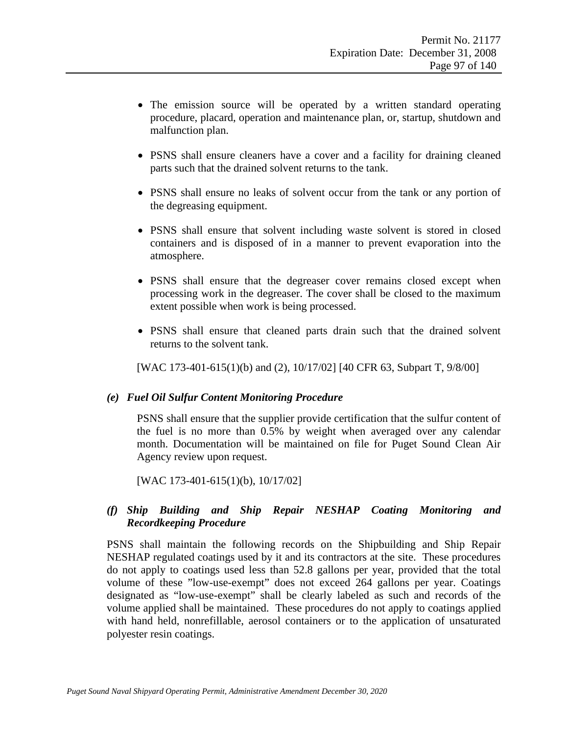- The emission source will be operated by a written standard operating procedure, placard, operation and maintenance plan, or, startup, shutdown and malfunction plan.
- PSNS shall ensure cleaners have a cover and a facility for draining cleaned parts such that the drained solvent returns to the tank.
- PSNS shall ensure no leaks of solvent occur from the tank or any portion of the degreasing equipment.
- PSNS shall ensure that solvent including waste solvent is stored in closed containers and is disposed of in a manner to prevent evaporation into the atmosphere.
- PSNS shall ensure that the degreaser cover remains closed except when processing work in the degreaser. The cover shall be closed to the maximum extent possible when work is being processed.
- PSNS shall ensure that cleaned parts drain such that the drained solvent returns to the solvent tank.

[WAC 173-401-615(1)(b) and (2), 10/17/02] [40 CFR 63, Subpart T, 9/8/00]

#### *(e) Fuel Oil Sulfur Content Monitoring Procedure*

PSNS shall ensure that the supplier provide certification that the sulfur content of the fuel is no more than 0.5% by weight when averaged over any calendar month. Documentation will be maintained on file for Puget Sound Clean Air Agency review upon request.

[WAC 173-401-615(1)(b), 10/17/02]

#### *(f) Ship Building and Ship Repair NESHAP Coating Monitoring and Recordkeeping Procedure*

PSNS shall maintain the following records on the Shipbuilding and Ship Repair NESHAP regulated coatings used by it and its contractors at the site. These procedures do not apply to coatings used less than 52.8 gallons per year, provided that the total volume of these "low-use-exempt" does not exceed 264 gallons per year. Coatings designated as "low-use-exempt" shall be clearly labeled as such and records of the volume applied shall be maintained. These procedures do not apply to coatings applied with hand held, nonrefillable, aerosol containers or to the application of unsaturated polyester resin coatings.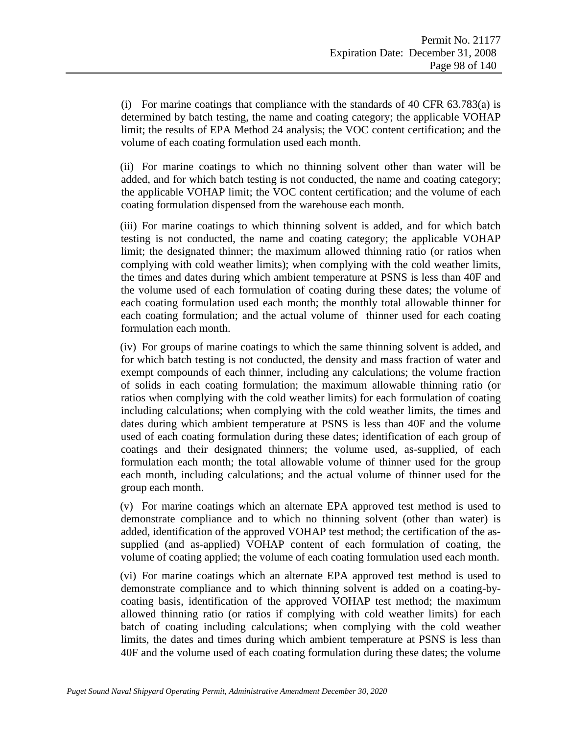(i) For marine coatings that compliance with the standards of 40 CFR 63.783(a) is determined by batch testing, the name and coating category; the applicable VOHAP limit; the results of EPA Method 24 analysis; the VOC content certification; and the volume of each coating formulation used each month.

(ii) For marine coatings to which no thinning solvent other than water will be added, and for which batch testing is not conducted, the name and coating category; the applicable VOHAP limit; the VOC content certification; and the volume of each coating formulation dispensed from the warehouse each month.

(iii) For marine coatings to which thinning solvent is added, and for which batch testing is not conducted, the name and coating category; the applicable VOHAP limit; the designated thinner; the maximum allowed thinning ratio (or ratios when complying with cold weather limits); when complying with the cold weather limits, the times and dates during which ambient temperature at PSNS is less than 40F and the volume used of each formulation of coating during these dates; the volume of each coating formulation used each month; the monthly total allowable thinner for each coating formulation; and the actual volume of thinner used for each coating formulation each month.

(iv) For groups of marine coatings to which the same thinning solvent is added, and for which batch testing is not conducted, the density and mass fraction of water and exempt compounds of each thinner, including any calculations; the volume fraction of solids in each coating formulation; the maximum allowable thinning ratio (or ratios when complying with the cold weather limits) for each formulation of coating including calculations; when complying with the cold weather limits, the times and dates during which ambient temperature at PSNS is less than 40F and the volume used of each coating formulation during these dates; identification of each group of coatings and their designated thinners; the volume used, as-supplied, of each formulation each month; the total allowable volume of thinner used for the group each month, including calculations; and the actual volume of thinner used for the group each month.

(v) For marine coatings which an alternate EPA approved test method is used to demonstrate compliance and to which no thinning solvent (other than water) is added, identification of the approved VOHAP test method; the certification of the assupplied (and as-applied) VOHAP content of each formulation of coating, the volume of coating applied; the volume of each coating formulation used each month.

(vi) For marine coatings which an alternate EPA approved test method is used to demonstrate compliance and to which thinning solvent is added on a coating-bycoating basis, identification of the approved VOHAP test method; the maximum allowed thinning ratio (or ratios if complying with cold weather limits) for each batch of coating including calculations; when complying with the cold weather limits, the dates and times during which ambient temperature at PSNS is less than 40F and the volume used of each coating formulation during these dates; the volume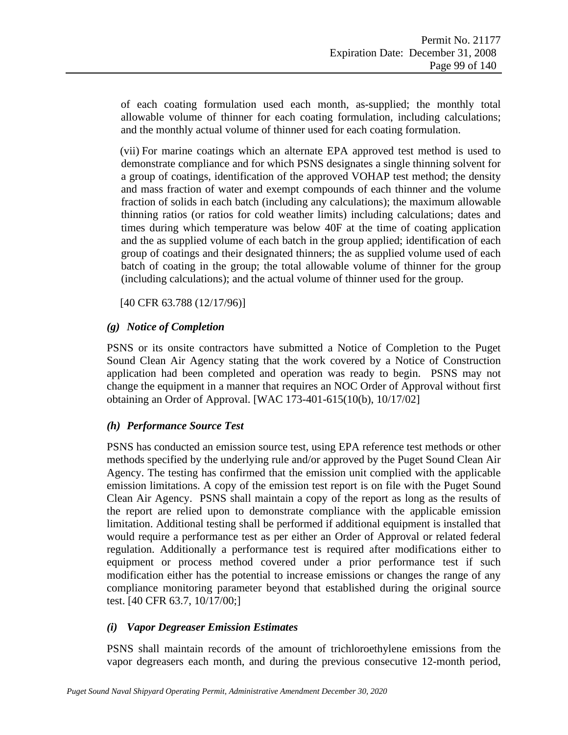of each coating formulation used each month, as-supplied; the monthly total allowable volume of thinner for each coating formulation, including calculations; and the monthly actual volume of thinner used for each coating formulation.

(vii) For marine coatings which an alternate EPA approved test method is used to demonstrate compliance and for which PSNS designates a single thinning solvent for a group of coatings, identification of the approved VOHAP test method; the density and mass fraction of water and exempt compounds of each thinner and the volume fraction of solids in each batch (including any calculations); the maximum allowable thinning ratios (or ratios for cold weather limits) including calculations; dates and times during which temperature was below 40F at the time of coating application and the as supplied volume of each batch in the group applied; identification of each group of coatings and their designated thinners; the as supplied volume used of each batch of coating in the group; the total allowable volume of thinner for the group (including calculations); and the actual volume of thinner used for the group.

[40 CFR 63.788 (12/17/96)]

#### *(g) Notice of Completion*

PSNS or its onsite contractors have submitted a Notice of Completion to the Puget Sound Clean Air Agency stating that the work covered by a Notice of Construction application had been completed and operation was ready to begin. PSNS may not change the equipment in a manner that requires an NOC Order of Approval without first obtaining an Order of Approval. [WAC 173-401-615(10(b), 10/17/02]

## *(h) Performance Source Test*

PSNS has conducted an emission source test, using EPA reference test methods or other methods specified by the underlying rule and/or approved by the Puget Sound Clean Air Agency. The testing has confirmed that the emission unit complied with the applicable emission limitations. A copy of the emission test report is on file with the Puget Sound Clean Air Agency. PSNS shall maintain a copy of the report as long as the results of the report are relied upon to demonstrate compliance with the applicable emission limitation. Additional testing shall be performed if additional equipment is installed that would require a performance test as per either an Order of Approval or related federal regulation. Additionally a performance test is required after modifications either to equipment or process method covered under a prior performance test if such modification either has the potential to increase emissions or changes the range of any compliance monitoring parameter beyond that established during the original source test. [40 CFR 63.7, 10/17/00;]

#### *(i) Vapor Degreaser Emission Estimates*

PSNS shall maintain records of the amount of trichloroethylene emissions from the vapor degreasers each month, and during the previous consecutive 12-month period,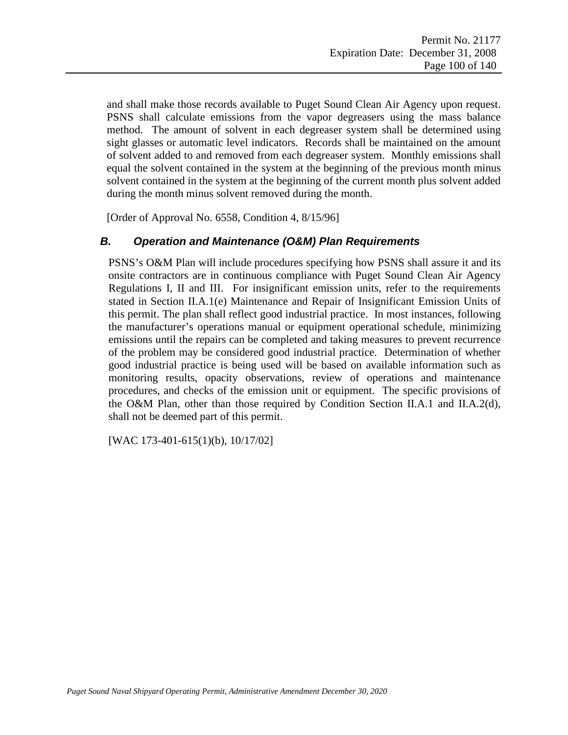and shall make those records available to Puget Sound Clean Air Agency upon request. PSNS shall calculate emissions from the vapor degreasers using the mass balance method. The amount of solvent in each degreaser system shall be determined using sight glasses or automatic level indicators. Records shall be maintained on the amount of solvent added to and removed from each degreaser system. Monthly emissions shall equal the solvent contained in the system at the beginning of the previous month minus solvent contained in the system at the beginning of the current month plus solvent added during the month minus solvent removed during the month.

[Order of Approval No. 6558, Condition 4, 8/15/96]

### *B. Operation and Maintenance (O&M) Plan Requirements*

PSNS's O&M Plan will include procedures specifying how PSNS shall assure it and its onsite contractors are in continuous compliance with Puget Sound Clean Air Agency Regulations I, II and III. For insignificant emission units, refer to the requirements stated in Section II.A.1(e) Maintenance and Repair of Insignificant Emission Units of this permit. The plan shall reflect good industrial practice. In most instances, following the manufacturer's operations manual or equipment operational schedule, minimizing emissions until the repairs can be completed and taking measures to prevent recurrence of the problem may be considered good industrial practice. Determination of whether good industrial practice is being used will be based on available information such as monitoring results, opacity observations, review of operations and maintenance procedures, and checks of the emission unit or equipment. The specific provisions of the O&M Plan, other than those required by Condition Section II.A.1 and II.A.2(d), shall not be deemed part of this permit.

[WAC 173-401-615(1)(b), 10/17/02]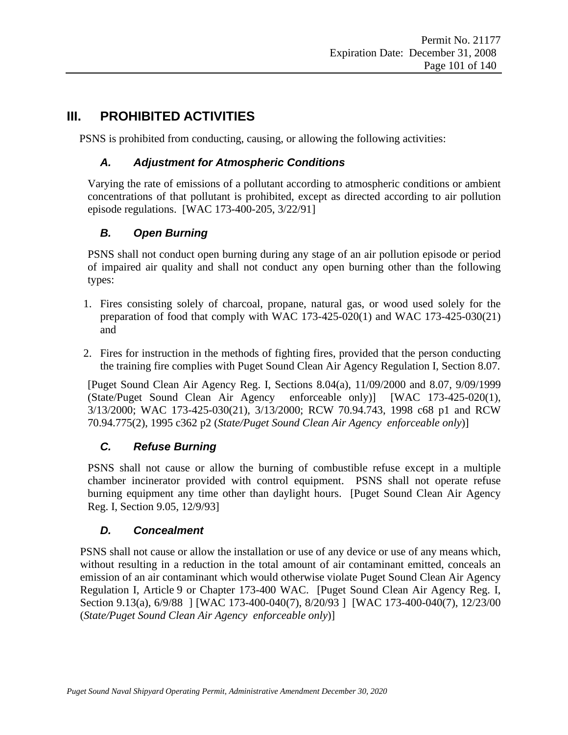# **III. PROHIBITED ACTIVITIES**

PSNS is prohibited from conducting, causing, or allowing the following activities:

## *A. Adjustment for Atmospheric Conditions*

Varying the rate of emissions of a pollutant according to atmospheric conditions or ambient concentrations of that pollutant is prohibited, except as directed according to air pollution episode regulations. [WAC 173-400-205, 3/22/91]

## *B. Open Burning*

PSNS shall not conduct open burning during any stage of an air pollution episode or period of impaired air quality and shall not conduct any open burning other than the following types:

- 1. Fires consisting solely of charcoal, propane, natural gas, or wood used solely for the preparation of food that comply with WAC 173-425-020(1) and WAC 173-425-030(21) and
- 2. Fires for instruction in the methods of fighting fires, provided that the person conducting the training fire complies with Puget Sound Clean Air Agency Regulation I, Section 8.07.

[Puget Sound Clean Air Agency Reg. I, Sections 8.04(a), 11/09/2000 and 8.07, 9/09/1999 (State/Puget Sound Clean Air Agency enforceable only)] [WAC 173-425-020(1), 3/13/2000; WAC 173-425-030(21), 3/13/2000; RCW 70.94.743, 1998 c68 p1 and RCW 70.94.775(2), 1995 c362 p2 (*State/Puget Sound Clean Air Agency enforceable only*)]

## *C. Refuse Burning*

PSNS shall not cause or allow the burning of combustible refuse except in a multiple chamber incinerator provided with control equipment. PSNS shall not operate refuse burning equipment any time other than daylight hours. [Puget Sound Clean Air Agency Reg. I, Section 9.05, 12/9/93]

## *D. Concealment*

PSNS shall not cause or allow the installation or use of any device or use of any means which, without resulting in a reduction in the total amount of air contaminant emitted, conceals an emission of an air contaminant which would otherwise violate Puget Sound Clean Air Agency Regulation I, Article 9 or Chapter 173-400 WAC. [Puget Sound Clean Air Agency Reg. I, Section 9.13(a), 6/9/88 ] [WAC 173-400-040(7), 8/20/93 ] [WAC 173-400-040(7), 12/23/00 (*State/Puget Sound Clean Air Agency enforceable only*)]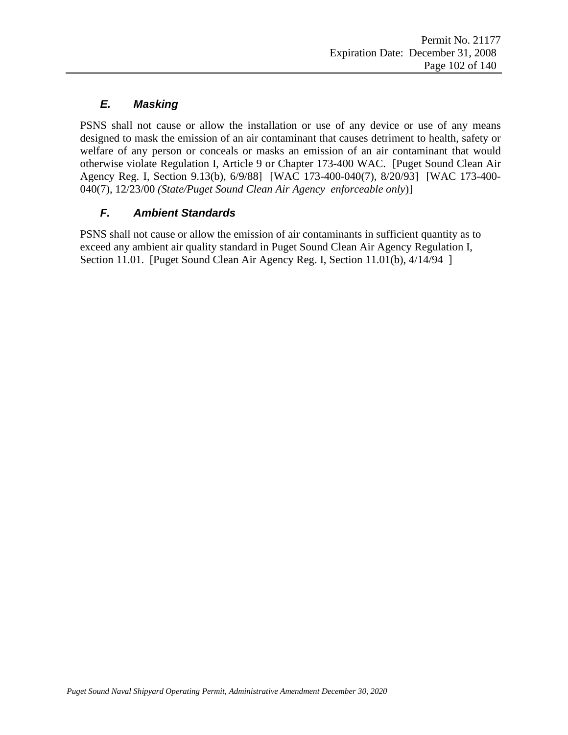# *E. Masking*

PSNS shall not cause or allow the installation or use of any device or use of any means designed to mask the emission of an air contaminant that causes detriment to health, safety or welfare of any person or conceals or masks an emission of an air contaminant that would otherwise violate Regulation I, Article 9 or Chapter 173-400 WAC. [Puget Sound Clean Air Agency Reg. I, Section 9.13(b), 6/9/88] [WAC 173-400-040(7), 8/20/93] [WAC 173-400- 040(7), 12/23/00 *(State/Puget Sound Clean Air Agency enforceable only*)]

## *F. Ambient Standards*

PSNS shall not cause or allow the emission of air contaminants in sufficient quantity as to exceed any ambient air quality standard in Puget Sound Clean Air Agency Regulation I, Section 11.01. [Puget Sound Clean Air Agency Reg. I, Section 11.01(b), 4/14/94 ]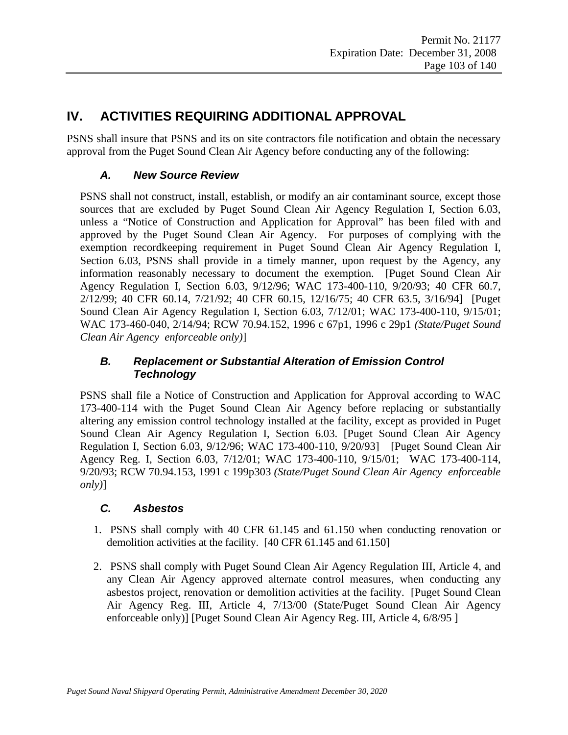# **IV. ACTIVITIES REQUIRING ADDITIONAL APPROVAL**

PSNS shall insure that PSNS and its on site contractors file notification and obtain the necessary approval from the Puget Sound Clean Air Agency before conducting any of the following:

## *A. New Source Review*

PSNS shall not construct, install, establish, or modify an air contaminant source, except those sources that are excluded by Puget Sound Clean Air Agency Regulation I, Section 6.03, unless a "Notice of Construction and Application for Approval" has been filed with and approved by the Puget Sound Clean Air Agency. For purposes of complying with the exemption recordkeeping requirement in Puget Sound Clean Air Agency Regulation I, Section 6.03, PSNS shall provide in a timely manner, upon request by the Agency, any information reasonably necessary to document the exemption. [Puget Sound Clean Air Agency Regulation I, Section 6.03, 9/12/96; WAC 173-400-110, 9/20/93; 40 CFR 60.7, 2/12/99; 40 CFR 60.14, 7/21/92; 40 CFR 60.15, 12/16/75; 40 CFR 63.5, 3/16/94] [Puget Sound Clean Air Agency Regulation I, Section 6.03, 7/12/01; WAC 173-400-110, 9/15/01; WAC 173-460-040, 2/14/94; RCW 70.94.152, 1996 c 67p1, 1996 c 29p1 *(State/Puget Sound Clean Air Agency enforceable only)*]

## *B. Replacement or Substantial Alteration of Emission Control Technology*

PSNS shall file a Notice of Construction and Application for Approval according to WAC 173-400-114 with the Puget Sound Clean Air Agency before replacing or substantially altering any emission control technology installed at the facility, except as provided in Puget Sound Clean Air Agency Regulation I, Section 6.03. [Puget Sound Clean Air Agency Regulation I, Section 6.03, 9/12/96; WAC 173-400-110, 9/20/93] [Puget Sound Clean Air Agency Reg. I, Section 6.03, 7/12/01; WAC 173-400-110, 9/15/01; WAC 173-400-114, 9/20/93; RCW 70.94.153, 1991 c 199p303 *(State/Puget Sound Clean Air Agency enforceable only)*]

#### *C. Asbestos*

- 1. PSNS shall comply with 40 CFR 61.145 and 61.150 when conducting renovation or demolition activities at the facility. [40 CFR 61.145 and 61.150]
- 2. PSNS shall comply with Puget Sound Clean Air Agency Regulation III, Article 4, and any Clean Air Agency approved alternate control measures, when conducting any asbestos project, renovation or demolition activities at the facility. [Puget Sound Clean Air Agency Reg. III, Article 4, 7/13/00 (State/Puget Sound Clean Air Agency enforceable only)] [Puget Sound Clean Air Agency Reg. III, Article 4, 6/8/95 ]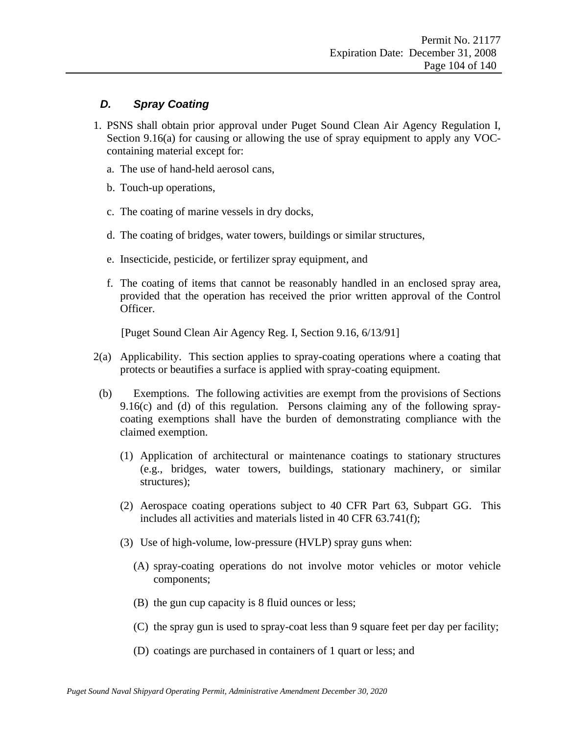## *D. Spray Coating*

- 1. PSNS shall obtain prior approval under Puget Sound Clean Air Agency Regulation I, Section 9.16(a) for causing or allowing the use of spray equipment to apply any VOCcontaining material except for:
	- a. The use of hand-held aerosol cans,
	- b. Touch-up operations,
	- c. The coating of marine vessels in dry docks,
	- d. The coating of bridges, water towers, buildings or similar structures,
	- e. Insecticide, pesticide, or fertilizer spray equipment, and
	- f. The coating of items that cannot be reasonably handled in an enclosed spray area, provided that the operation has received the prior written approval of the Control Officer.

[Puget Sound Clean Air Agency Reg. I, Section 9.16, 6/13/91]

- 2(a) Applicability. This section applies to spray-coating operations where a coating that protects or beautifies a surface is applied with spray-coating equipment.
- (b) Exemptions. The following activities are exempt from the provisions of Sections 9.16(c) and (d) of this regulation. Persons claiming any of the following spraycoating exemptions shall have the burden of demonstrating compliance with the claimed exemption.
	- (1) Application of architectural or maintenance coatings to stationary structures (e.g., bridges, water towers, buildings, stationary machinery, or similar structures);
	- (2) Aerospace coating operations subject to 40 CFR Part 63, Subpart GG. This includes all activities and materials listed in 40 CFR 63.741(f);
	- (3) Use of high-volume, low-pressure (HVLP) spray guns when:
		- (A) spray-coating operations do not involve motor vehicles or motor vehicle components;
		- (B) the gun cup capacity is 8 fluid ounces or less;
		- (C) the spray gun is used to spray-coat less than 9 square feet per day per facility;
		- (D) coatings are purchased in containers of 1 quart or less; and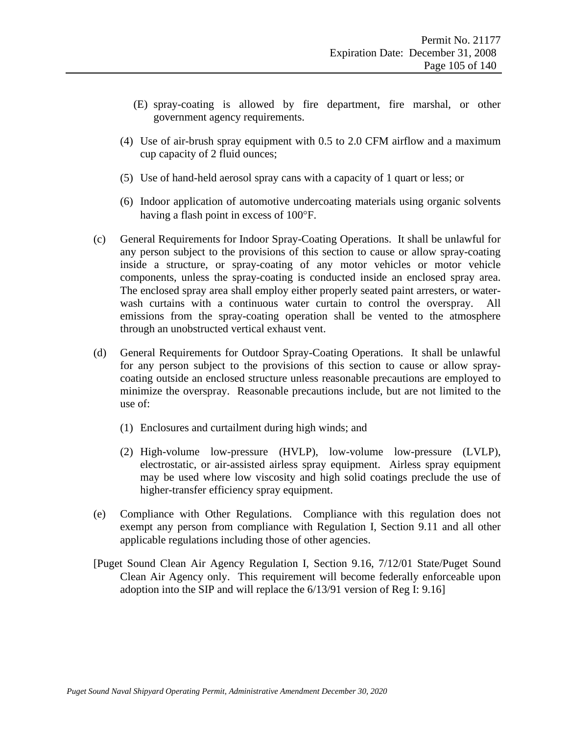- (E) spray-coating is allowed by fire department, fire marshal, or other government agency requirements.
- (4) Use of air-brush spray equipment with 0.5 to 2.0 CFM airflow and a maximum cup capacity of 2 fluid ounces;
- (5) Use of hand-held aerosol spray cans with a capacity of 1 quart or less; or
- (6) Indoor application of automotive undercoating materials using organic solvents having a flash point in excess of 100°F.
- (c) General Requirements for Indoor Spray-Coating Operations. It shall be unlawful for any person subject to the provisions of this section to cause or allow spray-coating inside a structure, or spray-coating of any motor vehicles or motor vehicle components, unless the spray-coating is conducted inside an enclosed spray area. The enclosed spray area shall employ either properly seated paint arresters, or waterwash curtains with a continuous water curtain to control the overspray. All emissions from the spray-coating operation shall be vented to the atmosphere through an unobstructed vertical exhaust vent.
- (d) General Requirements for Outdoor Spray-Coating Operations. It shall be unlawful for any person subject to the provisions of this section to cause or allow spraycoating outside an enclosed structure unless reasonable precautions are employed to minimize the overspray. Reasonable precautions include, but are not limited to the use of:
	- (1) Enclosures and curtailment during high winds; and
	- (2) High-volume low-pressure (HVLP), low-volume low-pressure (LVLP), electrostatic, or air-assisted airless spray equipment. Airless spray equipment may be used where low viscosity and high solid coatings preclude the use of higher-transfer efficiency spray equipment.
- (e) Compliance with Other Regulations. Compliance with this regulation does not exempt any person from compliance with Regulation I, Section 9.11 and all other applicable regulations including those of other agencies.
- [Puget Sound Clean Air Agency Regulation I, Section 9.16, 7/12/01 State/Puget Sound Clean Air Agency only. This requirement will become federally enforceable upon adoption into the SIP and will replace the 6/13/91 version of Reg I: 9.16]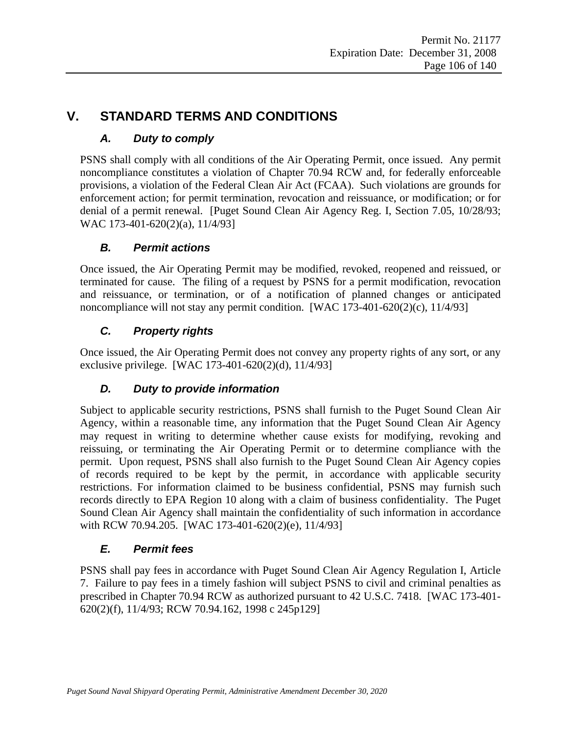# **V. STANDARD TERMS AND CONDITIONS**

# *A. Duty to comply*

PSNS shall comply with all conditions of the Air Operating Permit, once issued. Any permit noncompliance constitutes a violation of Chapter 70.94 RCW and, for federally enforceable provisions, a violation of the Federal Clean Air Act (FCAA). Such violations are grounds for enforcement action; for permit termination, revocation and reissuance, or modification; or for denial of a permit renewal. [Puget Sound Clean Air Agency Reg. I, Section 7.05, 10/28/93; WAC 173-401-620(2)(a), 11/4/93]

## *B. Permit actions*

Once issued, the Air Operating Permit may be modified, revoked, reopened and reissued, or terminated for cause. The filing of a request by PSNS for a permit modification, revocation and reissuance, or termination, or of a notification of planned changes or anticipated noncompliance will not stay any permit condition. [WAC 173-401-620(2)(c), 11/4/93]

# *C. Property rights*

Once issued, the Air Operating Permit does not convey any property rights of any sort, or any exclusive privilege. [WAC 173-401-620(2)(d), 11/4/93]

# *D. Duty to provide information*

Subject to applicable security restrictions, PSNS shall furnish to the Puget Sound Clean Air Agency, within a reasonable time, any information that the Puget Sound Clean Air Agency may request in writing to determine whether cause exists for modifying, revoking and reissuing, or terminating the Air Operating Permit or to determine compliance with the permit. Upon request, PSNS shall also furnish to the Puget Sound Clean Air Agency copies of records required to be kept by the permit, in accordance with applicable security restrictions. For information claimed to be business confidential, PSNS may furnish such records directly to EPA Region 10 along with a claim of business confidentiality. The Puget Sound Clean Air Agency shall maintain the confidentiality of such information in accordance with RCW 70.94.205. [WAC 173-401-620(2)(e), 11/4/93]

# *E. Permit fees*

PSNS shall pay fees in accordance with Puget Sound Clean Air Agency Regulation I, Article 7. Failure to pay fees in a timely fashion will subject PSNS to civil and criminal penalties as prescribed in Chapter 70.94 RCW as authorized pursuant to 42 U.S.C. 7418. [WAC 173-401- 620(2)(f), 11/4/93; RCW 70.94.162, 1998 c 245p129]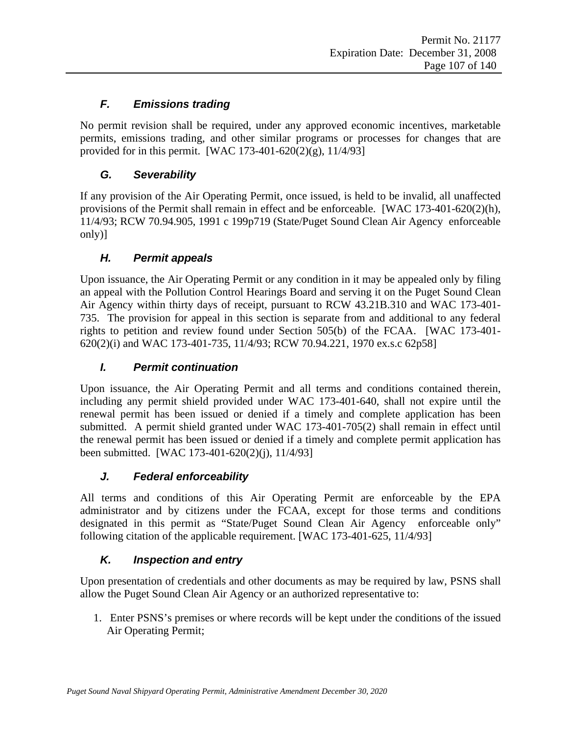## *F. Emissions trading*

No permit revision shall be required, under any approved economic incentives, marketable permits, emissions trading, and other similar programs or processes for changes that are provided for in this permit. [WAC 173-401-620(2)(g), 11/4/93]

## *G. Severability*

If any provision of the Air Operating Permit, once issued, is held to be invalid, all unaffected provisions of the Permit shall remain in effect and be enforceable. [WAC 173-401-620(2)(h), 11/4/93; RCW 70.94.905, 1991 c 199p719 (State/Puget Sound Clean Air Agency enforceable only)]

## *H. Permit appeals*

Upon issuance, the Air Operating Permit or any condition in it may be appealed only by filing an appeal with the Pollution Control Hearings Board and serving it on the Puget Sound Clean Air Agency within thirty days of receipt, pursuant to RCW 43.21B.310 and WAC 173-401- 735. The provision for appeal in this section is separate from and additional to any federal rights to petition and review found under Section 505(b) of the FCAA. [WAC 173-401- 620(2)(i) and WAC 173-401-735, 11/4/93; RCW 70.94.221, 1970 ex.s.c 62p58]

## *I. Permit continuation*

Upon issuance, the Air Operating Permit and all terms and conditions contained therein, including any permit shield provided under WAC 173-401-640, shall not expire until the renewal permit has been issued or denied if a timely and complete application has been submitted. A permit shield granted under WAC 173-401-705(2) shall remain in effect until the renewal permit has been issued or denied if a timely and complete permit application has been submitted. [WAC 173-401-620(2)(j), 11/4/93]

## *J. Federal enforceability*

All terms and conditions of this Air Operating Permit are enforceable by the EPA administrator and by citizens under the FCAA, except for those terms and conditions designated in this permit as "State/Puget Sound Clean Air Agency enforceable only" following citation of the applicable requirement. [WAC 173-401-625, 11/4/93]

# *K. Inspection and entry*

Upon presentation of credentials and other documents as may be required by law, PSNS shall allow the Puget Sound Clean Air Agency or an authorized representative to:

1. Enter PSNS's premises or where records will be kept under the conditions of the issued Air Operating Permit;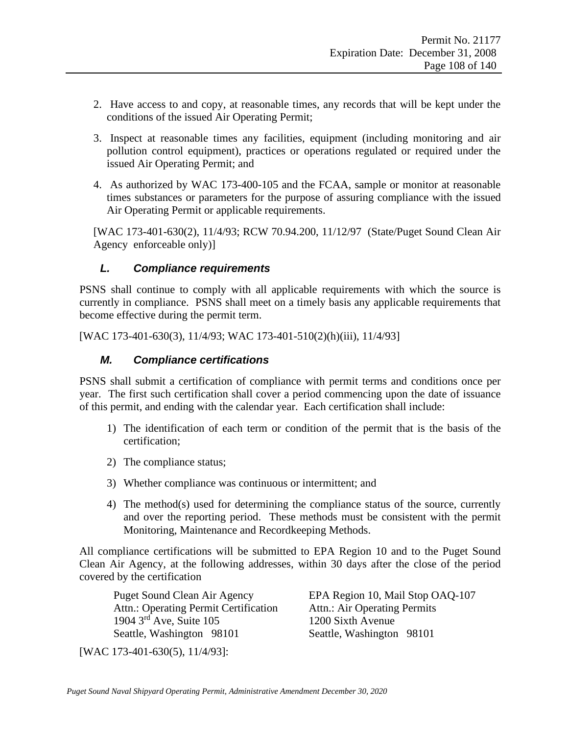- 2. Have access to and copy, at reasonable times, any records that will be kept under the conditions of the issued Air Operating Permit;
- 3. Inspect at reasonable times any facilities, equipment (including monitoring and air pollution control equipment), practices or operations regulated or required under the issued Air Operating Permit; and
- 4. As authorized by WAC 173-400-105 and the FCAA, sample or monitor at reasonable times substances or parameters for the purpose of assuring compliance with the issued Air Operating Permit or applicable requirements.

[WAC 173-401-630(2), 11/4/93; RCW 70.94.200, 11/12/97 (State/Puget Sound Clean Air Agency enforceable only)]

### *L. Compliance requirements*

PSNS shall continue to comply with all applicable requirements with which the source is currently in compliance. PSNS shall meet on a timely basis any applicable requirements that become effective during the permit term.

<span id="page-107-0"></span>[WAC 173-401-630(3), 11/4/93; WAC 173-401-510(2)(h)(iii), 11/4/93]

### *M. Compliance certifications*

PSNS shall submit a certification of compliance with permit terms and conditions once per year. The first such certification shall cover a period commencing upon the date of issuance of this permit, and ending with the calendar year. Each certification shall include:

- 1) The identification of each term or condition of the permit that is the basis of the certification;
- 2) The compliance status;
- 3) Whether compliance was continuous or intermittent; and
- 4) The method(s) used for determining the compliance status of the source, currently and over the reporting period. These methods must be consistent with the permit Monitoring, Maintenance and Recordkeeping Methods.

All compliance certifications will be submitted to EPA Region 10 and to the Puget Sound Clean Air Agency, at the following addresses, within 30 days after the close of the period covered by the certification

Attn.: Operating Permit Certification Attn.: Air Operating Permits 1904 3<sup>rd</sup> Ave, Suite 105 1200 Sixth Avenue Seattle, Washington 98101 Seattle, Washington 98101

Puget Sound Clean Air Agency EPA Region 10, Mail Stop OAQ-107

[WAC 173-401-630(5), 11/4/93]: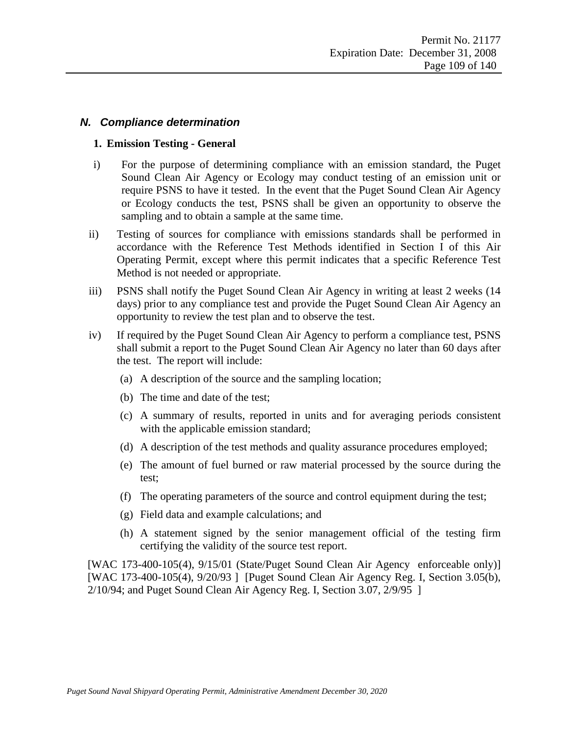#### *N. Compliance determination*

#### **1. Emission Testing - General**

- i) For the purpose of determining compliance with an emission standard, the Puget Sound Clean Air Agency or Ecology may conduct testing of an emission unit or require PSNS to have it tested. In the event that the Puget Sound Clean Air Agency or Ecology conducts the test, PSNS shall be given an opportunity to observe the sampling and to obtain a sample at the same time.
- ii) Testing of sources for compliance with emissions standards shall be performed in accordance with the Reference Test Methods identified in Section I of this Air Operating Permit, except where this permit indicates that a specific Reference Test Method is not needed or appropriate.
- iii) PSNS shall notify the Puget Sound Clean Air Agency in writing at least 2 weeks (14 days) prior to any compliance test and provide the Puget Sound Clean Air Agency an opportunity to review the test plan and to observe the test.
- iv) If required by the Puget Sound Clean Air Agency to perform a compliance test, PSNS shall submit a report to the Puget Sound Clean Air Agency no later than 60 days after the test. The report will include:
	- (a) A description of the source and the sampling location;
	- (b) The time and date of the test;
	- (c) A summary of results, reported in units and for averaging periods consistent with the applicable emission standard;
	- (d) A description of the test methods and quality assurance procedures employed;
	- (e) The amount of fuel burned or raw material processed by the source during the test;
	- (f) The operating parameters of the source and control equipment during the test;
	- (g) Field data and example calculations; and
	- (h) A statement signed by the senior management official of the testing firm certifying the validity of the source test report.

[WAC 173-400-105(4), 9/15/01 (State/Puget Sound Clean Air Agency enforceable only)] [WAC 173-400-105(4), 9/20/93 ] [Puget Sound Clean Air Agency Reg. I, Section 3.05(b), 2/10/94; and Puget Sound Clean Air Agency Reg. I, Section 3.07, 2/9/95 ]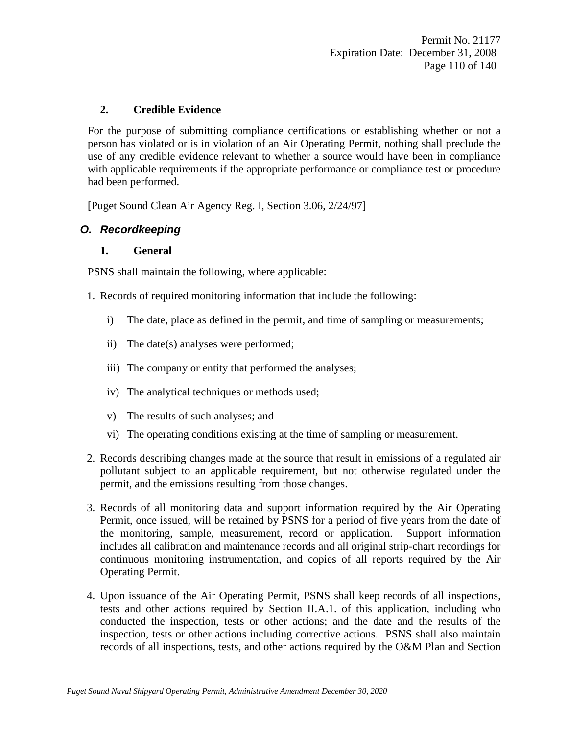### **2. Credible Evidence**

For the purpose of submitting compliance certifications or establishing whether or not a person has violated or is in violation of an Air Operating Permit, nothing shall preclude the use of any credible evidence relevant to whether a source would have been in compliance with applicable requirements if the appropriate performance or compliance test or procedure had been performed.

[Puget Sound Clean Air Agency Reg. I, Section 3.06, 2/24/97]

### *O. Recordkeeping*

### **1. General**

PSNS shall maintain the following, where applicable:

- 1. Records of required monitoring information that include the following:
	- i) The date, place as defined in the permit, and time of sampling or measurements;
	- ii) The date(s) analyses were performed;
	- iii) The company or entity that performed the analyses;
	- iv) The analytical techniques or methods used;
	- v) The results of such analyses; and
	- vi) The operating conditions existing at the time of sampling or measurement.
- 2. Records describing changes made at the source that result in emissions of a regulated air pollutant subject to an applicable requirement, but not otherwise regulated under the permit, and the emissions resulting from those changes.
- 3. Records of all monitoring data and support information required by the Air Operating Permit, once issued, will be retained by PSNS for a period of five years from the date of the monitoring, sample, measurement, record or application. Support information includes all calibration and maintenance records and all original strip-chart recordings for continuous monitoring instrumentation, and copies of all reports required by the Air Operating Permit.
- 4. Upon issuance of the Air Operating Permit, PSNS shall keep records of all inspections, tests and other actions required by Section II.A.1. of this application, including who conducted the inspection, tests or other actions; and the date and the results of the inspection, tests or other actions including corrective actions. PSNS shall also maintain records of all inspections, tests, and other actions required by the O&M Plan and Section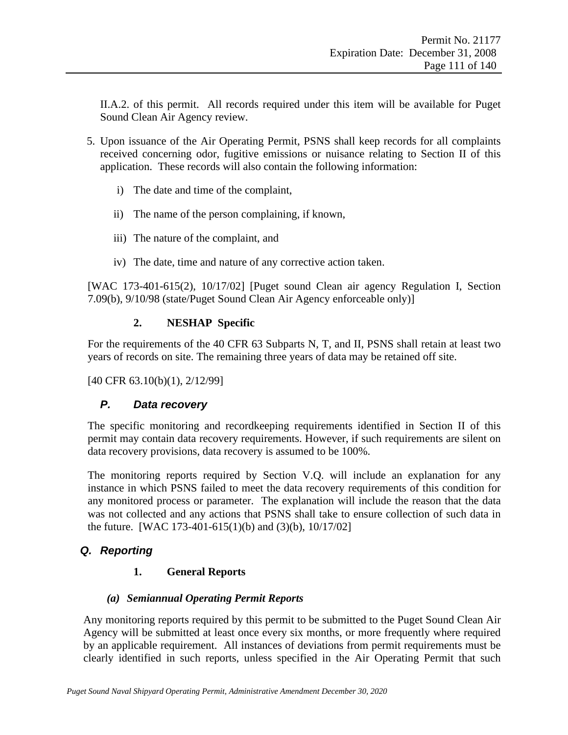II.A.2. of this permit. All records required under this item will be available for Puget Sound Clean Air Agency review.

- 5. Upon issuance of the Air Operating Permit, PSNS shall keep records for all complaints received concerning odor, fugitive emissions or nuisance relating to Section II of this application. These records will also contain the following information:
	- i) The date and time of the complaint,
	- ii) The name of the person complaining, if known,
	- iii) The nature of the complaint, and
	- iv) The date, time and nature of any corrective action taken.

[WAC 173-401-615(2), 10/17/02] [Puget sound Clean air agency Regulation I, Section 7.09(b), 9/10/98 (state/Puget Sound Clean Air Agency enforceable only)]

### **2. NESHAP Specific**

For the requirements of the 40 CFR 63 Subparts N, T, and II, PSNS shall retain at least two years of records on site. The remaining three years of data may be retained off site.

[40 CFR 63.10(b)(1), 2/12/99]

# *P. Data recovery*

The specific monitoring and recordkeeping requirements identified in Section II of this permit may contain data recovery requirements. However, if such requirements are silent on data recovery provisions, data recovery is assumed to be 100%.

The monitoring reports required by Section V.Q. will include an explanation for any instance in which PSNS failed to meet the data recovery requirements of this condition for any monitored process or parameter. The explanation will include the reason that the data was not collected and any actions that PSNS shall take to ensure collection of such data in the future. [WAC 173-401-615(1)(b) and (3)(b), 10/17/02]

# <span id="page-110-1"></span>*Q. Reporting*

### **1. General Reports**

### *(a) Semiannual Operating Permit Reports*

<span id="page-110-0"></span>Any monitoring reports required by this permit to be submitted to the Puget Sound Clean Air Agency will be submitted at least once every six months, or more frequently where required by an applicable requirement. All instances of deviations from permit requirements must be clearly identified in such reports, unless specified in the Air Operating Permit that such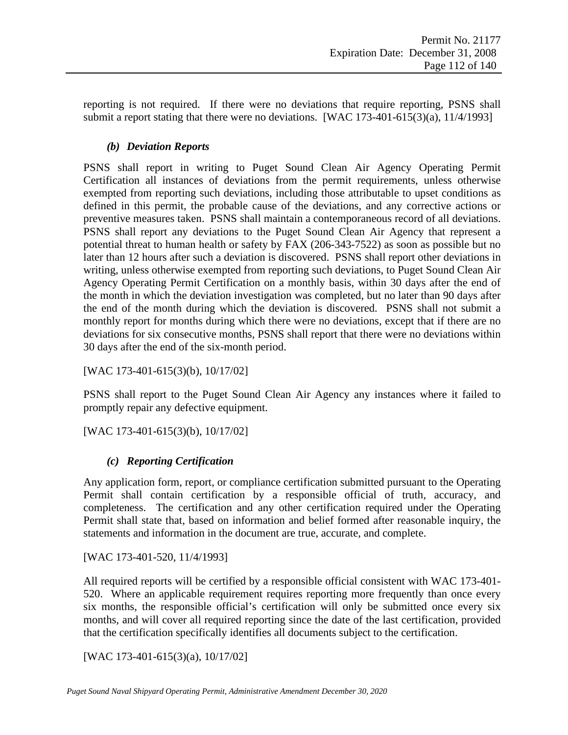<span id="page-111-0"></span>reporting is not required. If there were no deviations that require reporting, PSNS shall submit a report stating that there were no deviations. [WAC  $173-401-615(3)(a)$ ,  $11/4/1993$ ]

### *(b) Deviation Reports*

PSNS shall report in writing to Puget Sound Clean Air Agency Operating Permit Certification all instances of deviations from the permit requirements, unless otherwise exempted from reporting such deviations, including those attributable to upset conditions as defined in this permit, the probable cause of the deviations, and any corrective actions or preventive measures taken. PSNS shall maintain a contemporaneous record of all deviations. PSNS shall report any deviations to the Puget Sound Clean Air Agency that represent a potential threat to human health or safety by FAX (206-343-7522) as soon as possible but no later than 12 hours after such a deviation is discovered. PSNS shall report other deviations in writing, unless otherwise exempted from reporting such deviations, to Puget Sound Clean Air Agency Operating Permit Certification on a monthly basis, within 30 days after the end of the month in which the deviation investigation was completed, but no later than 90 days after the end of the month during which the deviation is discovered. PSNS shall not submit a monthly report for months during which there were no deviations, except that if there are no deviations for six consecutive months, PSNS shall report that there were no deviations within 30 days after the end of the six-month period.

[WAC 173-401-615(3)(b), 10/17/02]

PSNS shall report to the Puget Sound Clean Air Agency any instances where it failed to promptly repair any defective equipment.

[WAC 173-401-615(3)(b), 10/17/02]

# *(c) Reporting Certification*

Any application form, report, or compliance certification submitted pursuant to the Operating Permit shall contain certification by a responsible official of truth, accuracy, and completeness. The certification and any other certification required under the Operating Permit shall state that, based on information and belief formed after reasonable inquiry, the statements and information in the document are true, accurate, and complete.

[WAC 173-401-520, 11/4/1993]

All required reports will be certified by a responsible official consistent with WAC 173-401- 520. Where an applicable requirement requires reporting more frequently than once every six months, the responsible official's certification will only be submitted once every six months, and will cover all required reporting since the date of the last certification, provided that the certification specifically identifies all documents subject to the certification.

[WAC 173-401-615(3)(a), 10/17/02]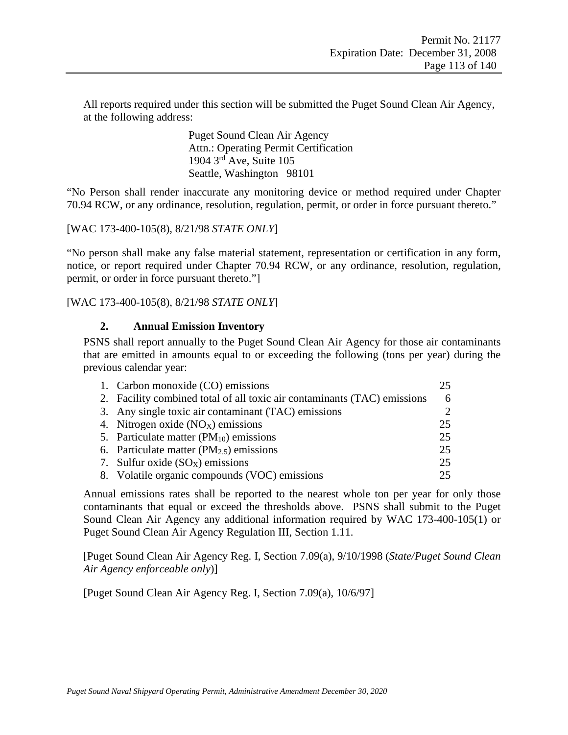All reports required under this section will be submitted the Puget Sound Clean Air Agency, at the following address:

> Puget Sound Clean Air Agency Attn.: Operating Permit Certification 1904 3<sup>rd</sup> Ave, Suite 105 Seattle, Washington 98101

<span id="page-112-0"></span>"No Person shall render inaccurate any monitoring device or method required under Chapter 70.94 RCW, or any ordinance, resolution, regulation, permit, or order in force pursuant thereto."

[WAC 173-400-105(8), 8/21/98 *STATE ONLY*]

"No person shall make any false material statement, representation or certification in any form, notice, or report required under Chapter 70.94 RCW, or any ordinance, resolution, regulation, permit, or order in force pursuant thereto."]

[WAC 173-400-105(8), 8/21/98 *STATE ONLY*]

#### **2. Annual Emission Inventory**

PSNS shall report annually to the Puget Sound Clean Air Agency for those air contaminants that are emitted in amounts equal to or exceeding the following (tons per year) during the previous calendar year:

| 1. Carbon monoxide (CO) emissions                                        |                             |
|--------------------------------------------------------------------------|-----------------------------|
| 2. Facility combined total of all toxic air contaminants (TAC) emissions | 6                           |
| 3. Any single toxic air contaminant (TAC) emissions                      | $\mathcal{D}_{\mathcal{L}}$ |
| 4. Nitrogen oxide $(NOX)$ emissions                                      | 25                          |
| 5. Particulate matter $(PM_{10})$ emissions                              | 25                          |
| 6. Particulate matter $(PM_{2.5})$ emissions                             | 25                          |
| 7. Sulfur oxide $(SO_X)$ emissions                                       | 25                          |
| 8. Volatile organic compounds (VOC) emissions                            | 25.                         |

Annual emissions rates shall be reported to the nearest whole ton per year for only those contaminants that equal or exceed the thresholds above. PSNS shall submit to the Puget Sound Clean Air Agency any additional information required by WAC 173-400-105(1) or Puget Sound Clean Air Agency Regulation III, Section 1.11.

[Puget Sound Clean Air Agency Reg. I, Section 7.09(a), 9/10/1998 (*State/Puget Sound Clean Air Agency enforceable only*)]

[Puget Sound Clean Air Agency Reg. I, Section 7.09(a), 10/6/97]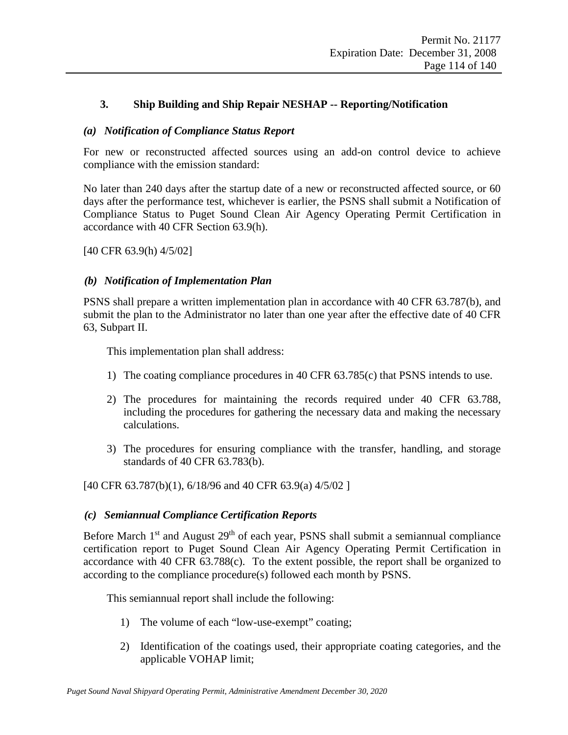#### **3. Ship Building and Ship Repair NESHAP -- Reporting/Notification**

#### *(a) Notification of Compliance Status Report*

For new or reconstructed affected sources using an add-on control device to achieve compliance with the emission standard:

No later than 240 days after the startup date of a new or reconstructed affected source, or 60 days after the performance test, whichever is earlier, the PSNS shall submit a Notification of Compliance Status to Puget Sound Clean Air Agency Operating Permit Certification in accordance with 40 CFR Section 63.9(h).

[40 CFR 63.9(h) 4/5/02]

#### *(b) Notification of Implementation Plan*

PSNS shall prepare a written implementation plan in accordance with 40 CFR 63.787(b), and submit the plan to the Administrator no later than one year after the effective date of 40 CFR 63, Subpart II.

This implementation plan shall address:

- 1) The coating compliance procedures in 40 CFR 63.785(c) that PSNS intends to use.
- 2) The procedures for maintaining the records required under 40 CFR 63.788, including the procedures for gathering the necessary data and making the necessary calculations.
- 3) The procedures for ensuring compliance with the transfer, handling, and storage standards of 40 CFR 63.783(b).

[40 CFR 63.787(b)(1), 6/18/96 and 40 CFR 63.9(a) 4/5/02 ]

#### *(c) Semiannual Compliance Certification Reports*

Before March  $1<sup>st</sup>$  and August  $29<sup>th</sup>$  of each year, PSNS shall submit a semiannual compliance certification report to Puget Sound Clean Air Agency Operating Permit Certification in accordance with 40 CFR 63.788(c). To the extent possible, the report shall be organized to according to the compliance procedure(s) followed each month by PSNS.

This semiannual report shall include the following:

- 1) The volume of each "low-use-exempt" coating;
- 2) Identification of the coatings used, their appropriate coating categories, and the applicable VOHAP limit;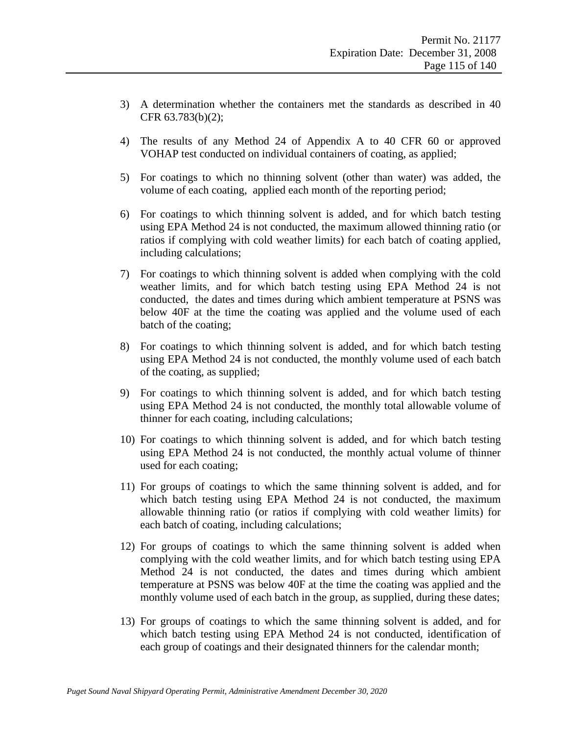- 3) A determination whether the containers met the standards as described in 40 CFR 63.783(b)(2);
- 4) The results of any Method 24 of Appendix A to 40 CFR 60 or approved VOHAP test conducted on individual containers of coating, as applied;
- 5) For coatings to which no thinning solvent (other than water) was added, the volume of each coating, applied each month of the reporting period;
- 6) For coatings to which thinning solvent is added, and for which batch testing using EPA Method 24 is not conducted, the maximum allowed thinning ratio (or ratios if complying with cold weather limits) for each batch of coating applied, including calculations;
- 7) For coatings to which thinning solvent is added when complying with the cold weather limits, and for which batch testing using EPA Method 24 is not conducted, the dates and times during which ambient temperature at PSNS was below 40F at the time the coating was applied and the volume used of each batch of the coating;
- 8) For coatings to which thinning solvent is added, and for which batch testing using EPA Method 24 is not conducted, the monthly volume used of each batch of the coating, as supplied;
- 9) For coatings to which thinning solvent is added, and for which batch testing using EPA Method 24 is not conducted, the monthly total allowable volume of thinner for each coating, including calculations;
- 10) For coatings to which thinning solvent is added, and for which batch testing using EPA Method 24 is not conducted, the monthly actual volume of thinner used for each coating;
- 11) For groups of coatings to which the same thinning solvent is added, and for which batch testing using EPA Method 24 is not conducted, the maximum allowable thinning ratio (or ratios if complying with cold weather limits) for each batch of coating, including calculations;
- 12) For groups of coatings to which the same thinning solvent is added when complying with the cold weather limits, and for which batch testing using EPA Method 24 is not conducted, the dates and times during which ambient temperature at PSNS was below 40F at the time the coating was applied and the monthly volume used of each batch in the group, as supplied, during these dates;
- 13) For groups of coatings to which the same thinning solvent is added, and for which batch testing using EPA Method 24 is not conducted, identification of each group of coatings and their designated thinners for the calendar month;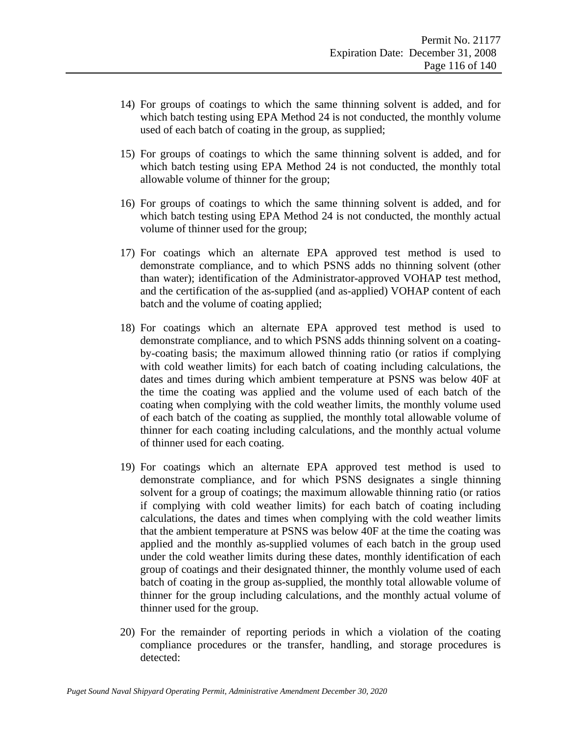- 14) For groups of coatings to which the same thinning solvent is added, and for which batch testing using EPA Method 24 is not conducted, the monthly volume used of each batch of coating in the group, as supplied;
- 15) For groups of coatings to which the same thinning solvent is added, and for which batch testing using EPA Method 24 is not conducted, the monthly total allowable volume of thinner for the group;
- 16) For groups of coatings to which the same thinning solvent is added, and for which batch testing using EPA Method 24 is not conducted, the monthly actual volume of thinner used for the group;
- 17) For coatings which an alternate EPA approved test method is used to demonstrate compliance, and to which PSNS adds no thinning solvent (other than water); identification of the Administrator-approved VOHAP test method, and the certification of the as-supplied (and as-applied) VOHAP content of each batch and the volume of coating applied;
- 18) For coatings which an alternate EPA approved test method is used to demonstrate compliance, and to which PSNS adds thinning solvent on a coatingby-coating basis; the maximum allowed thinning ratio (or ratios if complying with cold weather limits) for each batch of coating including calculations, the dates and times during which ambient temperature at PSNS was below 40F at the time the coating was applied and the volume used of each batch of the coating when complying with the cold weather limits, the monthly volume used of each batch of the coating as supplied, the monthly total allowable volume of thinner for each coating including calculations, and the monthly actual volume of thinner used for each coating.
- 19) For coatings which an alternate EPA approved test method is used to demonstrate compliance, and for which PSNS designates a single thinning solvent for a group of coatings; the maximum allowable thinning ratio (or ratios if complying with cold weather limits) for each batch of coating including calculations, the dates and times when complying with the cold weather limits that the ambient temperature at PSNS was below 40F at the time the coating was applied and the monthly as-supplied volumes of each batch in the group used under the cold weather limits during these dates, monthly identification of each group of coatings and their designated thinner, the monthly volume used of each batch of coating in the group as-supplied, the monthly total allowable volume of thinner for the group including calculations, and the monthly actual volume of thinner used for the group.
- 20) For the remainder of reporting periods in which a violation of the coating compliance procedures or the transfer, handling, and storage procedures is detected: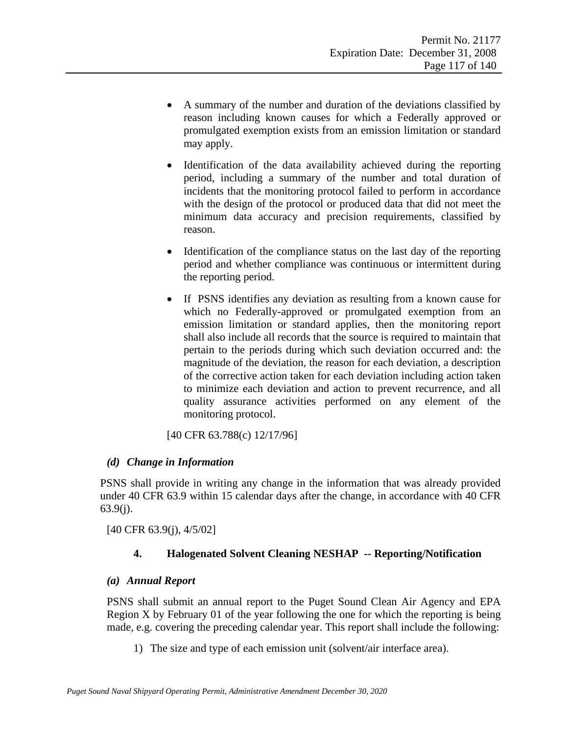- A summary of the number and duration of the deviations classified by reason including known causes for which a Federally approved or promulgated exemption exists from an emission limitation or standard may apply.
- Identification of the data availability achieved during the reporting period, including a summary of the number and total duration of incidents that the monitoring protocol failed to perform in accordance with the design of the protocol or produced data that did not meet the minimum data accuracy and precision requirements, classified by reason.
- Identification of the compliance status on the last day of the reporting period and whether compliance was continuous or intermittent during the reporting period.
- If PSNS identifies any deviation as resulting from a known cause for which no Federally-approved or promulgated exemption from an emission limitation or standard applies, then the monitoring report shall also include all records that the source is required to maintain that pertain to the periods during which such deviation occurred and: the magnitude of the deviation, the reason for each deviation, a description of the corrective action taken for each deviation including action taken to minimize each deviation and action to prevent recurrence, and all quality assurance activities performed on any element of the monitoring protocol.

[40 CFR 63.788(c) 12/17/96]

### *(d) Change in Information*

PSNS shall provide in writing any change in the information that was already provided under 40 CFR 63.9 within 15 calendar days after the change, in accordance with 40 CFR 63.9(j).

[40 CFR 63.9(j), 4/5/02]

# **4. Halogenated Solvent Cleaning NESHAP -- Reporting/Notification**

### <span id="page-116-0"></span>*(a) Annual Report*

PSNS shall submit an annual report to the Puget Sound Clean Air Agency and EPA Region X by February 01 of the year following the one for which the reporting is being made, e.g. covering the preceding calendar year. This report shall include the following:

1) The size and type of each emission unit (solvent/air interface area).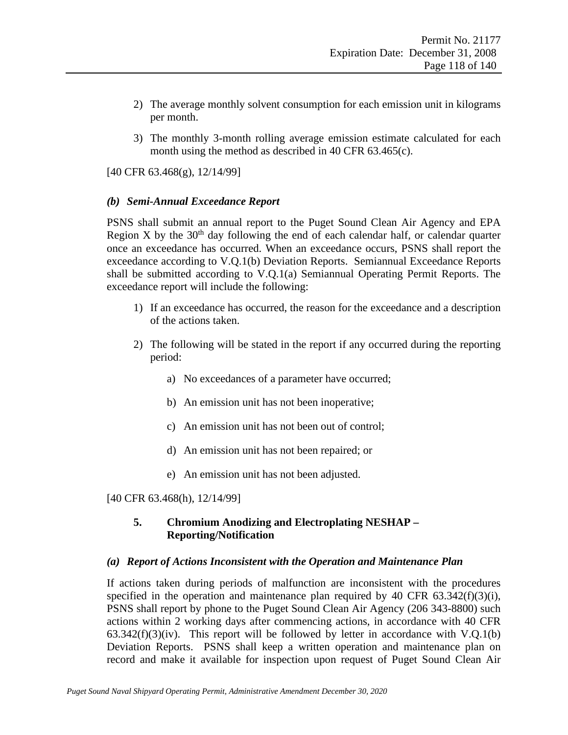- 2) The average monthly solvent consumption for each emission unit in kilograms per month.
- 3) The monthly 3-month rolling average emission estimate calculated for each month using the method as described in 40 CFR 63.465(c).

[40 CFR 63.468(g), 12/14/99]

#### <span id="page-117-0"></span>*(b) Semi-Annual Exceedance Report*

PSNS shall submit an annual report to the Puget Sound Clean Air Agency and EPA Region X by the  $30<sup>th</sup>$  day following the end of each calendar half, or calendar quarter once an exceedance has occurred. When an exceedance occurs, PSNS shall report the exceedance according to [V.Q.1\(b\)](#page-111-0) [Deviation Reports.](#page-111-0) Semiannual Exceedance Reports shall be submitted according to [V.Q.1\(a\)](#page-110-0) [Semiannual Operating Permit Reports.](#page-110-0) The exceedance report will include the following:

- 1) If an exceedance has occurred, the reason for the exceedance and a description of the actions taken.
- 2) The following will be stated in the report if any occurred during the reporting period:
	- a) No exceedances of a parameter have occurred;
	- b) An emission unit has not been inoperative;
	- c) An emission unit has not been out of control;
	- d) An emission unit has not been repaired; or
	- e) An emission unit has not been adjusted.

[40 CFR 63.468(h), 12/14/99]

### **5. Chromium Anodizing and Electroplating NESHAP – Reporting/Notification**

#### <span id="page-117-1"></span>*(a) Report of Actions Inconsistent with the Operation and Maintenance Plan*

If actions taken during periods of malfunction are inconsistent with the procedures specified in the operation and maintenance plan required by 40 CFR  $63.342(f)(3)(i)$ , PSNS shall report by phone to the Puget Sound Clean Air Agency (206 343-8800) such actions within 2 working days after commencing actions, in accordance with 40 CFR  $63.342(f)(3)(iv)$ . This report will be followed by letter in accordance with [V.Q.1\(b\)](#page-111-0) [Deviation Reports.](#page-111-0) PSNS shall keep a written operation and maintenance plan on record and make it available for inspection upon request of Puget Sound Clean Air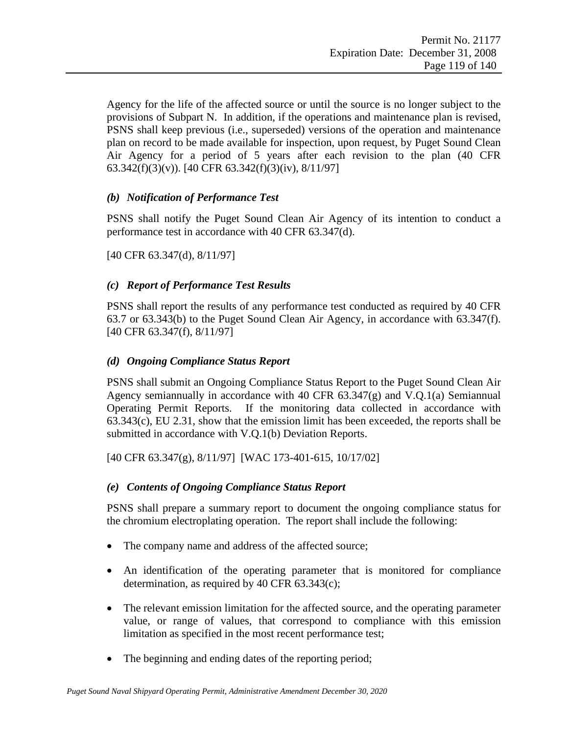Agency for the life of the affected source or until the source is no longer subject to the provisions of Subpart N. In addition, if the operations and maintenance plan is revised, PSNS shall keep previous (i.e., superseded) versions of the operation and maintenance plan on record to be made available for inspection, upon request, by Puget Sound Clean Air Agency for a period of 5 years after each revision to the plan (40 CFR 63.342(f)(3)(v)). [40 CFR 63.342(f)(3)(iv), 8/11/97]

#### *(b) Notification of Performance Test*

PSNS shall notify the Puget Sound Clean Air Agency of its intention to conduct a performance test in accordance with 40 CFR 63.347(d).

[40 CFR 63.347(d), 8/11/97]

#### <span id="page-118-0"></span>*(c) Report of Performance Test Results*

PSNS shall report the results of any performance test conducted as required by 40 CFR 63.7 or 63.343(b) to the Puget Sound Clean Air Agency, in accordance with 63.347(f). [40 CFR 63.347(f), 8/11/97]

#### <span id="page-118-1"></span>*(d) Ongoing Compliance Status Report*

PSNS shall submit an Ongoing Compliance Status Report to the Puget Sound Clean Air Agency semiannually in accordance with 40 CFR 63.347(g) and [V.Q.1\(a\)](#page-110-0) [Semiannual](#page-110-0)  [Operating Permit Reports.](#page-110-0) If the monitoring data collected in accordance with 63.343(c), EU 2.31, show that the emission limit has been exceeded, the reports shall be submitted in accordance with [V.Q.1\(b\)](#page-111-0) [Deviation Reports.](#page-111-0)

[40 CFR 63.347(g), 8/11/97] [WAC 173-401-615, 10/17/02]

### *(e) Contents of Ongoing Compliance Status Report*

PSNS shall prepare a summary report to document the ongoing compliance status for the chromium electroplating operation. The report shall include the following:

- The company name and address of the affected source;
- An identification of the operating parameter that is monitored for compliance determination, as required by 40 CFR 63.343(c);
- The relevant emission limitation for the affected source, and the operating parameter value, or range of values, that correspond to compliance with this emission limitation as specified in the most recent performance test;
- The beginning and ending dates of the reporting period;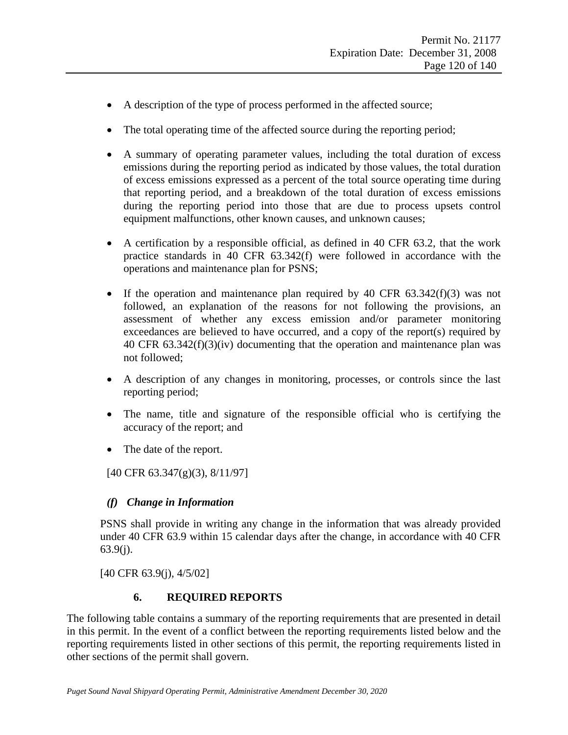- A description of the type of process performed in the affected source;
- The total operating time of the affected source during the reporting period;
- A summary of operating parameter values, including the total duration of excess emissions during the reporting period as indicated by those values, the total duration of excess emissions expressed as a percent of the total source operating time during that reporting period, and a breakdown of the total duration of excess emissions during the reporting period into those that are due to process upsets control equipment malfunctions, other known causes, and unknown causes;
- A certification by a responsible official, as defined in 40 CFR 63.2, that the work practice standards in 40 CFR 63.342(f) were followed in accordance with the operations and maintenance plan for PSNS;
- If the operation and maintenance plan required by 40 CFR  $63.342(f)(3)$  was not followed, an explanation of the reasons for not following the provisions, an assessment of whether any excess emission and/or parameter monitoring exceedances are believed to have occurred, and a copy of the report(s) required by 40 CFR  $63.342(f)(3)(iv)$  documenting that the operation and maintenance plan was not followed;
- A description of any changes in monitoring, processes, or controls since the last reporting period;
- The name, title and signature of the responsible official who is certifying the accuracy of the report; and
- The date of the report.

[40 CFR 63.347(g)(3), 8/11/97]

### *(f) Change in Information*

PSNS shall provide in writing any change in the information that was already provided under 40 CFR 63.9 within 15 calendar days after the change, in accordance with 40 CFR 63.9(j).

[40 CFR 63.9(j)*,* 4/5/02]

### **6. REQUIRED REPORTS**

The following table contains a summary of the reporting requirements that are presented in detail in this permit. In the event of a conflict between the reporting requirements listed below and the reporting requirements listed in other sections of this permit, the reporting requirements listed in other sections of the permit shall govern.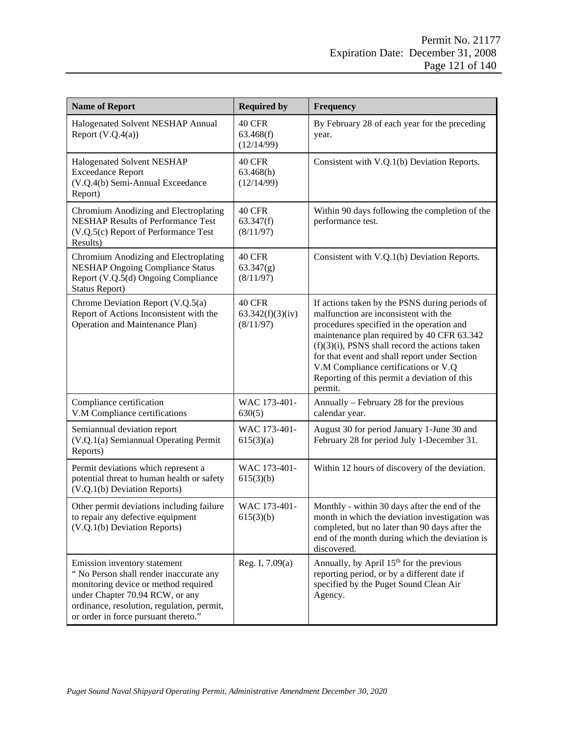| <b>Name of Report</b>                                                                                                                                                                                                                   | <b>Required by</b>                       | <b>Frequency</b>                                                                                                                                                                                                                                                                                                                                                                            |
|-----------------------------------------------------------------------------------------------------------------------------------------------------------------------------------------------------------------------------------------|------------------------------------------|---------------------------------------------------------------------------------------------------------------------------------------------------------------------------------------------------------------------------------------------------------------------------------------------------------------------------------------------------------------------------------------------|
| Halogenated Solvent NESHAP Annual<br>Report $(V.Q.4(a))$                                                                                                                                                                                | <b>40 CFR</b><br>63.468(f)<br>(12/14/99) | By February 28 of each year for the preceding<br>year.                                                                                                                                                                                                                                                                                                                                      |
| Halogenated Solvent NESHAP<br><b>Exceedance Report</b><br>(V.Q.4(b) Semi-Annual Exceedance<br>Report)                                                                                                                                   | 40 CFR<br>63.468(h)<br>(12/14/99)        | Consistent with V.Q.1(b) Deviation Reports.                                                                                                                                                                                                                                                                                                                                                 |
| Chromium Anodizing and Electroplating<br><b>NESHAP Results of Performance Test</b><br>(V.Q.5(c) Report of Performance Test<br>Results)                                                                                                  | 40 CFR<br>63.347(f)<br>(8/11/97)         | Within 90 days following the completion of the<br>performance test.                                                                                                                                                                                                                                                                                                                         |
| Chromium Anodizing and Electroplating<br><b>NESHAP Ongoing Compliance Status</b><br>Report (V.Q.5(d) Ongoing Compliance<br>Status Report)                                                                                               | 40 CFR<br>63.347(g)<br>(8/11/97)         | Consistent with V.Q.1(b) Deviation Reports.                                                                                                                                                                                                                                                                                                                                                 |
| Chrome Deviation Report (V.Q.5(a)<br>Report of Actions Inconsistent with the<br>Operation and Maintenance Plan)                                                                                                                         | 40 CFR<br>63.342(f)(3)(iv)<br>(8/11/97)  | If actions taken by the PSNS during periods of<br>malfunction are inconsistent with the<br>procedures specified in the operation and<br>maintenance plan required by 40 CFR 63.342<br>$(f)(3)(i)$ , PSNS shall record the actions taken<br>for that event and shall report under Section<br>V.M Compliance certifications or V.Q<br>Reporting of this permit a deviation of this<br>permit. |
| Compliance certification<br>V.M Compliance certifications                                                                                                                                                                               | WAC 173-401-<br>630(5)                   | Annually – February 28 for the previous<br>calendar year.                                                                                                                                                                                                                                                                                                                                   |
| Semiannual deviation report<br>(V.Q.1(a) Semiannual Operating Permit<br>Reports)                                                                                                                                                        | WAC 173-401-<br>615(3)(a)                | August 30 for period January 1-June 30 and<br>February 28 for period July 1-December 31.                                                                                                                                                                                                                                                                                                    |
| Permit deviations which represent a<br>potential threat to human health or safety<br>(V.Q.1(b) Deviation Reports)                                                                                                                       | WAC 173-401-<br>615(3)(b)                | Within 12 hours of discovery of the deviation.                                                                                                                                                                                                                                                                                                                                              |
| Other permit deviations including failure<br>to repair any defective equipment<br>(V.Q.1(b) Deviation Reports)                                                                                                                          | WAC 173-401-<br>615(3)(b)                | Monthly - within 30 days after the end of the<br>month in which the deviation investigation was<br>completed, but no later than 90 days after the<br>end of the month during which the deviation is<br>discovered.                                                                                                                                                                          |
| Emission inventory statement<br>"No Person shall render inaccurate any<br>monitoring device or method required<br>under Chapter 70.94 RCW, or any<br>ordinance, resolution, regulation, permit,<br>or order in force pursuant thereto." | Reg. I, $7.09(a)$                        | Annually, by April 15 <sup>th</sup> for the previous<br>reporting period, or by a different date if<br>specified by the Puget Sound Clean Air<br>Agency.                                                                                                                                                                                                                                    |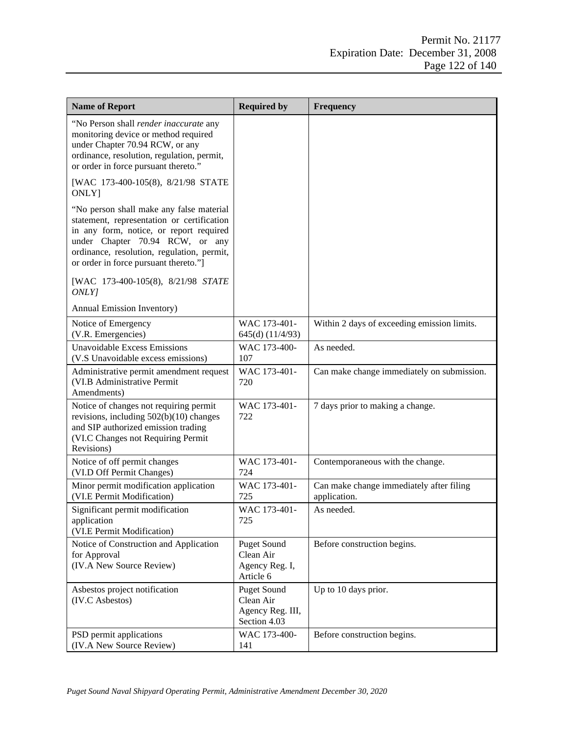| <b>Name of Report</b>                                                                                                                                                                                                                                       | <b>Required by</b>                                                  | <b>Frequency</b>                                         |
|-------------------------------------------------------------------------------------------------------------------------------------------------------------------------------------------------------------------------------------------------------------|---------------------------------------------------------------------|----------------------------------------------------------|
| "No Person shall render inaccurate any<br>monitoring device or method required<br>under Chapter 70.94 RCW, or any<br>ordinance, resolution, regulation, permit,<br>or order in force pursuant thereto."                                                     |                                                                     |                                                          |
| [WAC 173-400-105(8), 8/21/98 STATE<br>ONLY]                                                                                                                                                                                                                 |                                                                     |                                                          |
| "No person shall make any false material<br>statement, representation or certification<br>in any form, notice, or report required<br>under Chapter 70.94 RCW, or any<br>ordinance, resolution, regulation, permit,<br>or order in force pursuant thereto."] |                                                                     |                                                          |
| [WAC 173-400-105(8), 8/21/98 STATE<br>ONLY                                                                                                                                                                                                                  |                                                                     |                                                          |
| Annual Emission Inventory)                                                                                                                                                                                                                                  |                                                                     |                                                          |
| Notice of Emergency<br>(V.R. Emergencies)                                                                                                                                                                                                                   | WAC 173-401-<br>645(d) (11/4/93)                                    | Within 2 days of exceeding emission limits.              |
| <b>Unavoidable Excess Emissions</b><br>(V.S Unavoidable excess emissions)                                                                                                                                                                                   | WAC 173-400-<br>107                                                 | As needed.                                               |
| Administrative permit amendment request<br>(VI.B Administrative Permit<br>Amendments)                                                                                                                                                                       | WAC 173-401-<br>720                                                 | Can make change immediately on submission.               |
| Notice of changes not requiring permit<br>revisions, including $502(b)(10)$ changes<br>and SIP authorized emission trading<br>(VI.C Changes not Requiring Permit<br>Revisions)                                                                              | WAC 173-401-<br>722                                                 | 7 days prior to making a change.                         |
| Notice of off permit changes<br>(VI.D Off Permit Changes)                                                                                                                                                                                                   | WAC 173-401-<br>724                                                 | Contemporaneous with the change.                         |
| Minor permit modification application<br>(VI.E Permit Modification)                                                                                                                                                                                         | WAC 173-401-<br>725                                                 | Can make change immediately after filing<br>application. |
| Significant permit modification<br>application<br>(VI.E Permit Modification)                                                                                                                                                                                | WAC 173-401-<br>725                                                 | As needed.                                               |
| Notice of Construction and Application<br>for Approval<br>(IV.A New Source Review)                                                                                                                                                                          | <b>Puget Sound</b><br>Clean Air<br>Agency Reg. I,<br>Article 6      | Before construction begins.                              |
| Asbestos project notification<br>(IV.C Asbestos)                                                                                                                                                                                                            | <b>Puget Sound</b><br>Clean Air<br>Agency Reg. III,<br>Section 4.03 | Up to 10 days prior.                                     |
| PSD permit applications<br>(IV.A New Source Review)                                                                                                                                                                                                         | WAC 173-400-<br>141                                                 | Before construction begins.                              |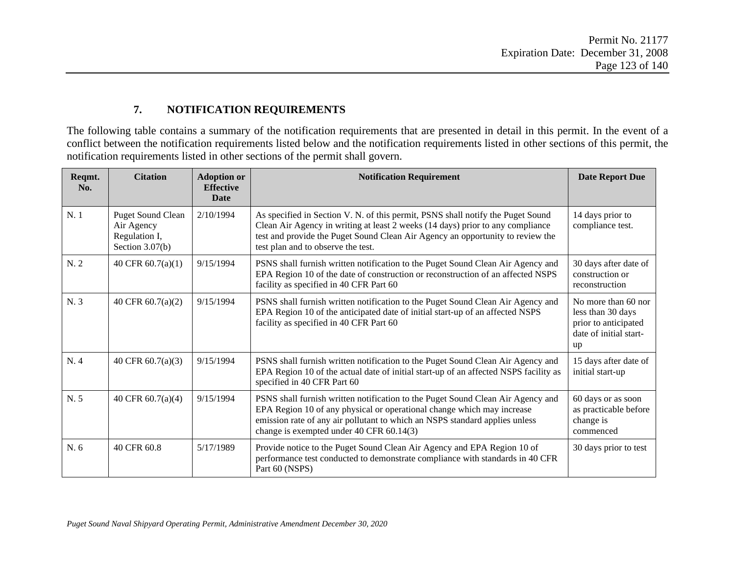### **7. NOTIFICATION REQUIREMENTS**

The following table contains a summary of the notification requirements that are presented in detail in this permit. In the event of a conflict between the notification requirements listed below and the notification requirements listed in other sections of this permit, the notification requirements listed in other sections of the permit shall govern.

| Reqmt.<br>No.  | <b>Citation</b>                                                              | <b>Adoption or</b><br><b>Effective</b><br><b>Date</b> | <b>Notification Requirement</b>                                                                                                                                                                                                                                                           | <b>Date Report Due</b>                                                                           |
|----------------|------------------------------------------------------------------------------|-------------------------------------------------------|-------------------------------------------------------------------------------------------------------------------------------------------------------------------------------------------------------------------------------------------------------------------------------------------|--------------------------------------------------------------------------------------------------|
| N.1            | <b>Puget Sound Clean</b><br>Air Agency<br>Regulation I,<br>Section $3.07(b)$ | 2/10/1994                                             | As specified in Section V. N. of this permit, PSNS shall notify the Puget Sound<br>Clean Air Agency in writing at least 2 weeks (14 days) prior to any compliance<br>test and provide the Puget Sound Clean Air Agency an opportunity to review the<br>test plan and to observe the test. | 14 days prior to<br>compliance test.                                                             |
| N <sub>1</sub> | 40 CFR $60.7(a)(1)$                                                          | 9/15/1994                                             | PSNS shall furnish written notification to the Puget Sound Clean Air Agency and<br>EPA Region 10 of the date of construction or reconstruction of an affected NSPS<br>facility as specified in 40 CFR Part 60                                                                             | 30 days after date of<br>construction or<br>reconstruction                                       |
| N. 3           | 40 CFR $60.7(a)(2)$                                                          | 9/15/1994                                             | PSNS shall furnish written notification to the Puget Sound Clean Air Agency and<br>EPA Region 10 of the anticipated date of initial start-up of an affected NSPS<br>facility as specified in 40 CFR Part 60                                                                               | No more than 60 nor<br>less than 30 days<br>prior to anticipated<br>date of initial start-<br>up |
| N. 4           | 40 CFR $60.7(a)(3)$                                                          | 9/15/1994                                             | PSNS shall furnish written notification to the Puget Sound Clean Air Agency and<br>EPA Region 10 of the actual date of initial start-up of an affected NSPS facility as<br>specified in 40 CFR Part 60                                                                                    | 15 days after date of<br>initial start-up                                                        |
| N.5            | 40 CFR 60.7(a)(4)                                                            | 9/15/1994                                             | PSNS shall furnish written notification to the Puget Sound Clean Air Agency and<br>EPA Region 10 of any physical or operational change which may increase<br>emission rate of any air pollutant to which an NSPS standard applies unless<br>change is exempted under 40 CFR 60.14(3)      | 60 days or as soon<br>as practicable before<br>change is<br>commenced                            |
| N. 6           | 40 CFR 60.8                                                                  | 5/17/1989                                             | Provide notice to the Puget Sound Clean Air Agency and EPA Region 10 of<br>performance test conducted to demonstrate compliance with standards in 40 CFR<br>Part 60 (NSPS)                                                                                                                | 30 days prior to test                                                                            |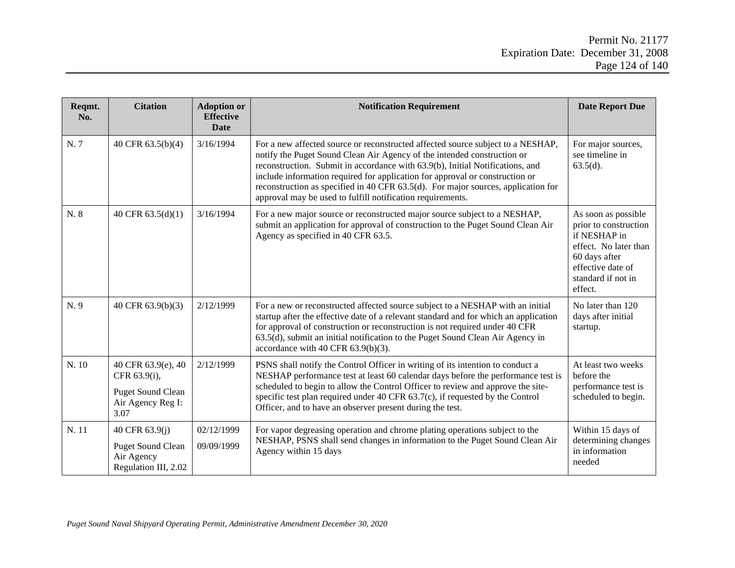| Reqmt.<br>No. | <b>Citation</b>                                                                             | <b>Adoption or</b><br><b>Effective</b><br><b>Date</b> | <b>Notification Requirement</b>                                                                                                                                                                                                                                                                                                                                                                                                                                                | <b>Date Report Due</b>                                                                                                                                       |
|---------------|---------------------------------------------------------------------------------------------|-------------------------------------------------------|--------------------------------------------------------------------------------------------------------------------------------------------------------------------------------------------------------------------------------------------------------------------------------------------------------------------------------------------------------------------------------------------------------------------------------------------------------------------------------|--------------------------------------------------------------------------------------------------------------------------------------------------------------|
| N.7           | 40 CFR 63.5(b)(4)                                                                           | 3/16/1994                                             | For a new affected source or reconstructed affected source subject to a NESHAP,<br>notify the Puget Sound Clean Air Agency of the intended construction or<br>reconstruction. Submit in accordance with 63.9(b), Initial Notifications, and<br>include information required for application for approval or construction or<br>reconstruction as specified in 40 CFR 63.5(d). For major sources, application for<br>approval may be used to fulfill notification requirements. | For major sources,<br>see timeline in<br>$63.5(d)$ .                                                                                                         |
| N. 8          | 40 CFR 63.5(d)(1)                                                                           | 3/16/1994                                             | For a new major source or reconstructed major source subject to a NESHAP,<br>submit an application for approval of construction to the Puget Sound Clean Air<br>Agency as specified in 40 CFR 63.5.                                                                                                                                                                                                                                                                            | As soon as possible<br>prior to construction<br>if NESHAP in<br>effect. No later than<br>60 days after<br>effective date of<br>standard if not in<br>effect. |
| N.9           | 40 CFR 63.9(b)(3)                                                                           | 2/12/1999                                             | For a new or reconstructed affected source subject to a NESHAP with an initial<br>startup after the effective date of a relevant standard and for which an application<br>for approval of construction or reconstruction is not required under 40 CFR<br>63.5(d), submit an initial notification to the Puget Sound Clean Air Agency in<br>accordance with 40 CFR $63.9(b)(3)$ .                                                                                               | No later than 120<br>days after initial<br>startup.                                                                                                          |
| N. 10         | 40 CFR 63.9(e), 40<br>CFR 63.9(i),<br><b>Puget Sound Clean</b><br>Air Agency Reg I:<br>3.07 | 2/12/1999                                             | PSNS shall notify the Control Officer in writing of its intention to conduct a<br>NESHAP performance test at least 60 calendar days before the performance test is<br>scheduled to begin to allow the Control Officer to review and approve the site-<br>specific test plan required under 40 CFR 63.7(c), if requested by the Control<br>Officer, and to have an observer present during the test.                                                                            | At least two weeks<br>before the<br>performance test is<br>scheduled to begin.                                                                               |
| N. 11         | 40 CFR 63.9(j)<br><b>Puget Sound Clean</b><br>Air Agency<br>Regulation III, 2.02            | 02/12/1999<br>09/09/1999                              | For vapor degreasing operation and chrome plating operations subject to the<br>NESHAP, PSNS shall send changes in information to the Puget Sound Clean Air<br>Agency within 15 days                                                                                                                                                                                                                                                                                            | Within 15 days of<br>determining changes<br>in information<br>needed                                                                                         |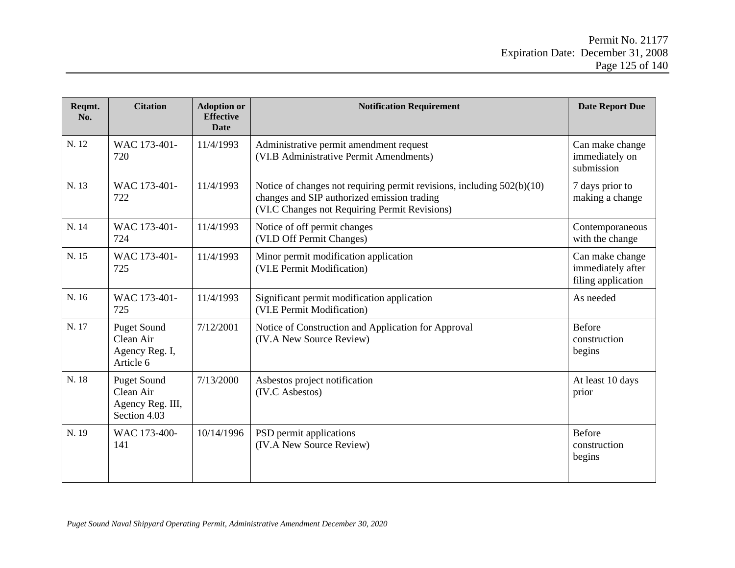| Reqmt.<br>No. | <b>Citation</b>                                                     | <b>Adoption or</b><br><b>Effective</b><br>Date | <b>Notification Requirement</b>                                                                                                                                        | <b>Date Report Due</b>                                     |
|---------------|---------------------------------------------------------------------|------------------------------------------------|------------------------------------------------------------------------------------------------------------------------------------------------------------------------|------------------------------------------------------------|
| N. 12         | WAC 173-401-<br>720                                                 | 11/4/1993                                      | Administrative permit amendment request<br>(VI.B Administrative Permit Amendments)                                                                                     | Can make change<br>immediately on<br>submission            |
| N. 13         | WAC 173-401-<br>722                                                 | 11/4/1993                                      | Notice of changes not requiring permit revisions, including 502(b)(10)<br>changes and SIP authorized emission trading<br>(VI.C Changes not Requiring Permit Revisions) | 7 days prior to<br>making a change                         |
| N. 14         | WAC 173-401-<br>724                                                 | 11/4/1993                                      | Notice of off permit changes<br>(VI.D Off Permit Changes)                                                                                                              | Contemporaneous<br>with the change                         |
| N. 15         | WAC 173-401-<br>725                                                 | 11/4/1993                                      | Minor permit modification application<br>(VI.E Permit Modification)                                                                                                    | Can make change<br>immediately after<br>filing application |
| N. 16         | WAC 173-401-<br>725                                                 | 11/4/1993                                      | Significant permit modification application<br>(VI.E Permit Modification)                                                                                              | As needed                                                  |
| N. 17         | <b>Puget Sound</b><br>Clean Air<br>Agency Reg. I,<br>Article 6      | 7/12/2001                                      | Notice of Construction and Application for Approval<br>(IV.A New Source Review)                                                                                        | <b>Before</b><br>construction<br>begins                    |
| N. 18         | <b>Puget Sound</b><br>Clean Air<br>Agency Reg. III,<br>Section 4.03 | 7/13/2000                                      | Asbestos project notification<br>(IV.C Asbestos)                                                                                                                       | At least 10 days<br>prior                                  |
| N. 19         | WAC 173-400-<br>141                                                 | 10/14/1996                                     | PSD permit applications<br>(IV.A New Source Review)                                                                                                                    | Before<br>construction<br>begins                           |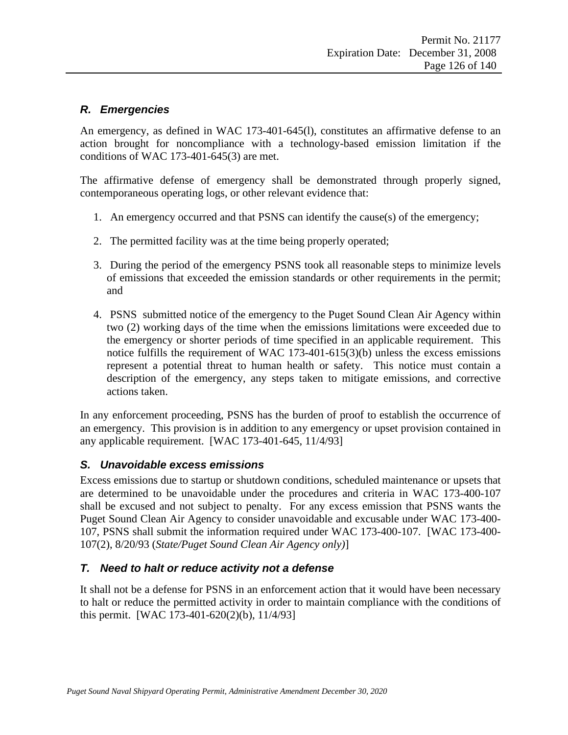# *R. Emergencies*

An emergency, as defined in WAC 173-401-645(l), constitutes an affirmative defense to an action brought for noncompliance with a technology-based emission limitation if the conditions of WAC 173-401-645(3) are met.

The affirmative defense of emergency shall be demonstrated through properly signed, contemporaneous operating logs, or other relevant evidence that:

- 1. An emergency occurred and that PSNS can identify the cause(s) of the emergency;
- 2. The permitted facility was at the time being properly operated;
- 3. During the period of the emergency PSNS took all reasonable steps to minimize levels of emissions that exceeded the emission standards or other requirements in the permit; and
- 4. PSNS submitted notice of the emergency to the Puget Sound Clean Air Agency within two (2) working days of the time when the emissions limitations were exceeded due to the emergency or shorter periods of time specified in an applicable requirement. This notice fulfills the requirement of WAC 173-401-615(3)(b) unless the excess emissions represent a potential threat to human health or safety. This notice must contain a description of the emergency, any steps taken to mitigate emissions, and corrective actions taken.

In any enforcement proceeding, PSNS has the burden of proof to establish the occurrence of an emergency. This provision is in addition to any emergency or upset provision contained in any applicable requirement. [WAC 173-401-645, 11/4/93]

# <span id="page-125-0"></span>*S. Unavoidable excess emissions*

Excess emissions due to startup or shutdown conditions, scheduled maintenance or upsets that are determined to be unavoidable under the procedures and criteria in WAC 173-400-107 shall be excused and not subject to penalty. For any excess emission that PSNS wants the Puget Sound Clean Air Agency to consider unavoidable and excusable under WAC 173-400- 107, PSNS shall submit the information required under WAC 173-400-107. [WAC 173-400- 107(2), 8/20/93 (*State/Puget Sound Clean Air Agency only)*]

# *T. Need to halt or reduce activity not a defense*

It shall not be a defense for PSNS in an enforcement action that it would have been necessary to halt or reduce the permitted activity in order to maintain compliance with the conditions of this permit. [WAC 173-401-620(2)(b), 11/4/93]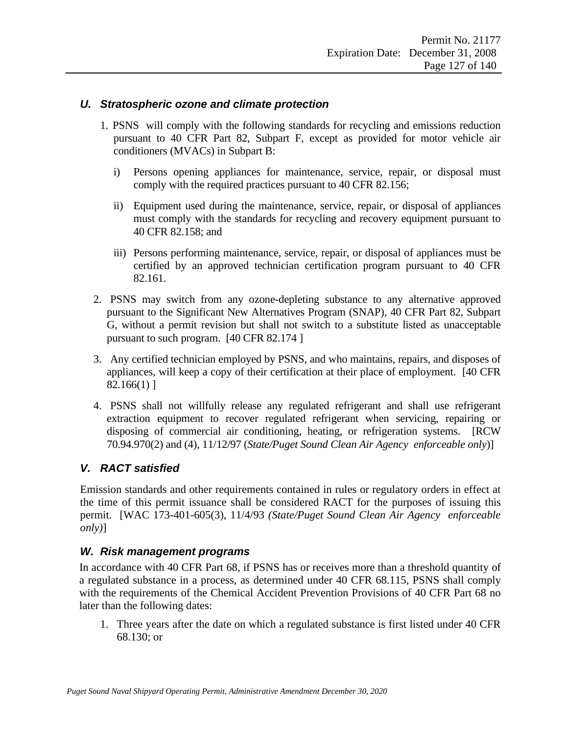#### *U. Stratospheric ozone and climate protection*

- 1. PSNS will comply with the following standards for recycling and emissions reduction pursuant to 40 CFR Part 82, Subpart F, except as provided for motor vehicle air conditioners (MVACs) in Subpart B:
	- i) Persons opening appliances for maintenance, service, repair, or disposal must comply with the required practices pursuant to 40 CFR 82.156;
	- ii) Equipment used during the maintenance, service, repair, or disposal of appliances must comply with the standards for recycling and recovery equipment pursuant to 40 CFR 82.158; and
	- iii) Persons performing maintenance, service, repair, or disposal of appliances must be certified by an approved technician certification program pursuant to 40 CFR 82.161.
- 2. PSNS may switch from any ozone-depleting substance to any alternative approved pursuant to the Significant New Alternatives Program (SNAP), 40 CFR Part 82, Subpart G, without a permit revision but shall not switch to a substitute listed as unacceptable pursuant to such program. [40 CFR 82.174 ]
- 3. Any certified technician employed by PSNS, and who maintains, repairs, and disposes of appliances, will keep a copy of their certification at their place of employment. [40 CFR 82.166(1) ]
- 4. PSNS shall not willfully release any regulated refrigerant and shall use refrigerant extraction equipment to recover regulated refrigerant when servicing, repairing or disposing of commercial air conditioning, heating, or refrigeration systems. [RCW 70.94.970(2) and (4), 11/12/97 (*State/Puget Sound Clean Air Agency enforceable only*)]

### *V. RACT satisfied*

Emission standards and other requirements contained in rules or regulatory orders in effect at the time of this permit issuance shall be considered RACT for the purposes of issuing this permit. [WAC 173-401-605(3), 11/4/93 *(State/Puget Sound Clean Air Agency enforceable only)*]

#### *W. Risk management programs*

In accordance with 40 CFR Part 68, if PSNS has or receives more than a threshold quantity of a regulated substance in a process, as determined under 40 CFR 68.115, PSNS shall comply with the requirements of the Chemical Accident Prevention Provisions of 40 CFR Part 68 no later than the following dates:

1. Three years after the date on which a regulated substance is first listed under 40 CFR 68.130; or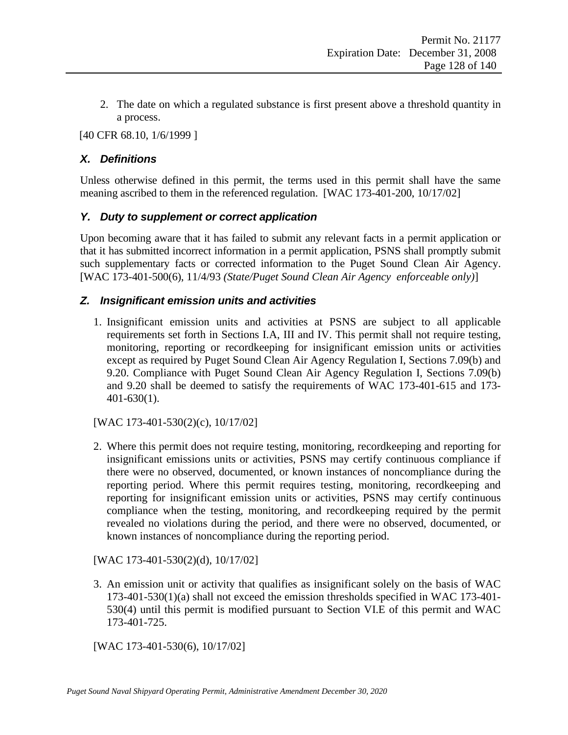2. The date on which a regulated substance is first present above a threshold quantity in a process.

[40 CFR 68.10, 1/6/1999]

### *X. Definitions*

Unless otherwise defined in this permit, the terms used in this permit shall have the same meaning ascribed to them in the referenced regulation. [WAC 173-401-200, 10/17/02]

### *Y. Duty to supplement or correct application*

Upon becoming aware that it has failed to submit any relevant facts in a permit application or that it has submitted incorrect information in a permit application, PSNS shall promptly submit such supplementary facts or corrected information to the Puget Sound Clean Air Agency. [WAC 173-401-500(6), 11/4/93 *(State/Puget Sound Clean Air Agency enforceable only)*]

### *Z. Insignificant emission units and activities*

1. Insignificant emission units and activities at PSNS are subject to all applicable requirements set forth in Sections I.A, III and IV. This permit shall not require testing, monitoring, reporting or recordkeeping for insignificant emission units or activities except as required by Puget Sound Clean Air Agency Regulation I, Sections 7.09(b) and 9.20. Compliance with Puget Sound Clean Air Agency Regulation I, Sections 7.09(b) and 9.20 shall be deemed to satisfy the requirements of WAC 173-401-615 and 173- 401-630(1).

[WAC 173-401-530(2)(c), 10/17/02]

2. Where this permit does not require testing, monitoring, recordkeeping and reporting for insignificant emissions units or activities, PSNS may certify continuous compliance if there were no observed, documented, or known instances of noncompliance during the reporting period. Where this permit requires testing, monitoring, recordkeeping and reporting for insignificant emission units or activities, PSNS may certify continuous compliance when the testing, monitoring, and recordkeeping required by the permit revealed no violations during the period, and there were no observed, documented, or known instances of noncompliance during the reporting period.

[WAC 173-401-530(2)(d), 10/17/02]

3. An emission unit or activity that qualifies as insignificant solely on the basis of WAC 173-401-530(1)(a) shall not exceed the emission thresholds specified in WAC 173-401- 530(4) until this permit is modified pursuant to Section VI.E of this permit and WAC 173-401-725.

[WAC 173-401-530(6), 10/17/02]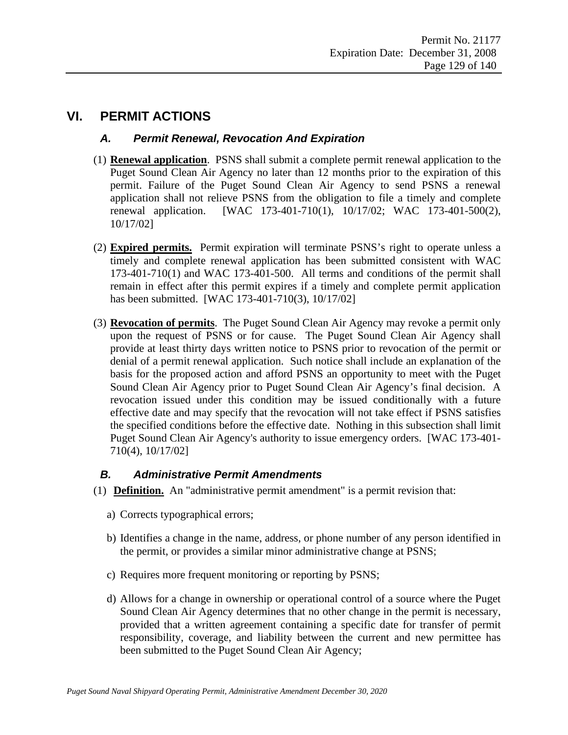# **VI. PERMIT ACTIONS**

### *A. Permit Renewal, Revocation And Expiration*

- (1) **Renewal application**. PSNS shall submit a complete permit renewal application to the Puget Sound Clean Air Agency no later than 12 months prior to the expiration of this permit. Failure of the Puget Sound Clean Air Agency to send PSNS a renewal application shall not relieve PSNS from the obligation to file a timely and complete renewal application. [WAC 173-401-710(1), 10/17/02; WAC 173-401-500(2), 10/17/02]
- (2) **Expired permits.** Permit expiration will terminate PSNS's right to operate unless a timely and complete renewal application has been submitted consistent with WAC 173-401-710(1) and WAC 173-401-500. All terms and conditions of the permit shall remain in effect after this permit expires if a timely and complete permit application has been submitted. [WAC 173-401-710(3), 10/17/02]
- <span id="page-128-1"></span>(3) **Revocation of permits**. The Puget Sound Clean Air Agency may revoke a permit only upon the request of PSNS or for cause. The Puget Sound Clean Air Agency shall provide at least thirty days written notice to PSNS prior to revocation of the permit or denial of a permit renewal application. Such notice shall include an explanation of the basis for the proposed action and afford PSNS an opportunity to meet with the Puget Sound Clean Air Agency prior to Puget Sound Clean Air Agency's final decision. A revocation issued under this condition may be issued conditionally with a future effective date and may specify that the revocation will not take effect if PSNS satisfies the specified conditions before the effective date. Nothing in this subsection shall limit Puget Sound Clean Air Agency's authority to issue emergency orders. [WAC 173-401- 710(4), 10/17/02]

### <span id="page-128-0"></span>*B. Administrative Permit Amendments*

- (1) **Definition.** An "administrative permit amendment" is a permit revision that:
	- a) Corrects typographical errors;
	- b) Identifies a change in the name, address, or phone number of any person identified in the permit, or provides a similar minor administrative change at PSNS;
	- c) Requires more frequent monitoring or reporting by PSNS;
	- d) Allows for a change in ownership or operational control of a source where the Puget Sound Clean Air Agency determines that no other change in the permit is necessary, provided that a written agreement containing a specific date for transfer of permit responsibility, coverage, and liability between the current and new permittee has been submitted to the Puget Sound Clean Air Agency;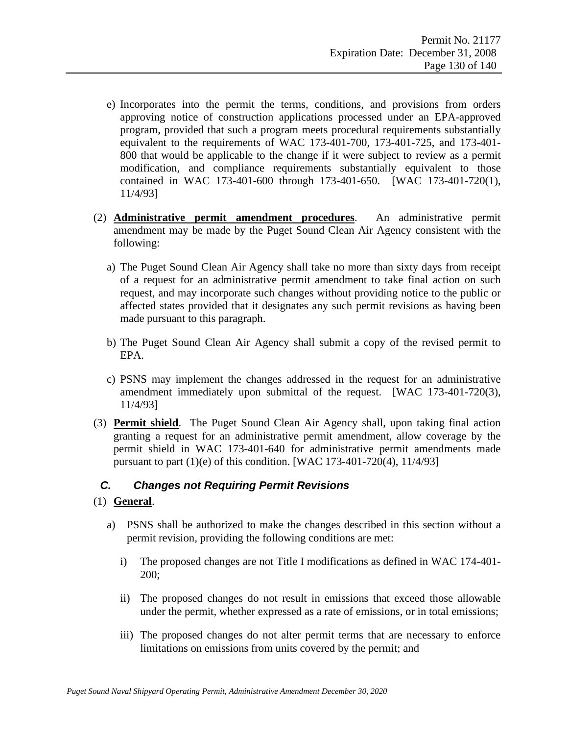- e) Incorporates into the permit the terms, conditions, and provisions from orders approving notice of construction applications processed under an EPA-approved program, provided that such a program meets procedural requirements substantially equivalent to the requirements of WAC 173-401-700, 173-401-725, and 173-401- 800 that would be applicable to the change if it were subject to review as a permit modification, and compliance requirements substantially equivalent to those contained in WAC 173-401-600 through 173-401-650. [WAC 173-401-720(1), 11/4/93]
- <span id="page-129-1"></span>(2) **Administrative permit amendment procedures**. An administrative permit amendment may be made by the Puget Sound Clean Air Agency consistent with the following:
	- a) The Puget Sound Clean Air Agency shall take no more than sixty days from receipt of a request for an administrative permit amendment to take final action on such request, and may incorporate such changes without providing notice to the public or affected states provided that it designates any such permit revisions as having been made pursuant to this paragraph.
	- b) The Puget Sound Clean Air Agency shall submit a copy of the revised permit to EPA.
	- c) PSNS may implement the changes addressed in the request for an administrative amendment immediately upon submittal of the request. [WAC 173-401-720(3), 11/4/93]
- (3) **Permit shield**. The Puget Sound Clean Air Agency shall, upon taking final action granting a request for an administrative permit amendment, allow coverage by the permit shield in WAC 173-401-640 for administrative permit amendments made pursuant to part (1)(e) of this condition. [WAC 173-401-720(4), 11/4/93]

# <span id="page-129-0"></span>*C. Changes not Requiring Permit Revisions*

- (1) **General**.
	- a) PSNS shall be authorized to make the changes described in this section without a permit revision, providing the following conditions are met:
		- i) The proposed changes are not Title I modifications as defined in WAC 174-401- 200;
		- ii) The proposed changes do not result in emissions that exceed those allowable under the permit, whether expressed as a rate of emissions, or in total emissions;
		- iii) The proposed changes do not alter permit terms that are necessary to enforce limitations on emissions from units covered by the permit; and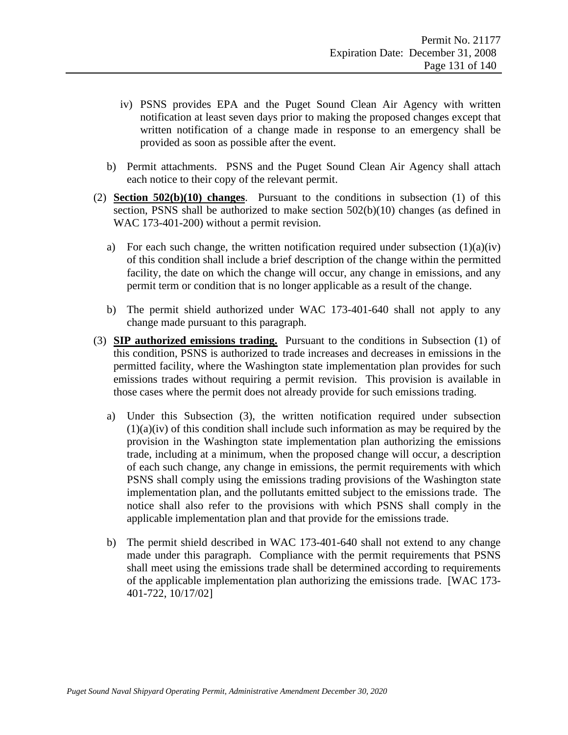- iv) PSNS provides EPA and the Puget Sound Clean Air Agency with written notification at least seven days prior to making the proposed changes except that written notification of a change made in response to an emergency shall be provided as soon as possible after the event.
- b) Permit attachments. PSNS and the Puget Sound Clean Air Agency shall attach each notice to their copy of the relevant permit.
- (2) **Section 502(b)(10) changes**. Pursuant to the conditions in subsection (1) of this section, PSNS shall be authorized to make section 502(b)(10) changes (as defined in WAC 173-401-200) without a permit revision.
	- a) For each such change, the written notification required under subsection  $(1)(a)(iv)$ of this condition shall include a brief description of the change within the permitted facility, the date on which the change will occur, any change in emissions, and any permit term or condition that is no longer applicable as a result of the change.
	- b) The permit shield authorized under WAC 173-401-640 shall not apply to any change made pursuant to this paragraph.
- <span id="page-130-1"></span><span id="page-130-0"></span>(3) **SIP authorized emissions trading.** Pursuant to the conditions in Subsection (1) of this condition, PSNS is authorized to trade increases and decreases in emissions in the permitted facility, where the Washington state implementation plan provides for such emissions trades without requiring a permit revision. This provision is available in those cases where the permit does not already provide for such emissions trading.
	- a) Under this Subsection (3), the written notification required under subsection  $(1)(a)(iv)$  of this condition shall include such information as may be required by the provision in the Washington state implementation plan authorizing the emissions trade, including at a minimum, when the proposed change will occur, a description of each such change, any change in emissions, the permit requirements with which PSNS shall comply using the emissions trading provisions of the Washington state implementation plan, and the pollutants emitted subject to the emissions trade. The notice shall also refer to the provisions with which PSNS shall comply in the applicable implementation plan and that provide for the emissions trade.
	- b) The permit shield described in WAC 173-401-640 shall not extend to any change made under this paragraph. Compliance with the permit requirements that PSNS shall meet using the emissions trade shall be determined according to requirements of the applicable implementation plan authorizing the emissions trade. [WAC 173- 401-722, 10/17/02]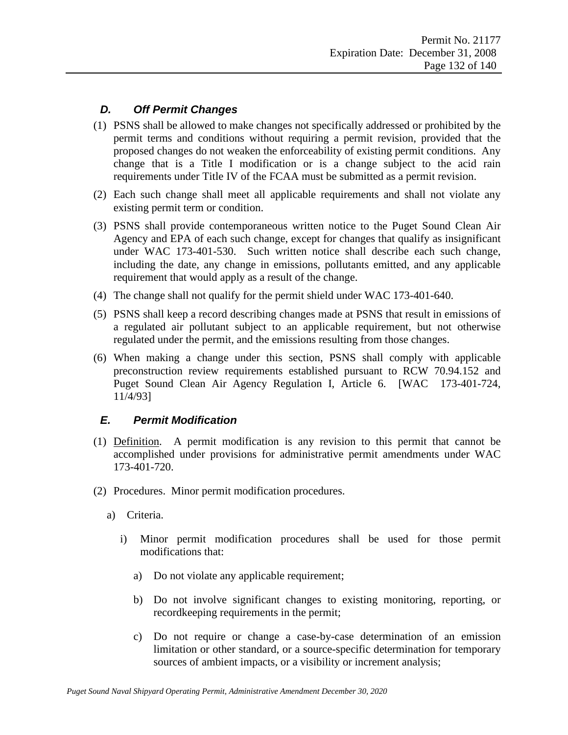# *D. Off Permit Changes*

- (1) PSNS shall be allowed to make changes not specifically addressed or prohibited by the permit terms and conditions without requiring a permit revision, provided that the proposed changes do not weaken the enforceability of existing permit conditions. Any change that is a Title I modification or is a change subject to the acid rain requirements under Title IV of the FCAA must be submitted as a permit revision.
- (2) Each such change shall meet all applicable requirements and shall not violate any existing permit term or condition.
- <span id="page-131-1"></span>(3) PSNS shall provide contemporaneous written notice to the Puget Sound Clean Air Agency and EPA of each such change, except for changes that qualify as insignificant under WAC 173-401-530. Such written notice shall describe each such change, including the date, any change in emissions, pollutants emitted, and any applicable requirement that would apply as a result of the change.
- (4) The change shall not qualify for the permit shield under WAC 173-401-640.
- (5) PSNS shall keep a record describing changes made at PSNS that result in emissions of a regulated air pollutant subject to an applicable requirement, but not otherwise regulated under the permit, and the emissions resulting from those changes.
- (6) When making a change under this section, PSNS shall comply with applicable preconstruction review requirements established pursuant to RCW 70.94.152 and Puget Sound Clean Air Agency Regulation I, Article 6. [WAC 173-401-724, 11/4/93]

### <span id="page-131-0"></span>*E. Permit Modification*

- (1) Definition. A permit modification is any revision to this permit that cannot be accomplished under provisions for administrative permit amendments under WAC 173-401-720.
- (2) Procedures. Minor permit modification procedures.
	- a) Criteria.
		- i) Minor permit modification procedures shall be used for those permit modifications that:
			- a) Do not violate any applicable requirement;
			- b) Do not involve significant changes to existing monitoring, reporting, or recordkeeping requirements in the permit;
			- c) Do not require or change a case-by-case determination of an emission limitation or other standard, or a source-specific determination for temporary sources of ambient impacts, or a visibility or increment analysis;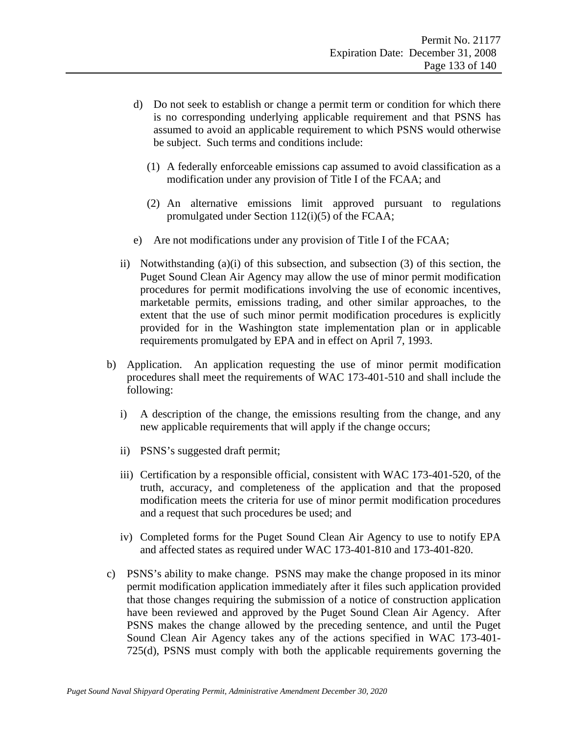- d) Do not seek to establish or change a permit term or condition for which there is no corresponding underlying applicable requirement and that PSNS has assumed to avoid an applicable requirement to which PSNS would otherwise be subject. Such terms and conditions include:
	- (1) A federally enforceable emissions cap assumed to avoid classification as a modification under any provision of Title I of the FCAA; and
	- (2) An alternative emissions limit approved pursuant to regulations promulgated under Section 112(i)(5) of the FCAA;
- e) Are not modifications under any provision of Title I of the FCAA;
- ii) Notwithstanding (a)(i) of this subsection, and subsection (3) of this section, the Puget Sound Clean Air Agency may allow the use of minor permit modification procedures for permit modifications involving the use of economic incentives, marketable permits, emissions trading, and other similar approaches, to the extent that the use of such minor permit modification procedures is explicitly provided for in the Washington state implementation plan or in applicable requirements promulgated by EPA and in effect on April 7, 1993.
- b) Application. An application requesting the use of minor permit modification procedures shall meet the requirements of WAC 173-401-510 and shall include the following:
	- i) A description of the change, the emissions resulting from the change, and any new applicable requirements that will apply if the change occurs;
	- ii) PSNS's suggested draft permit;
	- iii) Certification by a responsible official, consistent with WAC 173-401-520, of the truth, accuracy, and completeness of the application and that the proposed modification meets the criteria for use of minor permit modification procedures and a request that such procedures be used; and
	- iv) Completed forms for the Puget Sound Clean Air Agency to use to notify EPA and affected states as required under WAC 173-401-810 and 173-401-820.
- c) PSNS's ability to make change. PSNS may make the change proposed in its minor permit modification application immediately after it files such application provided that those changes requiring the submission of a notice of construction application have been reviewed and approved by the Puget Sound Clean Air Agency. After PSNS makes the change allowed by the preceding sentence, and until the Puget Sound Clean Air Agency takes any of the actions specified in WAC 173-401- 725(d), PSNS must comply with both the applicable requirements governing the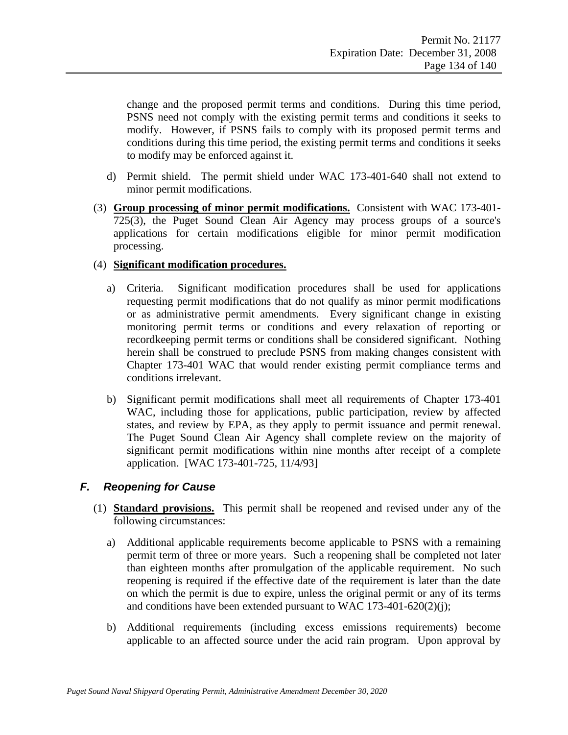change and the proposed permit terms and conditions. During this time period, PSNS need not comply with the existing permit terms and conditions it seeks to modify. However, if PSNS fails to comply with its proposed permit terms and conditions during this time period, the existing permit terms and conditions it seeks to modify may be enforced against it.

- d) Permit shield. The permit shield under WAC 173-401-640 shall not extend to minor permit modifications.
- (3) **Group processing of minor permit modifications.** Consistent with WAC 173-401- 725(3), the Puget Sound Clean Air Agency may process groups of a source's applications for certain modifications eligible for minor permit modification processing.

#### (4) **Significant modification procedures.**

- a) Criteria. Significant modification procedures shall be used for applications requesting permit modifications that do not qualify as minor permit modifications or as administrative permit amendments. Every significant change in existing monitoring permit terms or conditions and every relaxation of reporting or recordkeeping permit terms or conditions shall be considered significant. Nothing herein shall be construed to preclude PSNS from making changes consistent with Chapter 173-401 WAC that would render existing permit compliance terms and conditions irrelevant.
- b) Significant permit modifications shall meet all requirements of Chapter 173-401 WAC, including those for applications, public participation, review by affected states, and review by EPA, as they apply to permit issuance and permit renewal. The Puget Sound Clean Air Agency shall complete review on the majority of significant permit modifications within nine months after receipt of a complete application. [WAC 173-401-725, 11/4/93]

### *F. Reopening for Cause*

- (1) **Standard provisions.** This permit shall be reopened and revised under any of the following circumstances:
	- a) Additional applicable requirements become applicable to PSNS with a remaining permit term of three or more years. Such a reopening shall be completed not later than eighteen months after promulgation of the applicable requirement. No such reopening is required if the effective date of the requirement is later than the date on which the permit is due to expire, unless the original permit or any of its terms and conditions have been extended pursuant to WAC 173-401-620(2)(j);
	- b) Additional requirements (including excess emissions requirements) become applicable to an affected source under the acid rain program. Upon approval by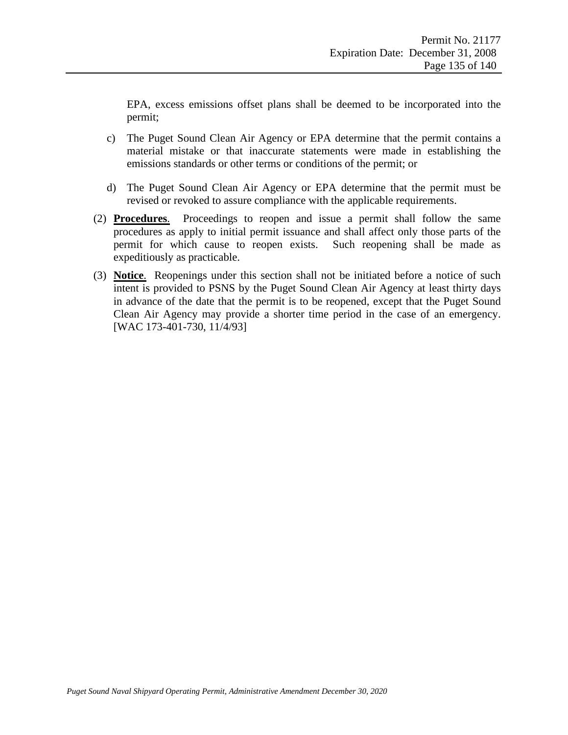EPA, excess emissions offset plans shall be deemed to be incorporated into the permit;

- c) The Puget Sound Clean Air Agency or EPA determine that the permit contains a material mistake or that inaccurate statements were made in establishing the emissions standards or other terms or conditions of the permit; or
- d) The Puget Sound Clean Air Agency or EPA determine that the permit must be revised or revoked to assure compliance with the applicable requirements.
- (2) **Procedures**. Proceedings to reopen and issue a permit shall follow the same procedures as apply to initial permit issuance and shall affect only those parts of the permit for which cause to reopen exists. Such reopening shall be made as expeditiously as practicable.
- (3) **Notice**. Reopenings under this section shall not be initiated before a notice of such intent is provided to PSNS by the Puget Sound Clean Air Agency at least thirty days in advance of the date that the permit is to be reopened, except that the Puget Sound Clean Air Agency may provide a shorter time period in the case of an emergency. [WAC 173-401-730, 11/4/93]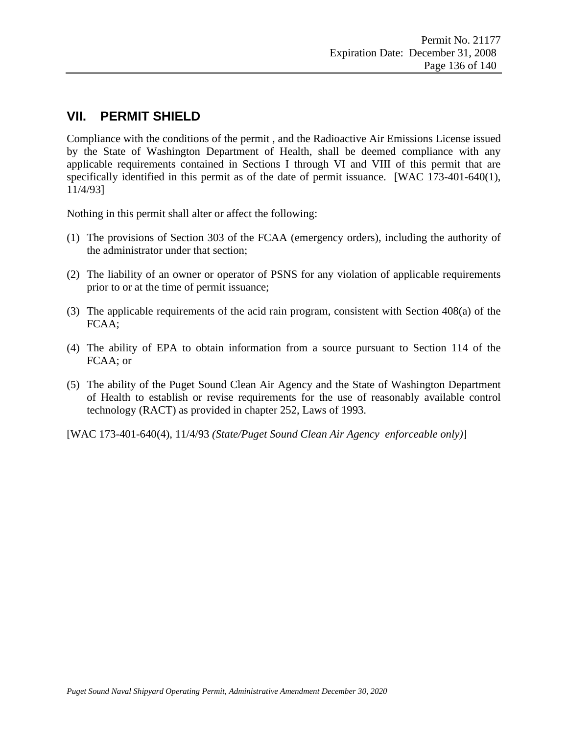# **VII. PERMIT SHIELD**

Compliance with the conditions of the permit , and the Radioactive Air Emissions License issued by the State of Washington Department of Health, shall be deemed compliance with any applicable requirements contained in Sections I through VI and VIII of this permit that are specifically identified in this permit as of the date of permit issuance. [WAC 173-401-640(1), 11/4/93]

Nothing in this permit shall alter or affect the following:

- (1) The provisions of Section 303 of the FCAA (emergency orders), including the authority of the administrator under that section;
- (2) The liability of an owner or operator of PSNS for any violation of applicable requirements prior to or at the time of permit issuance;
- (3) The applicable requirements of the acid rain program, consistent with Section 408(a) of the FCAA;
- (4) The ability of EPA to obtain information from a source pursuant to Section 114 of the FCAA; or
- (5) The ability of the Puget Sound Clean Air Agency and the State of Washington Department of Health to establish or revise requirements for the use of reasonably available control technology (RACT) as provided in chapter 252, Laws of 1993.

[WAC 173-401-640(4), 11/4/93 *(State/Puget Sound Clean Air Agency enforceable only)*]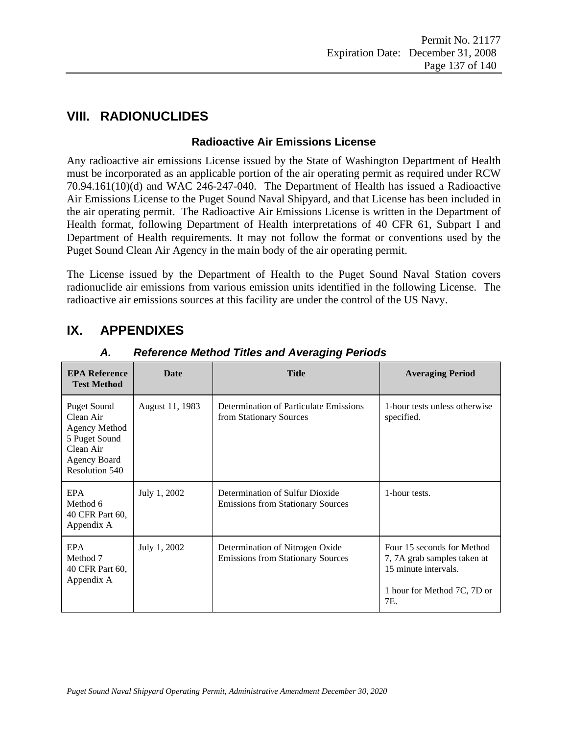# **VIII. RADIONUCLIDES**

### **Radioactive Air Emissions License**

Any radioactive air emissions License issued by the State of Washington Department of Health must be incorporated as an applicable portion of the air operating permit as required under RCW 70.94.161(10)(d) and WAC 246-247-040. The Department of Health has issued a Radioactive Air Emissions License to the Puget Sound Naval Shipyard, and that License has been included in the air operating permit. The Radioactive Air Emissions License is written in the Department of Health format, following Department of Health interpretations of 40 CFR 61, Subpart I and Department of Health requirements. It may not follow the format or conventions used by the Puget Sound Clean Air Agency in the main body of the air operating permit.

The License issued by the Department of Health to the Puget Sound Naval Station covers radionuclide air emissions from various emission units identified in the following License. The radioactive air emissions sources at this facility are under the control of the US Navy.

| <b>EPA Reference</b><br><b>Test Method</b>                                                                                            | Date            | <b>Title</b>                                                                | <b>Averaging Period</b>                                                                                                 |
|---------------------------------------------------------------------------------------------------------------------------------------|-----------------|-----------------------------------------------------------------------------|-------------------------------------------------------------------------------------------------------------------------|
| <b>Puget Sound</b><br>Clean Air<br><b>Agency Method</b><br>5 Puget Sound<br>Clean Air<br><b>Agency Board</b><br><b>Resolution 540</b> | August 11, 1983 | Determination of Particulate Emissions<br>from Stationary Sources           | 1-hour tests unless otherwise<br>specified.                                                                             |
| <b>EPA</b><br>Method 6<br>40 CFR Part 60,<br>Appendix A                                                                               | July 1, 2002    | Determination of Sulfur Dioxide<br><b>Emissions from Stationary Sources</b> | 1-hour tests.                                                                                                           |
| EPA<br>Method 7<br>40 CFR Part 60,<br>Appendix A                                                                                      | July 1, 2002    | Determination of Nitrogen Oxide<br><b>Emissions from Stationary Sources</b> | Four 15 seconds for Method<br>7, 7A grab samples taken at<br>15 minute intervals.<br>1 hour for Method 7C, 7D or<br>7E. |

# **IX. APPENDIXES**

# *A. Reference Method Titles and Averaging Periods*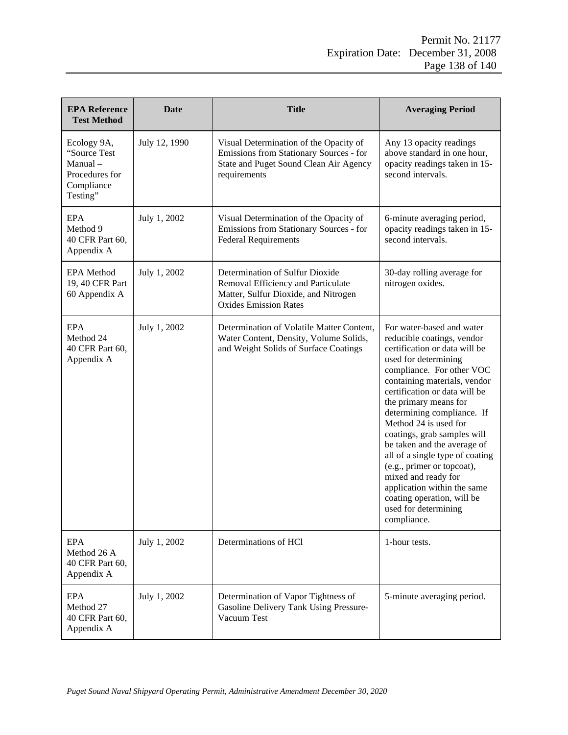| <b>EPA Reference</b><br><b>Test Method</b>                                                                                                                                                  | <b>Date</b>   | <b>Title</b>                                                                                                                                  | <b>Averaging Period</b>                                                                                                                                                                                                                                                                                                                                                                                                                                                                                                                                  |
|---------------------------------------------------------------------------------------------------------------------------------------------------------------------------------------------|---------------|-----------------------------------------------------------------------------------------------------------------------------------------------|----------------------------------------------------------------------------------------------------------------------------------------------------------------------------------------------------------------------------------------------------------------------------------------------------------------------------------------------------------------------------------------------------------------------------------------------------------------------------------------------------------------------------------------------------------|
| Ecology 9A,<br>"Source Test<br>Manual-<br>Procedures for<br>Compliance<br>Testing"                                                                                                          | July 12, 1990 | Visual Determination of the Opacity of<br>Emissions from Stationary Sources - for<br>State and Puget Sound Clean Air Agency<br>requirements   | Any 13 opacity readings<br>above standard in one hour,<br>opacity readings taken in 15-<br>second intervals.                                                                                                                                                                                                                                                                                                                                                                                                                                             |
| <b>EPA</b><br>July 1, 2002<br>Visual Determination of the Opacity of<br>Method 9<br>Emissions from Stationary Sources - for<br>40 CFR Part 60,<br><b>Federal Requirements</b><br>Appendix A |               |                                                                                                                                               | 6-minute averaging period,<br>opacity readings taken in 15-<br>second intervals.                                                                                                                                                                                                                                                                                                                                                                                                                                                                         |
| <b>EPA</b> Method<br>19, 40 CFR Part<br>60 Appendix A                                                                                                                                       | July 1, 2002  | Determination of Sulfur Dioxide<br>Removal Efficiency and Particulate<br>Matter, Sulfur Dioxide, and Nitrogen<br><b>Oxides Emission Rates</b> | 30-day rolling average for<br>nitrogen oxides.                                                                                                                                                                                                                                                                                                                                                                                                                                                                                                           |
| <b>EPA</b><br>Method 24<br>40 CFR Part 60,<br>Appendix A                                                                                                                                    | July 1, 2002  | Determination of Volatile Matter Content,<br>Water Content, Density, Volume Solids,<br>and Weight Solids of Surface Coatings                  | For water-based and water<br>reducible coatings, vendor<br>certification or data will be<br>used for determining<br>compliance. For other VOC<br>containing materials, vendor<br>certification or data will be<br>the primary means for<br>determining compliance. If<br>Method 24 is used for<br>coatings, grab samples will<br>be taken and the average of<br>all of a single type of coating<br>(e.g., primer or topcoat),<br>mixed and ready for<br>application within the same<br>coating operation, will be<br>used for determining<br>compliance. |
| <b>EPA</b><br>Method 26 A<br>40 CFR Part 60,<br>Appendix A                                                                                                                                  | July 1, 2002  | Determinations of HCl                                                                                                                         | 1-hour tests.                                                                                                                                                                                                                                                                                                                                                                                                                                                                                                                                            |
| <b>EPA</b><br>Method 27<br>40 CFR Part 60,<br>Appendix A                                                                                                                                    | July 1, 2002  | Determination of Vapor Tightness of<br>Gasoline Delivery Tank Using Pressure-<br>Vacuum Test                                                  | 5-minute averaging period.                                                                                                                                                                                                                                                                                                                                                                                                                                                                                                                               |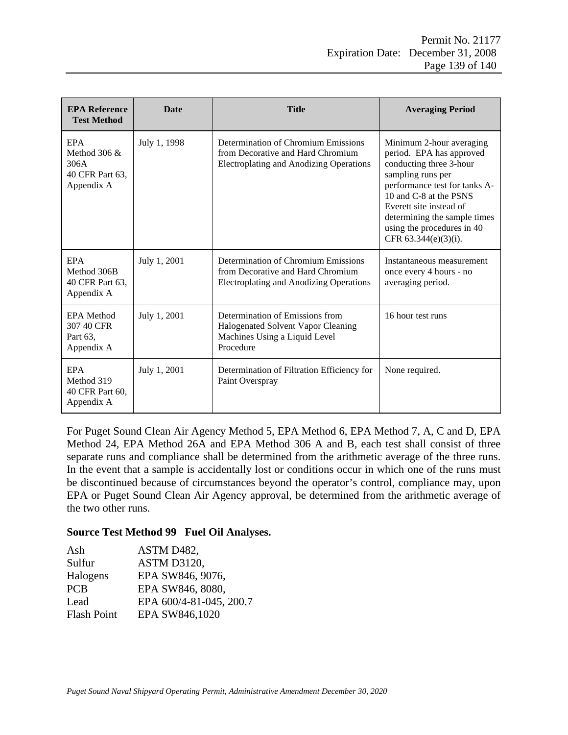| <b>EPA Reference</b><br><b>Test Method</b>                      | Date         | <b>Title</b>                                                                                                               | <b>Averaging Period</b>                                                                                                                                                                                                                                                          |
|-----------------------------------------------------------------|--------------|----------------------------------------------------------------------------------------------------------------------------|----------------------------------------------------------------------------------------------------------------------------------------------------------------------------------------------------------------------------------------------------------------------------------|
| EPA<br>Method $306 \&$<br>306A<br>40 CFR Part 63,<br>Appendix A | July 1, 1998 | Determination of Chromium Emissions<br>from Decorative and Hard Chromium<br>Electroplating and Anodizing Operations        | Minimum 2-hour averaging<br>period. EPA has approved<br>conducting three 3-hour<br>sampling runs per<br>performance test for tanks A-<br>10 and C-8 at the PSNS<br>Everett site instead of<br>determining the sample times<br>using the procedures in 40<br>CFR 63.344(e)(3)(i). |
| EPA<br>Method 306B<br>40 CFR Part 63,<br>Appendix A             | July 1, 2001 | Determination of Chromium Emissions<br>from Decorative and Hard Chromium<br><b>Electroplating and Anodizing Operations</b> | Instantaneous measurement<br>once every 4 hours - no<br>averaging period.                                                                                                                                                                                                        |
| <b>EPA</b> Method<br>307 40 CFR<br>Part 63,<br>Appendix A       | July 1, 2001 | Determination of Emissions from<br>Halogenated Solvent Vapor Cleaning<br>Machines Using a Liquid Level<br>Procedure        | 16 hour test runs                                                                                                                                                                                                                                                                |
| EPA<br>Method 319<br>40 CFR Part 60,<br>Appendix A              | July 1, 2001 | Determination of Filtration Efficiency for<br>Paint Overspray                                                              | None required.                                                                                                                                                                                                                                                                   |

For Puget Sound Clean Air Agency Method 5, EPA Method 6, EPA Method 7, A, C and D, EPA Method 24, EPA Method 26A and EPA Method 306 A and B, each test shall consist of three separate runs and compliance shall be determined from the arithmetic average of the three runs. In the event that a sample is accidentally lost or conditions occur in which one of the runs must be discontinued because of circumstances beyond the operator's control, compliance may, upon EPA or Puget Sound Clean Air Agency approval, be determined from the arithmetic average of the two other runs.

#### **Source Test Method 99 Fuel Oil Analyses.**

| Ash                | ASTM D482,              |
|--------------------|-------------------------|
| Sulfur             | ASTM D3120.             |
| Halogens           | EPA SW846, 9076,        |
| <b>PCB</b>         | EPA SW846, 8080,        |
| Lead               | EPA 600/4-81-045, 200.7 |
| <b>Flash Point</b> | EPA SW846,1020          |